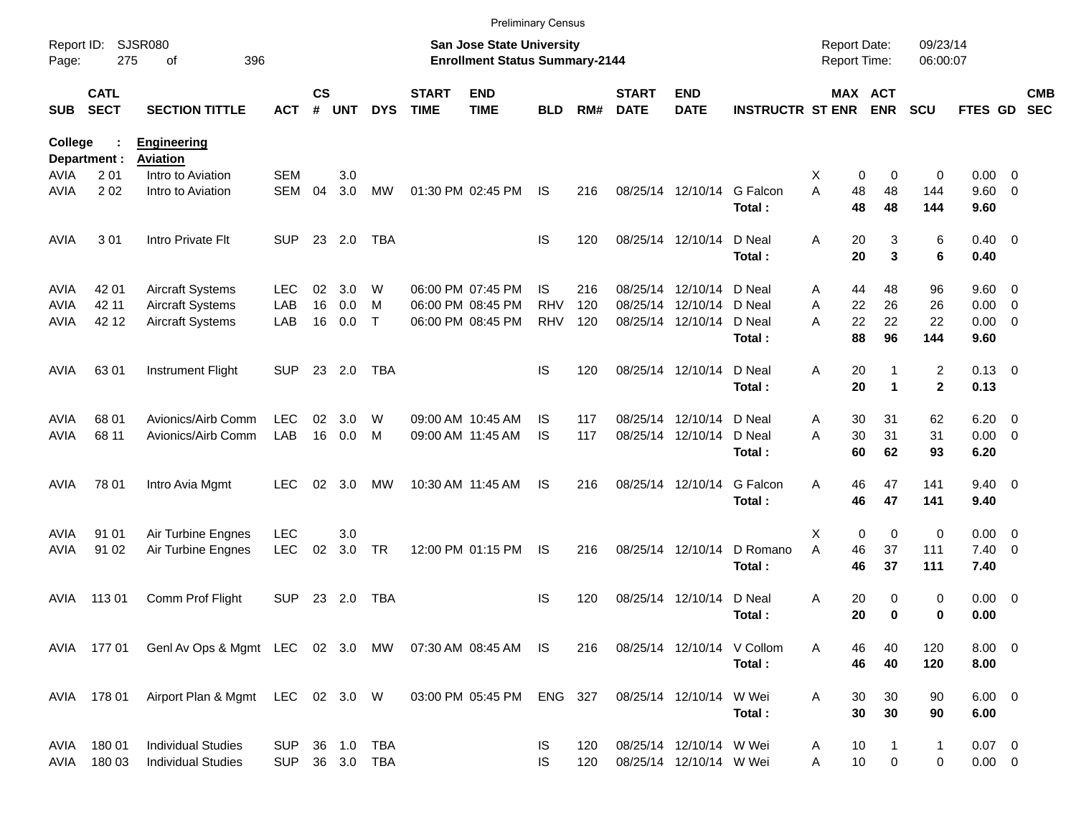|                     |                            |                                                                   |                          |                    |            |                          |                             |                                                                           | <b>Preliminary Census</b> |            |                             |                                                    |                                      |                                     |                            |                      |                         |                          |                          |
|---------------------|----------------------------|-------------------------------------------------------------------|--------------------------|--------------------|------------|--------------------------|-----------------------------|---------------------------------------------------------------------------|---------------------------|------------|-----------------------------|----------------------------------------------------|--------------------------------------|-------------------------------------|----------------------------|----------------------|-------------------------|--------------------------|--------------------------|
| Report ID:<br>Page: | 275                        | <b>SJSR080</b><br>396<br>оf                                       |                          |                    |            |                          |                             | <b>San Jose State University</b><br><b>Enrollment Status Summary-2144</b> |                           |            |                             |                                                    |                                      | <b>Report Date:</b><br>Report Time: |                            | 09/23/14<br>06:00:07 |                         |                          |                          |
| <b>SUB</b>          | <b>CATL</b><br><b>SECT</b> | <b>SECTION TITTLE</b>                                             | <b>ACT</b>               | $\mathsf{cs}$<br># | <b>UNT</b> | <b>DYS</b>               | <b>START</b><br><b>TIME</b> | <b>END</b><br><b>TIME</b>                                                 | <b>BLD</b>                | RM#        | <b>START</b><br><b>DATE</b> | <b>END</b><br><b>DATE</b>                          | <b>INSTRUCTR ST ENR</b>              |                                     | MAX ACT<br><b>ENR</b>      | <b>SCU</b>           | <b>FTES GD</b>          |                          | <b>CMB</b><br><b>SEC</b> |
| <b>College</b>      | Department :               | <b>Engineering</b><br><b>Aviation</b>                             |                          |                    |            |                          |                             |                                                                           |                           |            |                             |                                                    |                                      |                                     |                            |                      |                         |                          |                          |
| AVIA                | 2 0 1                      | Intro to Aviation                                                 | <b>SEM</b>               |                    | 3.0        |                          |                             |                                                                           |                           |            |                             |                                                    |                                      | X                                   | 0<br>0                     | 0                    | 0.00                    | $\overline{\phantom{0}}$ |                          |
| AVIA                | 202                        | Intro to Aviation                                                 | <b>SEM</b>               | 04                 | 3.0        | МW                       |                             | 01:30 PM 02:45 PM                                                         | IS                        | 216        |                             | 08/25/14 12/10/14 G Falcon                         | Total:                               | A<br>48<br>48                       | 48<br>48                   | 144<br>144           | 9.60<br>9.60            | $\overline{\phantom{0}}$ |                          |
| <b>AVIA</b>         | 301                        | Intro Private Flt                                                 | <b>SUP</b>               |                    | 23 2.0     | <b>TBA</b>               |                             |                                                                           | IS                        | 120        |                             | 08/25/14 12/10/14                                  | D Neal<br>Total:                     | Α<br>20<br>20                       | 3<br>3                     | 6<br>6               | $0.40 \quad 0$<br>0.40  |                          |                          |
| AVIA                | 42 01                      | <b>Aircraft Systems</b>                                           | <b>LEC</b>               | 02                 | 3.0        | W                        |                             | 06:00 PM 07:45 PM                                                         | IS                        | 216        |                             | 08/25/14 12/10/14                                  | D Neal                               | 44<br>Α                             | 48                         | 96                   | $9.60 \quad 0$          |                          |                          |
| AVIA                | 42 11                      | <b>Aircraft Systems</b>                                           | LAB                      | 16                 | 0.0        | м                        |                             | 06:00 PM 08:45 PM                                                         | <b>RHV</b>                | 120        |                             | 08/25/14 12/10/14                                  | D Neal                               | A<br>22                             | 26                         | 26                   | 0.00                    | $\overline{\mathbf{0}}$  |                          |
| AVIA                | 42 12                      | <b>Aircraft Systems</b>                                           | LAB                      | 16                 | 0.0        | $\mathsf{T}$             |                             | 06:00 PM 08:45 PM                                                         | <b>RHV</b>                | 120        |                             | 08/25/14 12/10/14                                  | D Neal<br>Total:                     | A<br>22<br>88                       | 22<br>96                   | 22<br>144            | 0.00<br>9.60            | $\overline{\phantom{0}}$ |                          |
| <b>AVIA</b>         | 63 01                      | <b>Instrument Flight</b>                                          | <b>SUP</b>               |                    | 23 2.0     | TBA                      |                             |                                                                           | IS                        | 120        |                             | 08/25/14 12/10/14                                  | D Neal<br>Total:                     | 20<br>Α<br>20                       | 1                          | 2<br>$\overline{2}$  | $0.13 \quad 0$<br>0.13  |                          |                          |
| <b>AVIA</b>         | 68 01                      | Avionics/Airb Comm                                                | <b>LEC</b>               | 02                 | 3.0        | W                        |                             | 09:00 AM 10:45 AM                                                         | IS                        | 117        |                             | 08/25/14 12/10/14                                  | D Neal                               | 30<br>Α                             | 31                         | 62                   | 6.20                    | $\overline{\phantom{0}}$ |                          |
| <b>AVIA</b>         | 68 11                      | Avionics/Airb Comm                                                | LAB                      | 16                 | 0.0        | M                        |                             | 09:00 AM 11:45 AM                                                         | IS                        | 117        |                             | 08/25/14 12/10/14                                  | D Neal                               | 30<br>A                             | 31                         | 31                   | $0.00 \t 0$             |                          |                          |
|                     |                            |                                                                   |                          |                    |            |                          |                             |                                                                           |                           |            |                             |                                                    | Total:                               | 60                                  | 62                         | 93                   | 6.20                    |                          |                          |
| <b>AVIA</b>         | 78 01                      | Intro Avia Mgmt                                                   | <b>LEC</b>               | 02                 | 3.0        | МW                       |                             | 10:30 AM 11:45 AM                                                         | IS                        | 216        |                             | 08/25/14 12/10/14                                  | G Falcon<br>Total:                   | 46<br>Α<br>46                       | 47<br>47                   | 141<br>141           | $9.40 \quad 0$<br>9.40  |                          |                          |
| AVIA                | 91 01                      | Air Turbine Engnes                                                | <b>LEC</b>               |                    | 3.0        |                          |                             |                                                                           |                           |            |                             |                                                    |                                      | X                                   | $\mathbf 0$<br>$\mathbf 0$ | 0                    | $0.00 \t 0$             |                          |                          |
| AVIA                | 91 02                      | Air Turbine Engnes                                                | <b>LEC</b>               | 02                 | 3.0        | <b>TR</b>                |                             | 12:00 PM 01:15 PM                                                         | <b>IS</b>                 | 216        |                             | 08/25/14 12/10/14                                  | D Romano                             | A<br>46                             | 37                         | 111                  | $7.40 \quad 0$          |                          |                          |
|                     |                            |                                                                   |                          |                    |            |                          |                             |                                                                           |                           |            |                             |                                                    | Total:                               | 46                                  | 37                         | 111                  | 7.40                    |                          |                          |
| AVIA                | 11301                      | Comm Prof Flight                                                  | <b>SUP</b>               |                    | 23 2.0     | TBA                      |                             |                                                                           | IS                        | 120        |                             | 08/25/14 12/10/14                                  | D Neal                               | Α<br>20                             | 0                          | 0                    | $0.00 \t 0$             |                          |                          |
|                     |                            |                                                                   |                          |                    |            |                          |                             |                                                                           |                           |            |                             |                                                    | Total:                               | 20                                  | 0                          | 0                    | 0.00                    |                          |                          |
|                     |                            | AVIA 177 01 GenI Av Ops & Mgmt LEC 02 3.0 MW 07:30 AM 08:45 AM IS |                          |                    |            |                          |                             |                                                                           |                           | 216        |                             |                                                    | 08/25/14 12/10/14 V Collom<br>Total: | Α<br>46                             | 40<br>46<br>40             | 120<br>120           | $8.00 \t 0$<br>8.00     |                          |                          |
|                     | AVIA 178 01                | Airport Plan & Mgmt LEC 02 3.0 W                                  |                          |                    |            |                          |                             | 03:00 PM 05:45 PM ENG 327                                                 |                           |            |                             | 08/25/14 12/10/14 W Wei                            | Total:                               | Α<br>30<br>30                       | 30<br>30                   | 90<br>90             | $6.00 \t 0$<br>6.00     |                          |                          |
| AVIA<br>avia        | 18001<br>180 03            | <b>Individual Studies</b><br><b>Individual Studies</b>            | <b>SUP</b><br><b>SUP</b> |                    |            | 36 1.0 TBA<br>36 3.0 TBA |                             |                                                                           | IS<br>IS                  | 120<br>120 |                             | 08/25/14 12/10/14 W Wei<br>08/25/14 12/10/14 W Wei |                                      | 10<br>A<br>$10$<br>Α                | 1<br>0                     | $\mathbf{1}$<br>0    | $0.07$ 0<br>$0.00 \t 0$ |                          |                          |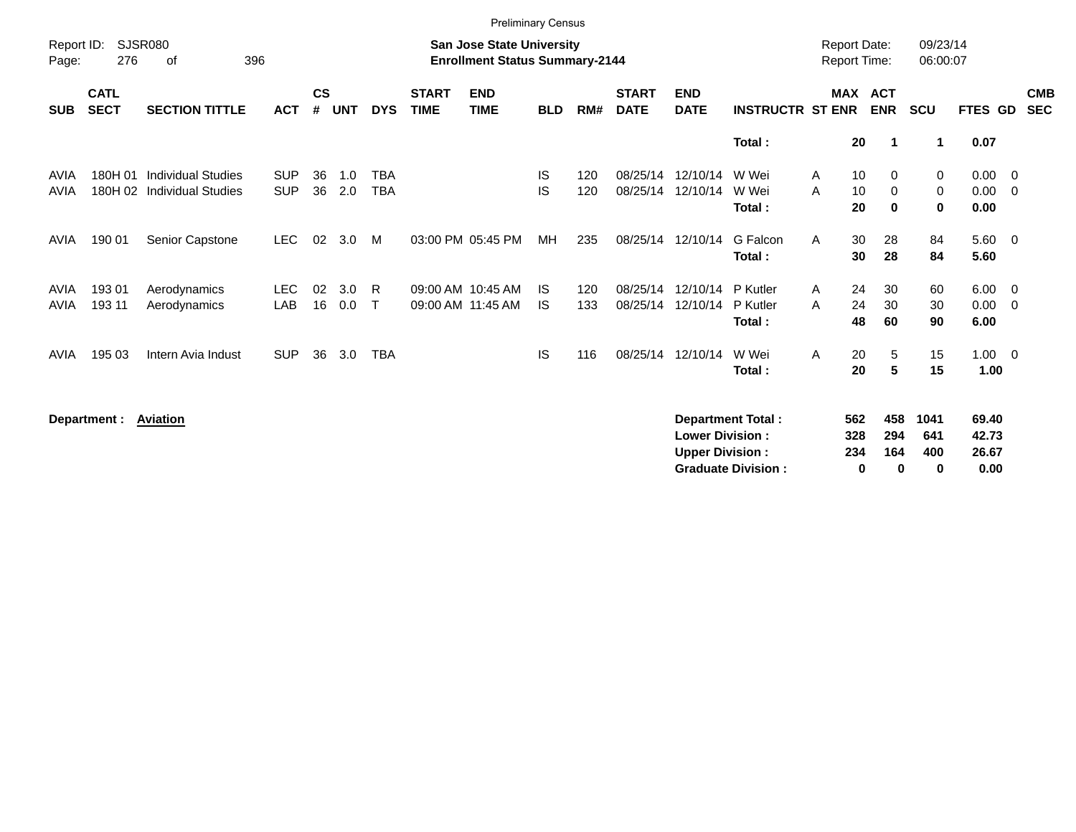|                     |                            |                                                         |                          |                    |            |                          |                             | <b>Preliminary Census</b>                                          |                  |            |                             |                           |                                |        |                                            |                              |                      |                             |                                                    |                          |
|---------------------|----------------------------|---------------------------------------------------------|--------------------------|--------------------|------------|--------------------------|-----------------------------|--------------------------------------------------------------------|------------------|------------|-----------------------------|---------------------------|--------------------------------|--------|--------------------------------------------|------------------------------|----------------------|-----------------------------|----------------------------------------------------|--------------------------|
| Report ID:<br>Page: | 276                        | <b>SJSR080</b><br>396<br>of                             |                          |                    |            |                          |                             | San Jose State University<br><b>Enrollment Status Summary-2144</b> |                  |            |                             |                           |                                |        | <b>Report Date:</b><br><b>Report Time:</b> |                              | 09/23/14<br>06:00:07 |                             |                                                    |                          |
| <b>SUB</b>          | <b>CATL</b><br><b>SECT</b> | <b>SECTION TITTLE</b>                                   | <b>ACT</b>               | $\mathsf{cs}$<br># | <b>UNT</b> | <b>DYS</b>               | <b>START</b><br><b>TIME</b> | <b>END</b><br><b>TIME</b>                                          | <b>BLD</b>       | RM#        | <b>START</b><br><b>DATE</b> | <b>END</b><br><b>DATE</b> | <b>INSTRUCTR ST ENR</b>        |        | <b>MAX</b>                                 | <b>ACT</b><br><b>ENR</b>     | <b>SCU</b>           | FTES GD                     |                                                    | <b>CMB</b><br><b>SEC</b> |
|                     |                            |                                                         |                          |                    |            |                          |                             |                                                                    |                  |            |                             |                           | Total:                         |        | 20                                         | -1                           | 1                    | 0.07                        |                                                    |                          |
| AVIA<br><b>AVIA</b> | 180H 01                    | <b>Individual Studies</b><br>180H 02 Individual Studies | <b>SUP</b><br><b>SUP</b> | 36<br>36           | 1.0<br>2.0 | <b>TBA</b><br><b>TBA</b> |                             |                                                                    | IS<br>IS         | 120<br>120 | 08/25/14<br>08/25/14        | 12/10/14<br>12/10/14      | W Wei<br>W Wei<br>Total:       | A<br>A | 10<br>10<br>20                             | 0<br>$\mathbf 0$<br>$\bf{0}$ | 0<br>0<br>0          | 0.00<br>0.00<br>0.00        | $\overline{\mathbf{0}}$<br>$\overline{\mathbf{0}}$ |                          |
| <b>AVIA</b>         | 190 01                     | Senior Capstone                                         | <b>LEC</b>               | 02                 | 3.0        | M                        |                             | 03:00 PM 05:45 PM                                                  | MH               | 235        |                             | 08/25/14 12/10/14         | G Falcon<br>Total:             | A      | 30<br>30                                   | 28<br>28                     | 84<br>84             | $5.60 \quad 0$<br>5.60      |                                                    |                          |
| AVIA<br><b>AVIA</b> | 193 01<br>193 11           | Aerodynamics<br>Aerodynamics                            | <b>LEC</b><br>LAB        | 02<br>16           | 3.0<br>0.0 | R.<br>$\mathsf{T}$       |                             | 09:00 AM 10:45 AM<br>09:00 AM 11:45 AM                             | IS.<br><b>IS</b> | 120<br>133 | 08/25/14<br>08/25/14        | 12/10/14<br>12/10/14      | P Kutler<br>P Kutler<br>Total: | A<br>A | 24<br>24<br>48                             | 30<br>30<br>60               | 60<br>30<br>90       | $6.00 \t 0$<br>0.00<br>6.00 | $\overline{\mathbf{0}}$                            |                          |
| AVIA                | 195 03                     | Intern Avia Indust                                      | <b>SUP</b>               | 36                 | 3.0        | <b>TBA</b>               |                             |                                                                    | <b>IS</b>        | 116        |                             | 08/25/14 12/10/14         | W Wei<br>Total:                | A      | 20<br>20                                   | 5<br>5                       | 15<br>15             | $1.00 \t 0$<br>1.00         |                                                    |                          |
|                     | Department :               | <b>Aviation</b>                                         |                          |                    |            |                          |                             |                                                                    |                  |            |                             | <b>Lower Division:</b>    | <b>Department Total:</b>       |        | 562<br>328                                 | 458<br>294                   | 1041<br>641          | 69.40<br>42.73              |                                                    |                          |

**Upper Division : 234 164 400 26.67 Graduate Division : 0 0 0 0.00**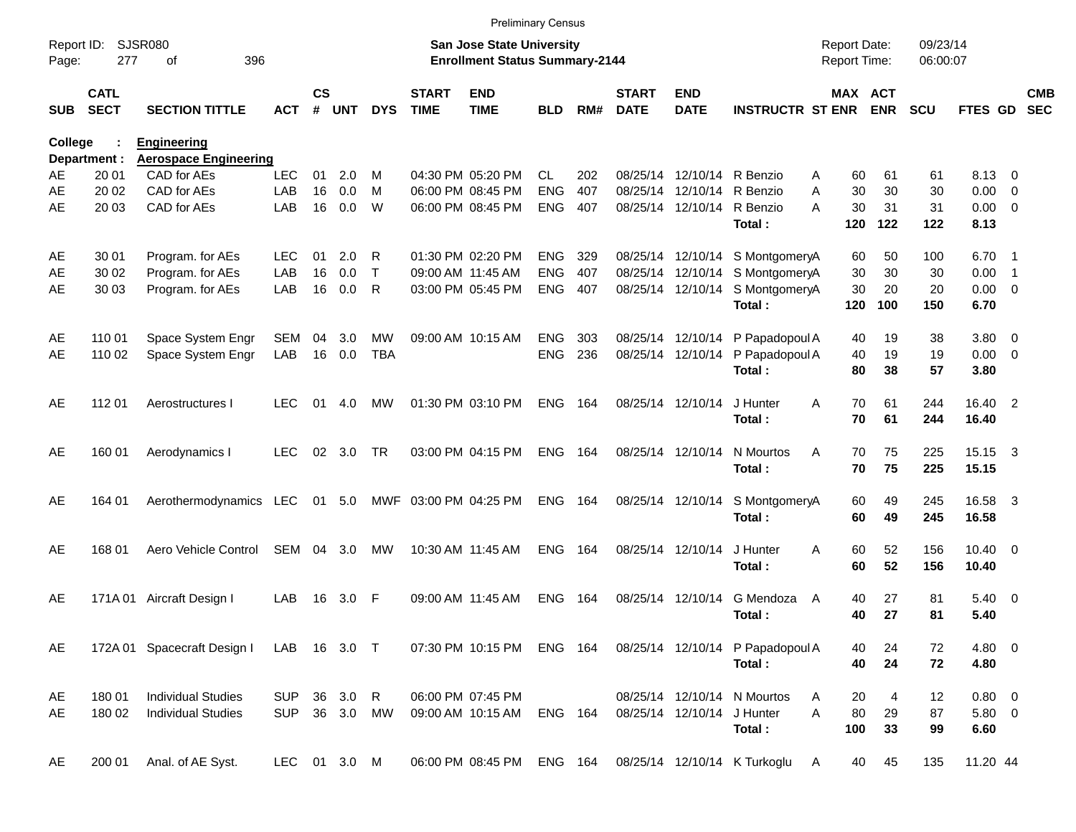|                |                            |                                                    |              |                    |            |              |                             |                                                                           | <b>Preliminary Census</b> |       |                             |                            |                                  |                                            |            |                      |              |                          |                          |
|----------------|----------------------------|----------------------------------------------------|--------------|--------------------|------------|--------------|-----------------------------|---------------------------------------------------------------------------|---------------------------|-------|-----------------------------|----------------------------|----------------------------------|--------------------------------------------|------------|----------------------|--------------|--------------------------|--------------------------|
| Page:          | Report ID: SJSR080<br>277  | 396<br>οf                                          |              |                    |            |              |                             | <b>San Jose State University</b><br><b>Enrollment Status Summary-2144</b> |                           |       |                             |                            |                                  | <b>Report Date:</b><br><b>Report Time:</b> |            | 09/23/14<br>06:00:07 |              |                          |                          |
| <b>SUB</b>     | <b>CATL</b><br><b>SECT</b> | <b>SECTION TITTLE</b>                              | <b>ACT</b>   | $\mathsf{cs}$<br># | <b>UNT</b> | <b>DYS</b>   | <b>START</b><br><b>TIME</b> | <b>END</b><br><b>TIME</b>                                                 | <b>BLD</b>                | RM#   | <b>START</b><br><b>DATE</b> | <b>END</b><br><b>DATE</b>  | <b>INSTRUCTR ST ENR</b>          | <b>MAX ACT</b>                             | <b>ENR</b> | <b>SCU</b>           | FTES GD      |                          | <b>CMB</b><br><b>SEC</b> |
| <b>College</b> | Department :               | <b>Engineering</b><br><b>Aerospace Engineering</b> |              |                    |            |              |                             |                                                                           |                           |       |                             |                            |                                  |                                            |            |                      |              |                          |                          |
| AE             | 20 01                      | CAD for AEs                                        | <b>LEC</b>   | 01                 | 2.0        | м            |                             | 04:30 PM 05:20 PM                                                         | CL.                       | 202   |                             | 08/25/14 12/10/14          | R Benzio                         | 60<br>A                                    | 61         | 61                   | 8.13 0       |                          |                          |
| AE             | 20 02                      | CAD for AEs                                        | LAB          | 16                 | 0.0        | м            |                             | 06:00 PM 08:45 PM                                                         | <b>ENG</b>                | 407   |                             | 08/25/14 12/10/14          | R Benzio                         | 30<br>A                                    | 30         | 30                   | 0.00         | $\overline{\phantom{0}}$ |                          |
| AE             | 20 03                      | CAD for AEs                                        | LAB          | 16                 | 0.0        | W            |                             | 06:00 PM 08:45 PM                                                         | <b>ENG</b>                | 407   |                             | 08/25/14 12/10/14          | R Benzio                         | A<br>30                                    | 31         | 31                   | $0.00 \t 0$  |                          |                          |
|                |                            |                                                    |              |                    |            |              |                             |                                                                           |                           |       |                             |                            | Total:                           | 120                                        | 122        | 122                  | 8.13         |                          |                          |
| AE             | 30 01                      | Program. for AEs                                   | LEC.         | 01                 | 2.0        | R            |                             | 01:30 PM 02:20 PM                                                         | <b>ENG</b>                | 329   |                             |                            | 08/25/14 12/10/14 S MontgomeryA  | 60                                         | 50         | 100                  | 6.70 1       |                          |                          |
| AE             | 30 02                      | Program. for AEs                                   | LAB          | 16                 | 0.0        | $\mathsf{T}$ |                             | 09:00 AM 11:45 AM                                                         | <b>ENG</b>                | 407   |                             | 08/25/14 12/10/14          | S MontgomeryA                    | 30                                         | 30         | 30                   | 0.00         | $\overline{\phantom{1}}$ |                          |
| AE             | 30 03                      | Program. for AEs                                   | LAB          | 16                 | 0.0        | R            |                             | 03:00 PM 05:45 PM                                                         | <b>ENG</b>                | 407   |                             | 08/25/14 12/10/14          | S MontgomeryA                    | 30                                         | 20         | 20                   | $0.00 \t 0$  |                          |                          |
|                |                            |                                                    |              |                    |            |              |                             |                                                                           |                           |       |                             |                            | Total:                           | 120                                        | 100        | 150                  | 6.70         |                          |                          |
| AE             | 110 01                     | Space System Engr                                  | SEM          | 04                 | 3.0        | МW           |                             | 09:00 AM 10:15 AM                                                         | <b>ENG</b>                | 303   |                             | 08/25/14 12/10/14          | P Papadopoul A                   | 40                                         | 19         | 38                   | 3.80 0       |                          |                          |
| AE             | 110 02                     | Space System Engr                                  | LAB          | 16                 | 0.0        | <b>TBA</b>   |                             |                                                                           | <b>ENG</b>                | 236   |                             | 08/25/14 12/10/14          | P Papadopoul A                   | 40                                         | 19         | 19                   | $0.00 \t 0$  |                          |                          |
|                |                            |                                                    |              |                    |            |              |                             |                                                                           |                           |       |                             |                            | Total:                           | 80                                         | 38         | 57                   | 3.80         |                          |                          |
| AE             | 112 01                     | Aerostructures I                                   | LEC          | 01                 | 4.0        | MW           |                             | 01:30 PM 03:10 PM                                                         | <b>ENG</b>                | 164   |                             | 08/25/14 12/10/14          | J Hunter                         | 70<br>A                                    | 61         | 244                  | 16.40 2      |                          |                          |
|                |                            |                                                    |              |                    |            |              |                             |                                                                           |                           |       |                             |                            | Total:                           | 70                                         | 61         | 244                  | 16.40        |                          |                          |
| AE             | 160 01                     | Aerodynamics I                                     | <b>LEC</b>   | 02                 | 3.0        | <b>TR</b>    |                             | 03:00 PM 04:15 PM                                                         | <b>ENG</b>                | 164   |                             | 08/25/14 12/10/14          | N Mourtos                        | A<br>70                                    | 75         | 225                  | 15.15 3      |                          |                          |
|                |                            |                                                    |              |                    |            |              |                             |                                                                           |                           |       |                             |                            | Total:                           | 70                                         | 75         | 225                  | 15.15        |                          |                          |
| AE             | 164 01                     | Aerothermodynamics LEC                             |              |                    | 01 5.0     |              | MWF 03:00 PM 04:25 PM       |                                                                           | <b>ENG 164</b>            |       |                             | 08/25/14 12/10/14          | S MontgomeryA                    | 60                                         | 49         | 245                  | 16.58 3      |                          |                          |
|                |                            |                                                    |              |                    |            |              |                             |                                                                           |                           |       |                             |                            | Total:                           | 60                                         | 49         | 245                  | 16.58        |                          |                          |
| AE             | 168 01                     | Aero Vehicle Control                               | SEM          |                    | 04 3.0     | МW           |                             | 10:30 AM 11:45 AM                                                         | ENG.                      | - 164 |                             | 08/25/14 12/10/14          | J Hunter                         | 60<br>A                                    | 52         | 156                  | $10.40 \t 0$ |                          |                          |
|                |                            |                                                    |              |                    |            |              |                             |                                                                           |                           |       |                             |                            | Total:                           | 60                                         | 52         | 156                  | 10.40        |                          |                          |
| AE             | 171A 01                    | Aircraft Design I                                  | LAB          | 16                 | 3.0        | -F           |                             | 09:00 AM 11:45 AM                                                         | ENG.                      | 164   |                             | 08/25/14 12/10/14          | G Mendoza                        | 40<br>A                                    | 27         | 81                   | $5.40 \ 0$   |                          |                          |
|                |                            |                                                    |              |                    |            |              |                             |                                                                           |                           |       |                             |                            | Total:                           | 40                                         | 27         | 81                   | 5.40         |                          |                          |
| AE             |                            | 172A 01 Spacecraft Design I                        | LAB 16 3.0 T |                    |            |              |                             | 07:30 PM 10:15 PM ENG 164                                                 |                           |       |                             |                            | 08/25/14 12/10/14 P Papadopoul A | 40                                         | 24         | 72                   | 4.80 0       |                          |                          |
|                |                            |                                                    |              |                    |            |              |                             |                                                                           |                           |       |                             |                            | Total:                           | 40                                         | 24         | 72                   | 4.80         |                          |                          |
| AE             | 180 01                     | <b>Individual Studies</b>                          | <b>SUP</b>   |                    | 36 3.0 R   |              |                             | 06:00 PM 07:45 PM                                                         |                           |       |                             |                            | 08/25/14 12/10/14 N Mourtos      | 20<br>A                                    | 4          | 12                   | 0.80 0       |                          |                          |
| AE             | 180 02                     | <b>Individual Studies</b>                          | <b>SUP</b>   |                    | 36 3.0 MW  |              |                             | 09:00 AM 10:15 AM                                                         | <b>ENG 164</b>            |       |                             | 08/25/14 12/10/14 J Hunter |                                  | 80<br>A                                    | 29         | 87                   | 5.80 0       |                          |                          |
|                |                            |                                                    |              |                    |            |              |                             |                                                                           |                           |       |                             |                            | Total:                           | 100                                        | 33         | 99                   | 6.60         |                          |                          |
| AE             | 200 01                     | Anal. of AE Syst.                                  | LEC 01 3.0 M |                    |            |              |                             | 06:00 PM 08:45 PM ENG 164                                                 |                           |       |                             |                            | 08/25/14 12/10/14 K Turkoglu     | 40<br>A                                    | 45         | 135                  | 11.20 44     |                          |                          |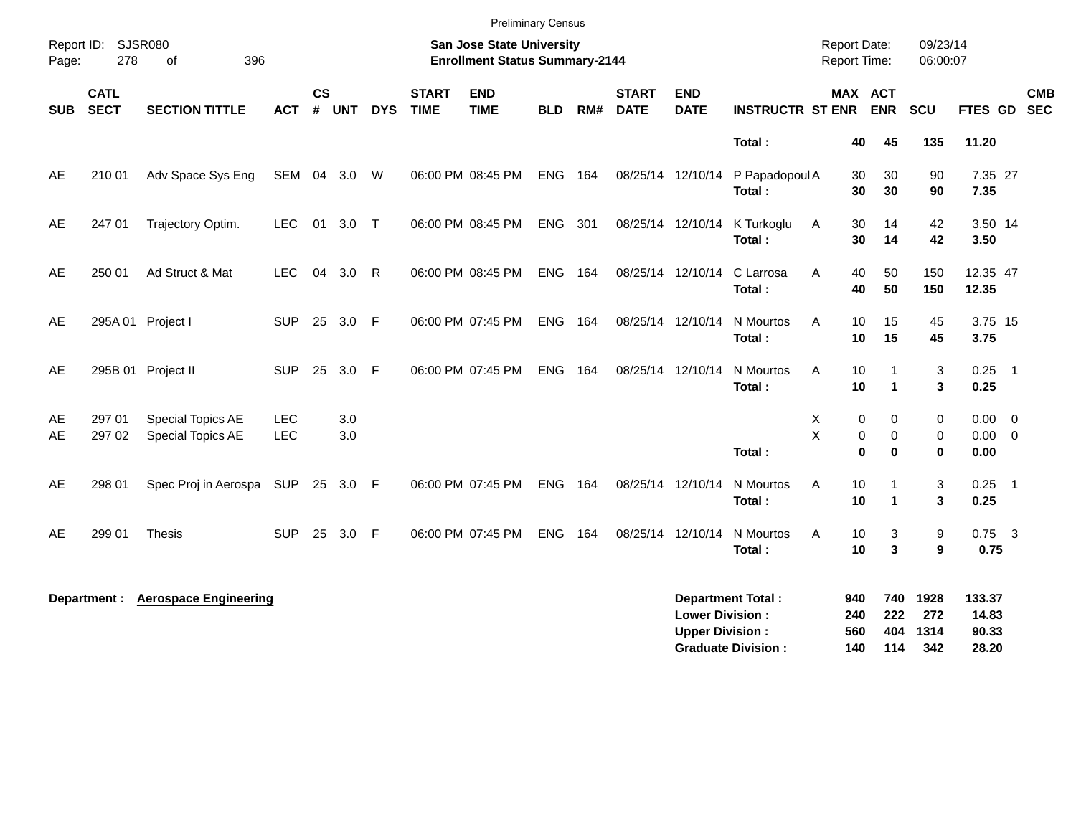|            |                            |                                        |                   |                |            |              |                             | <b>Preliminary Census</b>                                                 |            |     |                             |                                                  |                                                       |                                            |                              |                            |                                   |                            |                          |
|------------|----------------------------|----------------------------------------|-------------------|----------------|------------|--------------|-----------------------------|---------------------------------------------------------------------------|------------|-----|-----------------------------|--------------------------------------------------|-------------------------------------------------------|--------------------------------------------|------------------------------|----------------------------|-----------------------------------|----------------------------|--------------------------|
| Page:      | Report ID: SJSR080<br>278  | 396<br>0f                              |                   |                |            |              |                             | <b>San Jose State University</b><br><b>Enrollment Status Summary-2144</b> |            |     |                             |                                                  |                                                       | <b>Report Date:</b><br><b>Report Time:</b> |                              | 09/23/14<br>06:00:07       |                                   |                            |                          |
| <b>SUB</b> | <b>CATL</b><br><b>SECT</b> | <b>SECTION TITTLE</b>                  | ACT               | <b>CS</b><br># | <b>UNT</b> | <b>DYS</b>   | <b>START</b><br><b>TIME</b> | <b>END</b><br><b>TIME</b>                                                 | <b>BLD</b> | RM# | <b>START</b><br><b>DATE</b> | <b>END</b><br><b>DATE</b>                        | <b>INSTRUCTR ST ENR</b>                               | MAX ACT                                    | <b>ENR</b>                   | SCU                        | FTES GD                           |                            | <b>CMB</b><br><b>SEC</b> |
|            |                            |                                        |                   |                |            |              |                             |                                                                           |            |     |                             |                                                  | Total:                                                | 40                                         | 45                           | 135                        | 11.20                             |                            |                          |
| AE         | 210 01                     | Adv Space Sys Eng                      | SEM               | 04             | 3.0        | W            |                             | 06:00 PM 08:45 PM                                                         | <b>ENG</b> | 164 | 08/25/14 12/10/14           |                                                  | P Papadopoul A<br>Total:                              | 30<br>30                                   | 30<br>30                     | 90<br>90                   | 7.35 27<br>7.35                   |                            |                          |
| AE         | 247 01                     | Trajectory Optim.                      | <b>LEC</b>        | 01             | $3.0$ T    |              |                             | 06:00 PM 08:45 PM                                                         | <b>ENG</b> | 301 | 08/25/14 12/10/14           |                                                  | K Turkoglu<br>Total:                                  | 30<br>Α<br>30                              | 14<br>14                     | 42<br>42                   | 3.50 14<br>3.50                   |                            |                          |
| AE         | 250 01                     | Ad Struct & Mat                        | <b>LEC</b>        | 04             | 3.0        | R            |                             | 06:00 PM 08:45 PM                                                         | <b>ENG</b> | 164 | 08/25/14 12/10/14           |                                                  | C Larrosa<br>Total:                                   | Α<br>40<br>40                              | 50<br>50                     | 150<br>150                 | 12.35 47<br>12.35                 |                            |                          |
| AE         |                            | 295A 01 Project I                      | <b>SUP</b>        | 25             | 3.0        | - F          |                             | 06:00 PM 07:45 PM                                                         | <b>ENG</b> | 164 |                             | 08/25/14 12/10/14                                | N Mourtos<br>Total:                                   | A<br>10<br>10                              | 15<br>15                     | 45<br>45                   | 3.75 15<br>3.75                   |                            |                          |
| AE         |                            | 295B 01 Project II                     | <b>SUP</b>        | 25             | 3.0        | F            |                             | 06:00 PM 07:45 PM                                                         | ENG        | 164 | 08/25/14 12/10/14           |                                                  | N Mourtos<br>Total:                                   | A<br>10<br>10                              | $\mathbf 1$<br>$\mathbf{1}$  | 3<br>3                     | $0.25$ 1<br>0.25                  |                            |                          |
| AE<br>AE   | 297 01<br>297 02           | Special Topics AE<br>Special Topics AE | <b>LEC</b><br>LEC |                | 3.0<br>3.0 |              |                             |                                                                           |            |     |                             |                                                  | Total:                                                | X<br>0<br>X<br>$\pmb{0}$<br>$\mathbf 0$    | 0<br>$\mathbf 0$<br>$\bf{0}$ | 0<br>0<br>$\bf{0}$         | $0.00 \ 0$<br>$0.00 \t 0$<br>0.00 |                            |                          |
| AE         | 298 01                     | Spec Proj in Aerospa                   | <b>SUP</b>        | 25             | 3.0 F      |              |                             | 06:00 PM 07:45 PM                                                         | <b>ENG</b> | 164 | 08/25/14 12/10/14           |                                                  | N Mourtos<br><b>Total</b> :                           | 10<br>A<br>10                              | 1<br>1                       | 3<br>3                     | 0.25<br>0.25                      | $\overline{\phantom{0}}$ 1 |                          |
| AE         | 299 01                     | <b>Thesis</b>                          | <b>SUP</b>        | 25             | 3.0        | $\mathsf{F}$ |                             | 06:00 PM 07:45 PM                                                         | <b>ENG</b> | 164 | 08/25/14 12/10/14           |                                                  | N Mourtos<br>Total:                                   | A<br>10<br>10                              | 3<br>3                       | 9<br>9                     | $0.75$ 3<br>0.75                  |                            |                          |
|            | Department :               | <b>Aerospace Engineering</b>           |                   |                |            |              |                             |                                                                           |            |     |                             | <b>Lower Division:</b><br><b>Upper Division:</b> | <b>Department Total:</b><br><b>Graduate Division:</b> | 940<br>240<br>560<br>140                   | 740<br>222<br>404<br>114     | 1928<br>272<br>1314<br>342 | 133.37<br>14.83<br>90.33<br>28.20 |                            |                          |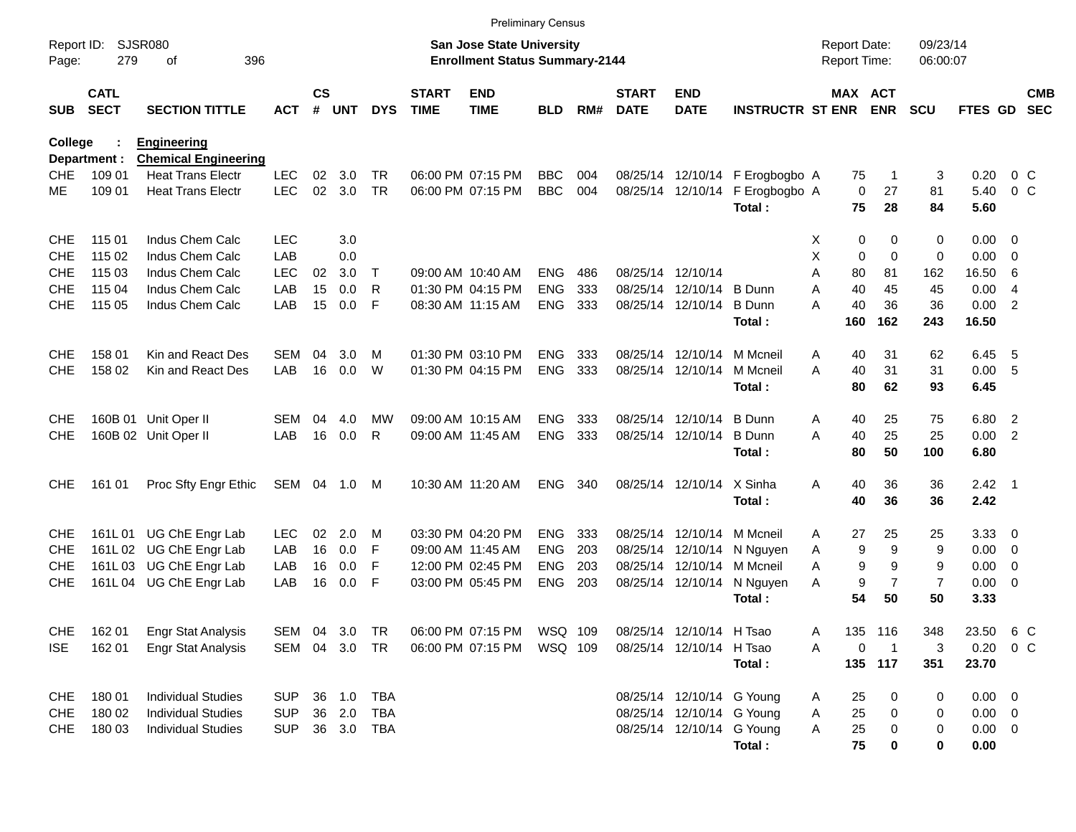|                |                            |                                                         |              |                    |            |            |                             | <b>Preliminary Census</b>                                          |            |     |                             |                            |                                 |                                            |             |                       |                      |                |                |                          |
|----------------|----------------------------|---------------------------------------------------------|--------------|--------------------|------------|------------|-----------------------------|--------------------------------------------------------------------|------------|-----|-----------------------------|----------------------------|---------------------------------|--------------------------------------------|-------------|-----------------------|----------------------|----------------|----------------|--------------------------|
| Page:          | Report ID: SJSR080<br>279  | 396<br>οf                                               |              |                    |            |            |                             | San Jose State University<br><b>Enrollment Status Summary-2144</b> |            |     |                             |                            |                                 | <b>Report Date:</b><br><b>Report Time:</b> |             |                       | 09/23/14<br>06:00:07 |                |                |                          |
| <b>SUB</b>     | <b>CATL</b><br><b>SECT</b> | <b>SECTION TITTLE</b>                                   | <b>ACT</b>   | $\mathsf{cs}$<br># | <b>UNT</b> | <b>DYS</b> | <b>START</b><br><b>TIME</b> | <b>END</b><br><b>TIME</b>                                          | <b>BLD</b> | RM# | <b>START</b><br><b>DATE</b> | <b>END</b><br><b>DATE</b>  | <b>INSTRUCTR ST ENR</b>         |                                            |             | MAX ACT<br><b>ENR</b> | <b>SCU</b>           | FTES GD        |                | <b>CMB</b><br><b>SEC</b> |
| <b>College</b> |                            | <b>Engineering</b>                                      |              |                    |            |            |                             |                                                                    |            |     |                             |                            |                                 |                                            |             |                       |                      |                |                |                          |
| CHE            | Department :<br>109 01     | <b>Chemical Engineering</b><br><b>Heat Trans Electr</b> | <b>LEC</b>   | 02                 | 3.0        | TR.        |                             | 06:00 PM 07:15 PM                                                  | <b>BBC</b> | 004 |                             |                            | 08/25/14 12/10/14 F Erogbogbo A |                                            | 75          | -1                    | 3                    | 0.20           | $0\,C$         |                          |
| МE             | 109 01                     | <b>Heat Trans Electr</b>                                | <b>LEC</b>   | 02                 | 3.0        | <b>TR</b>  |                             | 06:00 PM 07:15 PM                                                  | <b>BBC</b> | 004 |                             | 08/25/14 12/10/14          | F Erogbogbo A                   |                                            | $\mathbf 0$ | 27                    | 81                   | 5.40           | $0\,C$         |                          |
|                |                            |                                                         |              |                    |            |            |                             |                                                                    |            |     |                             |                            | Total:                          |                                            | 75          | 28                    | 84                   | 5.60           |                |                          |
| <b>CHE</b>     | 115 01                     | Indus Chem Calc                                         | <b>LEC</b>   |                    | 3.0        |            |                             |                                                                    |            |     |                             |                            |                                 | X.                                         | 0           | 0                     | 0                    | $0.00 \t 0$    |                |                          |
| <b>CHE</b>     | 115 02                     | Indus Chem Calc                                         | LAB          |                    | 0.0        |            |                             |                                                                    |            |     |                             |                            |                                 | X                                          | 0           | $\Omega$              | 0                    | $0.00 \t 0$    |                |                          |
| <b>CHE</b>     | 115 03                     | Indus Chem Calc                                         | <b>LEC</b>   | 02                 | 3.0        | $\top$     |                             | 09:00 AM 10:40 AM                                                  | <b>ENG</b> | 486 |                             | 08/25/14 12/10/14          |                                 | A                                          | 80          | 81                    | 162                  | 16.50          | -6             |                          |
| CHE            | 115 04                     | Indus Chem Calc                                         | LAB          | 15                 | 0.0        | R          |                             | 01:30 PM 04:15 PM                                                  | <b>ENG</b> | 333 |                             | 08/25/14 12/10/14          | B Dunn                          | A                                          | 40          | 45                    | 45                   | 0.00           | $\overline{4}$ |                          |
| <b>CHE</b>     | 115 05                     | Indus Chem Calc                                         | LAB          | 15                 | 0.0        | -F         |                             | 08:30 AM 11:15 AM                                                  | <b>ENG</b> | 333 |                             | 08/25/14 12/10/14          | <b>B</b> Dunn                   | А                                          | 40          | 36                    | 36                   | 0.00           | $\overline{2}$ |                          |
|                |                            |                                                         |              |                    |            |            |                             |                                                                    |            |     |                             |                            | Total:                          |                                            | 160         | 162                   | 243                  | 16.50          |                |                          |
| <b>CHE</b>     | 158 01                     | Kin and React Des                                       | SEM          | 04                 | 3.0        | м          |                             | 01:30 PM 03:10 PM                                                  | <b>ENG</b> | 333 |                             | 08/25/14 12/10/14          | M Mcneil                        | A                                          | 40          | 31                    | 62                   | 6.45           | - 5            |                          |
| <b>CHE</b>     | 158 02                     | Kin and React Des                                       | LAB          | 16                 | 0.0        | W          |                             | 01:30 PM 04:15 PM                                                  | <b>ENG</b> | 333 |                             | 08/25/14 12/10/14          | M Mcneil<br>Total:              | A                                          | 40<br>80    | 31<br>62              | 31<br>93             | 0.00 5<br>6.45 |                |                          |
| <b>CHE</b>     |                            | 160B 01 Unit Oper II                                    | <b>SEM</b>   | 04                 | 4.0        | МW         |                             | 09:00 AM 10:15 AM                                                  | <b>ENG</b> | 333 |                             | 08/25/14 12/10/14          | B Dunn                          | A                                          | 40          | 25                    | 75                   | 6.80 2         |                |                          |
| <b>CHE</b>     |                            | 160B 02 Unit Oper II                                    | LAB          | 16                 | 0.0        | R          |                             | 09:00 AM 11:45 AM                                                  | <b>ENG</b> | 333 |                             | 08/25/14 12/10/14          | <b>B</b> Dunn                   | A                                          | 40          | 25                    | 25                   | 0.00           | $\overline{2}$ |                          |
|                |                            |                                                         |              |                    |            |            |                             |                                                                    |            |     |                             |                            | Total:                          |                                            | 80          | 50                    | 100                  | 6.80           |                |                          |
| <b>CHE</b>     | 161 01                     | Proc Sfty Engr Ethic                                    | SEM 04 1.0 M |                    |            |            |                             | 10:30 AM 11:20 AM                                                  | <b>ENG</b> | 340 |                             | 08/25/14 12/10/14 X Sinha  |                                 | Α                                          | 40          | 36                    | 36                   | $2.42 \quad 1$ |                |                          |
|                |                            |                                                         |              |                    |            |            |                             |                                                                    |            |     |                             |                            | Total:                          |                                            | 40          | 36                    | 36                   | 2.42           |                |                          |
| <b>CHE</b>     | 161L01                     | UG ChE Engr Lab                                         | <b>LEC</b>   | 02                 | 2.0        | M          |                             | 03:30 PM 04:20 PM                                                  | <b>ENG</b> | 333 |                             | 08/25/14 12/10/14          | M Mcneil                        | Α                                          | 27          | 25                    | 25                   | $3.33 \ 0$     |                |                          |
| <b>CHE</b>     | 161L02                     | UG ChE Engr Lab                                         | LAB          | 16                 | 0.0        | F          |                             | 09:00 AM 11:45 AM                                                  | <b>ENG</b> | 203 |                             |                            | 08/25/14 12/10/14 N Nguyen      | A                                          | 9           | 9                     | 9                    | $0.00 \t 0$    |                |                          |
| <b>CHE</b>     | 161L03                     | UG ChE Engr Lab                                         | LAB          | 16                 | 0.0        | F          |                             | 12:00 PM 02:45 PM                                                  | <b>ENG</b> | 203 |                             | 08/25/14 12/10/14 M Mcneil |                                 | A                                          | 9           | 9                     | 9                    | $0.00 \ 0$     |                |                          |
| <b>CHE</b>     | 161L 04                    | UG ChE Engr Lab                                         | LAB          | 16                 | 0.0        | -F         |                             | 03:00 PM 05:45 PM                                                  | <b>ENG</b> | 203 |                             | 08/25/14 12/10/14          | N Nguyen                        | A                                          | 9           | $\overline{7}$        | $\overline{7}$       | $0.00 \t 0$    |                |                          |
|                |                            |                                                         |              |                    |            |            |                             |                                                                    |            |     |                             |                            | Total:                          |                                            | 54          | 50                    | 50                   | 3.33           |                |                          |
| <b>CHE</b>     | 162 01                     | <b>Engr Stat Analysis</b>                               | SEM 04 3.0   |                    |            | TR         |                             | 06:00 PM 07:15 PM                                                  | WSQ 109    |     |                             | 08/25/14 12/10/14 H Tsao   |                                 | Α                                          |             | 135 116               | 348                  | 23.50 6 C      |                |                          |
| <b>ISE</b>     | 162 01                     | <b>Engr Stat Analysis</b>                               | SEM          |                    | 04 3.0 TR  |            |                             | 06:00 PM 07:15 PM                                                  | WSQ 109    |     |                             | 08/25/14 12/10/14 H Tsao   |                                 | Α                                          | 0           | $\overline{1}$        | 3                    | $0.20 \t 0 C$  |                |                          |
|                |                            |                                                         |              |                    |            |            |                             |                                                                    |            |     |                             |                            | Total:                          |                                            |             | 135 117               | 351                  | 23.70          |                |                          |
| <b>CHE</b>     | 180 01                     | <b>Individual Studies</b>                               | <b>SUP</b>   |                    | 36 1.0 TBA |            |                             |                                                                    |            |     |                             | 08/25/14 12/10/14 G Young  |                                 | A                                          | 25          | 0                     | 0                    | $0.00 \t 0$    |                |                          |
| <b>CHE</b>     | 180 02                     | <b>Individual Studies</b>                               | <b>SUP</b>   |                    | 36 2.0     | TBA        |                             |                                                                    |            |     |                             | 08/25/14 12/10/14 G Young  |                                 | Α                                          | 25          | 0                     | 0                    | $0.00 \t 0$    |                |                          |
| <b>CHE</b>     | 180 03                     | <b>Individual Studies</b>                               | <b>SUP</b>   |                    |            | 36 3.0 TBA |                             |                                                                    |            |     |                             | 08/25/14 12/10/14 G Young  |                                 | Α                                          | 25          | 0                     | 0                    | $0.00 \t 0$    |                |                          |
|                |                            |                                                         |              |                    |            |            |                             |                                                                    |            |     |                             |                            | Total:                          |                                            | 75          | 0                     | 0                    | 0.00           |                |                          |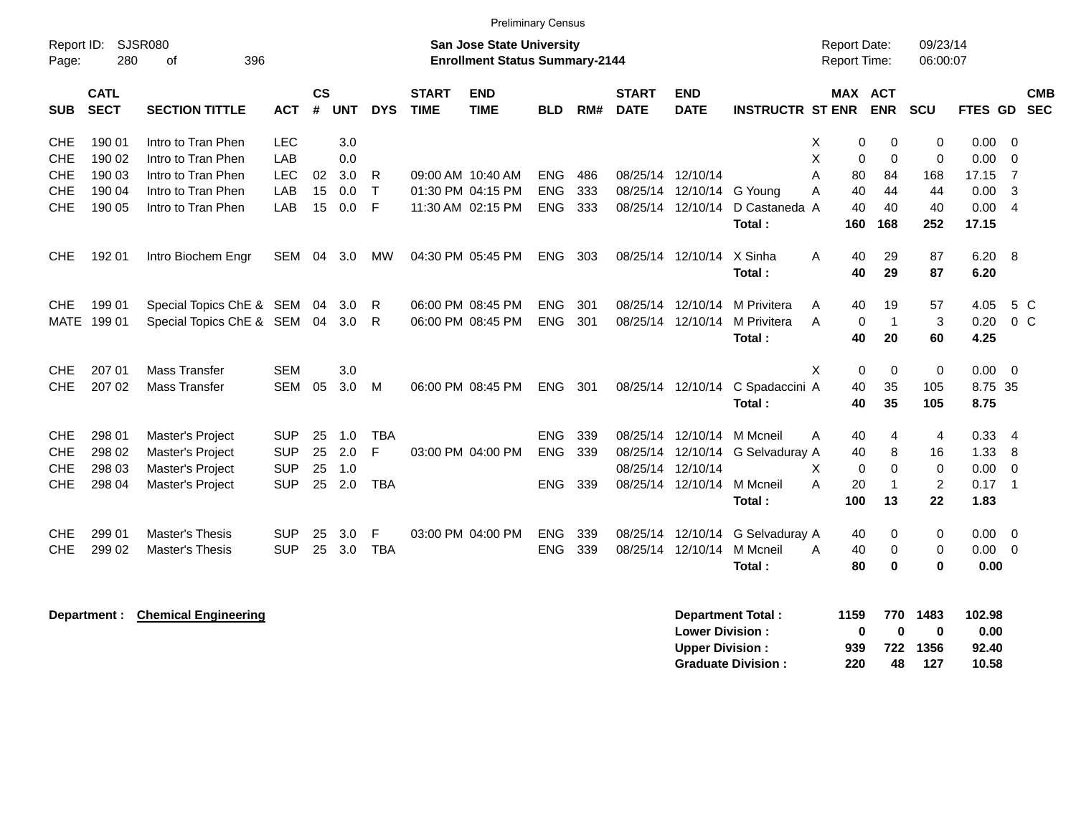| Report ID:<br>Page: | SJSR080<br>280             |                             |            |                    |            |            | <b>San Jose State University</b><br><b>Enrollment Status Summary-2144</b> |                           |            |     |                             |                                                  |                                                       | Report Date:<br><b>Report Time:</b> |                         | 09/23/14<br>06:00:07  |                                    |                                  |                          |                          |
|---------------------|----------------------------|-----------------------------|------------|--------------------|------------|------------|---------------------------------------------------------------------------|---------------------------|------------|-----|-----------------------------|--------------------------------------------------|-------------------------------------------------------|-------------------------------------|-------------------------|-----------------------|------------------------------------|----------------------------------|--------------------------|--------------------------|
| <b>SUB</b>          | <b>CATL</b><br><b>SECT</b> | <b>SECTION TITTLE</b>       | ACT        | $\mathsf{cs}$<br># | <b>UNT</b> | <b>DYS</b> | <b>START</b><br><b>TIME</b>                                               | <b>END</b><br><b>TIME</b> | <b>BLD</b> | RM# | <b>START</b><br><b>DATE</b> | <b>END</b><br><b>DATE</b>                        | <b>INSTRUCTR ST ENR</b>                               |                                     | MAX ACT                 | <b>ENR</b>            | <b>SCU</b>                         | <b>FTES GD</b>                   |                          | <b>CMB</b><br><b>SEC</b> |
| <b>CHE</b>          | 190 01                     | Intro to Tran Phen          | <b>LEC</b> |                    | 3.0        |            |                                                                           |                           |            |     |                             |                                                  |                                                       | х                                   | 0                       | 0                     | 0                                  | 0.00                             | $\overline{0}$           |                          |
| <b>CHE</b>          | 190 02                     | Intro to Tran Phen          | LAB        |                    | 0.0        |            |                                                                           |                           |            |     |                             |                                                  |                                                       | X                                   | 0                       | $\mathbf 0$           | 0                                  | 0.00                             | $\overline{\mathbf{0}}$  |                          |
| <b>CHE</b>          | 190 03                     | Intro to Tran Phen          | <b>LEC</b> | 02                 | 3.0        | R          |                                                                           | 09:00 AM 10:40 AM         | <b>ENG</b> | 486 |                             | 08/25/14 12/10/14                                |                                                       | A                                   | 80                      | 84                    | 168                                | 17.15                            | $\overline{7}$           |                          |
| <b>CHE</b>          | 190 04                     | Intro to Tran Phen          | LAB        | 15                 | 0.0        | T.         |                                                                           | 01:30 PM 04:15 PM         | <b>ENG</b> | 333 |                             | 08/25/14 12/10/14 G Young                        |                                                       | A                                   | 40                      | 44                    | 44                                 | 0.00                             | 3                        |                          |
| <b>CHE</b>          | 190 05                     | Intro to Tran Phen          | LAB        | 15                 | 0.0        | F          |                                                                           | 11:30 AM 02:15 PM         | <b>ENG</b> | 333 |                             | 08/25/14 12/10/14                                | D Castaneda A<br>Total:                               |                                     | 40<br>160               | 40<br>168             | 40<br>252                          | 0.004<br>17.15                   |                          |                          |
| <b>CHE</b>          | 192 01                     | Intro Biochem Engr          | SEM        | 04                 | 3.0        | МW         |                                                                           | 04:30 PM 05:45 PM         | <b>ENG</b> | 303 |                             | 08/25/14 12/10/14                                | X Sinha<br>Total:                                     | Α                                   | 40<br>40                | 29<br>29              | 87<br>87                           | 6.20 8<br>6.20                   |                          |                          |
|                     |                            |                             |            |                    |            |            |                                                                           |                           |            |     |                             |                                                  |                                                       |                                     |                         |                       |                                    |                                  |                          |                          |
| <b>CHE</b>          | 199 01                     | Special Topics ChE & SEM    |            | 04                 | 3.0        | R          |                                                                           | 06:00 PM 08:45 PM         | <b>ENG</b> | 301 |                             | 08/25/14 12/10/14                                | M Privitera                                           | Α                                   | 40                      | 19                    | 57                                 | 4.05                             |                          | 5 C                      |
| <b>MATE</b>         | 199 01                     | Special Topics ChE & SEM 04 |            |                    | 3.0        | R          |                                                                           | 06:00 PM 08:45 PM         | <b>ENG</b> | 301 |                             | 08/25/14 12/10/14                                | M Privitera                                           | A                                   | 0                       | $\overline{1}$        | 3                                  | 0.20                             |                          | $0\,C$                   |
|                     |                            |                             |            |                    |            |            |                                                                           |                           |            |     |                             |                                                  | Total :                                               |                                     | 40                      | 20                    | 60                                 | 4.25                             |                          |                          |
| <b>CHE</b>          | 207 01                     | <b>Mass Transfer</b>        | <b>SEM</b> |                    | 3.0        |            |                                                                           |                           |            |     |                             |                                                  |                                                       | X                                   | 0                       | 0                     | $\mathbf 0$                        | 0.00                             | $\overline{\phantom{0}}$ |                          |
| <b>CHE</b>          | 207 02                     | <b>Mass Transfer</b>        | <b>SEM</b> | 05                 | 3.0        | M          |                                                                           | 06:00 PM 08:45 PM         | <b>ENG</b> | 301 |                             | 08/25/14 12/10/14                                | C Spadaccini A                                        |                                     | 40                      | 35                    | 105                                | 8.75 35                          |                          |                          |
|                     |                            |                             |            |                    |            |            |                                                                           |                           |            |     |                             |                                                  | Total:                                                |                                     | 40                      | 35                    | 105                                | 8.75                             |                          |                          |
| <b>CHE</b>          | 298 01                     | Master's Project            | <b>SUP</b> | 25                 | 1.0        | <b>TBA</b> |                                                                           |                           | <b>ENG</b> | 339 |                             | 08/25/14 12/10/14                                | M Mcneil                                              | Α                                   | 40                      | 4                     | 4                                  | 0.334                            |                          |                          |
| <b>CHE</b>          | 298 02                     | Master's Project            | <b>SUP</b> | 25                 | 2.0        | F          |                                                                           | 03:00 PM 04:00 PM         | <b>ENG</b> | 339 |                             | 08/25/14 12/10/14                                | G Selvaduray A                                        |                                     | 40                      | 8                     | 16                                 | 1.33                             | -8                       |                          |
| <b>CHE</b>          | 298 03                     | Master's Project            | <b>SUP</b> | 25                 | 1.0        |            |                                                                           |                           |            |     | 08/25/14 12/10/14           |                                                  |                                                       | X                                   | 0                       | $\Omega$              | 0                                  | 0.00                             | $\overline{0}$           |                          |
| <b>CHE</b>          | 298 04                     | Master's Project            | <b>SUP</b> | 25                 | 2.0        | <b>TBA</b> |                                                                           |                           | ENG.       | 339 |                             | 08/25/14 12/10/14                                | M Mcneil                                              | A                                   | 20                      | $\mathbf{1}$          | $\overline{c}$                     | 0.17                             | $\overline{1}$           |                          |
|                     |                            |                             |            |                    |            |            |                                                                           |                           |            |     |                             |                                                  | Total :                                               |                                     | 100                     | 13                    | 22                                 | 1.83                             |                          |                          |
| CHE                 | 299 01                     | Master's Thesis             | <b>SUP</b> | 25                 | 3.0        | F          |                                                                           | 03:00 PM 04:00 PM         | <b>ENG</b> | 339 |                             | 08/25/14 12/10/14                                | G Selvaduray A                                        |                                     | 40                      | 0                     | 0                                  | $0.00 \t 0$                      |                          |                          |
| <b>CHE</b>          | 299 02                     | Master's Thesis             | <b>SUP</b> | 25                 | 3.0        | <b>TBA</b> |                                                                           |                           | <b>ENG</b> | 339 |                             | 08/25/14 12/10/14                                | M Mcneil                                              | A                                   | 40                      | 0                     | 0                                  | $0.00 \t 0$                      |                          |                          |
|                     |                            |                             |            |                    |            |            |                                                                           |                           |            |     |                             |                                                  | Total:                                                |                                     | 80                      | 0                     | $\bf{0}$                           | 0.00                             |                          |                          |
|                     | Department :               | <b>Chemical Engineering</b> |            |                    |            |            |                                                                           |                           |            |     |                             | <b>Lower Division:</b><br><b>Upper Division:</b> | <b>Department Total:</b><br><b>Graduate Division:</b> |                                     | 1159<br>0<br>939<br>220 | 770<br>0<br>722<br>48 | 1483<br>$\mathbf 0$<br>1356<br>127 | 102.98<br>0.00<br>92.40<br>10.58 |                          |                          |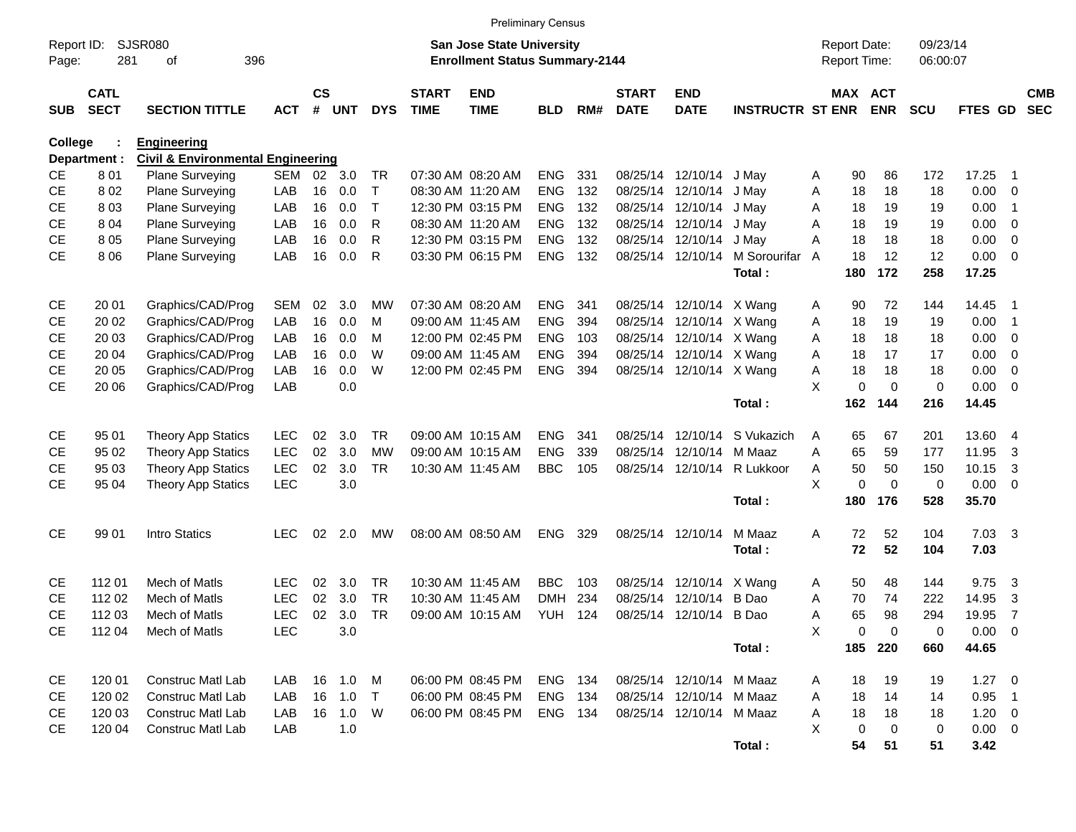|                        |                            |                                              |                          |                |            |            |                             |                                        | <b>Preliminary Census</b> |     |                             |                           |                         |                             |                       |            |                |                         |                          |
|------------------------|----------------------------|----------------------------------------------|--------------------------|----------------|------------|------------|-----------------------------|----------------------------------------|---------------------------|-----|-----------------------------|---------------------------|-------------------------|-----------------------------|-----------------------|------------|----------------|-------------------------|--------------------------|
| Report ID:             |                            | <b>SJSR080</b>                               |                          |                |            |            |                             | San Jose State University              |                           |     |                             |                           |                         | <b>Report Date:</b>         |                       | 09/23/14   |                |                         |                          |
| Page:                  | 281                        | 396<br>οf                                    |                          |                |            |            |                             | <b>Enrollment Status Summary-2144</b>  |                           |     |                             |                           |                         | Report Time:                |                       | 06:00:07   |                |                         |                          |
| <b>SUB</b>             | <b>CATL</b><br><b>SECT</b> | <b>SECTION TITTLE</b>                        | <b>ACT</b>               | <b>CS</b><br># | <b>UNT</b> | <b>DYS</b> | <b>START</b><br><b>TIME</b> | <b>END</b><br><b>TIME</b>              | <b>BLD</b>                | RM# | <b>START</b><br><b>DATE</b> | <b>END</b><br><b>DATE</b> | <b>INSTRUCTR ST ENR</b> |                             | MAX ACT<br><b>ENR</b> | <b>SCU</b> | FTES GD        |                         | <b>CMB</b><br><b>SEC</b> |
| College                |                            | <b>Engineering</b>                           |                          |                |            |            |                             |                                        |                           |     |                             |                           |                         |                             |                       |            |                |                         |                          |
|                        | Department :               | <b>Civil &amp; Environmental Engineering</b> |                          |                |            |            |                             |                                        |                           |     |                             |                           |                         |                             |                       |            |                |                         |                          |
| CE                     | 801                        | <b>Plane Surveying</b>                       | SEM                      | 02             | 3.0        | TR         |                             | 07:30 AM 08:20 AM                      | <b>ENG</b>                | 331 |                             | 08/25/14 12/10/14         | J May                   | 90<br>A                     | 86                    | 172        | 17.25          | - 1                     |                          |
| <b>CE</b>              | 802                        | <b>Plane Surveying</b>                       | LAB                      | 16             | 0.0        | т          |                             | 08:30 AM 11:20 AM                      | <b>ENG</b>                | 132 |                             | 08/25/14 12/10/14         | J May                   | 18<br>Α                     | 18                    | 18         | 0.00           | 0                       |                          |
| <b>CE</b>              | 803                        | Plane Surveying                              | LAB                      | 16             | 0.0        | т          |                             | 12:30 PM 03:15 PM                      | <b>ENG</b>                | 132 |                             | 08/25/14 12/10/14         | J May                   | Α<br>18                     | 19                    | 19         | 0.00           | -1                      |                          |
| <b>CE</b>              | 804                        | Plane Surveying                              | LAB                      | 16             | 0.0        | R          |                             | 08:30 AM 11:20 AM                      | <b>ENG</b>                | 132 |                             | 08/25/14 12/10/14         | J May                   | Α<br>18                     | 19                    | 19         | 0.00           | 0                       |                          |
| <b>CE</b>              | 8 0 5                      | Plane Surveying                              | LAB                      | 16             | 0.0        | R          |                             | 12:30 PM 03:15 PM                      | <b>ENG</b>                | 132 |                             | 08/25/14 12/10/14         | J May                   | 18<br>Α                     | 18                    | 18         | 0.00           | 0                       |                          |
| <b>CE</b>              | 8 0 6                      | Plane Surveying                              | LAB                      | 16             | 0.0        | R          |                             | 03:30 PM 06:15 PM                      | <b>ENG</b>                | 132 |                             | 08/25/14 12/10/14         | M Sorourifar            | 18<br>A                     | 12                    | 12         | 0.00           | $\overline{\mathbf{0}}$ |                          |
|                        |                            |                                              |                          |                |            |            |                             |                                        |                           |     |                             |                           | Total:                  | 180                         | 172                   | 258        | 17.25          |                         |                          |
| CE                     | 20 01                      | Graphics/CAD/Prog                            | <b>SEM</b>               | 02             | 3.0        | MW         |                             | 07:30 AM 08:20 AM                      | <b>ENG</b>                | 341 |                             | 08/25/14 12/10/14 X Wang  |                         | 90<br>A                     | 72                    | 144        | 14.45          | -1                      |                          |
| CE                     | 20 02                      | Graphics/CAD/Prog                            | LAB                      | 16             | 0.0        | M          |                             | 09:00 AM 11:45 AM                      | <b>ENG</b>                | 394 |                             | 08/25/14 12/10/14 X Wang  |                         | 18<br>Α                     | 19                    | 19         | 0.00           | -1                      |                          |
| CЕ                     | 20 03                      | Graphics/CAD/Prog                            | LAB                      | 16             | 0.0        | M          |                             | 12:00 PM 02:45 PM                      | <b>ENG</b>                | 103 |                             | 08/25/14 12/10/14 X Wang  |                         | Α<br>18                     | 18                    | 18         | 0.00           | 0                       |                          |
| CЕ                     | 20 04                      | Graphics/CAD/Prog                            | LAB                      | 16             | 0.0        | W          |                             | 09:00 AM 11:45 AM                      | <b>ENG</b>                | 394 |                             | 08/25/14 12/10/14 X Wang  |                         | Α<br>18                     | 17                    | 17         | 0.00           | 0                       |                          |
| <b>CE</b>              | 20 05                      | Graphics/CAD/Prog                            | LAB                      | 16             | 0.0        | W          |                             | 12:00 PM 02:45 PM                      | <b>ENG</b>                | 394 |                             | 08/25/14 12/10/14 X Wang  |                         | 18<br>Α                     | 18                    | 18         | 0.00           | 0                       |                          |
| <b>CE</b>              | 20 06                      | Graphics/CAD/Prog                            | LAB                      |                | 0.0        |            |                             |                                        |                           |     |                             |                           |                         | X<br>$\mathbf 0$            | $\mathbf 0$           | 0          | 0.00           | $\overline{\mathbf{0}}$ |                          |
|                        |                            |                                              |                          |                |            |            |                             |                                        |                           |     |                             |                           | Total:                  | 162                         | 144                   | 216        | 14.45          |                         |                          |
|                        |                            |                                              |                          |                |            |            |                             |                                        |                           |     |                             |                           |                         |                             |                       |            |                |                         |                          |
| <b>CE</b>              | 95 01                      | <b>Theory App Statics</b>                    | <b>LEC</b>               | 02             | 3.0        | <b>TR</b>  |                             | 09:00 AM 10:15 AM                      | <b>ENG</b>                | 341 | 08/25/14                    | 12/10/14                  | S Vukazich              | 65<br>A                     | 67                    | 201        | 13.60          | -4                      |                          |
| CE                     | 95 02                      | <b>Theory App Statics</b>                    | <b>LEC</b>               | 02             | 3.0        | <b>MW</b>  |                             | 09:00 AM 10:15 AM<br>10:30 AM 11:45 AM | <b>ENG</b>                | 339 | 08/25/14                    | 12/10/14                  | M Maaz                  | 65<br>Α                     | 59                    | 177        | 11.95          | 3                       |                          |
| <b>CE</b><br><b>CE</b> | 95 03<br>95 04             | <b>Theory App Statics</b>                    | <b>LEC</b><br><b>LEC</b> | 02             | 3.0<br>3.0 | <b>TR</b>  |                             |                                        | <b>BBC</b>                | 105 |                             | 08/25/14 12/10/14         | R Lukkoor               | 50<br>Α<br>X<br>$\mathbf 0$ | 50<br>$\mathbf 0$     | 150<br>0   | 10.15<br>0.00  | 3<br>- 0                |                          |
|                        |                            | <b>Theory App Statics</b>                    |                          |                |            |            |                             |                                        |                           |     |                             |                           | Total:                  | 180                         | 176                   | 528        | 35.70          |                         |                          |
|                        |                            |                                              |                          |                |            |            |                             |                                        |                           |     |                             |                           |                         |                             |                       |            |                |                         |                          |
| <b>CE</b>              | 99 01                      | Intro Statics                                | <b>LEC</b>               | 02             | 2.0        | MW         |                             | 08:00 AM 08:50 AM                      | <b>ENG</b>                | 329 |                             | 08/25/14 12/10/14         | M Maaz                  | A<br>72                     | 52                    | 104        | $7.03 \quad 3$ |                         |                          |
|                        |                            |                                              |                          |                |            |            |                             |                                        |                           |     |                             |                           | Total:                  | 72                          | 52                    | 104        | 7.03           |                         |                          |
| CE                     | 112 01                     | Mech of Matls                                | <b>LEC</b>               | 02             | 3.0        | <b>TR</b>  |                             | 10:30 AM 11:45 AM                      | <b>BBC</b>                | 103 | 08/25/14                    | 12/10/14 X Wang           |                         | 50<br>A                     | 48                    | 144        | 9.75           | -3                      |                          |
| CЕ                     | 112 02                     | Mech of Matls                                | <b>LEC</b>               | 02             | 3.0        | <b>TR</b>  |                             | 10:30 AM 11:45 AM                      | <b>DMH</b>                | 234 | 08/25/14                    | 12/10/14                  | B Dao                   | 70<br>A                     | 74                    | 222        | 14.95          | 3                       |                          |
| <b>CE</b>              | 112 03                     | Mech of Matls                                | <b>LEC</b>               | 02             | 3.0        | TR         |                             | 09:00 AM 10:15 AM                      | YUH                       | 124 |                             | 08/25/14 12/10/14 B Dao   |                         | 65<br>Α                     | 98                    | 294        | 19.95          | $\overline{7}$          |                          |
| <b>CE</b>              | 112 04                     | Mech of Matls                                | <b>LEC</b>               |                | 3.0        |            |                             |                                        |                           |     |                             |                           |                         | X<br>0                      | 0                     | 0          | $0.00 \t 0$    |                         |                          |
|                        |                            |                                              |                          |                |            |            |                             |                                        |                           |     |                             |                           | Total:                  |                             | 185 220               | 660        | 44.65          |                         |                          |
|                        |                            |                                              |                          |                |            |            |                             |                                        |                           |     |                             |                           |                         |                             |                       |            |                |                         |                          |
| CE                     | 120 01                     | Construc Matl Lab                            | LAB                      |                | 16 1.0     | M          |                             | 06:00 PM 08:45 PM                      | ENG 134                   |     |                             | 08/25/14 12/10/14 M Maaz  |                         | 18<br>A                     | 19                    | 19         | $1.27 \t 0$    |                         |                          |
| CE                     | 120 02                     | Construc Matl Lab                            | LAB                      |                | 16 1.0     | $\top$     |                             | 06:00 PM 08:45 PM                      | ENG 134                   |     |                             | 08/25/14 12/10/14 M Maaz  |                         | 18<br>A                     | 14                    | 14         | $0.95$ 1       |                         |                          |
| CE                     | 120 03                     | Construc Matl Lab                            | LAB                      |                | 16  1.0  W |            |                             | 06:00 PM 08:45 PM                      | ENG 134                   |     |                             | 08/25/14 12/10/14 M Maaz  |                         | 18<br>Α                     | 18                    | 18         | $1.20 \t 0$    |                         |                          |
| <b>CE</b>              | 120 04                     | Construc Matl Lab                            | LAB                      |                | 1.0        |            |                             |                                        |                           |     |                             |                           |                         | Χ<br>0                      | 0                     | 0          | $0.00 \t 0$    |                         |                          |
|                        |                            |                                              |                          |                |            |            |                             |                                        |                           |     |                             |                           | Total:                  | 54                          | 51                    | 51         | 3.42           |                         |                          |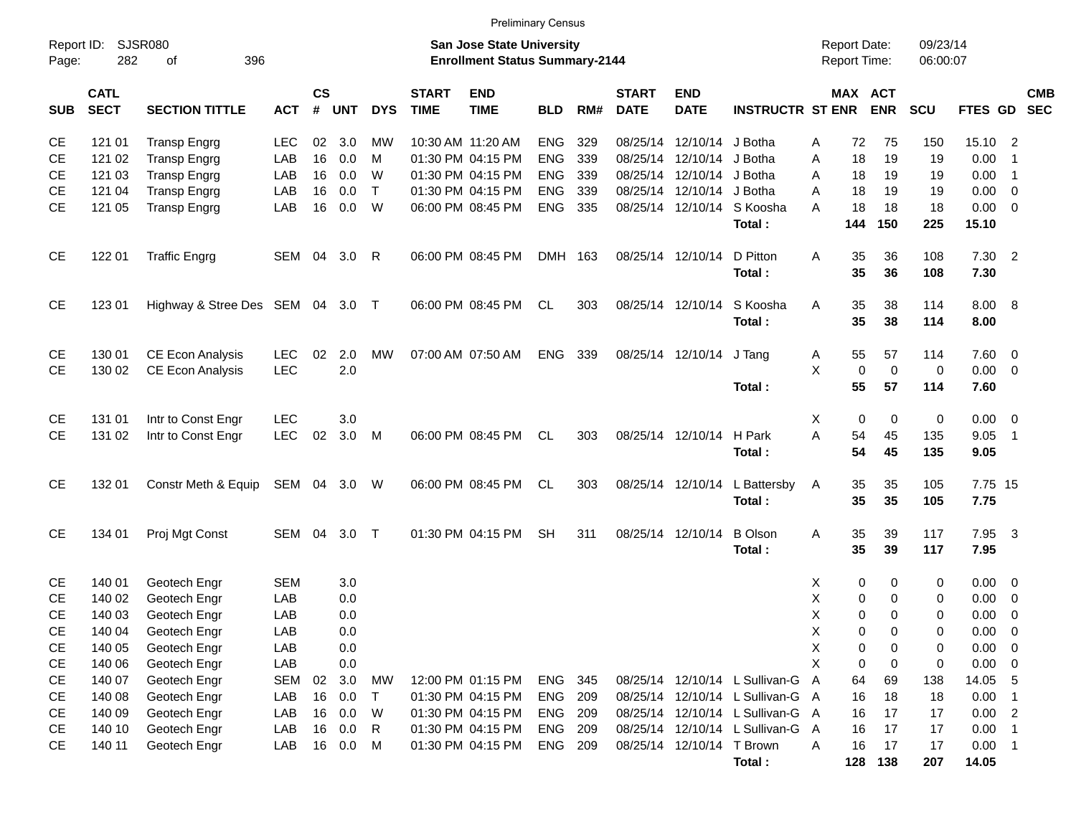| Report ID:<br>Page: | 282                        | <b>SJSR080</b><br>396<br>оf                        |                          |                             |            |              |                             | <b>San Jose State University</b><br><b>Enrollment Status Summary-2144</b> |                          |            |                             |                               |                                  |        | <b>Report Date:</b><br>Report Time: |                   | 09/23/14<br>06:00:07 |                  |                                                    |                          |
|---------------------|----------------------------|----------------------------------------------------|--------------------------|-----------------------------|------------|--------------|-----------------------------|---------------------------------------------------------------------------|--------------------------|------------|-----------------------------|-------------------------------|----------------------------------|--------|-------------------------------------|-------------------|----------------------|------------------|----------------------------------------------------|--------------------------|
| <b>SUB</b>          | <b>CATL</b><br><b>SECT</b> | <b>SECTION TITTLE</b>                              | <b>ACT</b>               | $\mathsf{cs}$<br>$\pmb{\#}$ | <b>UNT</b> | <b>DYS</b>   | <b>START</b><br><b>TIME</b> | <b>END</b><br><b>TIME</b>                                                 | <b>BLD</b>               | RM#        | <b>START</b><br><b>DATE</b> | <b>END</b><br><b>DATE</b>     | <b>INSTRUCTR ST ENR</b>          |        | MAX ACT                             | <b>ENR</b>        | SCU                  | FTES GD          |                                                    | <b>CMB</b><br><b>SEC</b> |
| CE<br>CE            | 121 01<br>121 02           | <b>Transp Engrg</b><br><b>Transp Engrg</b>         | <b>LEC</b><br>LAB        | 02<br>16                    | 3.0<br>0.0 | МW<br>M      |                             | 10:30 AM 11:20 AM<br>01:30 PM 04:15 PM                                    | <b>ENG</b><br><b>ENG</b> | 329<br>339 | 08/25/14                    | 08/25/14 12/10/14<br>12/10/14 | J Botha<br>J Botha               | Α<br>A | 72<br>18                            | 75<br>19          | 150<br>19            | 15.10<br>0.00    | $\overline{2}$<br>$\overline{1}$                   |                          |
| СE                  | 121 03                     | <b>Transp Engrg</b>                                | LAB                      | 16                          | 0.0        | W            |                             | 01:30 PM 04:15 PM                                                         | <b>ENG</b>               | 339        |                             | 08/25/14 12/10/14             | J Botha                          | Α      | 18                                  | 19                | 19                   | 0.00             | $\overline{1}$                                     |                          |
| СE                  | 121 04                     | <b>Transp Engrg</b>                                | LAB                      | 16                          | 0.0        | T            |                             | 01:30 PM 04:15 PM                                                         | <b>ENG</b>               | 339        |                             | 08/25/14 12/10/14             | J Botha                          | A      | 18                                  | 19                | 19                   | 0.00             | $\overline{\mathbf{0}}$                            |                          |
| <b>CE</b>           | 121 05                     | <b>Transp Engrg</b>                                | LAB                      | 16                          | 0.0        | W            |                             | 06:00 PM 08:45 PM                                                         | <b>ENG</b>               | 335        |                             | 08/25/14 12/10/14             | S Koosha<br>Total:               | A      | 18<br>144                           | 18<br>150         | 18<br>225            | 0.00<br>15.10    | $\overline{\mathbf{0}}$                            |                          |
| CE                  | 122 01                     | <b>Traffic Engrg</b>                               | SEM 04                   |                             | 3.0        | -R           |                             | 06:00 PM 08:45 PM                                                         | DMH 163                  |            |                             | 08/25/14 12/10/14             | D Pitton<br>Total:               | Α      | 35<br>35                            | 36<br>36          | 108<br>108           | $7.30$ 2<br>7.30 |                                                    |                          |
| <b>CE</b>           | 123 01                     | Highway & Stree Des SEM 04 3.0 T                   |                          |                             |            |              |                             | 06:00 PM 08:45 PM                                                         | CL.                      | 303        |                             | 08/25/14 12/10/14             | S Koosha<br>Total:               | Α      | 35<br>35                            | 38<br>38          | 114<br>114           | 8.00 8<br>8.00   |                                                    |                          |
| CE<br>CE            | 130 01<br>130 02           | <b>CE Econ Analysis</b><br><b>CE Econ Analysis</b> | <b>LEC</b><br><b>LEC</b> | 02                          | 2.0<br>2.0 | MW           |                             | 07:00 AM 07:50 AM                                                         | <b>ENG</b>               | 339        |                             | 08/25/14 12/10/14             | J Tang                           | A<br>X | 55<br>0                             | 57<br>$\mathbf 0$ | 114<br>$\mathbf 0$   | 7.60<br>0.00     | $\overline{\mathbf{0}}$<br>$\overline{\mathbf{0}}$ |                          |
| CE                  | 131 01                     | Intr to Const Engr                                 | <b>LEC</b>               |                             | 3.0        |              |                             |                                                                           |                          |            |                             |                               | Total:                           | Χ      | 55<br>0                             | 57<br>0           | 114<br>0             | 7.60<br>0.00     | $\overline{\mathbf{0}}$                            |                          |
| CE                  | 131 02                     | Intr to Const Engr                                 | <b>LEC</b>               | 02                          | 3.0        | M            |                             | 06:00 PM 08:45 PM                                                         | CL.                      | 303        |                             | 08/25/14 12/10/14             | H Park<br>Total:                 | Α      | 54<br>54                            | 45<br>45          | 135<br>135           | 9.05<br>9.05     | $\overline{\phantom{0}}$ 1                         |                          |
| <b>CE</b>           | 132 01                     | Constr Meth & Equip                                | SEM 04 3.0               |                             |            | W            |                             | 06:00 PM 08:45 PM                                                         | CL                       | 303        |                             | 08/25/14 12/10/14             | L Battersby<br>Total:            | A      | 35<br>35                            | 35<br>35          | 105<br>105           | 7.75 15<br>7.75  |                                                    |                          |
| CE                  | 134 01                     | Proj Mgt Const                                     | SEM                      | 04                          | 3.0        | $\top$       |                             | 01:30 PM 04:15 PM                                                         | <b>SH</b>                | 311        |                             | 08/25/14 12/10/14             | <b>B</b> Olson<br>Total:         | Α      | 35<br>35                            | 39<br>39          | 117<br>117           | 7.95 3<br>7.95   |                                                    |                          |
| CE<br>СE            | 140 01<br>140 02           | Geotech Engr<br>Geotech Engr                       | <b>SEM</b><br>LAB        |                             | 3.0<br>0.0 |              |                             |                                                                           |                          |            |                             |                               |                                  | х<br>Χ | 0<br>0                              | 0<br>0            | 0<br>0               | 0.00<br>0.00     | $\overline{\mathbf{0}}$<br>$\mathbf 0$             |                          |
| СE                  | 140 03                     | Geotech Engr                                       | LAB                      |                             | 0.0        |              |                             |                                                                           |                          |            |                             |                               |                                  | Χ      | 0                                   | 0                 | 0                    | 0.00             | 0                                                  |                          |
| <b>CE</b>           | 140 04                     | Geotech Engr                                       | LAB                      |                             | 0.0        |              |                             |                                                                           |                          |            |                             |                               |                                  | X      | 0                                   | $\Omega$          | 0                    | 0.00             | $\mathbf 0$                                        |                          |
| <b>CE</b>           | 140 05                     | Geotech Engr                                       | LAB                      |                             | 0.0        |              |                             |                                                                           |                          |            |                             |                               |                                  | Χ      | 0                                   | 0                 | 0                    | 0.00             | $\overline{0}$                                     |                          |
| CE                  | 140 06                     | Geotech Engr                                       | LAB                      |                             | 0.0        |              |                             |                                                                           |                          |            |                             |                               |                                  | X      | 0                                   | 0                 | 0                    | 0.00             | 0                                                  |                          |
| CE                  | 140 07                     | Geotech Engr                                       | <b>SEM</b>               | 02                          | 3.0        | <b>MW</b>    |                             | 12:00 PM 01:15 PM                                                         | <b>ENG</b>               | 345        |                             |                               | 08/25/14 12/10/14 L Sullivan-G A |        | 64                                  | 69                | 138                  | 14.05 5          |                                                    |                          |
| CE                  | 140 08                     | Geotech Engr                                       | LAB                      | 16                          | 0.0        | $\top$       |                             | 01:30 PM 04:15 PM                                                         | <b>ENG</b>               | 209        |                             | 08/25/14 12/10/14             | L Sullivan-G A                   |        | 16                                  | 18                | 18                   | 0.00             | $\overline{1}$                                     |                          |
| CE                  | 140 09                     | Geotech Engr                                       | LAB                      | 16                          | 0.0        | W            |                             | 01:30 PM 04:15 PM                                                         | <b>ENG</b>               | 209        |                             |                               | 08/25/14 12/10/14 L Sullivan-G A |        | 16                                  | 17                | 17                   | 0.00             | $\overline{2}$                                     |                          |
| <b>CE</b>           | 140 10                     | Geotech Engr                                       | LAB                      | 16                          | 0.0        | $\mathsf{R}$ |                             | 01:30 PM 04:15 PM                                                         | <b>ENG</b>               | 209        |                             |                               | 08/25/14 12/10/14 L Sullivan-G A |        | 16                                  | 17                | 17                   | 0.00             | $\overline{1}$                                     |                          |
| CE                  | 140 11                     | Geotech Engr                                       | LAB                      | 16                          | 0.0        | M            |                             | 01:30 PM 04:15 PM                                                         | ENG 209                  |            |                             | 08/25/14 12/10/14 T Brown     | Total:                           | Α      | 16                                  | 17<br>128 138     | 17<br>207            | 0.00<br>14.05    | $\overline{\phantom{0}}$ 1                         |                          |

Preliminary Census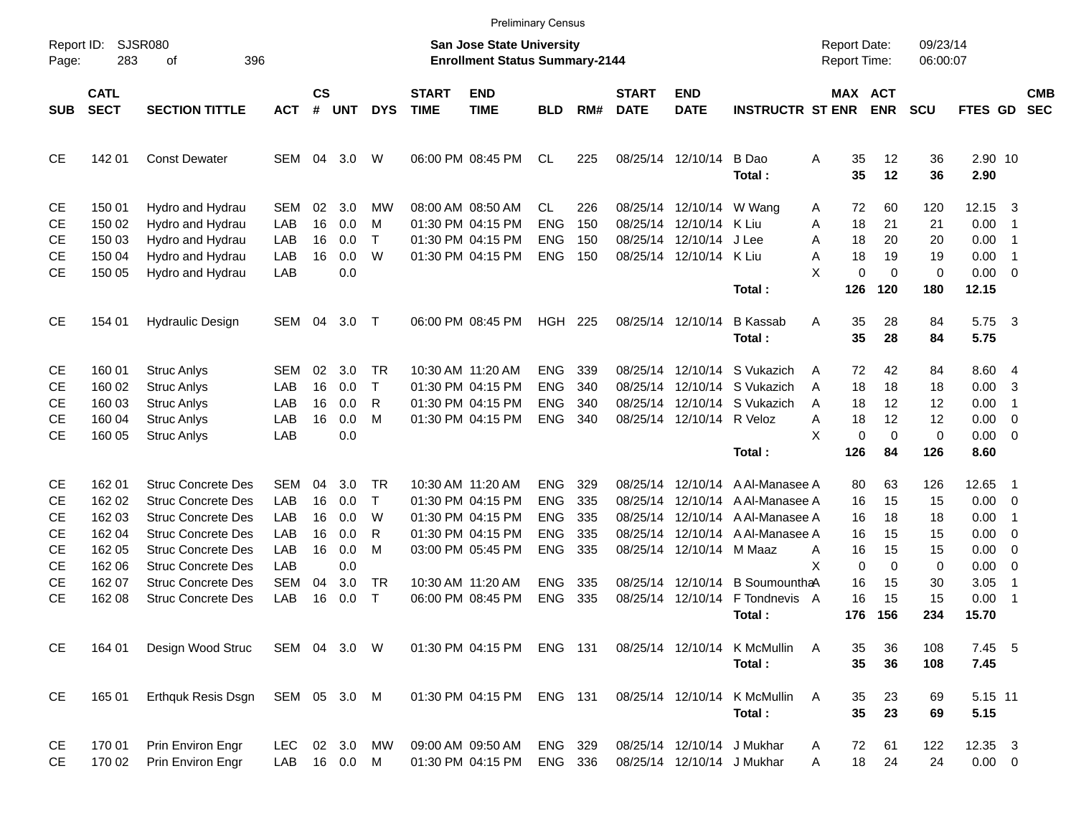|                        |                            |                                                        |                   |                |              |             |                             |                                                                           | <b>Preliminary Census</b> |            |                             |                            |                                  |                                            |                |                      |                 |                                                    |                          |
|------------------------|----------------------------|--------------------------------------------------------|-------------------|----------------|--------------|-------------|-----------------------------|---------------------------------------------------------------------------|---------------------------|------------|-----------------------------|----------------------------|----------------------------------|--------------------------------------------|----------------|----------------------|-----------------|----------------------------------------------------|--------------------------|
| Report ID:<br>Page:    | 283                        | <b>SJSR080</b><br>396<br>οf                            |                   |                |              |             |                             | <b>San Jose State University</b><br><b>Enrollment Status Summary-2144</b> |                           |            |                             |                            |                                  | <b>Report Date:</b><br><b>Report Time:</b> |                | 09/23/14<br>06:00:07 |                 |                                                    |                          |
| <b>SUB</b>             | <b>CATL</b><br><b>SECT</b> | <b>SECTION TITTLE</b>                                  | <b>ACT</b>        | <b>CS</b><br># | <b>UNT</b>   | <b>DYS</b>  | <b>START</b><br><b>TIME</b> | <b>END</b><br><b>TIME</b>                                                 | <b>BLD</b>                | RM#        | <b>START</b><br><b>DATE</b> | <b>END</b><br><b>DATE</b>  | <b>INSTRUCTR ST ENR</b>          | <b>MAX ACT</b>                             | <b>ENR</b>     | <b>SCU</b>           | FTES GD         |                                                    | <b>CMB</b><br><b>SEC</b> |
| <b>CE</b>              | 142 01                     | <b>Const Dewater</b>                                   | SEM               | 04             | 3.0          | W           |                             | 06:00 PM 08:45 PM                                                         | <b>CL</b>                 | 225        |                             | 08/25/14 12/10/14          | B Dao<br>Total:                  | Α<br>35<br>35                              | 12<br>12       | 36<br>36             | 2.90 10<br>2.90 |                                                    |                          |
| СE                     | 150 01                     | Hydro and Hydrau                                       | SEM               | 02             | 3.0          | МW          |                             | 08:00 AM 08:50 AM                                                         | <b>CL</b>                 | 226        | 08/25/14                    | 12/10/14 W Wang            |                                  | 72<br>Α                                    | 60             | 120                  | 12.15           | - 3                                                |                          |
| <b>CE</b>              | 150 02                     | Hydro and Hydrau                                       | LAB               | 16             | 0.0          | м           |                             | 01:30 PM 04:15 PM                                                         | <b>ENG</b>                | 150        | 08/25/14                    | 12/10/14 K Liu             |                                  | 18<br>Α                                    | 21             | 21                   | 0.00            | $\overline{1}$                                     |                          |
| СE                     | 150 03                     | Hydro and Hydrau                                       | LAB               | 16             | 0.0          | $\top$      |                             | 01:30 PM 04:15 PM                                                         | <b>ENG</b>                | 150        | 08/25/14                    | 12/10/14                   | J Lee                            | 18<br>Α                                    | 20             | 20                   | 0.00            | $\overline{1}$                                     |                          |
| <b>CE</b>              | 150 04                     | Hydro and Hydrau                                       | LAB               | 16             | 0.0          | W           |                             | 01:30 PM 04:15 PM                                                         | <b>ENG</b>                | 150        |                             | 08/25/14 12/10/14 K Liu    |                                  | A<br>18<br>X<br>0                          | 19<br>$\Omega$ | 19                   | 0.00            | -1<br>$\overline{\mathbf{0}}$                      |                          |
| <b>CE</b>              | 150 05                     | Hydro and Hydrau                                       | LAB               |                | 0.0          |             |                             |                                                                           |                           |            |                             |                            | Total:                           | 126                                        | 120            | $\mathbf 0$<br>180   | 0.00<br>12.15   |                                                    |                          |
| CE                     | 154 01                     | <b>Hydraulic Design</b>                                | SEM               | 04             | 3.0          | $\top$      |                             | 06:00 PM 08:45 PM                                                         | HGH                       | 225        |                             | 08/25/14 12/10/14          | <b>B</b> Kassab<br>Total:        | A<br>35<br>35                              | 28<br>28       | 84<br>84             | 5.75<br>5.75    | $\overline{\mathbf{3}}$                            |                          |
| СE                     | 160 01                     | <b>Struc Anlys</b>                                     | SEM               | 02             | 3.0          | <b>TR</b>   |                             | 10:30 AM 11:20 AM                                                         | <b>ENG</b>                | 339        | 08/25/14                    | 12/10/14                   | S Vukazich                       | 72<br>Α                                    | 42             | 84                   | 8.60 4          |                                                    |                          |
| <b>CE</b>              | 160 02                     | <b>Struc Anlys</b>                                     | LAB               | 16             | 0.0          | $\top$      |                             | 01:30 PM 04:15 PM                                                         | <b>ENG</b>                | 340        | 08/25/14                    | 12/10/14                   | S Vukazich                       | 18<br>A                                    | 18             | 18                   | 0.00            | 3                                                  |                          |
| СE                     | 160 03                     | <b>Struc Anlys</b>                                     | LAB               | 16             | 0.0          | R           |                             | 01:30 PM 04:15 PM                                                         | <b>ENG</b>                | 340        | 08/25/14                    |                            | 12/10/14 S Vukazich              | 18<br>A                                    | 12             | 12                   | 0.00            | $\overline{1}$                                     |                          |
| <b>CE</b>              | 160 04                     | <b>Struc Anlys</b>                                     | LAB               | 16             | 0.0          | M           |                             | 01:30 PM 04:15 PM                                                         | <b>ENG</b>                | 340        |                             | 08/25/14 12/10/14 R Veloz  |                                  | 18<br>Α                                    | 12             | 12                   | 0.00            | $\overline{0}$                                     |                          |
| <b>CE</b>              | 160 05                     | <b>Struc Anlys</b>                                     | LAB               |                | 0.0          |             |                             |                                                                           |                           |            |                             |                            |                                  | X<br>$\pmb{0}$                             | $\Omega$       | $\mathbf 0$          | 0.00            | $\overline{\phantom{0}}$                           |                          |
|                        |                            |                                                        |                   |                |              |             |                             |                                                                           |                           |            |                             |                            | Total:                           | 126                                        | 84             | 126                  | 8.60            |                                                    |                          |
| СE                     | 162 01                     | <b>Struc Concrete Des</b>                              | SEM               | 04             | 3.0          | <b>TR</b>   |                             | 10:30 AM 11:20 AM                                                         | <b>ENG</b>                | 329        | 08/25/14                    | 12/10/14                   | A Al-Manasee A                   | 80                                         | 63             | 126                  | 12.65           | $\overline{1}$                                     |                          |
| <b>CE</b>              | 162 02                     | <b>Struc Concrete Des</b><br><b>Struc Concrete Des</b> | <b>LAB</b><br>LAB | 16             | 0.0<br>0.0   | $\top$<br>W |                             | 01:30 PM 04:15 PM<br>01:30 PM 04:15 PM                                    | <b>ENG</b>                | 335        | 08/25/14                    | 12/10/14                   | A Al-Manasee A                   | 16                                         | 15             | 15                   | 0.00            | $\overline{\phantom{0}}$                           |                          |
| <b>CE</b><br><b>CE</b> | 162 03<br>162 04           | <b>Struc Concrete Des</b>                              | LAB               | 16<br>16       | 0.0          | R           |                             | 01:30 PM 04:15 PM                                                         | <b>ENG</b><br><b>ENG</b>  | 335<br>335 | 08/25/14<br>08/25/14        | 12/10/14<br>12/10/14       | A Al-Manasee A<br>A Al-Manasee A | 16<br>16                                   | 18<br>15       | 18<br>15             | 0.00<br>0.00    | -1                                                 |                          |
| <b>CE</b>              | 162 05                     | <b>Struc Concrete Des</b>                              | LAB               | 16             | 0.0          | м           |                             | 03:00 PM 05:45 PM                                                         | <b>ENG</b>                | 335        |                             | 08/25/14 12/10/14 M Maaz   |                                  | 16<br>A                                    | 15             | 15                   | 0.00            | $\overline{\mathbf{0}}$<br>$\overline{\mathbf{0}}$ |                          |
| <b>CE</b>              | 162 06                     | <b>Struc Concrete Des</b>                              | LAB               |                | 0.0          |             |                             |                                                                           |                           |            |                             |                            |                                  | X<br>0                                     | 0              | 0                    | 0.00            | 0                                                  |                          |
| <b>CE</b>              | 162 07                     | <b>Struc Concrete Des</b>                              | <b>SEM</b>        | 04             | 3.0          | <b>TR</b>   |                             | 10:30 AM 11:20 AM                                                         | <b>ENG</b>                | 335        | 08/25/14                    |                            | 12/10/14 B SoumounthaA           | 16                                         | 15             | 30                   | 3.05            | $\overline{1}$                                     |                          |
| <b>CE</b>              | 162 08                     | <b>Struc Concrete Des</b>                              | LAB               | 16             | 0.0          | $\top$      |                             | 06:00 PM 08:45 PM                                                         | <b>ENG</b>                | 335        | 08/25/14                    | 12/10/14                   | F Tondnevis                      | 16<br>A                                    | 15             | 15                   | 0.00            | $\overline{1}$                                     |                          |
|                        |                            |                                                        |                   |                |              |             |                             |                                                                           |                           |            |                             |                            | Total :                          | 176                                        | 156            | 234                  | 15.70           |                                                    |                          |
| CE                     | 164 01                     | Design Wood Struc                                      | SEM 04 3.0 W      |                |              |             |                             | 01:30 PM 04:15 PM                                                         | ENG 131                   |            |                             |                            | 08/25/14 12/10/14 K McMullin     | Α<br>35                                    | 36             | 108                  | 7.45 5          |                                                    |                          |
|                        |                            |                                                        |                   |                |              |             |                             |                                                                           |                           |            |                             |                            | Total:                           | 35                                         | 36             | 108                  | 7.45            |                                                    |                          |
| CE                     | 165 01                     | <b>Erthquk Resis Dsgn</b>                              | SEM 05 3.0 M      |                |              |             |                             | 01:30 PM 04:15 PM                                                         | ENG 131                   |            |                             |                            | 08/25/14 12/10/14 K McMullin     | 35<br>Α                                    | 23             | 69                   | 5.15 11         |                                                    |                          |
|                        |                            |                                                        |                   |                |              |             |                             |                                                                           |                           |            |                             |                            | Total:                           | 35                                         | 23             | 69                   | 5.15            |                                                    |                          |
| CE                     | 170 01                     | Prin Environ Engr                                      | <b>LEC</b>        |                | 02 3.0       | MW          |                             | 09:00 AM 09:50 AM                                                         | ENG 329                   |            |                             | 08/25/14 12/10/14 J Mukhar |                                  | 72<br>A                                    | 61             | 122                  | 12.35 3         |                                                    |                          |
| CE                     | 170 02                     | Prin Environ Engr                                      |                   |                | LAB 16 0.0 M |             |                             | 01:30 PM 04:15 PM                                                         | ENG 336                   |            |                             | 08/25/14 12/10/14 J Mukhar |                                  | 18<br>Α                                    | 24             | 24                   | $0.00 \t 0$     |                                                    |                          |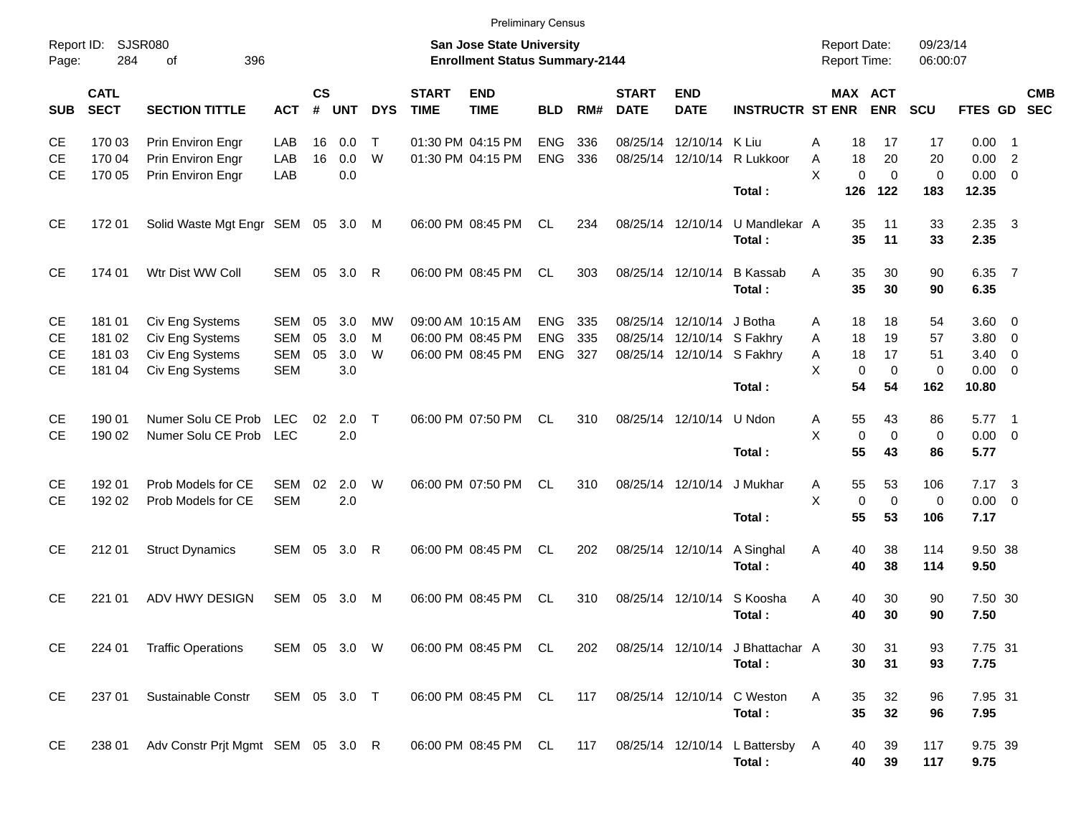|                     |                            |                                                             |                          |                |                   |                     |                             | <b>Preliminary Census</b>                                                 |                                 |                   |                             |                                                                      |                                        |                                            |                         |                         |                           |                      |                                                    |                          |
|---------------------|----------------------------|-------------------------------------------------------------|--------------------------|----------------|-------------------|---------------------|-----------------------------|---------------------------------------------------------------------------|---------------------------------|-------------------|-----------------------------|----------------------------------------------------------------------|----------------------------------------|--------------------------------------------|-------------------------|-------------------------|---------------------------|----------------------|----------------------------------------------------|--------------------------|
| Report ID:<br>Page: | 284                        | <b>SJSR080</b><br>396<br>οf                                 |                          |                |                   |                     |                             | <b>San Jose State University</b><br><b>Enrollment Status Summary-2144</b> |                                 |                   |                             |                                                                      |                                        | <b>Report Date:</b><br><b>Report Time:</b> |                         |                         | 09/23/14<br>06:00:07      |                      |                                                    |                          |
| <b>SUB</b>          | <b>CATL</b><br><b>SECT</b> | <b>SECTION TITTLE</b>                                       | <b>ACT</b>               | <b>CS</b><br># | <b>UNT</b>        | <b>DYS</b>          | <b>START</b><br><b>TIME</b> | <b>END</b><br><b>TIME</b>                                                 | <b>BLD</b>                      | RM#               | <b>START</b><br><b>DATE</b> | <b>END</b><br><b>DATE</b>                                            | <b>INSTRUCTR ST ENR</b>                |                                            |                         | MAX ACT<br><b>ENR</b>   | SCU                       | FTES GD              |                                                    | <b>CMB</b><br><b>SEC</b> |
| СE<br>СE<br>СE      | 170 03<br>170 04<br>170 05 | Prin Environ Engr<br>Prin Environ Engr<br>Prin Environ Engr | LAB<br>LAB<br>LAB        | 16<br>16       | 0.0<br>0.0<br>0.0 | $\mathsf{T}$<br>W   |                             | 01:30 PM 04:15 PM<br>01:30 PM 04:15 PM                                    | <b>ENG</b><br><b>ENG</b>        | 336<br>336        |                             | 08/25/14 12/10/14                                                    | – K Liu<br>08/25/14 12/10/14 R Lukkoor | А<br>A<br>$\times$                         | 18<br>18<br>$\mathbf 0$ | 17<br>20<br>$\mathbf 0$ | 17<br>20<br>$\mathbf 0$   | 0.00<br>0.00<br>0.00 | - 1<br>$\overline{2}$<br>$\overline{0}$            |                          |
|                     |                            |                                                             |                          |                |                   |                     |                             |                                                                           |                                 |                   |                             |                                                                      | Total:                                 |                                            | 126                     | 122                     | 183                       | 12.35                |                                                    |                          |
| СE                  | 172 01                     | Solid Waste Mgt Engr SEM 05                                 |                          |                | 3.0 M             |                     |                             | 06:00 PM 08:45 PM                                                         | <b>CL</b>                       | 234               | 08/25/14 12/10/14           |                                                                      | U Mandlekar A<br>Total:                |                                            | 35<br>35                | 11<br>11                | 33<br>33                  | 2.35<br>2.35         | $\overline{\mathbf{3}}$                            |                          |
| CЕ                  | 174 01                     | Wtr Dist WW Coll                                            | SEM                      | 05             | 3.0               | R                   |                             | 06:00 PM 08:45 PM                                                         | <b>CL</b>                       | 303               | 08/25/14                    | 12/10/14                                                             | <b>B</b> Kassab<br>Total:              | A                                          | 35<br>35                | 30<br>30                | 90<br>90                  | 6.35<br>6.35         | $\overline{7}$                                     |                          |
| CЕ<br>СE<br>СE      | 181 01<br>181 02<br>181 03 | Civ Eng Systems<br>Civ Eng Systems<br>Civ Eng Systems       | <b>SEM</b><br>SEM<br>SEM | 05<br>05<br>05 | 3.0<br>3.0<br>3.0 | <b>MW</b><br>M<br>W |                             | 09:00 AM 10:15 AM<br>06:00 PM 08:45 PM<br>06:00 PM 08:45 PM               | <b>ENG</b><br><b>ENG</b><br>ENG | 335<br>335<br>327 | 08/25/14                    | 12/10/14<br>08/25/14 12/10/14 S Fakhry<br>08/25/14 12/10/14 S Fakhry | J Botha                                | A<br>A<br>Α                                | 18<br>18<br>18          | 18<br>19<br>17          | 54<br>57<br>51            | 3.60<br>3.80<br>3.40 | - 0<br>$\overline{\mathbf{0}}$<br>$\overline{0}$   |                          |
| СE                  | 181 04                     | Civ Eng Systems                                             | <b>SEM</b>               |                | 3.0               |                     |                             |                                                                           |                                 |                   |                             |                                                                      | Total:                                 | X                                          | 0<br>54                 | $\mathbf 0$<br>54       | $\mathbf 0$<br>162        | 0.00<br>10.80        | $\overline{0}$                                     |                          |
| CЕ<br>СE            | 190 01<br>190 02           | Numer Solu CE Prob<br>Numer Solu CE Prob                    | LEC.<br><b>LEC</b>       | 02             | 2.0<br>2.0        | $\mathsf{T}$        |                             | 06:00 PM 07:50 PM                                                         | <b>CL</b>                       | 310               |                             | 08/25/14 12/10/14                                                    | U Ndon<br>Total:                       | A<br>$\times$                              | 55<br>$\mathbf 0$<br>55 | 43<br>$\mathbf 0$<br>43 | 86<br>$\mathbf 0$<br>86   | 5.77<br>0.00<br>5.77 | $\overline{\phantom{0}}$<br>$\overline{0}$         |                          |
| СE<br>СE            | 192 01<br>192 02           | Prob Models for CE<br>Prob Models for CE                    | SEM<br><b>SEM</b>        | 02             | 2.0<br>2.0        | W                   |                             | 06:00 PM 07:50 PM                                                         | <b>CL</b>                       | 310               |                             | 08/25/14 12/10/14                                                    | J Mukhar<br>Total:                     | Α<br>$\mathsf{X}$                          | 55<br>$\mathbf 0$<br>55 | 53<br>$\mathbf 0$<br>53 | 106<br>$\mathbf 0$<br>106 | 7.17<br>0.00<br>7.17 | $\overline{\mathbf{3}}$<br>$\overline{\mathbf{0}}$ |                          |
| СE                  | 212 01                     | <b>Struct Dynamics</b>                                      | <b>SEM</b>               | 05             | 3.0               | $\mathsf{R}$        |                             | 06:00 PM 08:45 PM                                                         | <b>CL</b>                       | 202               |                             | 08/25/14 12/10/14                                                    | A Singhal<br>Total:                    | Α                                          | 40<br>40                | 38<br>38                | 114<br>114                | 9.50 38<br>9.50      |                                                    |                          |
| СE                  | 221 01                     | ADV HWY DESIGN                                              | <b>SEM</b>               | 05             | 3.0               | M                   |                             | 06:00 PM 08:45 PM                                                         | CL                              | 310               |                             | 08/25/14 12/10/14                                                    | S Koosha<br>Total:                     | A                                          | 40<br>40                | 30<br>30                | 90<br>90                  | 7.50 30<br>7.50      |                                                    |                          |
| СE                  | 224 01                     | <b>Traffic Operations</b>                                   | SEM                      | 05             | 3.0               | W                   |                             | 06:00 PM 08:45 PM                                                         | <b>CL</b>                       | 202               |                             | 08/25/14 12/10/14                                                    | J Bhattachar A<br>Total:               |                                            | 30<br>30                | 31<br>31                | 93<br>93                  | 7.75 31<br>7.75      |                                                    |                          |

CE 237 01 Sustainable Constr SEM 05 3.0 T 06:00 PM 08:45 PM CL 117 08/25/14 12/10/14 C Weston A 35 32 96 7.95 31 **Total : 35 32 96 7.95** CE 238 01 Adv Constr Prjt Mgmt SEM 05 3.0 R 06:00 PM 08:45 PM CL 117 08/25/14 12/10/14 L Battersby A 40 39 117 9.75 39<br> **Total : 40 39 117 9.75 Total : 40 39 117 9.75**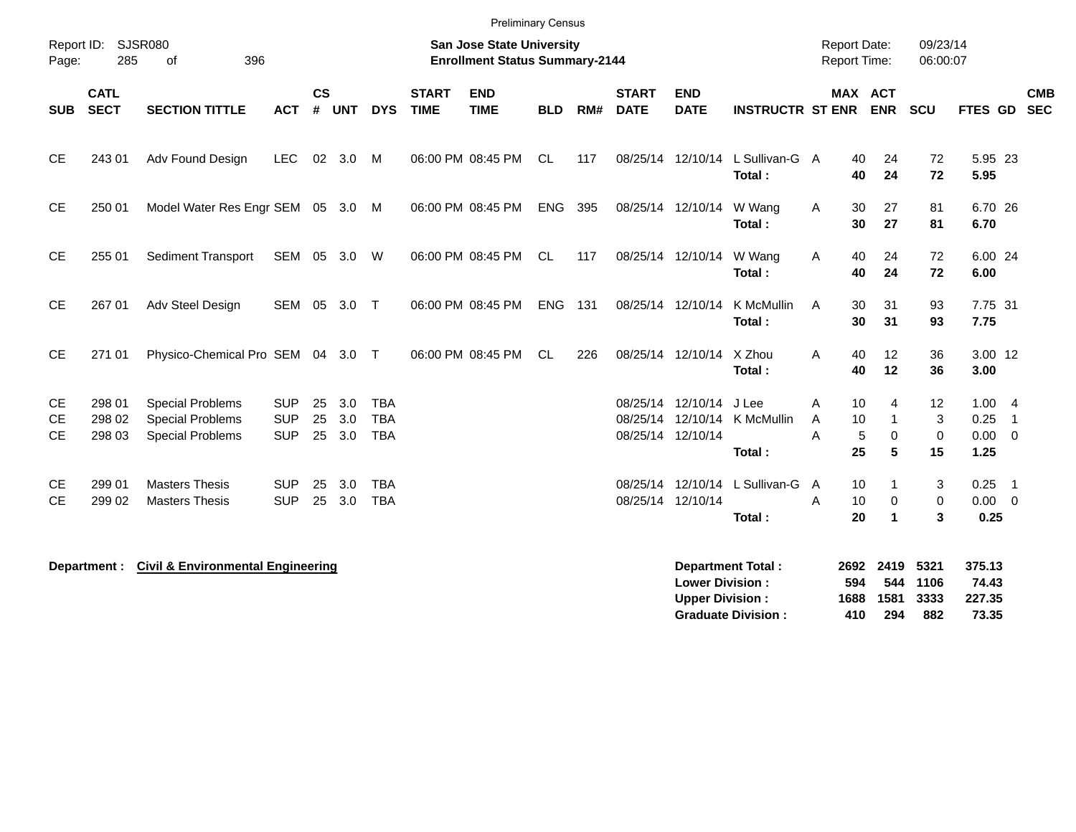|                                     |                            |                                                                               |                                        |                |                   |                                        |                             | <b>Preliminary Census</b>                                          |            |     |                             |                                                             |                                                       |                                            |                                                                                        |                              |                                      |                |            |
|-------------------------------------|----------------------------|-------------------------------------------------------------------------------|----------------------------------------|----------------|-------------------|----------------------------------------|-----------------------------|--------------------------------------------------------------------|------------|-----|-----------------------------|-------------------------------------------------------------|-------------------------------------------------------|--------------------------------------------|----------------------------------------------------------------------------------------|------------------------------|--------------------------------------|----------------|------------|
| Page:                               | Report ID: SJSR080<br>285  | 396<br>οf                                                                     |                                        |                |                   |                                        |                             | San Jose State University<br><b>Enrollment Status Summary-2144</b> |            |     |                             |                                                             |                                                       | <b>Report Date:</b><br><b>Report Time:</b> |                                                                                        | 09/23/14<br>06:00:07         |                                      |                |            |
| <b>SUB</b>                          | <b>CATL</b><br><b>SECT</b> | <b>SECTION TITTLE</b>                                                         | <b>ACT</b>                             | <b>CS</b><br># | <b>UNT</b>        | <b>DYS</b>                             | <b>START</b><br><b>TIME</b> | <b>END</b><br><b>TIME</b>                                          | <b>BLD</b> | RM# | <b>START</b><br><b>DATE</b> | <b>END</b><br><b>DATE</b>                                   | <b>INSTRUCTR ST ENR</b>                               |                                            | MAX ACT<br><b>ENR</b>                                                                  | <b>SCU</b>                   | FTES GD SEC                          |                | <b>CMB</b> |
| <b>CE</b>                           | 243 01                     | Adv Found Design                                                              | <b>LEC</b>                             | 02             | 3.0               | M                                      |                             | 06:00 PM 08:45 PM                                                  | CL.        | 117 |                             | 08/25/14 12/10/14                                           | L Sullivan-G A<br>Total:                              |                                            | 40<br>24<br>40<br>24                                                                   | 72<br>72                     | 5.95 23<br>5.95                      |                |            |
| <b>CE</b>                           | 250 01                     | Model Water Res Engr SEM 05 3.0 M                                             |                                        |                |                   |                                        |                             | 06:00 PM 08:45 PM                                                  | ENG        | 395 |                             | 08/25/14 12/10/14                                           | W Wang<br>Total:                                      | Α                                          | 30<br>27<br>30<br>27                                                                   | 81<br>81                     | 6.70 26<br>6.70                      |                |            |
| <b>CE</b>                           | 255 01                     | <b>Sediment Transport</b>                                                     | SEM 05 3.0 W                           |                |                   |                                        |                             | 06:00 PM 08:45 PM                                                  | CL         | 117 |                             | 08/25/14 12/10/14                                           | W Wang<br>Total:                                      | Α                                          | 40<br>24<br>40<br>24                                                                   | 72<br>72                     | 6.00 24<br>6.00                      |                |            |
| <b>CE</b>                           | 267 01                     | Adv Steel Design                                                              | SEM 05                                 |                | 3.0 T             |                                        |                             | 06:00 PM 08:45 PM                                                  | ENG        | 131 |                             | 08/25/14 12/10/14                                           | K McMullin<br>Total:                                  | A                                          | 30<br>31<br>30<br>31                                                                   | 93<br>93                     | 7.75 31<br>7.75                      |                |            |
| <b>CE</b>                           | 271 01                     | Physico-Chemical Pro SEM 04 3.0 T                                             |                                        |                |                   |                                        |                             | 06:00 PM 08:45 PM                                                  | CL.        | 226 |                             | 08/25/14 12/10/14                                           | X Zhou<br>Total:                                      | A                                          | 12<br>40<br>40<br>12                                                                   | 36<br>36                     | 3.00 12<br>3.00                      |                |            |
| <b>CE</b><br><b>CE</b><br><b>CE</b> | 298 01<br>298 02<br>298 03 | <b>Special Problems</b><br><b>Special Problems</b><br><b>Special Problems</b> | <b>SUP</b><br><b>SUP</b><br><b>SUP</b> | 25<br>25<br>25 | 3.0<br>3.0<br>3.0 | <b>TBA</b><br><b>TBA</b><br><b>TBA</b> |                             |                                                                    |            |     |                             | 08/25/14 12/10/14<br>08/25/14 12/10/14<br>08/25/14 12/10/14 | J Lee<br>K McMullin<br>Total:                         | Α<br>A<br>A                                | 10<br>$\overline{4}$<br>10<br>$\mathbf{1}$<br>5<br>$\mathbf 0$<br>25<br>$5\phantom{1}$ | 12<br>3<br>$\mathbf 0$<br>15 | 1.004<br>0.25<br>$0.00 \t 0$<br>1.25 | $\overline{1}$ |            |
| <b>CE</b><br><b>CE</b>              | 299 01<br>299 02           | <b>Masters Thesis</b><br><b>Masters Thesis</b>                                | <b>SUP</b><br><b>SUP</b>               | 25<br>25       | 3.0<br>3.0        | <b>TBA</b><br><b>TBA</b>               |                             |                                                                    |            |     |                             | 08/25/14 12/10/14<br>08/25/14 12/10/14                      | L Sullivan-G<br>Total:                                | A<br>A                                     | 10<br>1<br>10<br>$\mathbf 0$<br>20<br>$\blacktriangleleft$                             | 3<br>0<br>3                  | $0.25$ 1<br>$0.00 \t 0$<br>0.25      |                |            |
|                                     | Department :               | <b>Civil &amp; Environmental Engineering</b>                                  |                                        |                |                   |                                        |                             |                                                                    |            |     |                             | <b>Lower Division:</b><br><b>Upper Division:</b>            | <b>Department Total:</b><br><b>Graduate Division:</b> | 594<br>1688<br>410                         | 2692 2419<br>544<br>1581<br>294                                                        | 5321<br>1106<br>3333<br>882  | 375.13<br>74.43<br>227.35<br>73.35   |                |            |

**Graduate Division : 410 294 882 73.35**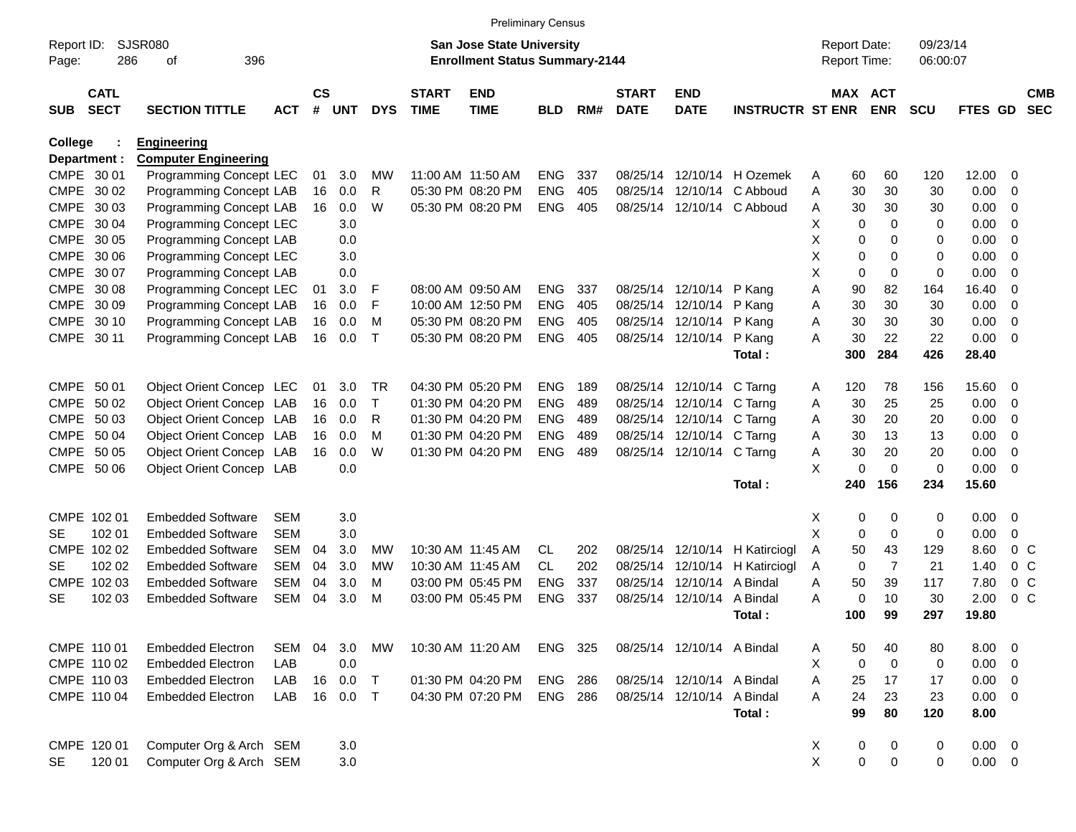|            |                            |                             |            |                    |            |            |                             | <b>Preliminary Census</b>             |            |     |                             |                            |                         |              |                     |                |             |             |                          |                          |
|------------|----------------------------|-----------------------------|------------|--------------------|------------|------------|-----------------------------|---------------------------------------|------------|-----|-----------------------------|----------------------------|-------------------------|--------------|---------------------|----------------|-------------|-------------|--------------------------|--------------------------|
| Report ID: |                            | <b>SJSR080</b>              |            |                    |            |            |                             | <b>San Jose State University</b>      |            |     |                             |                            |                         |              | <b>Report Date:</b> |                | 09/23/14    |             |                          |                          |
| Page:      | 286                        | 396<br>οf                   |            |                    |            |            |                             | <b>Enrollment Status Summary-2144</b> |            |     |                             |                            |                         |              | Report Time:        |                | 06:00:07    |             |                          |                          |
| <b>SUB</b> | <b>CATL</b><br><b>SECT</b> | <b>SECTION TITTLE</b>       | <b>ACT</b> | $\mathsf{cs}$<br># | <b>UNT</b> | <b>DYS</b> | <b>START</b><br><b>TIME</b> | <b>END</b><br><b>TIME</b>             | <b>BLD</b> | RM# | <b>START</b><br><b>DATE</b> | <b>END</b><br><b>DATE</b>  | <b>INSTRUCTR ST ENR</b> |              | MAX ACT             | <b>ENR</b>     | <b>SCU</b>  | FTES GD     |                          | <b>CMB</b><br><b>SEC</b> |
| College    |                            | <b>Engineering</b>          |            |                    |            |            |                             |                                       |            |     |                             |                            |                         |              |                     |                |             |             |                          |                          |
|            | Department :               | <b>Computer Engineering</b> |            |                    |            |            |                             |                                       |            |     |                             |                            |                         |              |                     |                |             |             |                          |                          |
|            | CMPE 30 01                 | Programming Concept LEC     |            | 01                 | 3.0        | МW         | 11:00 AM 11:50 AM           |                                       | <b>ENG</b> | 337 | 08/25/14                    | 12/10/14                   | H Ozemek                | Α            | 60                  | 60             | 120         | 12.00       | 0                        |                          |
|            | CMPE 30 02                 | Programming Concept LAB     |            | 16                 | 0.0        | R          | 05:30 PM 08:20 PM           |                                       | <b>ENG</b> | 405 | 08/25/14                    | 12/10/14                   | C Abboud                | Α            | 30                  | 30             | 30          | 0.00        | 0                        |                          |
|            | CMPE 30 03                 | Programming Concept LAB     |            | 16                 | 0.0        | W          |                             | 05:30 PM 08:20 PM                     | <b>ENG</b> | 405 | 08/25/14                    |                            | 12/10/14 C Abboud       | A            | 30                  | 30             | 30          | 0.00        | 0                        |                          |
|            | CMPE 30 04                 | Programming Concept LEC     |            |                    | 3.0        |            |                             |                                       |            |     |                             |                            |                         | Χ            | 0                   | $\Omega$       | 0           | 0.00        | 0                        |                          |
|            | CMPE 30 05                 | Programming Concept LAB     |            |                    | 0.0        |            |                             |                                       |            |     |                             |                            |                         | х            | 0                   | $\Omega$       | 0           | 0.00        | 0                        |                          |
|            | CMPE 30 06                 | Programming Concept LEC     |            |                    | 3.0        |            |                             |                                       |            |     |                             |                            |                         | х            | 0                   | $\Omega$       | 0           | 0.00        | 0                        |                          |
|            | CMPE 30 07                 | Programming Concept LAB     |            |                    | 0.0        |            |                             |                                       |            |     |                             |                            |                         | х            | $\mathbf 0$         | $\mathbf 0$    | 0           | 0.00        | 0                        |                          |
|            | CMPE 30 08                 | Programming Concept LEC     |            | 01                 | 3.0        | F          | 08:00 AM 09:50 AM           |                                       | <b>ENG</b> | 337 | 08/25/14                    | 12/10/14                   | P Kang                  | Α            | 90                  | 82             | 164         | 16.40       | 0                        |                          |
|            | CMPE 30 09                 | Programming Concept LAB     |            | 16                 | 0.0        | F          |                             | 10:00 AM 12:50 PM                     | <b>ENG</b> | 405 | 08/25/14                    | 12/10/14                   | P Kang                  | Α            | 30                  | 30             | 30          | 0.00        | 0                        |                          |
|            | CMPE 30 10                 | Programming Concept LAB     |            | 16                 | 0.0        | м          |                             | 05:30 PM 08:20 PM                     | <b>ENG</b> | 405 | 08/25/14                    | 12/10/14                   | P Kang                  | A            | 30                  | 30             | 30          | 0.00        | 0                        |                          |
| CMPE 30 11 |                            | Programming Concept LAB     |            | 16                 | 0.0        | $\top$     |                             | 05:30 PM 08:20 PM                     | <b>ENG</b> | 405 | 08/25/14                    | 12/10/14                   | P Kang                  | Α            | 30                  | 22             | 22          | 0.00        | - 0                      |                          |
|            |                            |                             |            |                    |            |            |                             |                                       |            |     |                             |                            | Total:                  |              | 300                 | 284            | 426         | 28.40       |                          |                          |
| CMPE 50 01 |                            | Object Orient Concep LEC    |            | 01                 | 3.0        | TR         |                             | 04:30 PM 05:20 PM                     | <b>ENG</b> | 189 | 08/25/14                    | 12/10/14 C Tarng           |                         | A            | 120                 | 78             | 156         | 15.60       | 0                        |                          |
|            | CMPE 50 02                 | Object Orient Concep LAB    |            | 16                 | 0.0        | Τ          |                             | 01:30 PM 04:20 PM                     | <b>ENG</b> | 489 | 08/25/14                    | 12/10/14                   | C Tarng                 | Α            | 30                  | 25             | 25          | 0.00        | 0                        |                          |
|            | CMPE 50 03                 | Object Orient Concep LAB    |            | 16                 | 0.0        | R          |                             | 01:30 PM 04:20 PM                     | <b>ENG</b> | 489 | 08/25/14                    | 12/10/14 C Tarng           |                         | A            | 30                  | 20             | 20          | 0.00        | 0                        |                          |
|            | CMPE 50 04                 | Object Orient Concep LAB    |            | 16                 | 0.0        | м          |                             | 01:30 PM 04:20 PM                     | <b>ENG</b> | 489 | 08/25/14                    | 12/10/14 C Tarng           |                         | A            | 30                  | 13             | 13          | 0.00        | 0                        |                          |
|            | CMPE 50 05                 | Object Orient Concep LAB    |            | 16                 | 0.0        | W          |                             | 01:30 PM 04:20 PM                     | <b>ENG</b> | 489 | 08/25/14                    | 12/10/14 C Tarng           |                         | Α            | 30                  | 20             | 20          | 0.00        | 0                        |                          |
|            | CMPE 50 06                 | Object Orient Concep LAB    |            |                    | 0.0        |            |                             |                                       |            |     |                             |                            |                         | X            | 0                   | $\Omega$       | $\mathbf 0$ | 0.00        | - 0                      |                          |
|            |                            |                             |            |                    |            |            |                             |                                       |            |     |                             |                            | Total:                  |              | 240                 | 156            | 234         | 15.60       |                          |                          |
|            | CMPE 102 01                | <b>Embedded Software</b>    | SEM        |                    | 3.0        |            |                             |                                       |            |     |                             |                            |                         | X            | 0                   | 0              | 0           | 0.00        | - 0                      |                          |
| SE         | 102 01                     | <b>Embedded Software</b>    | <b>SEM</b> |                    | 3.0        |            |                             |                                       |            |     |                             |                            |                         | X            | 0                   | $\mathbf 0$    | 0           | 0.00        | 0                        |                          |
|            | CMPE 102 02                | <b>Embedded Software</b>    | <b>SEM</b> | 04                 | 3.0        | МW         |                             | 10:30 AM 11:45 AM                     | <b>CL</b>  | 202 | 08/25/14                    | 12/10/14                   | H Katirciogl            | A            | 50                  | 43             | 129         | 8.60        | 0 <sup>C</sup>           |                          |
| SE         | 102 02                     | <b>Embedded Software</b>    | <b>SEM</b> | 04                 | 3.0        | МW         | 10:30 AM 11:45 AM           |                                       | <b>CL</b>  | 202 | 08/25/14                    | 12/10/14                   | H Katirciogl            | A            | 0                   | $\overline{7}$ | 21          | 1.40        | 0 <sup>C</sup>           |                          |
|            | CMPE 102 03                | <b>Embedded Software</b>    | <b>SEM</b> | 04                 | 3.0        | м          |                             | 03:00 PM 05:45 PM                     | <b>ENG</b> | 337 | 08/25/14                    | 12/10/14                   | A Bindal                | A            | 50                  | 39             | 117         | 7.80        | 0 <sup>C</sup>           |                          |
| <b>SE</b>  | 102 03                     | <b>Embedded Software</b>    | <b>SEM</b> | 04                 | 3.0        | м          |                             | 03:00 PM 05:45 PM                     | <b>ENG</b> | 337 | 08/25/14                    | 12/10/14                   | A Bindal                | А            | 0                   | 10             | 30          | 2.00        | 0 <sup>C</sup>           |                          |
|            |                            |                             |            |                    |            |            |                             |                                       |            |     |                             |                            | Total :                 |              | 100                 | 99             | 297         | 19.80       |                          |                          |
|            | CMPE 110 01                | <b>Embedded Electron</b>    | SEM        | 04                 | 3.0        | МW         |                             | 10:30 AM 11:20 AM                     | ENG 325    |     |                             | 08/25/14 12/10/14 A Bindal |                         | Α            | 50                  | 40             | 80          | 8.00        | $\overline{\phantom{0}}$ |                          |
|            | CMPE 110 02                | <b>Embedded Electron</b>    | LAB        |                    | 0.0        |            |                             |                                       |            |     |                             |                            |                         | Χ            | $\mathbf 0$         | 0              | 0           | 0.00        | $\overline{\phantom{0}}$ |                          |
|            | CMPE 110 03                | <b>Embedded Electron</b>    | LAB        | 16                 | 0.0        | $\top$     |                             | 01:30 PM 04:20 PM                     | ENG        | 286 |                             | 08/25/14 12/10/14 A Bindal |                         | Α            | 25                  | 17             | 17          | $0.00 \t 0$ |                          |                          |
|            | CMPE 110 04                | <b>Embedded Electron</b>    | LAB        |                    | 16 0.0     | $\top$     |                             | 04:30 PM 07:20 PM                     | ENG        | 286 |                             | 08/25/14 12/10/14          | A Bindal                | A            | 24                  | 23             | 23          | $0.00 \t 0$ |                          |                          |
|            |                            |                             |            |                    |            |            |                             |                                       |            |     |                             |                            | Total:                  |              | 99                  | 80             | 120         | 8.00        |                          |                          |
|            | CMPE 120 01                | Computer Org & Arch SEM     |            |                    | 3.0        |            |                             |                                       |            |     |                             |                            |                         | X            | 0                   | 0              | $\pmb{0}$   | $0.00 \t 0$ |                          |                          |
| <b>SE</b>  | 120 01                     | Computer Org & Arch SEM     |            |                    | 3.0        |            |                             |                                       |            |     |                             |                            |                         | $\mathsf{X}$ | $\mathbf 0$         | $\mathbf 0$    | $\pmb{0}$   | $0.00 \t 0$ |                          |                          |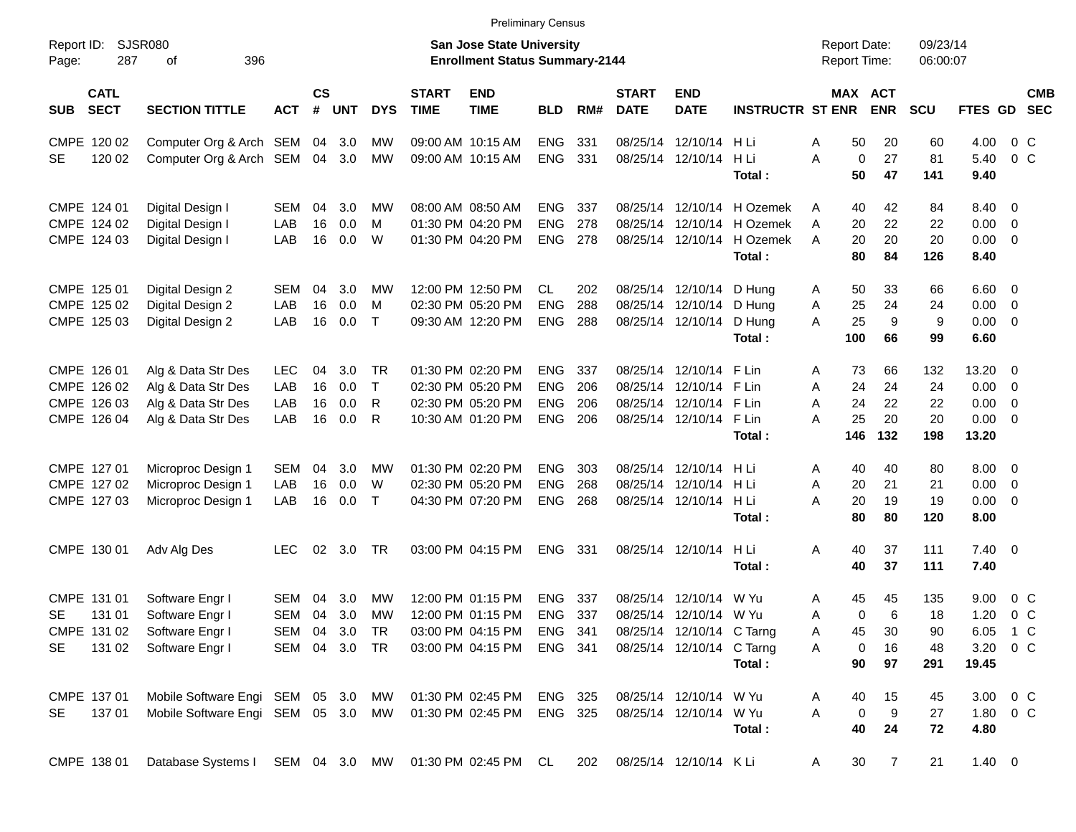|                                          |                                                                                  |               |           |       |            |                             |                                                                    | <b>Preliminary Census</b> |      |                             |                           |                            |                                     |                |                      |                |                          |                          |
|------------------------------------------|----------------------------------------------------------------------------------|---------------|-----------|-------|------------|-----------------------------|--------------------------------------------------------------------|---------------------------|------|-----------------------------|---------------------------|----------------------------|-------------------------------------|----------------|----------------------|----------------|--------------------------|--------------------------|
| Report ID:<br>287<br>Page:               | <b>SJSR080</b><br>396<br>οf                                                      |               |           |       |            |                             | San Jose State University<br><b>Enrollment Status Summary-2144</b> |                           |      |                             |                           |                            | <b>Report Date:</b><br>Report Time: |                | 09/23/14<br>06:00:07 |                |                          |                          |
| <b>CATL</b><br><b>SECT</b><br><b>SUB</b> | <b>SECTION TITTLE</b>                                                            | <b>ACT</b>    | <b>CS</b> | # UNT | <b>DYS</b> | <b>START</b><br><b>TIME</b> | <b>END</b><br><b>TIME</b>                                          | <b>BLD</b>                | RM#  | <b>START</b><br><b>DATE</b> | <b>END</b><br><b>DATE</b> | <b>INSTRUCTR ST ENR</b>    | MAX ACT                             | <b>ENR</b>     | <b>SCU</b>           | <b>FTES GD</b> |                          | <b>CMB</b><br><b>SEC</b> |
| CMPE 120 02                              | Computer Org & Arch SEM 04 3.0                                                   |               |           |       | MW         |                             | 09:00 AM 10:15 AM                                                  | <b>ENG</b>                | 331  |                             | 08/25/14 12/10/14 H Li    |                            | Α<br>50                             | 20             | 60                   | 4.00           | $0\,$ C                  |                          |
| 120 02<br><b>SE</b>                      | Computer Org & Arch SEM 04 3.0                                                   |               |           |       | MW         |                             | 09:00 AM 10:15 AM                                                  | <b>ENG</b>                | 331  |                             | 08/25/14 12/10/14 H Li    |                            | A<br>$\mathbf 0$                    | 27             | 81                   | 5.40           | $0\,C$                   |                          |
|                                          |                                                                                  |               |           |       |            |                             |                                                                    |                           |      |                             |                           | Total:                     | 50                                  | 47             | 141                  | 9.40           |                          |                          |
| CMPE 124 01                              | Digital Design I                                                                 | SEM           | 04        | 3.0   | МW         |                             | 08:00 AM 08:50 AM                                                  | <b>ENG</b>                | 337  |                             |                           | 08/25/14 12/10/14 H Ozemek | 40<br>A                             | 42             | 84                   | 8.40 0         |                          |                          |
| CMPE 124 02                              | Digital Design I                                                                 | LAB           | 16        | 0.0   | м          |                             | 01:30 PM 04:20 PM                                                  | <b>ENG</b>                | 278  |                             |                           | 08/25/14 12/10/14 H Ozemek | A<br>20                             | 22             | 22                   | 0.00           | $\overline{\phantom{0}}$ |                          |
| CMPE 124 03                              | Digital Design I                                                                 | LAB           | 16        | 0.0   | W          |                             | 01:30 PM 04:20 PM                                                  | <b>ENG 278</b>            |      |                             |                           | 08/25/14 12/10/14 H Ozemek | 20<br>A                             | 20             | 20                   | 0.00           | $\overline{\phantom{0}}$ |                          |
|                                          |                                                                                  |               |           |       |            |                             |                                                                    |                           |      |                             |                           | Total:                     | 80                                  | 84             | 126                  | 8.40           |                          |                          |
| CMPE 125 01                              | Digital Design 2                                                                 | SEM           | 04        | 3.0   | МW         |                             | 12:00 PM 12:50 PM                                                  | <b>CL</b>                 | 202  |                             | 08/25/14 12/10/14 D Hung  |                            | 50<br>A                             | 33             | 66                   | $6.60$ 0       |                          |                          |
| CMPE 125 02                              | Digital Design 2                                                                 | LAB           | 16        | 0.0   | м          |                             | 02:30 PM 05:20 PM                                                  | <b>ENG</b>                | 288  |                             | 08/25/14 12/10/14 D Hung  |                            | 25<br>A                             | 24             | 24                   | 0.00           | $\overline{\phantom{0}}$ |                          |
| CMPE 125 03                              | Digital Design 2                                                                 | LAB           | 16        | 0.0   | $\top$     |                             | 09:30 AM 12:20 PM                                                  | <b>ENG</b>                | 288  |                             | 08/25/14 12/10/14         | D Hung                     | 25<br>A                             | 9              | 9                    | $0.00 \t 0$    |                          |                          |
|                                          |                                                                                  |               |           |       |            |                             |                                                                    |                           |      |                             |                           | Total:                     | 100                                 | 66             | 99                   | 6.60           |                          |                          |
| CMPE 126 01                              | Alg & Data Str Des                                                               | <b>LEC</b>    | 04        | 3.0   | <b>TR</b>  |                             | 01:30 PM 02:20 PM                                                  | <b>ENG</b>                | 337  |                             | 08/25/14 12/10/14 F Lin   |                            | Α<br>73                             | 66             | 132                  | 13.20 0        |                          |                          |
| CMPE 126 02                              | Alg & Data Str Des                                                               | LAB           | 16        | 0.0   | $\top$     |                             | 02:30 PM 05:20 PM                                                  | <b>ENG</b>                | 206  |                             | 08/25/14 12/10/14 F Lin   |                            | A<br>24                             | 24             | 24                   | 0.00           | $\overline{\phantom{0}}$ |                          |
| CMPE 126 03                              | Alg & Data Str Des                                                               | LAB           | 16        | 0.0   | R          |                             | 02:30 PM 05:20 PM                                                  | <b>ENG</b>                | 206  |                             | 08/25/14 12/10/14 F Lin   |                            | A<br>24                             | 22             | 22                   | 0.00           | $\overline{0}$           |                          |
| CMPE 126 04                              | Alg & Data Str Des                                                               | LAB           | 16        | 0.0   | R          |                             | 10:30 AM 01:20 PM                                                  | <b>ENG</b>                | 206  |                             | 08/25/14 12/10/14 F Lin   |                            | A<br>25                             | 20             | 20                   | $0.00 \t 0$    |                          |                          |
|                                          |                                                                                  |               |           |       |            |                             |                                                                    |                           |      |                             |                           | Total:                     | 146                                 | 132            | 198                  | 13.20          |                          |                          |
| CMPE 127 01                              | Microproc Design 1                                                               | SEM           | 04        | 3.0   | МW         |                             | 01:30 PM 02:20 PM                                                  | <b>ENG</b>                | 303  |                             | 08/25/14 12/10/14 H Li    |                            | 40<br>A                             | 40             | 80                   | $8.00 \t 0$    |                          |                          |
| CMPE 127 02                              | Microproc Design 1                                                               | LAB           | 16        | 0.0   | W          |                             | 02:30 PM 05:20 PM                                                  | <b>ENG</b>                | 268  |                             | 08/25/14 12/10/14 H Li    |                            | Α<br>20                             | 21             | 21                   | 0.00           | $\overline{\mathbf{0}}$  |                          |
| CMPE 127 03                              | Microproc Design 1                                                               | LAB           | 16        | 0.0   | $\top$     |                             | 04:30 PM 07:20 PM                                                  | <b>ENG</b>                | 268  |                             | 08/25/14 12/10/14 H Li    |                            | A<br>20                             | 19             | 19                   | $0.00 \t 0$    |                          |                          |
|                                          |                                                                                  |               |           |       |            |                             |                                                                    |                           |      |                             |                           | Total:                     | 80                                  | 80             | 120                  | 8.00           |                          |                          |
| CMPE 130 01                              | Adv Alg Des                                                                      | <b>LEC</b>    | 02        | 3.0   | TR         |                             | 03:00 PM 04:15 PM                                                  | <b>ENG</b>                | -331 |                             | 08/25/14 12/10/14         | H Li                       | Α<br>40                             | 37             | 111                  | $7.40 \quad 0$ |                          |                          |
|                                          |                                                                                  |               |           |       |            |                             |                                                                    |                           |      |                             |                           | Total:                     | 40                                  | 37             | 111                  | 7.40           |                          |                          |
| CMPE 131 01                              | Software Engr I                                                                  | SEM           | 04        | 3.0   | МW         |                             | 12:00 PM 01:15 PM                                                  | <b>ENG</b>                | 337  |                             | 08/25/14 12/10/14         | W Yu                       | 45<br>A                             | 45             | 135                  | 9.00           | $0\,C$                   |                          |
| <b>SE</b><br>131 01                      | Software Engr I                                                                  | SEM           | 04        | 3.0   | MW         |                             | 12:00 PM 01:15 PM                                                  | <b>ENG</b>                | 337  |                             | 08/25/14 12/10/14 W Yu    |                            | A<br>0                              | 6              | 18                   | 1.20           | 0 <sup>o</sup>           |                          |
|                                          | CMPE 131 02 Software Engr I                                                      | SEM 04 3.0 TR |           |       |            |                             | 03:00 PM 04:15 PM                                                  | ENG 341                   |      |                             | 08/25/14 12/10/14 C Tarng |                            | 45<br>A                             | 30             | 90                   | 6.05 1 C       |                          |                          |
| SE                                       | 131 02 Software Engr I                                                           | SEM 04 3.0 TR |           |       |            |                             | 03:00 PM 04:15 PM                                                  | ENG 341                   |      |                             | 08/25/14 12/10/14 C Tarng |                            | A<br>$\mathbf 0$                    | 16             | 48                   | 3.20 0 C       |                          |                          |
|                                          |                                                                                  |               |           |       |            |                             |                                                                    |                           |      |                             |                           | Total:                     | 90                                  | 97             | 291                  | 19.45          |                          |                          |
| CMPE 137 01                              | Mobile Software Engi SEM 05 3.0 MW                                               |               |           |       |            |                             | 01:30 PM 02:45 PM                                                  | ENG 325                   |      |                             | 08/25/14 12/10/14 W Yu    |                            | 40<br>A                             | 15             | 45                   | 3.00 0 C       |                          |                          |
| 13701<br>SE                              | Mobile Software Engi SEM 05 3.0 MW                                               |               |           |       |            |                             | 01:30 PM 02:45 PM                                                  | ENG 325                   |      |                             | 08/25/14 12/10/14 W Yu    |                            | A<br>$\mathbf 0$                    | 9              | 27                   | 1.80 0 C       |                          |                          |
|                                          |                                                                                  |               |           |       |            |                             |                                                                    |                           |      |                             |                           | Total:                     | 40                                  | 24             | 72                   | 4.80           |                          |                          |
| CMPE 138 01                              | Database Systems I SEM 04 3.0 MW 01:30 PM 02:45 PM CL 202 08/25/14 12/10/14 K Li |               |           |       |            |                             |                                                                    |                           |      |                             |                           |                            | 30 <sup>°</sup><br>A                | $\overline{7}$ | 21                   | $1.40 \ 0$     |                          |                          |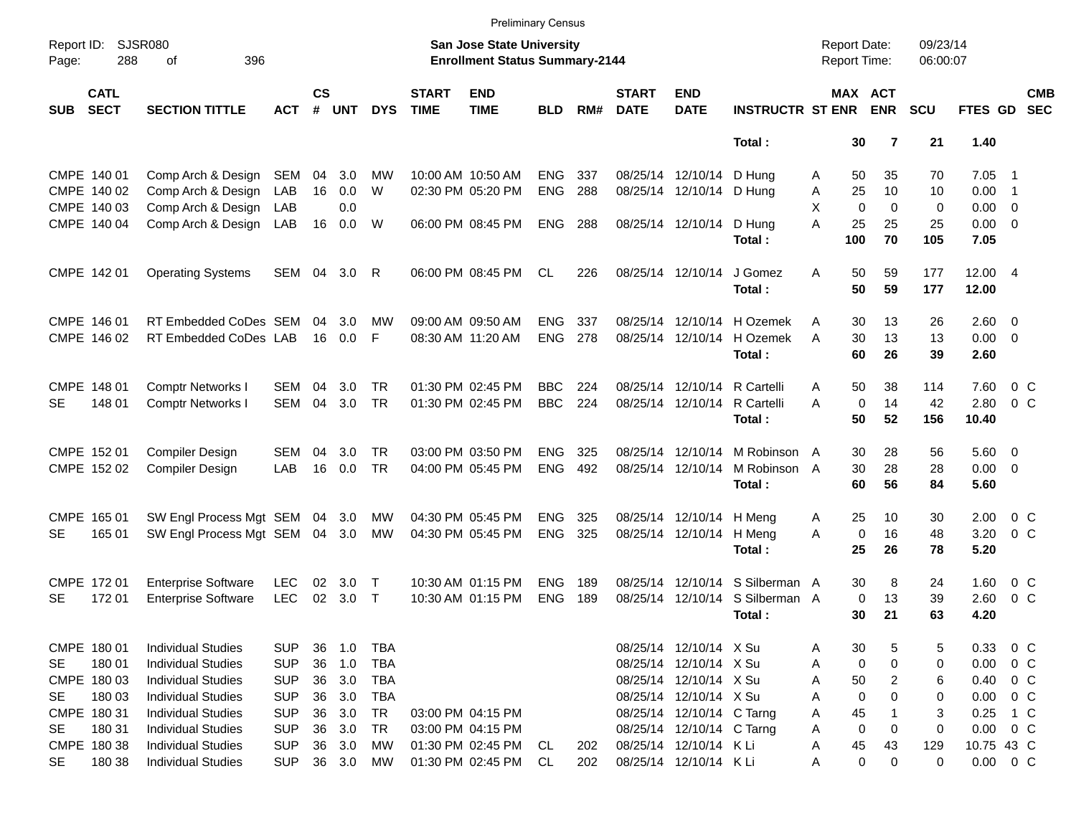|                     |                            |                                |            |                |            |            |                             |                                                                           | <b>Preliminary Census</b> |     |                             |                           |                         |                                            |                            |                      |                     |                  |                          |
|---------------------|----------------------------|--------------------------------|------------|----------------|------------|------------|-----------------------------|---------------------------------------------------------------------------|---------------------------|-----|-----------------------------|---------------------------|-------------------------|--------------------------------------------|----------------------------|----------------------|---------------------|------------------|--------------------------|
| Report ID:<br>Page: | 288                        | SJSR080<br>396<br>οf           |            |                |            |            |                             | <b>San Jose State University</b><br><b>Enrollment Status Summary-2144</b> |                           |     |                             |                           |                         | <b>Report Date:</b><br><b>Report Time:</b> |                            | 09/23/14<br>06:00:07 |                     |                  |                          |
| <b>SUB</b>          | <b>CATL</b><br><b>SECT</b> | <b>SECTION TITTLE</b>          | <b>ACT</b> | <b>CS</b><br># | <b>UNT</b> | <b>DYS</b> | <b>START</b><br><b>TIME</b> | <b>END</b><br><b>TIME</b>                                                 | <b>BLD</b>                | RM# | <b>START</b><br><b>DATE</b> | <b>END</b><br><b>DATE</b> | <b>INSTRUCTR ST ENR</b> |                                            | MAX ACT<br><b>ENR</b>      | <b>SCU</b>           | FTES GD             |                  | <b>CMB</b><br><b>SEC</b> |
|                     |                            |                                |            |                |            |            |                             |                                                                           |                           |     |                             |                           | Total:                  |                                            | 30<br>$\overline{7}$       | 21                   | 1.40                |                  |                          |
|                     | CMPE 140 01                | Comp Arch & Design             | SEM        | 04             | 3.0        | MW         |                             | 10:00 AM 10:50 AM                                                         | <b>ENG</b>                | 337 |                             | 08/25/14 12/10/14         | D Hung                  | A                                          | 50<br>35                   | 70                   | 7.05                | $\blacksquare$ 1 |                          |
|                     | CMPE 140 02                | Comp Arch & Design             | LAB        | 16             | 0.0        | W          |                             | 02:30 PM 05:20 PM                                                         | <b>ENG</b>                | 288 |                             | 08/25/14 12/10/14 D Hung  |                         | Α                                          | 25<br>10                   | 10                   | $0.00$ 1            |                  |                          |
|                     | CMPE 140 03                | Comp Arch & Design             | LAB        |                | 0.0        |            |                             |                                                                           |                           |     |                             |                           |                         | X                                          | $\mathbf 0$<br>$\mathbf 0$ | $\mathbf 0$          | $0.00 \t 0$         |                  |                          |
|                     | CMPE 140 04                | Comp Arch & Design             | LAB        | 16             | 0.0        | W          |                             | 06:00 PM 08:45 PM                                                         | <b>ENG</b>                | 288 |                             | 08/25/14 12/10/14         | D Hung<br>Total:        | A<br>100                                   | 25<br>25<br>70             | 25<br>105            | $0.00 \t 0$<br>7.05 |                  |                          |
|                     |                            |                                |            |                |            |            |                             |                                                                           |                           |     |                             |                           |                         |                                            |                            |                      |                     |                  |                          |
|                     | CMPE 142 01                | <b>Operating Systems</b>       | SEM 04 3.0 |                |            | R          |                             | 06:00 PM 08:45 PM                                                         | <b>CL</b>                 | 226 |                             | 08/25/14 12/10/14         | J Gomez<br>Total:       | A                                          | 50<br>59<br>50<br>59       | 177<br>177           | 12.00 4<br>12.00    |                  |                          |
|                     | CMPE 146 01                | RT Embedded CoDes SEM          |            | 04             | 3.0        | МW         |                             | 09:00 AM 09:50 AM                                                         | <b>ENG</b>                | 337 |                             | 08/25/14 12/10/14         | H Ozemek                | A                                          | 30<br>13                   | 26                   | $2.60 \t 0$         |                  |                          |
|                     | CMPE 146 02                | RT Embedded CoDes LAB          |            | 16             | 0.0        | F          |                             | 08:30 AM 11:20 AM                                                         | <b>ENG</b>                | 278 |                             | 08/25/14 12/10/14         | H Ozemek                | A                                          | 13<br>30                   | 13                   | $0.00 \t 0$         |                  |                          |
|                     |                            |                                |            |                |            |            |                             |                                                                           |                           |     |                             |                           | Total:                  |                                            | 26<br>60                   | 39                   | 2.60                |                  |                          |
| CMPE 148 01         |                            | <b>Comptr Networks I</b>       | SEM        | 04             | 3.0        | TR         |                             | 01:30 PM 02:45 PM                                                         | <b>BBC</b>                | 224 |                             | 08/25/14 12/10/14         | R Cartelli              | A                                          | 50<br>38                   | 114                  | 7.60                | $0\,$ C          |                          |
| <b>SE</b>           | 148 01                     | Comptr Networks I              | SEM        | 04             | 3.0        | TR         |                             | 01:30 PM 02:45 PM                                                         | <b>BBC</b>                | 224 |                             | 08/25/14 12/10/14         | R Cartelli              | A                                          | $\mathbf 0$<br>14          | 42                   | 2.80                | $0\,$ C          |                          |
|                     |                            |                                |            |                |            |            |                             |                                                                           |                           |     |                             |                           | Total:                  |                                            | 50<br>52                   | 156                  | 10.40               |                  |                          |
|                     | CMPE 152 01                | Compiler Design                | SEM        | 04             | 3.0        | TR         |                             | 03:00 PM 03:50 PM                                                         | <b>ENG</b>                | 325 |                             | 08/25/14 12/10/14         | M Robinson A            |                                            | 30<br>28                   | 56                   | $5.60$ 0            |                  |                          |
|                     | CMPE 152 02                | Compiler Design                | LAB        | 16             | 0.0        | TR         |                             | 04:00 PM 05:45 PM                                                         | <b>ENG</b>                | 492 |                             | 08/25/14 12/10/14         | M Robinson A            |                                            | 30<br>28                   | 28                   | $0.00 \t 0$         |                  |                          |
|                     |                            |                                |            |                |            |            |                             |                                                                           |                           |     |                             |                           | Total:                  |                                            | 60<br>56                   | 84                   | 5.60                |                  |                          |
|                     | CMPE 165 01                | SW Engl Process Mgt SEM 04     |            |                | 3.0        | MW         |                             | 04:30 PM 05:45 PM                                                         | <b>ENG</b>                | 325 |                             | 08/25/14 12/10/14         | H Meng                  | A                                          | 25<br>10                   | 30                   | 2.00                | $0\,$ C          |                          |
| <b>SE</b>           | 165 01                     | SW Engl Process Mgt SEM 04 3.0 |            |                |            | <b>MW</b>  |                             | 04:30 PM 05:45 PM                                                         | <b>ENG</b>                | 325 |                             | 08/25/14 12/10/14         | H Meng                  | A                                          | $\mathbf 0$<br>16          | 48                   | 3.20                | 0 <sup>o</sup>   |                          |
|                     |                            |                                |            |                |            |            |                             |                                                                           |                           |     |                             |                           | Total:                  |                                            | 25<br>26                   | 78                   | 5.20                |                  |                          |
|                     | CMPE 172 01                | <b>Enterprise Software</b>     | <b>LEC</b> | 02             | 3.0        | $\top$     |                             | 10:30 AM 01:15 PM                                                         | <b>ENG</b>                | 189 |                             | 08/25/14 12/10/14         | S Silberman A           |                                            | 30<br>8                    | 24                   | 1.60                | $0\,$ C          |                          |
| <b>SE</b>           | 172 01                     | <b>Enterprise Software</b>     | <b>LEC</b> | 02             | 3.0        | $\top$     |                             | 10:30 AM 01:15 PM                                                         | <b>ENG</b>                | 189 |                             | 08/25/14 12/10/14         | S Silberman A           |                                            | $\mathbf 0$<br>13          | 39                   | 2.60                | $0\,$ C          |                          |
|                     |                            |                                |            |                |            |            |                             |                                                                           |                           |     |                             |                           | Total:                  |                                            | 30<br>21                   | 63                   | 4.20                |                  |                          |
|                     | CMPE 180 01                | <b>Individual Studies</b>      | <b>SUP</b> | 36             | 1.0        | TBA        |                             |                                                                           |                           |     |                             | 08/25/14 12/10/14 X Su    |                         | A                                          | 30<br>5                    | 5                    | 0.33                | 0 C              |                          |
| SE                  | 180 01                     | <b>Individual Studies</b>      | <b>SUP</b> | 36             | 1.0        | <b>TBA</b> |                             |                                                                           |                           |     |                             | 08/25/14 12/10/14 X Su    |                         | A                                          | 0<br>0                     | 0                    | 0.00                | 0 C              |                          |
|                     | CMPE 180 03                | <b>Individual Studies</b>      | <b>SUP</b> | 36             | 3.0        | TBA        |                             |                                                                           |                           |     |                             | 08/25/14 12/10/14 X Su    |                         | Α                                          | 50<br>2                    | 6                    | 0.40                | $0\,$ C          |                          |
| SE                  | 180 03                     | <b>Individual Studies</b>      | <b>SUP</b> | 36             | 3.0        | <b>TBA</b> |                             |                                                                           |                           |     |                             | 08/25/14 12/10/14 X Su    |                         | Α                                          | 0<br>0                     | 0                    | 0.00                | $0\,$ C          |                          |
|                     | CMPE 180 31                | <b>Individual Studies</b>      | <b>SUP</b> | 36             | 3.0        | TR         |                             | 03:00 PM 04:15 PM                                                         |                           |     |                             | 08/25/14 12/10/14 C Tarng |                         | Α                                          | 45                         | 3                    | 0.25                | 1 C              |                          |
| SE                  | 180 31                     | <b>Individual Studies</b>      | <b>SUP</b> | 36             | 3.0        | TR         |                             | 03:00 PM 04:15 PM                                                         |                           |     |                             | 08/25/14 12/10/14 C Tarng |                         | Α                                          | 0<br>0                     | 0                    | 0.00                | $0\,$ C          |                          |
|                     | CMPE 180 38                | <b>Individual Studies</b>      | <b>SUP</b> | 36             | 3.0        | МW         |                             | 01:30 PM 02:45 PM                                                         | CL                        | 202 |                             | 08/25/14 12/10/14 K Li    |                         | A                                          | 43<br>45                   | 129                  | 10.75 43 C          |                  |                          |
| SE                  | 180 38                     | <b>Individual Studies</b>      | <b>SUP</b> |                | 36 3.0     | МW         |                             | 01:30 PM 02:45 PM                                                         | CL                        | 202 |                             | 08/25/14 12/10/14 K Li    |                         | Α                                          | 0<br>0                     | 0                    | $0.00 \t 0 C$       |                  |                          |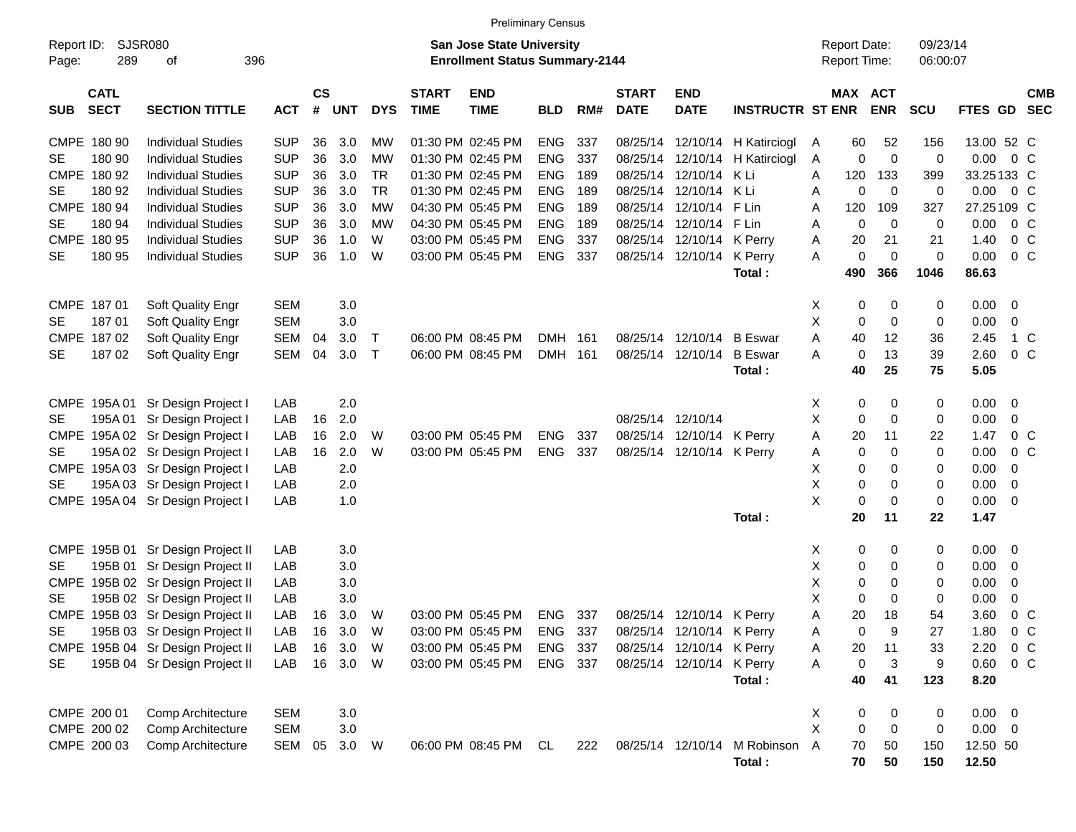|                                          |                                   |            |                    |            |            |                             | <b>Preliminary Census</b>                                                 |            |     |                             |                           |                              |                                     |                            |                      |                |                                          |
|------------------------------------------|-----------------------------------|------------|--------------------|------------|------------|-----------------------------|---------------------------------------------------------------------------|------------|-----|-----------------------------|---------------------------|------------------------------|-------------------------------------|----------------------------|----------------------|----------------|------------------------------------------|
| Report ID:<br>289<br>Page:               | SJSR080<br>396<br>οf              |            |                    |            |            |                             | <b>San Jose State University</b><br><b>Enrollment Status Summary-2144</b> |            |     |                             |                           |                              | <b>Report Date:</b><br>Report Time: |                            | 09/23/14<br>06:00:07 |                |                                          |
| <b>CATL</b><br><b>SECT</b><br><b>SUB</b> | <b>SECTION TITTLE</b>             | <b>ACT</b> | $\mathsf{cs}$<br># | <b>UNT</b> | <b>DYS</b> | <b>START</b><br><b>TIME</b> | <b>END</b><br><b>TIME</b>                                                 | <b>BLD</b> | RM# | <b>START</b><br><b>DATE</b> | <b>END</b><br><b>DATE</b> | <b>INSTRUCTR ST ENR</b>      |                                     | MAX ACT<br><b>ENR</b>      | <b>SCU</b>           | <b>FTES GD</b> | <b>CMB</b><br><b>SEC</b>                 |
| CMPE 180 90                              | <b>Individual Studies</b>         | <b>SUP</b> | 36                 | 3.0        | МW         |                             | 01:30 PM 02:45 PM                                                         | <b>ENG</b> | 337 | 08/25/14                    |                           | 12/10/14 H Katirciogl        | 60<br>A                             | 52                         | 156                  | 13.00 52 C     |                                          |
| 180 90<br>SE                             | <b>Individual Studies</b>         | <b>SUP</b> | 36                 | 3.0        | MW         |                             | 01:30 PM 02:45 PM                                                         | <b>ENG</b> | 337 | 08/25/14                    |                           | 12/10/14 H Katirciogl        | A                                   | 0<br>$\mathbf 0$           | 0                    | $0.00 \t 0 C$  |                                          |
| CMPE 180 92                              | <b>Individual Studies</b>         | <b>SUP</b> | 36                 | 3.0        | <b>TR</b>  |                             | 01:30 PM 02:45 PM                                                         | <b>ENG</b> | 189 | 08/25/14                    | 12/10/14 K Li             |                              | 120<br>A                            | 133                        | 399                  | 33.25133 C     |                                          |
| 180 92<br>SE                             | <b>Individual Studies</b>         | <b>SUP</b> | 36                 | 3.0        | <b>TR</b>  |                             | 01:30 PM 02:45 PM                                                         | <b>ENG</b> | 189 | 08/25/14                    | 12/10/14 K Li             |                              | Α                                   | $\mathbf 0$<br>$\mathbf 0$ | 0                    | $0.00 \t 0 C$  |                                          |
| CMPE 180 94                              | <b>Individual Studies</b>         | <b>SUP</b> | 36                 | 3.0        | <b>MW</b>  |                             | 04:30 PM 05:45 PM                                                         | <b>ENG</b> | 189 | 08/25/14                    | 12/10/14 F Lin            |                              | Α<br>120                            | 109                        | 327                  | 27.25109 C     |                                          |
| 180 94<br>SE                             | <b>Individual Studies</b>         | <b>SUP</b> | 36                 | 3.0        | MW         |                             | 04:30 PM 05:45 PM                                                         | <b>ENG</b> | 189 | 08/25/14                    | 12/10/14 F Lin            |                              | A                                   | $\mathbf 0$<br>$\mathbf 0$ | 0                    | $0.00 \t 0 C$  |                                          |
| CMPE 180 95                              | <b>Individual Studies</b>         | <b>SUP</b> | 36                 | 1.0        | W          |                             | 03:00 PM 05:45 PM                                                         | <b>ENG</b> | 337 | 08/25/14                    | 12/10/14 K Perry          |                              | Α<br>20                             | 21                         | 21                   | 1.40           | 0 <sup>o</sup>                           |
| 180 95<br>SE                             | <b>Individual Studies</b>         | <b>SUP</b> | 36                 | 1.0        | W          |                             | 03:00 PM 05:45 PM                                                         | <b>ENG</b> | 337 |                             | 08/25/14 12/10/14 K Perry |                              | A                                   | 0<br>$\mathbf 0$           | $\mathbf 0$          | 0.00           | 0 <sup>o</sup>                           |
|                                          |                                   |            |                    |            |            |                             |                                                                           |            |     |                             |                           | Total:                       | 490                                 | 366                        | 1046                 | 86.63          |                                          |
| CMPE 187 01                              | <b>Soft Quality Engr</b>          | <b>SEM</b> |                    | 3.0        |            |                             |                                                                           |            |     |                             |                           |                              | X                                   | 0<br>0                     | 0                    | $0.00 \t 0$    |                                          |
| 18701<br><b>SE</b>                       | Soft Quality Engr                 | <b>SEM</b> |                    | 3.0        |            |                             |                                                                           |            |     |                             |                           |                              | X                                   | 0<br>$\mathbf 0$           | 0                    | 0.00           | $\overline{0}$                           |
| CMPE 187 02                              | Soft Quality Engr                 | SEM        | 04                 | 3.0        | $\top$     |                             | 06:00 PM 08:45 PM                                                         | DMH        | 161 |                             | 08/25/14 12/10/14         | <b>B</b> Eswar               | A<br>40                             | 12                         | 36                   | 2.45           | 1 C                                      |
| 18702<br>SE                              | <b>Soft Quality Engr</b>          | SEM        | 04                 | 3.0        | $\top$     |                             | 06:00 PM 08:45 PM                                                         | <b>DMH</b> | 161 |                             | 08/25/14 12/10/14         | <b>B</b> Eswar               | A                                   | $\mathbf 0$<br>13          | 39                   | 2.60           | 0 <sup>o</sup>                           |
|                                          |                                   |            |                    |            |            |                             |                                                                           |            |     |                             |                           | Total:                       | 40                                  | 25                         | 75                   | 5.05           |                                          |
|                                          |                                   |            |                    |            |            |                             |                                                                           |            |     |                             |                           |                              |                                     |                            |                      |                |                                          |
| CMPE 195A 01                             | Sr Design Project I               | LAB        |                    | 2.0        |            |                             |                                                                           |            |     |                             |                           |                              | X                                   | 0<br>0                     | 0                    | $0.00 \t 0$    |                                          |
| 195A 01<br>SE                            | Sr Design Project I               | LAB        | 16                 | 2.0        |            |                             |                                                                           |            |     |                             | 08/25/14 12/10/14         |                              | X                                   | $\mathbf 0$<br>$\mathbf 0$ | 0                    | 0.00           | 0                                        |
|                                          | CMPE 195A 02 Sr Design Project I  | LAB        | 16                 | 2.0        | W          |                             | 03:00 PM 05:45 PM                                                         | <b>ENG</b> | 337 | 08/25/14                    | 12/10/14 K Perry          |                              | 20<br>Α                             | 11                         | 22                   | 1.47           | 0 <sup>o</sup>                           |
| SE                                       | 195A 02 Sr Design Project I       | LAB        | 16                 | 2.0        | W          |                             | 03:00 PM 05:45 PM                                                         | <b>ENG</b> | 337 |                             | 08/25/14 12/10/14 K Perry |                              | Α                                   | $\mathbf 0$<br>0           | 0                    | 0.00           | 0 <sup>o</sup>                           |
|                                          | CMPE 195A 03 Sr Design Project I  | LAB        |                    | 2.0        |            |                             |                                                                           |            |     |                             |                           |                              | X                                   | 0<br>0                     | 0                    | 0.00           | 0                                        |
| SE                                       | 195A 03 Sr Design Project I       | LAB        |                    | 2.0        |            |                             |                                                                           |            |     |                             |                           |                              | X                                   | 0<br>0                     | 0                    | 0.00           | 0                                        |
|                                          | CMPE 195A 04 Sr Design Project I  | LAB        |                    | 1.0        |            |                             |                                                                           |            |     |                             |                           |                              | X                                   | $\mathbf 0$<br>$\mathbf 0$ | 0                    | 0.00           | $\overline{\phantom{0}}$                 |
|                                          |                                   |            |                    |            |            |                             |                                                                           |            |     |                             |                           | Total:                       | 20                                  | 11                         | 22                   | 1.47           |                                          |
|                                          |                                   |            |                    |            |            |                             |                                                                           |            |     |                             |                           |                              |                                     |                            |                      |                |                                          |
|                                          | CMPE 195B 01 Sr Design Project II | LAB        |                    | 3.0        |            |                             |                                                                           |            |     |                             |                           |                              | X                                   | 0<br>0                     | 0                    | $0.00 \t 0$    |                                          |
| SE                                       | 195B 01 Sr Design Project II      | LAB        |                    | 3.0        |            |                             |                                                                           |            |     |                             |                           |                              | X                                   | 0<br>0                     | 0                    | 0.00           | $\overline{\mathbf{0}}$                  |
|                                          | CMPE 195B 02 Sr Design Project II | LAB        |                    | 3.0        |            |                             |                                                                           |            |     |                             |                           |                              | X                                   | 0<br>0                     | 0                    | 0.00           | 0                                        |
| SE                                       | 195B 02 Sr Design Project II      | LAB        |                    | 3.0        |            |                             |                                                                           |            |     |                             |                           |                              | X                                   | $\mathbf 0$<br>$\mathbf 0$ | 0                    | 0.00           | 0                                        |
|                                          | CMPE 195B 03 Sr Design Project II | LAB        | 16                 | 3.0        | W          |                             | 03:00 PM 05:45 PM                                                         | ENG 337    |     |                             | 08/25/14 12/10/14 K Perry |                              | Α<br>20                             | 18                         | 54                   | 3.60           | 0 <sup>o</sup>                           |
| SE                                       | 195B 03 Sr Design Project II      | LAB        | 16                 | 3.0        | W          |                             | 03:00 PM 05:45 PM                                                         | ENG 337    |     |                             | 08/25/14 12/10/14 K Perry |                              | Α                                   | 0<br>9                     | 27                   | 1.80           | $0\,$ C                                  |
|                                          | CMPE 195B 04 Sr Design Project II | LAB        | 16                 | 3.0        | W          |                             | 03:00 PM 05:45 PM                                                         | ENG 337    |     |                             | 08/25/14 12/10/14 K Perry |                              | Α<br>20                             | 11                         | 33                   | 2.20           | $\begin{array}{ccc} & 0 & C \end{array}$ |
| SE                                       | 195B 04 Sr Design Project II      | LAB        |                    | 16 3.0 W   |            |                             | 03:00 PM 05:45 PM                                                         | ENG 337    |     |                             | 08/25/14 12/10/14 K Perry |                              | Α                                   | 0<br>3                     | 9                    | $0.60 \t 0 C$  |                                          |
|                                          |                                   |            |                    |            |            |                             |                                                                           |            |     |                             |                           | Total:                       | 40                                  | 41                         | 123                  | 8.20           |                                          |
| CMPE 200 01                              | Comp Architecture                 | SEM        |                    | 3.0        |            |                             |                                                                           |            |     |                             |                           |                              | X                                   | 0<br>0                     | $\boldsymbol{0}$     | $0.00 \t 0$    |                                          |
| CMPE 200 02                              | Comp Architecture                 | <b>SEM</b> |                    | 3.0        |            |                             |                                                                           |            |     |                             |                           |                              | X                                   | 0<br>0                     | 0                    | $0.00 \t 0$    |                                          |
| CMPE 200 03                              | Comp Architecture                 | SEM 05     |                    | 3.0 W      |            |                             | 06:00 PM 08:45 PM CL                                                      |            | 222 |                             |                           | 08/25/14 12/10/14 M Robinson | A<br>70                             | 50                         | 150                  | 12.50 50       |                                          |
|                                          |                                   |            |                    |            |            |                             |                                                                           |            |     |                             |                           | Total:                       |                                     | 70<br>50                   | 150                  | 12.50          |                                          |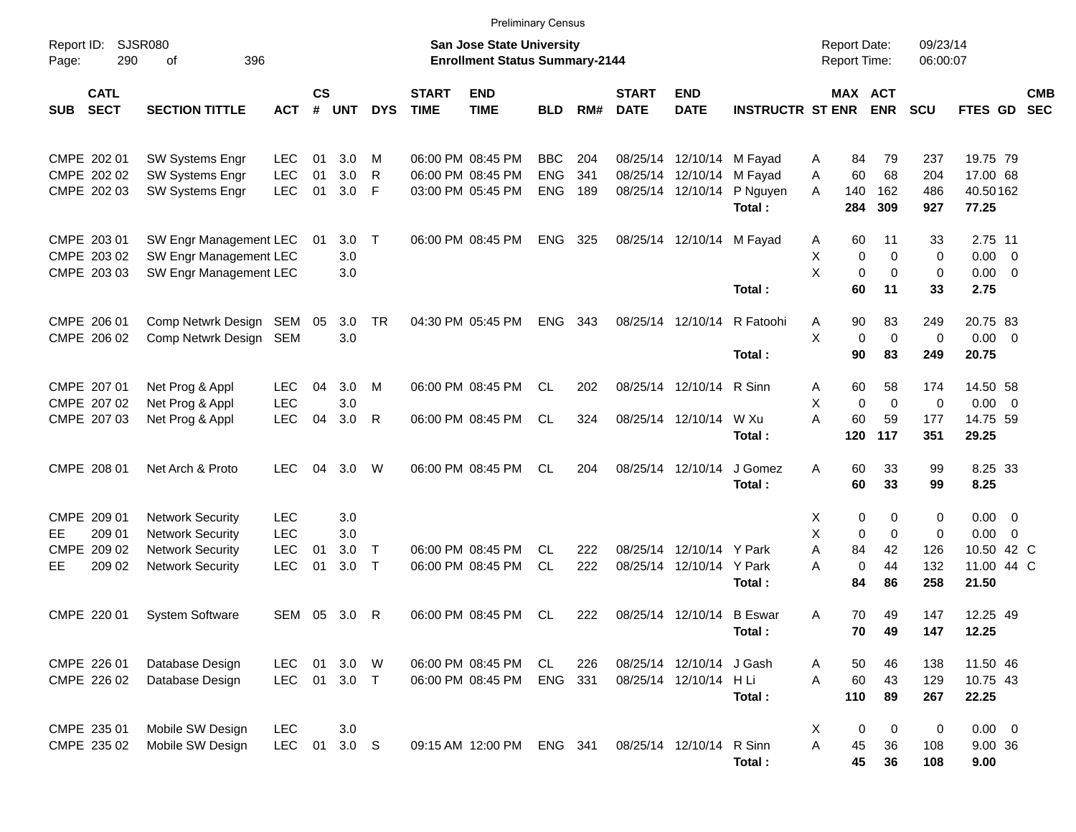|                                                            |                                                                                                          |                                        |                |                          |                        |                             |                                                                           | <b>Preliminary Census</b>              |                   |                             |                                                                             |                         |                                             |                                |                                                 |                                                                 |                          |
|------------------------------------------------------------|----------------------------------------------------------------------------------------------------------|----------------------------------------|----------------|--------------------------|------------------------|-----------------------------|---------------------------------------------------------------------------|----------------------------------------|-------------------|-----------------------------|-----------------------------------------------------------------------------|-------------------------|---------------------------------------------|--------------------------------|-------------------------------------------------|-----------------------------------------------------------------|--------------------------|
| Report ID:<br>290<br>Page:                                 | <b>SJSR080</b><br>396<br>of                                                                              |                                        |                |                          |                        |                             | <b>San Jose State University</b><br><b>Enrollment Status Summary-2144</b> |                                        |                   |                             |                                                                             |                         | <b>Report Date:</b><br><b>Report Time:</b>  |                                | 09/23/14<br>06:00:07                            |                                                                 |                          |
| <b>CATL</b><br><b>SECT</b><br><b>SUB</b>                   | <b>SECTION TITTLE</b>                                                                                    | <b>ACT</b>                             | <b>CS</b><br># | UNT                      | <b>DYS</b>             | <b>START</b><br><b>TIME</b> | <b>END</b><br><b>TIME</b>                                                 | <b>BLD</b>                             | RM#               | <b>START</b><br><b>DATE</b> | <b>END</b><br><b>DATE</b>                                                   | <b>INSTRUCTR ST ENR</b> | MAX ACT                                     | <b>ENR</b>                     | <b>SCU</b>                                      | FTES GD                                                         | <b>CMB</b><br><b>SEC</b> |
| CMPE 202 01<br>CMPE 202 02<br>CMPE 202 03                  | <b>SW Systems Engr</b><br>SW Systems Engr<br>SW Systems Engr                                             | <b>LEC</b><br><b>LEC</b><br>LEC        | 01<br>01<br>01 | 3.0<br>3.0<br>3.0        | M<br>R<br>$\mathsf{F}$ |                             | 06:00 PM 08:45 PM<br>06:00 PM 08:45 PM<br>03:00 PM 05:45 PM               | <b>BBC</b><br><b>ENG</b><br><b>ENG</b> | 204<br>341<br>189 |                             | 08/25/14 12/10/14 M Fayad<br>08/25/14 12/10/14 M Fayad<br>08/25/14 12/10/14 | P Nguyen<br>Total:      | 84<br>A<br>60<br>Α<br>A<br>140<br>284       | 79<br>68<br>162<br>309         | 237<br>204<br>486<br>927                        | 19.75 79<br>17.00 68<br>40.50162<br>77.25                       |                          |
| CMPE 203 01<br>CMPE 203 02<br>CMPE 203 03                  | SW Engr Management LEC<br>SW Engr Management LEC<br>SW Engr Management LEC                               |                                        | 01             | 3.0<br>3.0<br>3.0        | $\top$                 |                             | 06:00 PM 08:45 PM                                                         | <b>ENG</b>                             | 325               |                             | 08/25/14 12/10/14 M Fayad                                                   | Total:                  | 60<br>A<br>X<br>0<br>X<br>$\mathbf 0$<br>60 | 11<br>0<br>$\mathbf 0$<br>11   | 33<br>0<br>$\mathbf 0$<br>33                    | 2.75 11<br>$0.00 \t 0$<br>$0.00 \t 0$<br>2.75                   |                          |
| CMPE 206 01<br>CMPE 206 02                                 | Comp Netwrk Design SEM<br>Comp Netwrk Design SEM                                                         |                                        | 05             | 3.0<br>3.0               | TR                     |                             | 04:30 PM 05:45 PM                                                         | <b>ENG</b>                             | 343               |                             | 08/25/14 12/10/14                                                           | R Fatoohi<br>Total:     | 90<br>Α<br>X<br>$\mathbf 0$<br>90           | 83<br>$\mathbf 0$<br>83        | 249<br>$\mathbf 0$<br>249                       | 20.75 83<br>$0.00 \t 0$<br>20.75                                |                          |
| CMPE 207 01<br>CMPE 207 02<br>CMPE 207 03                  | Net Prog & Appl<br>Net Prog & Appl<br>Net Prog & Appl                                                    | <b>LEC</b><br>LEC<br>LEC               | 04<br>04       | 3.0<br>3.0<br>3.0        | M<br>$\mathsf{R}$      |                             | 06:00 PM 08:45 PM<br>06:00 PM 08:45 PM                                    | CL.<br><b>CL</b>                       | 202<br>324        |                             | 08/25/14 12/10/14 R Sinn<br>08/25/14 12/10/14 W Xu                          | Total:                  | 60<br>A<br>Χ<br>$\pmb{0}$<br>A<br>60<br>120 | 58<br>$\mathbf 0$<br>59<br>117 | 174<br>0<br>177<br>351                          | 14.50 58<br>$0.00 \t 0$<br>14.75 59<br>29.25                    |                          |
| CMPE 208 01                                                | Net Arch & Proto                                                                                         | <b>LEC</b>                             | 04             | 3.0                      | W                      |                             | 06:00 PM 08:45 PM                                                         | CL.                                    | 204               |                             | 08/25/14 12/10/14                                                           | J Gomez<br>Total:       | A<br>60<br>60                               | 33<br>33                       | 99<br>99                                        | 8.25 33<br>8.25                                                 |                          |
| CMPE 209 01<br>209 01<br>EE<br>CMPE 209 02<br>209 02<br>EE | <b>Network Security</b><br><b>Network Security</b><br><b>Network Security</b><br><b>Network Security</b> | <b>LEC</b><br><b>LEC</b><br>LEC<br>LEC | 01<br>01       | 3.0<br>3.0<br>3.0<br>3.0 | $\top$<br>$\top$       |                             | 06:00 PM 08:45 PM<br>06:00 PM 08:45 PM                                    | CL.<br><b>CL</b>                       | 222<br>222        |                             | 08/25/14 12/10/14 Y Park<br>08/25/14 12/10/14 Y Park                        | Total:                  | 0<br>х<br>X<br>0<br>A<br>84<br>0<br>A<br>84 | 0<br>0<br>42<br>44<br>86       | $\mathbf 0$<br>$\mathbf 0$<br>126<br>132<br>258 | $0.00 \t 0$<br>$0.00 \t 0$<br>10.50 42 C<br>11.00 44 C<br>21.50 |                          |
| CMPE 220 01                                                | <b>System Software</b>                                                                                   | SEM                                    | 05             | 3.0                      | R                      |                             | 06:00 PM 08:45 PM                                                         | CL                                     | 222               |                             | 08/25/14 12/10/14 B Eswar                                                   | Total:                  | 70<br>Α<br>70                               | 49<br>49                       | 147<br>147                                      | 12.25 49<br>12.25                                               |                          |
| CMPE 226 01<br>CMPE 226 02                                 | Database Design<br>Database Design                                                                       | LEC<br>LEC                             |                | 01 3.0 W<br>01 3.0 T     |                        |                             | 06:00 PM 08:45 PM<br>06:00 PM 08:45 PM                                    | CL<br>ENG                              | 226<br>331        |                             | 08/25/14 12/10/14 J Gash<br>08/25/14 12/10/14 H Li                          | Total:                  | 50<br>A<br>A<br>60<br>110                   | 46<br>43<br>89                 | 138<br>129<br>267                               | 11.50 46<br>10.75 43<br>22.25                                   |                          |
| CMPE 235 01<br>CMPE 235 02                                 | Mobile SW Design<br>Mobile SW Design                                                                     | LEC<br>LEC                             | 01             | 3.0<br>3.0 <sub>S</sub>  |                        |                             | 09:15 AM 12:00 PM                                                         | ENG 341                                |                   |                             | 08/25/14 12/10/14 R Sinn                                                    | Total:                  | X<br>0<br>A<br>45<br>45                     | 0<br>36<br>36                  | 0<br>108<br>108                                 | $0.00 \t 0$<br>9.00 36<br>9.00                                  |                          |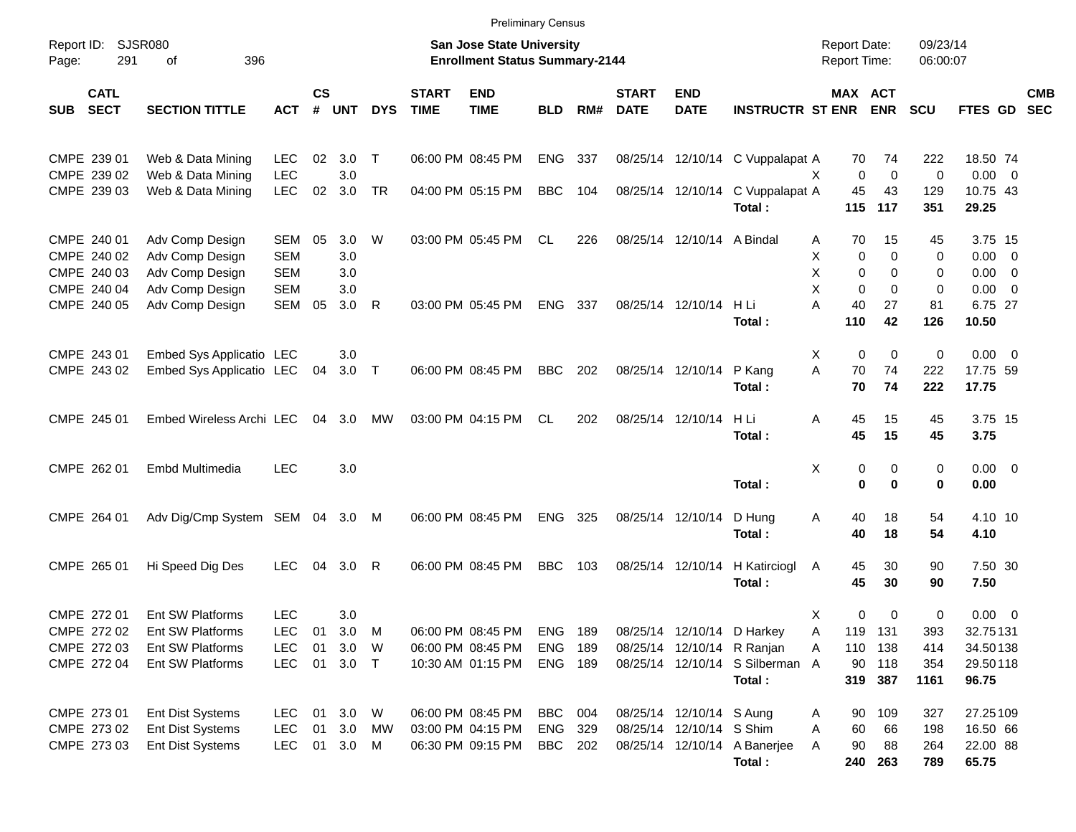|            |                                           |                                                       |                                 |                    |                   |              |                             | <b>Preliminary Census</b>                                          |                       |            |                             |                                                      |                                                               |                                     |                          |                      |                                       |                          |
|------------|-------------------------------------------|-------------------------------------------------------|---------------------------------|--------------------|-------------------|--------------|-----------------------------|--------------------------------------------------------------------|-----------------------|------------|-----------------------------|------------------------------------------------------|---------------------------------------------------------------|-------------------------------------|--------------------------|----------------------|---------------------------------------|--------------------------|
| Page:      | Report ID: SJSR080<br>291<br>396<br>of    |                                                       |                                 |                    |                   |              |                             | San Jose State University<br><b>Enrollment Status Summary-2144</b> |                       |            |                             |                                                      |                                                               | <b>Report Date:</b><br>Report Time: |                          | 09/23/14<br>06:00:07 |                                       |                          |
| <b>SUB</b> | <b>CATL</b><br><b>SECT</b>                | <b>SECTION TITTLE</b>                                 | <b>ACT</b>                      | $\mathsf{cs}$<br># | <b>UNT</b>        | <b>DYS</b>   | <b>START</b><br><b>TIME</b> | <b>END</b><br><b>TIME</b>                                          | <b>BLD</b>            | RM#        | <b>START</b><br><b>DATE</b> | <b>END</b><br><b>DATE</b>                            | <b>INSTRUCTR ST ENR</b>                                       | MAX ACT                             | <b>ENR</b>               | <b>SCU</b>           | <b>FTES GD</b>                        | <b>CMB</b><br><b>SEC</b> |
|            | CMPE 239 01                               | Web & Data Mining                                     | <b>LEC</b>                      | 02                 | 3.0               | $\top$       |                             | 06:00 PM 08:45 PM                                                  | ENG                   | 337        |                             |                                                      | 08/25/14 12/10/14 C Vuppalapat A                              | 70                                  | 74                       | 222                  | 18.50 74                              |                          |
|            | CMPE 239 02<br>CMPE 239 03                | Web & Data Mining<br>Web & Data Mining                | <b>LEC</b><br><b>LEC</b>        | 02                 | 3.0<br>3.0        | <b>TR</b>    |                             | 04:00 PM 05:15 PM                                                  | <b>BBC</b>            | 104        |                             |                                                      | 08/25/14 12/10/14 C Vuppalapat A<br>Total:                    | $\mathbf 0$<br>X.<br>45<br>115      | $\mathbf 0$<br>43<br>117 | 0<br>129<br>351      | $0.00 \t 0$<br>10.75 43<br>29.25      |                          |
|            | CMPE 240 01<br>CMPE 240 02                | Adv Comp Design<br>Adv Comp Design                    | <b>SEM</b><br><b>SEM</b>        | 05                 | 3.0<br>3.0        | W            |                             | 03:00 PM 05:45 PM                                                  | CL                    | 226        |                             | 08/25/14 12/10/14 A Bindal                           |                                                               | 70<br>Α<br>Χ<br>0                   | 15<br>0                  | 45<br>0              | 3.75 15<br>$0.00 \t 0$                |                          |
|            | CMPE 240 03<br>CMPE 240 04<br>CMPE 240 05 | Adv Comp Design<br>Adv Comp Design<br>Adv Comp Design | <b>SEM</b><br><b>SEM</b><br>SEM | 05                 | 3.0<br>3.0<br>3.0 | $\mathsf{R}$ |                             | 03:00 PM 05:45 PM                                                  | <b>ENG</b>            | 337        |                             | 08/25/14 12/10/14                                    | HLi                                                           | X<br>0<br>X<br>$\Omega$<br>A<br>40  | 0<br>$\Omega$<br>27      | 0<br>0<br>81         | $0.00 \t 0$<br>$0.00 \t 0$<br>6.75 27 |                          |
|            |                                           |                                                       |                                 |                    |                   |              |                             |                                                                    |                       |            |                             |                                                      | Total:                                                        | 110                                 | 42                       | 126                  | 10.50                                 |                          |
|            | CMPE 243 01<br>CMPE 243 02                | Embed Sys Applicatio LEC<br>Embed Sys Applicatio LEC  |                                 | 04                 | 3.0<br>$3.0$ T    |              |                             | 06:00 PM 08:45 PM                                                  | <b>BBC</b>            | 202        |                             | 08/25/14 12/10/14                                    | P Kang<br>Total:                                              | Χ<br>$\mathbf 0$<br>A<br>70<br>70   | $\mathbf 0$<br>74<br>74  | 0<br>222<br>222      | $0.00 \t 0$<br>17.75 59<br>17.75      |                          |
|            | CMPE 245 01                               | Embed Wireless Archi LEC                              |                                 | 04                 | 3.0               | МW           |                             | 03:00 PM 04:15 PM                                                  | CL                    | 202        |                             | 08/25/14 12/10/14                                    | H Li<br>Total:                                                | 45<br>Α<br>45                       | 15<br>15                 | 45<br>45             | 3.75 15<br>3.75                       |                          |
|            | CMPE 262 01                               | Embd Multimedia                                       | <b>LEC</b>                      |                    | 3.0               |              |                             |                                                                    |                       |            |                             |                                                      | Total:                                                        | Χ<br>0<br>$\bf{0}$                  | 0<br>$\bf{0}$            | 0<br>0               | $0.00 \t 0$<br>0.00                   |                          |
|            | CMPE 264 01                               | Adv Dig/Cmp System SEM 04 3.0                         |                                 |                    |                   | M            |                             | 06:00 PM 08:45 PM                                                  | <b>ENG</b>            | 325        | 08/25/14 12/10/14           |                                                      | D Hung<br>Total:                                              | Α<br>40<br>40                       | 18<br>18                 | 54<br>54             | 4.10 10<br>4.10                       |                          |
|            | CMPE 265 01                               | Hi Speed Dig Des                                      | <b>LEC</b>                      | 04                 | 3.0               | R            |                             | 06:00 PM 08:45 PM                                                  | <b>BBC</b>            | 103        | 08/25/14 12/10/14           |                                                      | H Katirciogl<br>Total:                                        | 45<br>A<br>45                       | 30<br>30                 | 90<br>90             | 7.50 30<br>7.50                       |                          |
|            | CMPE 272 01<br>CMPE 272 02                | Ent SW Platforms<br>Ent SW Platforms                  | <b>LEC</b><br><b>LEC</b>        | 01                 | 3.0<br>3.0        | M            |                             | 06:00 PM 08:45 PM                                                  | ENG                   | 189        |                             |                                                      | 08/25/14 12/10/14 D Harkey                                    | х<br>0<br>Α                         | 0<br>119 131             | 0<br>393             | $0.00 \t 0$<br>32.75131               |                          |
|            | CMPE 272 03<br>CMPE 272 04                | Ent SW Platforms<br>Ent SW Platforms                  | <b>LEC</b><br><b>LEC</b>        | 01<br>01           | 3.0<br>$3.0$ T    | W            |                             | 06:00 PM 08:45 PM<br>10:30 AM 01:15 PM                             | <b>ENG</b><br>ENG 189 | 189        |                             |                                                      | 08/25/14 12/10/14 R Ranjan<br>08/25/14 12/10/14 S Silberman A | Α<br>90                             | 110 138<br>118           | 414<br>354           | 34.50138<br>29.50118                  |                          |
|            |                                           |                                                       |                                 |                    |                   |              |                             |                                                                    |                       |            |                             |                                                      | Total:                                                        |                                     | 319 387                  | 1161                 | 96.75                                 |                          |
|            | CMPE 273 01<br>CMPE 273 02                | Ent Dist Systems<br>Ent Dist Systems                  | LEC.<br><b>LEC</b>              | 01                 | 01 3.0<br>3.0     | W<br>MW      |                             | 06:00 PM 08:45 PM<br>03:00 PM 04:15 PM                             | BBC<br>ENG            | 004<br>329 |                             | 08/25/14 12/10/14 S Aung<br>08/25/14 12/10/14 S Shim |                                                               | 90<br>Α<br>60<br>Α                  | 109<br>66                | 327<br>198           | 27.25109<br>16.50 66                  |                          |
|            | CMPE 273 03                               | Ent Dist Systems                                      | <b>LEC</b>                      |                    | 01 3.0 M          |              |                             | 06:30 PM 09:15 PM                                                  | BBC                   | 202        |                             |                                                      | 08/25/14 12/10/14 A Banerjee                                  | 90<br>Α                             | 88                       | 264                  | 22.00 88                              |                          |
|            |                                           |                                                       |                                 |                    |                   |              |                             |                                                                    |                       |            |                             |                                                      | Total:                                                        |                                     | 240 263                  | 789                  | 65.75                                 |                          |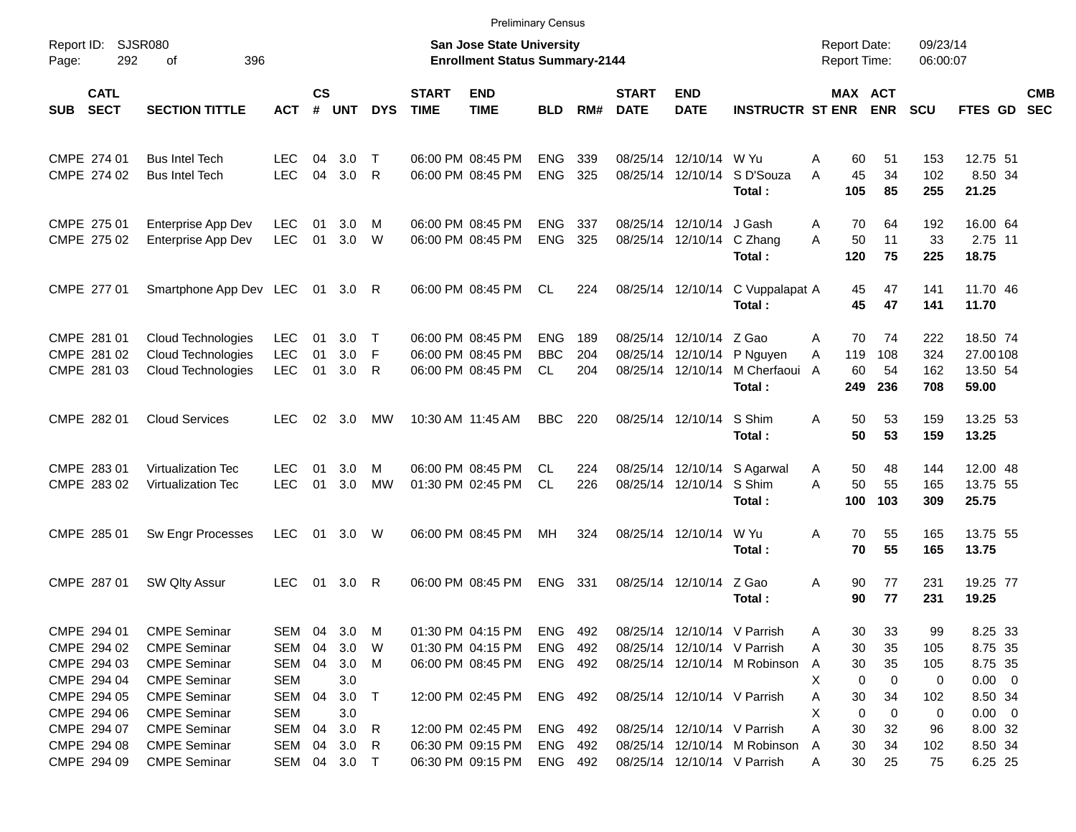|                                                                         |                                                                                                                 |                                                   |                |                          |                             |                             |                                                                                  | <b>Preliminary Census</b>                |                   |                             |                                                                                           |                                   |                                                    |                           |                             |                                                         |                          |
|-------------------------------------------------------------------------|-----------------------------------------------------------------------------------------------------------------|---------------------------------------------------|----------------|--------------------------|-----------------------------|-----------------------------|----------------------------------------------------------------------------------|------------------------------------------|-------------------|-----------------------------|-------------------------------------------------------------------------------------------|-----------------------------------|----------------------------------------------------|---------------------------|-----------------------------|---------------------------------------------------------|--------------------------|
| Report ID: SJSR080<br>292<br>Page:                                      | 396<br>οf                                                                                                       |                                                   |                |                          |                             |                             | San Jose State University<br><b>Enrollment Status Summary-2144</b>               |                                          |                   |                             |                                                                                           |                                   | <b>Report Date:</b><br><b>Report Time:</b>         |                           | 09/23/14<br>06:00:07        |                                                         |                          |
| <b>CATL</b><br><b>SECT</b><br>SUB                                       | <b>SECTION TITTLE</b>                                                                                           | <b>ACT</b>                                        | <b>CS</b><br># | <b>UNT</b>               | <b>DYS</b>                  | <b>START</b><br><b>TIME</b> | <b>END</b><br><b>TIME</b>                                                        | <b>BLD</b>                               | RM#               | <b>START</b><br><b>DATE</b> | <b>END</b><br><b>DATE</b>                                                                 | <b>INSTRUCTR ST ENR</b>           | <b>MAX ACT</b>                                     | <b>ENR</b>                | <b>SCU</b>                  | <b>FTES GD</b>                                          | <b>CMB</b><br><b>SEC</b> |
| CMPE 274 01<br>CMPE 274 02                                              | <b>Bus Intel Tech</b><br><b>Bus Intel Tech</b>                                                                  | <b>LEC</b><br><b>LEC</b>                          | 04<br>04       | 3.0<br>3.0               | $\top$<br>R                 |                             | 06:00 PM 08:45 PM<br>06:00 PM 08:45 PM                                           | <b>ENG</b><br><b>ENG</b>                 | 339<br>325        |                             | 08/25/14 12/10/14<br>08/25/14 12/10/14                                                    | W Yu<br>S D'Souza<br>Total:       | Α<br>60<br>A<br>45<br>105                          | 51<br>34<br>85            | 153<br>102<br>255           | 12.75 51<br>8.50 34<br>21.25                            |                          |
| CMPE 275 01<br>CMPE 275 02                                              | Enterprise App Dev<br>Enterprise App Dev                                                                        | <b>LEC</b><br><b>LEC</b>                          | 01<br>01       | 3.0<br>3.0               | м<br>W                      |                             | 06:00 PM 08:45 PM<br>06:00 PM 08:45 PM                                           | <b>ENG</b><br><b>ENG</b>                 | 337<br>325        |                             | 08/25/14 12/10/14<br>08/25/14 12/10/14                                                    | J Gash<br>C Zhang<br>Total:       | A<br>70<br>A<br>50<br>120                          | 64<br>11<br>75            | 192<br>33<br>225            | 16.00 64<br>2.75 11<br>18.75                            |                          |
| CMPE 277 01                                                             | Smartphone App Dev LEC                                                                                          |                                                   |                | 01 3.0                   | R                           |                             | 06:00 PM 08:45 PM                                                                | CL.                                      | 224               |                             | 08/25/14 12/10/14                                                                         | C Vuppalapat A<br>Total:          | 45<br>45                                           | 47<br>47                  | 141<br>141                  | 11.70 46<br>11.70                                       |                          |
| CMPE 281 01<br>CMPE 281 02<br>CMPE 281 03                               | Cloud Technologies<br>Cloud Technologies<br>Cloud Technologies                                                  | <b>LEC</b><br><b>LEC</b><br><b>LEC</b>            | 01<br>01<br>01 | 3.0<br>3.0<br>3.0        | Т<br>F<br>R                 |                             | 06:00 PM 08:45 PM<br>06:00 PM 08:45 PM<br>06:00 PM 08:45 PM                      | <b>ENG</b><br><b>BBC</b><br>CL           | 189<br>204<br>204 |                             | 08/25/14 12/10/14 Z Gao<br>08/25/14 12/10/14<br>08/25/14 12/10/14                         | P Nguyen<br>M Cherfaoui<br>Total: | A<br>70<br>119<br>A<br>60<br>A<br>249              | 74<br>108<br>54<br>236    | 222<br>324<br>162<br>708    | 18.50 74<br>27.00108<br>13.50 54<br>59.00               |                          |
| CMPE 282 01                                                             | <b>Cloud Services</b>                                                                                           | LEC.                                              | 02             | - 3.0                    | MW                          |                             | 10:30 AM 11:45 AM                                                                | <b>BBC</b>                               | 220               |                             | 08/25/14 12/10/14                                                                         | S Shim<br>Total:                  | 50<br>Α<br>50                                      | 53<br>53                  | 159<br>159                  | 13.25 53<br>13.25                                       |                          |
| CMPE 283 01<br>CMPE 283 02                                              | Virtualization Tec<br><b>Virtualization Tec</b>                                                                 | LEC.<br><b>LEC</b>                                | 01<br>01       | 3.0<br>3.0               | м<br><b>MW</b>              |                             | 06:00 PM 08:45 PM<br>01:30 PM 02:45 PM                                           | CL.<br><b>CL</b>                         | 224<br>226        |                             | 08/25/14 12/10/14<br>08/25/14 12/10/14                                                    | S Agarwal<br>S Shim<br>Total:     | 50<br>A<br>A<br>50<br>100                          | 48<br>55<br>103           | 144<br>165<br>309           | 12.00 48<br>13.75 55<br>25.75                           |                          |
| CMPE 285 01                                                             | Sw Engr Processes                                                                                               | <b>LEC</b>                                        | 01             | 3.0 W                    |                             |                             | 06:00 PM 08:45 PM                                                                | MH                                       | 324               |                             | 08/25/14 12/10/14                                                                         | W Yu<br>Total:                    | 70<br>A<br>70                                      | 55<br>55                  | 165<br>165                  | 13.75 55<br>13.75                                       |                          |
| CMPE 287 01                                                             | SW Qlty Assur                                                                                                   | <b>LEC</b>                                        | 01             | 3.0                      | R                           |                             | 06:00 PM 08:45 PM                                                                | <b>ENG</b>                               | 331               |                             | 08/25/14 12/10/14                                                                         | Z Gao<br>Total:                   | 90<br>Α<br>90                                      | 77<br>77                  | 231<br>231                  | 19.25 77<br>19.25                                       |                          |
| CMPE 294 01<br>CMPE 294 02<br>CMPE 294 03<br>CMPE 294 04                | <b>CMPE Seminar</b><br><b>CMPE Seminar</b><br><b>CMPE Seminar</b><br><b>CMPE Seminar</b>                        | SEM 04<br>SEM 04<br>SEM 04<br>SEM                 |                | 3.0<br>3.0<br>3.0<br>3.0 | M<br>W<br>M                 |                             | 01:30 PM 04:15 PM<br>01:30 PM 04:15 PM<br>06:00 PM 08:45 PM                      | ENG<br>ENG<br>ENG 492                    | 492<br>492        |                             | 08/25/14 12/10/14 V Parrish<br>08/25/14 12/10/14 V Parrish                                | 08/25/14 12/10/14 M Robinson      | 30<br>A<br>30<br>Α<br>30<br>A<br>0<br>X            | 33<br>35<br>35<br>0       | 99<br>105<br>105<br>0       | 8.25 33<br>8.75 35<br>8.75 35<br>$0.00 \t 0$            |                          |
| CMPE 294 05<br>CMPE 294 06<br>CMPE 294 07<br>CMPE 294 08<br>CMPE 294 09 | <b>CMPE Seminar</b><br><b>CMPE Seminar</b><br><b>CMPE Seminar</b><br><b>CMPE Seminar</b><br><b>CMPE Seminar</b> | SEM 04<br>SEM<br>SEM 04<br>SEM 04<br>SEM 04 3.0 T |                | 3.0<br>3.0<br>3.0<br>3.0 | $\top$<br>$\mathsf{R}$<br>R |                             | 12:00 PM 02:45 PM<br>12:00 PM 02:45 PM<br>06:30 PM 09:15 PM<br>06:30 PM 09:15 PM | ENG 492<br>ENG 492<br>ENG 492<br>ENG 492 |                   |                             | 08/25/14 12/10/14 V Parrish<br>08/25/14 12/10/14 V Parrish<br>08/25/14 12/10/14 V Parrish | 08/25/14 12/10/14 M Robinson      | 30<br>A<br>Х<br>0<br>Α<br>30<br>30<br>A<br>30<br>A | 34<br>0<br>32<br>34<br>25 | 102<br>0<br>96<br>102<br>75 | 8.50 34<br>$0.00 \t 0$<br>8.00 32<br>8.50 34<br>6.25 25 |                          |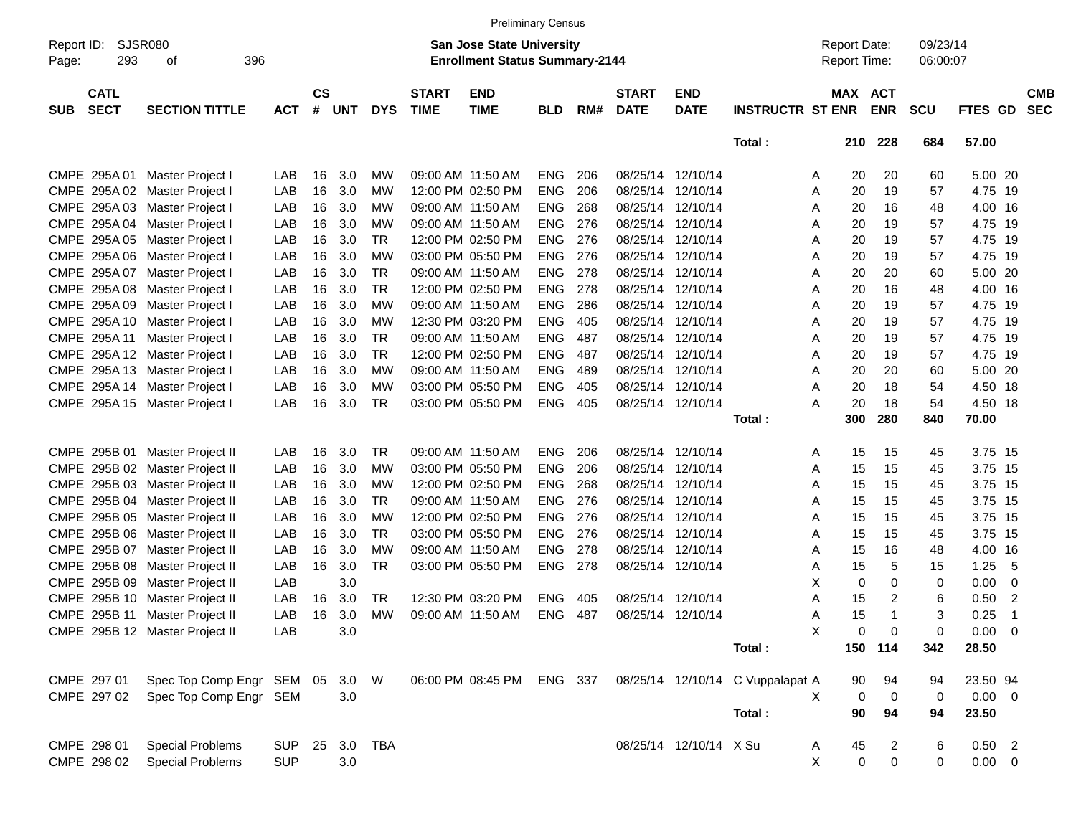|            |                            |                                |            |                    |            |            |                             |                                                                    | <b>Preliminary Census</b> |     |                             |                           |                                  |                                     |                           |                      |                                 |                          |
|------------|----------------------------|--------------------------------|------------|--------------------|------------|------------|-----------------------------|--------------------------------------------------------------------|---------------------------|-----|-----------------------------|---------------------------|----------------------------------|-------------------------------------|---------------------------|----------------------|---------------------------------|--------------------------|
| Report ID: |                            | SJSR080<br>396                 |            |                    |            |            |                             | San Jose State University<br><b>Enrollment Status Summary-2144</b> |                           |     |                             |                           |                                  | <b>Report Date:</b><br>Report Time: |                           | 09/23/14<br>06:00:07 |                                 |                          |
| Page:      | 293<br>οf                  |                                |            |                    |            |            |                             |                                                                    |                           |     |                             |                           |                                  |                                     |                           |                      |                                 |                          |
| <b>SUB</b> | <b>CATL</b><br><b>SECT</b> | <b>SECTION TITTLE</b>          | <b>ACT</b> | $\mathsf{cs}$<br># | <b>UNT</b> | <b>DYS</b> | <b>START</b><br><b>TIME</b> | <b>END</b><br><b>TIME</b>                                          | <b>BLD</b>                | RM# | <b>START</b><br><b>DATE</b> | <b>END</b><br><b>DATE</b> | <b>INSTRUCTR ST ENR</b>          | MAX ACT                             | <b>ENR</b>                | <b>SCU</b>           | <b>FTES GD</b>                  | <b>CMB</b><br><b>SEC</b> |
|            |                            |                                |            |                    |            |            |                             |                                                                    |                           |     |                             |                           | Total:                           | 210                                 | 228                       | 684                  | 57.00                           |                          |
|            | CMPE 295A 01               | Master Project I               | LAB        | 16                 | 3.0        | МW         |                             | 09:00 AM 11:50 AM                                                  | <b>ENG</b>                | 206 |                             | 08/25/14 12/10/14         |                                  | 20<br>Α                             | 20                        | 60                   | 5.00 20                         |                          |
|            | CMPE 295A 02               | Master Project I               | LAB        | 16                 | 3.0        | МW         |                             | 12:00 PM 02:50 PM                                                  | <b>ENG</b>                | 206 | 08/25/14                    | 12/10/14                  |                                  | 20<br>Α                             | 19                        | 57                   | 4.75 19                         |                          |
|            | CMPE 295A 03               | Master Project I               | LAB        | 16                 | 3.0        | МW         |                             | 09:00 AM 11:50 AM                                                  | <b>ENG</b>                | 268 | 08/25/14                    | 12/10/14                  |                                  | 20<br>Α                             | 16                        | 48                   | 4.00 16                         |                          |
|            | CMPE 295A 04               | Master Project I               | LAB        | 16                 | 3.0        | МW         |                             | 09:00 AM 11:50 AM                                                  | <b>ENG</b>                | 276 | 08/25/14                    | 12/10/14                  |                                  | 20<br>Α                             | 19                        | 57                   | 4.75 19                         |                          |
|            | CMPE 295A 05               | Master Project I               | LAB        | 16                 | 3.0        | TR         |                             | 12:00 PM 02:50 PM                                                  | <b>ENG</b>                | 276 | 08/25/14                    | 12/10/14                  |                                  | 20<br>Α                             | 19                        | 57                   | 4.75 19                         |                          |
|            | CMPE 295A 06               | Master Project I               | LAB        | 16                 | 3.0        | МW         |                             | 03:00 PM 05:50 PM                                                  | <b>ENG</b>                | 276 | 08/25/14                    | 12/10/14                  |                                  | Α<br>20                             | 19                        | 57                   | 4.75 19                         |                          |
|            | CMPE 295A 07               | Master Project I               | LAB        | 16                 | 3.0        | <b>TR</b>  |                             | 09:00 AM 11:50 AM                                                  | <b>ENG</b>                | 278 | 08/25/14                    | 12/10/14                  |                                  | 20<br>Α                             | 20                        | 60                   | 5.00 20                         |                          |
|            |                            |                                | LAB        | 16                 | 3.0        | <b>TR</b>  |                             | 12:00 PM 02:50 PM                                                  | <b>ENG</b>                | 278 | 08/25/14                    | 12/10/14                  |                                  | 20                                  | 16                        | 48                   | 4.00 16                         |                          |
|            | CMPE 295A 08               | Master Project I               |            |                    | 3.0        | <b>MW</b>  |                             |                                                                    |                           |     |                             | 12/10/14                  |                                  | Α                                   |                           |                      |                                 |                          |
|            | CMPE 295A 09               | Master Project I               | LAB        | 16                 |            |            |                             | 09:00 AM 11:50 AM                                                  | <b>ENG</b>                | 286 | 08/25/14                    |                           |                                  | Α<br>20                             | 19                        | 57                   | 4.75 19                         |                          |
|            | CMPE 295A 10               | Master Project I               | LAB        | 16                 | 3.0        | МW         |                             | 12:30 PM 03:20 PM                                                  | <b>ENG</b>                | 405 | 08/25/14                    | 12/10/14                  |                                  | Α<br>20                             | 19                        | 57                   | 4.75 19                         |                          |
|            | CMPE 295A 11               | Master Project I               | LAB        | 16                 | 3.0        | <b>TR</b>  |                             | 09:00 AM 11:50 AM                                                  | <b>ENG</b>                | 487 | 08/25/14                    | 12/10/14                  |                                  | 20<br>Α                             | 19                        | 57                   | 4.75 19                         |                          |
|            |                            | CMPE 295A 12 Master Project I  | LAB        | 16                 | 3.0        | <b>TR</b>  |                             | 12:00 PM 02:50 PM                                                  | <b>ENG</b>                | 487 | 08/25/14 12/10/14           |                           |                                  | Α<br>20                             | 19                        | 57                   | 4.75 19                         |                          |
|            | CMPE 295A 13               | Master Project I               | LAB        | 16                 | 3.0        | МW         |                             | 09:00 AM 11:50 AM                                                  | <b>ENG</b>                | 489 | 08/25/14 12/10/14           |                           |                                  | 20<br>Α                             | 20                        | 60                   | 5.00 20                         |                          |
|            | CMPE 295A 14               | Master Project I               | LAB        | 16                 | 3.0        | МW         |                             | 03:00 PM 05:50 PM                                                  | <b>ENG</b>                | 405 | 08/25/14 12/10/14           |                           |                                  | 20<br>Α                             | 18                        | 54                   | 4.50 18                         |                          |
|            | CMPE 295A 15               | Master Project I               | LAB        | 16                 | 3.0        | <b>TR</b>  |                             | 03:00 PM 05:50 PM                                                  | <b>ENG</b>                | 405 | 08/25/14 12/10/14           |                           |                                  | 20<br>А                             | 18                        | 54                   | 4.50 18                         |                          |
|            |                            |                                |            |                    |            |            |                             |                                                                    |                           |     |                             |                           | Total:                           | 300                                 | 280                       | 840                  | 70.00                           |                          |
|            | CMPE 295B 01               | Master Project II              | LAB        | 16                 | 3.0        | <b>TR</b>  |                             | 09:00 AM 11:50 AM                                                  | <b>ENG</b>                | 206 |                             | 08/25/14 12/10/14         |                                  | 15<br>Α                             | 15                        | 45                   | 3.75 15                         |                          |
|            | CMPE 295B 02               | Master Project II              | LAB        | 16                 | 3.0        | МW         |                             | 03:00 PM 05:50 PM                                                  | <b>ENG</b>                | 206 | 08/25/14                    | 12/10/14                  |                                  | 15<br>Α                             | 15                        | 45                   | 3.75 15                         |                          |
|            | CMPE 295B 03               | Master Project II              | LAB        | 16                 | 3.0        | MW         |                             | 12:00 PM 02:50 PM                                                  | <b>ENG</b>                | 268 | 08/25/14 12/10/14           |                           |                                  | 15<br>Α                             | 15                        | 45                   | 3.75 15                         |                          |
|            | CMPE 295B 04               | Master Project II              | LAB        | 16                 | 3.0        | TR         |                             | 09:00 AM 11:50 AM                                                  | <b>ENG</b>                | 276 | 08/25/14 12/10/14           |                           |                                  | 15<br>Α                             | 15                        | 45                   | 3.75 15                         |                          |
|            | CMPE 295B 05               | Master Project II              | LAB        | 16                 | 3.0        | МW         |                             | 12:00 PM 02:50 PM                                                  | <b>ENG</b>                | 276 | 08/25/14 12/10/14           |                           |                                  | 15<br>Α                             | 15                        | 45                   | 3.75 15                         |                          |
|            |                            | CMPE 295B 06 Master Project II | LAB        | 16                 | 3.0        | TR         |                             | 03:00 PM 05:50 PM                                                  | <b>ENG</b>                | 276 | 08/25/14 12/10/14           |                           |                                  | 15<br>Α                             | 15                        | 45                   | 3.75 15                         |                          |
|            | CMPE 295B 07               | Master Project II              | LAB        | 16                 | 3.0        | МW         |                             | 09:00 AM 11:50 AM                                                  | <b>ENG</b>                | 278 | 08/25/14 12/10/14           |                           |                                  | 15<br>Α                             | 16                        | 48                   | 4.00 16                         |                          |
|            | CMPE 295B 08               | Master Project II              | LAB        | 16                 | 3.0        | <b>TR</b>  |                             | 03:00 PM 05:50 PM                                                  | <b>ENG</b>                | 278 | 08/25/14 12/10/14           |                           |                                  | 15<br>Α                             | 5                         | 15                   | 1.25<br>- 5                     |                          |
|            | CMPE 295B 09               | Master Project II              | LAB        |                    | 3.0        |            |                             |                                                                    |                           |     |                             |                           |                                  | X<br>0                              | 0                         | 0                    | 0.00<br>$\overline{\mathbf{0}}$ |                          |
|            | CMPE 295B 10               |                                | LAB        | 16                 | 3.0        | TR         |                             | 12:30 PM 03:20 PM                                                  | <b>ENG</b>                | 405 | 08/25/14 12/10/14           |                           |                                  | 15                                  | 2                         |                      | 0.50                            |                          |
|            |                            | Master Project II              |            |                    |            |            |                             |                                                                    |                           |     |                             |                           |                                  | Α                                   | 1                         | 6                    | $\overline{c}$                  |                          |
|            | CMPE 295B 11               | Master Project II              | LAB        | 16                 | 3.0        | MW         |                             | 09:00 AM 11:50 AM                                                  | <b>ENG</b>                | 487 | 08/25/14 12/10/14           |                           |                                  | 15<br>Α                             |                           | 3                    | 0.25<br>-1                      |                          |
|            |                            | CMPE 295B 12 Master Project II | LAB        |                    | 3.0        |            |                             |                                                                    |                           |     |                             |                           | Total:                           | Х<br>0                              | $\overline{0}$<br>150 114 | 0<br>342             | $0.00 \t 0$<br>28.50            |                          |
|            |                            |                                |            |                    |            |            |                             |                                                                    |                           |     |                             |                           |                                  |                                     |                           |                      |                                 |                          |
|            | CMPE 297 01                | Spec Top Comp Engr SEM 05      |            |                    | 3.0 W      |            |                             | 06:00 PM 08:45 PM                                                  | ENG 337                   |     |                             |                           | 08/25/14 12/10/14 C Vuppalapat A | 90                                  | 94                        | 94                   | 23.50 94                        |                          |
|            | CMPE 297 02                | Spec Top Comp Engr SEM         |            |                    | 3.0        |            |                             |                                                                    |                           |     |                             |                           |                                  | 0<br>X                              | 0                         | 0                    | $0.00 \t 0$                     |                          |
|            |                            |                                |            |                    |            |            |                             |                                                                    |                           |     |                             |                           | Total:                           | 90                                  | 94                        | 94                   | 23.50                           |                          |
|            | CMPE 298 01                | <b>Special Problems</b>        | <b>SUP</b> |                    |            | 25 3.0 TBA |                             |                                                                    |                           |     |                             | 08/25/14 12/10/14 X Su    |                                  | 45<br>A                             | $\overline{2}$            | 6                    | $0.50$ 2                        |                          |
|            | CMPE 298 02                | <b>Special Problems</b>        | <b>SUP</b> |                    | $3.0\,$    |            |                             |                                                                    |                           |     |                             |                           |                                  | X<br>$\pmb{0}$                      | 0                         | 0                    | $0.00 \t 0$                     |                          |
|            |                            |                                |            |                    |            |            |                             |                                                                    |                           |     |                             |                           |                                  |                                     |                           |                      |                                 |                          |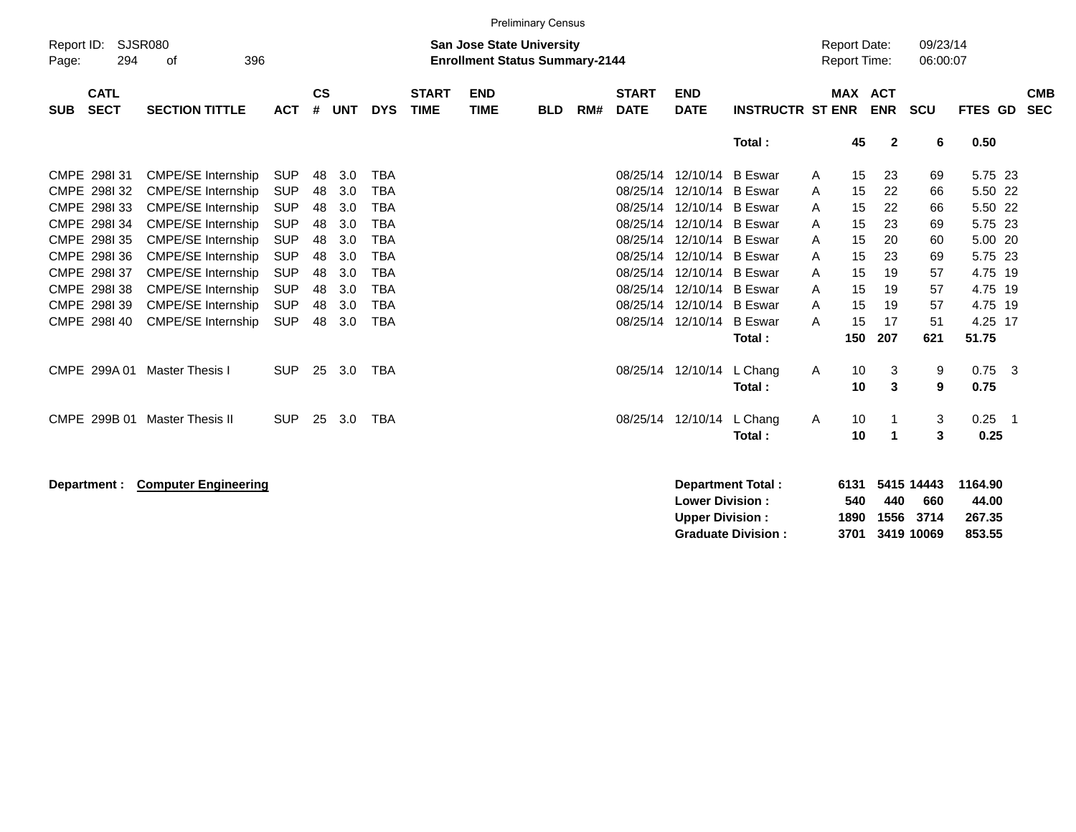|                                          |                                                        |                          |                    |            |                          |                             |                                                                           | <b>Preliminary Census</b> |     |                             |                                                  |                                  |                                     |                |                |                           |                            |                            |
|------------------------------------------|--------------------------------------------------------|--------------------------|--------------------|------------|--------------------------|-----------------------------|---------------------------------------------------------------------------|---------------------------|-----|-----------------------------|--------------------------------------------------|----------------------------------|-------------------------------------|----------------|----------------|---------------------------|----------------------------|----------------------------|
| Report ID:<br>294<br>Page:               | <b>SJSR080</b><br>396<br>0f                            |                          |                    |            |                          |                             | <b>San Jose State University</b><br><b>Enrollment Status Summary-2144</b> |                           |     |                             |                                                  |                                  | <b>Report Date:</b><br>Report Time: |                |                | 09/23/14<br>06:00:07      |                            |                            |
| <b>CATL</b><br><b>SECT</b><br><b>SUB</b> | <b>SECTION TITTLE</b>                                  | <b>ACT</b>               | $\mathsf{cs}$<br># | <b>UNT</b> | <b>DYS</b>               | <b>START</b><br><b>TIME</b> | <b>END</b><br><b>TIME</b>                                                 | <b>BLD</b>                | RM# | <b>START</b><br><b>DATE</b> | <b>END</b><br><b>DATE</b>                        | <b>INSTRUCTR ST ENR</b>          |                                     | <b>MAX ACT</b> | <b>ENR</b>     | <b>SCU</b>                | <b>FTES GD</b>             | <b>CMB</b><br><b>SEC</b>   |
|                                          |                                                        |                          |                    |            |                          |                             |                                                                           |                           |     |                             |                                                  | Total:                           |                                     | 45             | $\overline{2}$ | 6                         | 0.50                       |                            |
| CMPE 298131                              | <b>CMPE/SE Internship</b>                              | <b>SUP</b>               | 48                 | 3.0        | <b>TBA</b>               |                             |                                                                           |                           |     |                             | 08/25/14 12/10/14                                | <b>B</b> Eswar                   | A                                   | 15             | 23             | 69                        | 5.75 23                    |                            |
| CMPE 298132<br>CMPE 298133               | <b>CMPE/SE Internship</b><br><b>CMPE/SE Internship</b> | <b>SUP</b><br><b>SUP</b> | 48<br>48           | 3.0<br>3.0 | <b>TBA</b><br><b>TBA</b> |                             |                                                                           |                           |     |                             | 08/25/14 12/10/14<br>08/25/14 12/10/14           | <b>B</b> Eswar<br><b>B</b> Eswar | A<br>A                              | 15<br>15       | 22<br>22       | 66<br>66                  | 5.50 22<br>5.50 22         |                            |
| CMPE 298I 34                             | <b>CMPE/SE Internship</b>                              | <b>SUP</b>               | 48                 | 3.0        | <b>TBA</b>               |                             |                                                                           |                           |     |                             | 08/25/14 12/10/14 B Eswar                        |                                  | A                                   | 15             | 23             | 69                        | 5.75 23                    |                            |
| CMPE 298135<br>CMPE 298136               | <b>CMPE/SE Internship</b><br><b>CMPE/SE Internship</b> | <b>SUP</b><br><b>SUP</b> | 48<br>48           | 3.0<br>3.0 | <b>TBA</b><br><b>TBA</b> |                             |                                                                           |                           |     | 08/25/14                    | 12/10/14<br>08/25/14 12/10/14 B Eswar            | <b>B</b> Eswar                   | A<br>A                              | 15<br>15       | 20<br>23       | 60<br>69                  | 5.00 20<br>5.75 23         |                            |
| CMPE 298I 37                             | <b>CMPE/SE Internship</b>                              | <b>SUP</b>               | 48                 | 3.0        | <b>TBA</b>               |                             |                                                                           |                           |     |                             | 08/25/14 12/10/14                                | <b>B</b> Eswar                   | A                                   | 15             | 19             | 57                        | 4.75 19                    |                            |
| CMPE 298I 38<br>CMPE 298139              | <b>CMPE/SE Internship</b><br><b>CMPE/SE Internship</b> | <b>SUP</b><br><b>SUP</b> | 48<br>48           | 3.0<br>3.0 | <b>TBA</b><br><b>TBA</b> |                             |                                                                           |                           |     |                             | 08/25/14 12/10/14<br>08/25/14 12/10/14           | <b>B</b> Eswar<br><b>B</b> Eswar | A<br>A                              | 15<br>15       | 19<br>19       | 57<br>57                  | 4.75 19<br>4.75 19         |                            |
| CMPE 298140                              | <b>CMPE/SE Internship</b>                              | <b>SUP</b>               | 48                 | 3.0        | <b>TBA</b>               |                             |                                                                           |                           |     |                             | 08/25/14 12/10/14                                | <b>B</b> Eswar                   | A                                   | 15             | 17             | 51                        | 4.25 17                    |                            |
|                                          |                                                        |                          |                    |            |                          |                             |                                                                           |                           |     |                             |                                                  | Total:                           |                                     | 150            | 207            | 621                       | 51.75                      |                            |
| CMPE 299A 01                             | <b>Master Thesis I</b>                                 | <b>SUP</b>               | 25                 | 3.0        | <b>TBA</b>               |                             |                                                                           |                           |     |                             | 08/25/14 12/10/14                                | L Chang<br>Total:                | A                                   | 10<br>10       | 3<br>3         | 9<br>9                    | $0.75$ 3<br>0.75           |                            |
|                                          |                                                        |                          |                    |            |                          |                             |                                                                           |                           |     |                             |                                                  |                                  |                                     |                |                |                           |                            |                            |
| CMPE 299B 01                             | <b>Master Thesis II</b>                                | <b>SUP</b>               | 25                 | 3.0        | <b>TBA</b>               |                             |                                                                           |                           |     |                             | 08/25/14 12/10/14                                | L Chang<br>Total:                | Α                                   | 10<br>10       | 1<br>-1        | 3<br>3                    | 0.25<br>0.25               | $\overline{\phantom{0}}$ 1 |
|                                          |                                                        |                          |                    |            |                          |                             |                                                                           |                           |     |                             |                                                  |                                  |                                     |                |                |                           |                            |                            |
| Department :                             | <b>Computer Engineering</b>                            |                          |                    |            |                          |                             |                                                                           |                           |     |                             | <b>Lower Division:</b><br><b>Upper Division:</b> | Department Total:                | 6131<br>540<br>1890                 |                | 440<br>1556    | 5415 14443<br>660<br>3714 | 1164.90<br>44.00<br>267.35 |                            |

**Graduate Division : 3701 3419 10069 853.55**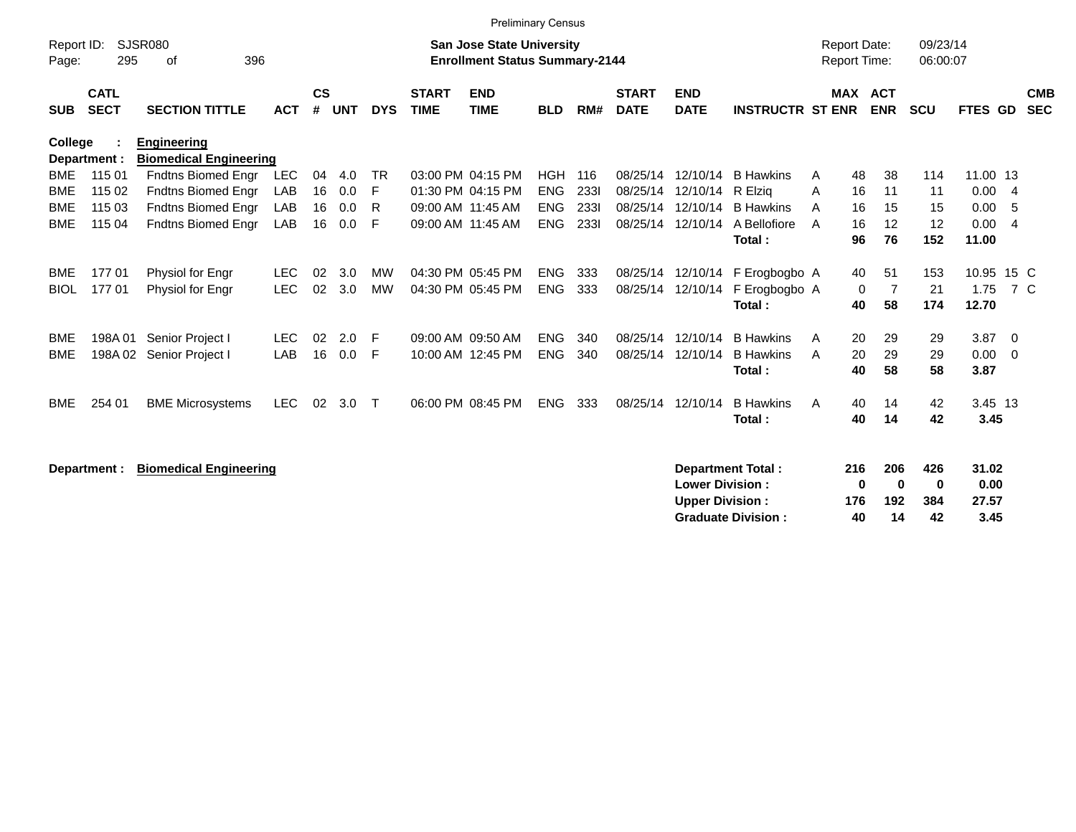|                     |                            |                                                     |            |                |            |            |                             |                                                                           | Preliminary Census |       |                             |                                                  |                            |                                     |                            |                      |                       |                          |                          |
|---------------------|----------------------------|-----------------------------------------------------|------------|----------------|------------|------------|-----------------------------|---------------------------------------------------------------------------|--------------------|-------|-----------------------------|--------------------------------------------------|----------------------------|-------------------------------------|----------------------------|----------------------|-----------------------|--------------------------|--------------------------|
| Report ID:<br>Page: | 295                        | <b>SJSR080</b><br>396<br>0f                         |            |                |            |            |                             | <b>San Jose State University</b><br><b>Enrollment Status Summary-2144</b> |                    |       |                             |                                                  |                            | <b>Report Date:</b><br>Report Time: |                            | 09/23/14<br>06:00:07 |                       |                          |                          |
| <b>SUB</b>          | <b>CATL</b><br><b>SECT</b> | <b>SECTION TITTLE</b>                               | <b>ACT</b> | <b>CS</b><br># | <b>UNT</b> | <b>DYS</b> | <b>START</b><br><b>TIME</b> | <b>END</b><br><b>TIME</b>                                                 | <b>BLD</b>         | RM#   | <b>START</b><br><b>DATE</b> | <b>END</b><br><b>DATE</b>                        | <b>INSTRUCTR ST ENR</b>    |                                     | MAX ACT<br><b>ENR</b>      | SCU                  | FTES GD               |                          | <b>CMB</b><br><b>SEC</b> |
| <b>College</b>      | Department :               | <b>Engineering</b><br><b>Biomedical Engineering</b> |            |                |            |            |                             |                                                                           |                    |       |                             |                                                  |                            |                                     |                            |                      |                       |                          |                          |
| <b>BME</b>          | 115 01                     | <b>Fndtns Biomed Engr</b>                           | <b>LEC</b> | 04             | 4.0        | <b>TR</b>  |                             | 03:00 PM 04:15 PM                                                         | HGH                | - 116 | 08/25/14                    | 12/10/14                                         | <b>B</b> Hawkins           | 48<br>A                             | 38                         | 114                  | 11.00 13              |                          |                          |
| <b>BME</b>          | 115 02                     | Fndtns Biomed Engr                                  | LAB        | 16             | 0.0        | F          |                             | 01:30 PM 04:15 PM                                                         | <b>ENG</b>         | 2331  | 08/25/14                    | 12/10/14                                         | R Elzia                    | 16<br>A                             | 11                         | 11                   | 0.004                 |                          |                          |
| <b>BME</b>          | 115 03                     | <b>Fndtns Biomed Engr</b>                           | LAB        | 16             | 0.0        | R          |                             | 09:00 AM 11:45 AM                                                         | <b>ENG</b>         | 2331  | 08/25/14                    | 12/10/14                                         | <b>B</b> Hawkins           | 16<br>A                             | 15                         | 15                   | 0.00                  | - 5                      |                          |
| <b>BME</b>          | 115 04                     | <b>Fndtns Biomed Engr</b>                           | LAB        | 16             | 0.0        | F          |                             | 09:00 AM 11:45 AM                                                         | <b>ENG</b>         | 2331  |                             | 08/25/14 12/10/14                                | A Bellofiore<br>Total:     | 16<br>A<br>96                       | 12<br>76                   | 12<br>152            | 0.00<br>11.00         | $\overline{4}$           |                          |
| <b>BME</b>          | 17701                      | Physiol for Engr                                    | <b>LEC</b> | 02             | 3.0        | <b>MW</b>  |                             | 04:30 PM 05:45 PM                                                         | <b>ENG</b>         | 333   |                             | 08/25/14 12/10/14                                | F Erogbogbo A              | 40                                  | 51                         | 153                  | 10.95 15 C            |                          |                          |
| <b>BIOL</b>         | 17701                      | Physiol for Engr                                    | <b>LEC</b> | 02             | 3.0        | <b>MW</b>  |                             | 04:30 PM 05:45 PM                                                         | <b>ENG</b>         | 333   | 08/25/14                    | 12/10/14                                         | F Erogbogbo A              |                                     | 0<br>7                     | 21                   | 1.75                  | 7 C                      |                          |
|                     |                            |                                                     |            |                |            |            |                             |                                                                           |                    |       |                             |                                                  | Total:                     | 40                                  | 58                         | 174                  | 12.70                 |                          |                          |
| <b>BME</b>          | 198A 01                    | Senior Project I                                    | <b>LEC</b> | 02             | 2.0        | F          |                             | 09:00 AM 09:50 AM                                                         | <b>ENG</b>         | 340   | 08/25/14                    | 12/10/14                                         | <b>B</b> Hawkins           | 20<br>A                             | 29                         | 29                   | 3.87                  | $\overline{\phantom{0}}$ |                          |
| <b>BME</b>          | 198A02                     | Senior Project I                                    | LAB        | 16             | 0.0        | F          |                             | 10:00 AM 12:45 PM                                                         | <b>ENG</b>         | 340   | 08/25/14                    | 12/10/14                                         | <b>B</b> Hawkins<br>Total: | 20<br>A<br>40                       | 29<br>58                   | 29<br>58             | 0.00<br>3.87          | $\overline{0}$           |                          |
| <b>BME</b>          | 254 01                     | <b>BME Microsystems</b>                             | <b>LEC</b> | 02             | 3.0        | $\top$     |                             | 06:00 PM 08:45 PM                                                         | <b>ENG</b>         | 333   | 08/25/14                    | 12/10/14                                         | <b>B</b> Hawkins<br>Total: | 40<br>A<br>40                       | 14<br>14                   | 42<br>42             | 3.45 13<br>3.45       |                          |                          |
|                     | Department :               | <b>Biomedical Engineering</b>                       |            |                |            |            |                             |                                                                           |                    |       |                             |                                                  | Department Total:          | 216                                 | 206                        | 426                  | 31.02                 |                          |                          |
|                     |                            |                                                     |            |                |            |            |                             |                                                                           |                    |       |                             | <b>Lower Division:</b><br><b>Upper Division:</b> | <b>Graduate Division:</b>  | 176<br>40                           | 0<br>$\bf{0}$<br>192<br>14 | 0<br>384<br>42       | 0.00<br>27.57<br>3.45 |                          |                          |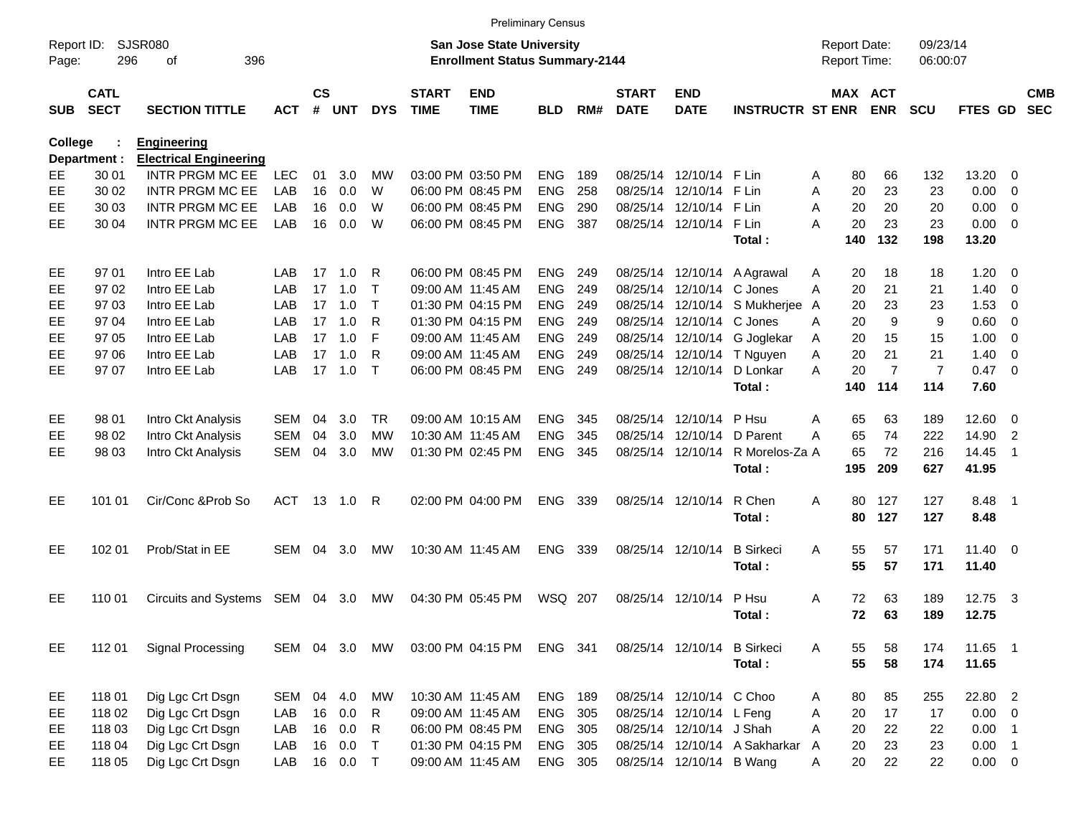|            |                            |                                 |               |           |         |              |                             |                                                                    | <b>Preliminary Census</b> |     |                             |                             |                               |                                     |                       |                      |              |                            |                          |
|------------|----------------------------|---------------------------------|---------------|-----------|---------|--------------|-----------------------------|--------------------------------------------------------------------|---------------------------|-----|-----------------------------|-----------------------------|-------------------------------|-------------------------------------|-----------------------|----------------------|--------------|----------------------------|--------------------------|
| Page:      | Report ID: SJSR080<br>296  | 396<br>оf                       |               |           |         |              |                             | San Jose State University<br><b>Enrollment Status Summary-2144</b> |                           |     |                             |                             |                               | <b>Report Date:</b><br>Report Time: |                       | 09/23/14<br>06:00:07 |              |                            |                          |
| <b>SUB</b> | <b>CATL</b><br><b>SECT</b> | <b>SECTION TITTLE</b>           | <b>ACT</b>    | <b>CS</b> | # UNT   | <b>DYS</b>   | <b>START</b><br><b>TIME</b> | <b>END</b><br><b>TIME</b>                                          | <b>BLD</b>                | RM# | <b>START</b><br><b>DATE</b> | <b>END</b><br><b>DATE</b>   | <b>INSTRUCTR ST ENR</b>       |                                     | MAX ACT<br><b>ENR</b> | <b>SCU</b>           | FTES GD      |                            | <b>CMB</b><br><b>SEC</b> |
| College    |                            | <b>Engineering</b>              |               |           |         |              |                             |                                                                    |                           |     |                             |                             |                               |                                     |                       |                      |              |                            |                          |
|            | Department :               | <b>Electrical Engineering</b>   |               |           |         |              |                             |                                                                    |                           |     |                             |                             |                               |                                     |                       |                      |              |                            |                          |
| EE         | 30 01                      | INTR PRGM MC EE                 | <b>LEC</b>    | 01        | 3.0     | MW           |                             | 03:00 PM 03:50 PM                                                  | <b>ENG</b>                | 189 |                             | 08/25/14 12/10/14           | F Lin                         | 80<br>A                             | 66                    | 132                  | 13.20        | $\Omega$                   |                          |
| EE         | 30 02                      | <b>INTR PRGM MC EE</b>          | LAB           | 16        | 0.0     | W            |                             | 06:00 PM 08:45 PM                                                  | <b>ENG</b>                | 258 |                             | 08/25/14 12/10/14           | F Lin                         | A                                   | 20<br>23              | 23                   | 0.00         | $\overline{0}$             |                          |
| EE         | 30 03                      | <b>INTR PRGM MC EE</b>          | LAB           | 16        | 0.0     | W            |                             | 06:00 PM 08:45 PM                                                  | <b>ENG</b>                | 290 |                             | 08/25/14 12/10/14           | F Lin                         | 20<br>A                             | 20                    | 20                   | 0.00         | 0                          |                          |
| EE.        | 30 04                      | <b>INTR PRGM MC EE</b>          | LAB           | 16        | 0.0     | W            |                             | 06:00 PM 08:45 PM                                                  | <b>ENG</b>                | 387 |                             | 08/25/14 12/10/14           | F Lin                         | A                                   | 20<br>23              | 23                   | 0.00         | $\overline{\phantom{0}}$   |                          |
|            |                            |                                 |               |           |         |              |                             |                                                                    |                           |     |                             |                             | Total:                        | 140                                 | 132                   | 198                  | 13.20        |                            |                          |
| EE         | 97 01                      | Intro EE Lab                    | LAB           |           | 17 1.0  | R            |                             | 06:00 PM 08:45 PM                                                  | ENG                       | 249 |                             |                             | 08/25/14 12/10/14 A Agrawal   | A                                   | 18<br>20              | 18                   | 1.20         | - 0                        |                          |
| EE         | 97 02                      | Intro EE Lab                    | LAB           | 17        | 1.0     | $\mathsf{T}$ |                             | 09:00 AM 11:45 AM                                                  | <b>ENG</b>                | 249 |                             | 08/25/14 12/10/14 C Jones   |                               | A                                   | 21<br>20              | 21                   | 1.40         | - 0                        |                          |
| EE         | 97 03                      | Intro EE Lab                    | LAB           |           | 17, 1.0 | $\mathsf T$  |                             | 01:30 PM 04:15 PM                                                  | <b>ENG</b>                | 249 |                             |                             | 08/25/14 12/10/14 S Mukherjee | A                                   | 20<br>23              | 23                   | 1.53         | 0                          |                          |
| EE         | 97 04                      | Intro EE Lab                    | LAB           |           | 17, 1.0 | R            |                             | 01:30 PM 04:15 PM                                                  | <b>ENG</b>                | 249 |                             | 08/25/14 12/10/14 C Jones   |                               | A                                   | 9<br>20               | 9                    | 0.60         | - 0                        |                          |
| EE         | 97 05                      | Intro EE Lab                    | LAB           | 17        | 1.0     | F            |                             | 09:00 AM 11:45 AM                                                  | <b>ENG</b>                | 249 |                             |                             | 08/25/14 12/10/14 G Joglekar  | 20<br>A                             | 15                    | 15                   | 1.00         | $\overline{0}$             |                          |
| EЕ         | 97 06                      | Intro EE Lab                    | LAB           | 17        | 1.0     | R            |                             | 09:00 AM 11:45 AM                                                  | <b>ENG</b>                | 249 |                             |                             | 08/25/14 12/10/14 T Nguyen    | Α                                   | 20<br>21              | 21                   | 1.40         | $\overline{0}$             |                          |
| EE.        | 97 07                      | Intro EE Lab                    | LAB           |           | 17 1.0  | $\mathsf{T}$ |                             | 06:00 PM 08:45 PM                                                  | <b>ENG</b>                | 249 |                             | 08/25/14 12/10/14           | D Lonkar                      | A                                   | $\overline{7}$<br>20  | $\overline{7}$       | $0.47 \ 0$   |                            |                          |
|            |                            |                                 |               |           |         |              |                             |                                                                    |                           |     |                             |                             | Total:                        | 140                                 | 114                   | 114                  | 7.60         |                            |                          |
| EE         | 98 01                      | Intro Ckt Analysis              | SEM           | 04        | 3.0     | TR.          |                             | 09:00 AM 10:15 AM                                                  | <b>ENG</b>                | 345 |                             | 08/25/14 12/10/14           | P Hsu                         | A                                   | 65<br>63              | 189                  | 12.60        | $\overline{\mathbf{0}}$    |                          |
| EE         | 98 02                      | Intro Ckt Analysis              | <b>SEM</b>    | 04        | 3.0     | МW           |                             | 10:30 AM 11:45 AM                                                  | <b>ENG</b>                | 345 |                             | 08/25/14 12/10/14           | D Parent                      | 65<br>А                             | 74                    | 222                  | 14.90        | $\overline{2}$             |                          |
| EE         | 98 03                      | Intro Ckt Analysis              | <b>SEM</b>    | 04        | 3.0     | MW           |                             | 01:30 PM 02:45 PM                                                  | <b>ENG</b>                | 345 |                             | 08/25/14 12/10/14           | R Morelos-Za A                | 65                                  | 72                    | 216                  | 14.45        | $\overline{1}$             |                          |
|            |                            |                                 |               |           |         |              |                             |                                                                    |                           |     |                             |                             | Total:                        | 195                                 | 209                   | 627                  | 41.95        |                            |                          |
|            |                            |                                 |               |           |         |              |                             |                                                                    |                           |     |                             |                             |                               |                                     |                       |                      |              |                            |                          |
| EE.        | 101 01                     | Cir/Conc & Prob So              | <b>ACT</b>    |           |         | R            |                             | 02:00 PM 04:00 PM                                                  | <b>ENG</b>                | 339 |                             | 08/25/14 12/10/14           | R Chen                        | A                                   | 80<br>127             | 127                  | 8.48         | $\overline{\phantom{0}}$ 1 |                          |
|            |                            |                                 |               |           |         |              |                             |                                                                    |                           |     |                             |                             | Total:                        |                                     | 127<br>80             | 127                  | 8.48         |                            |                          |
| EE.        | 102 01                     | Prob/Stat in EE                 | SEM           | 04        | 3.0     | MW           |                             | 10:30 AM 11:45 AM                                                  | <b>ENG</b>                | 339 |                             | 08/25/14 12/10/14           | <b>B</b> Sirkeci              | A                                   | 55<br>57              | 171                  | $11.40 \t 0$ |                            |                          |
|            |                            |                                 |               |           |         |              |                             |                                                                    |                           |     |                             |                             | Total:                        |                                     | 55<br>57              | 171                  | 11.40        |                            |                          |
|            |                            |                                 |               |           |         |              |                             |                                                                    |                           |     |                             |                             |                               |                                     |                       |                      |              |                            |                          |
| EE         | 110 01                     | Circuits and Systems SEM 04 3.0 |               |           |         | MW           |                             | 04:30 PM 05:45 PM                                                  | WSQ 207                   |     |                             | 08/25/14 12/10/14           | P Hsu                         | A                                   | 72<br>63              | 189                  | 12.75 3      |                            |                          |
|            |                            |                                 |               |           |         |              |                             |                                                                    |                           |     |                             |                             | Total:                        |                                     | 72<br>63              | 189                  | 12.75        |                            |                          |
|            |                            |                                 |               |           |         |              |                             |                                                                    |                           |     |                             |                             |                               |                                     |                       |                      |              |                            |                          |
| EE         | 112 01                     | <b>Signal Processing</b>        | SEM 04 3.0 MW |           |         |              |                             | 03:00 PM 04:15 PM                                                  | ENG 341                   |     |                             | 08/25/14 12/10/14 B Sirkeci |                               | A                                   | 55<br>58              | 174                  | 11.65 1      |                            |                          |
|            |                            |                                 |               |           |         |              |                             |                                                                    |                           |     |                             |                             | Total:                        |                                     | 55<br>58              | 174                  | 11.65        |                            |                          |
| EE         | 118 01                     | Dig Lgc Crt Dsgn                | SEM           |           | 04 4.0  | MW           |                             | 10:30 AM 11:45 AM                                                  | ENG 189                   |     |                             | 08/25/14 12/10/14 C Choo    |                               | A                                   | 80<br>85              | 255                  | 22.80 2      |                            |                          |
| EE         | 118 02                     | Dig Lgc Crt Dsgn                | LAB           |           | 16 0.0  | R            |                             | 09:00 AM 11:45 AM                                                  | ENG 305                   |     |                             | 08/25/14 12/10/14 L Feng    |                               | Α                                   | 20<br>17              | 17                   | $0.00 \t 0$  |                            |                          |
| EE         | 118 03                     | Dig Lgc Crt Dsgn                | LAB           | 16        | 0.0     | R            |                             | 06:00 PM 08:45 PM                                                  | ENG 305                   |     |                             | 08/25/14 12/10/14 J Shah    |                               | Α                                   | 20<br>22              | 22                   | $0.00$ 1     |                            |                          |
| EE         | 118 04                     | Dig Lgc Crt Dsgn                | LAB           | 16        | 0.0     | $\top$       |                             | 01:30 PM 04:15 PM                                                  | ENG 305                   |     |                             |                             | 08/25/14 12/10/14 A Sakharkar | A                                   | 20<br>23              | 23                   | $0.00$ 1     |                            |                          |
| EE.        | 118 05                     | Dig Lgc Crt Dsgn                | LAB           |           | 16 0.0  | $\top$       |                             | 09:00 AM 11:45 AM                                                  | ENG 305                   |     |                             | 08/25/14 12/10/14 B Wang    |                               | A                                   | 20<br>22              | 22                   | $0.00 \t 0$  |                            |                          |
|            |                            |                                 |               |           |         |              |                             |                                                                    |                           |     |                             |                             |                               |                                     |                       |                      |              |                            |                          |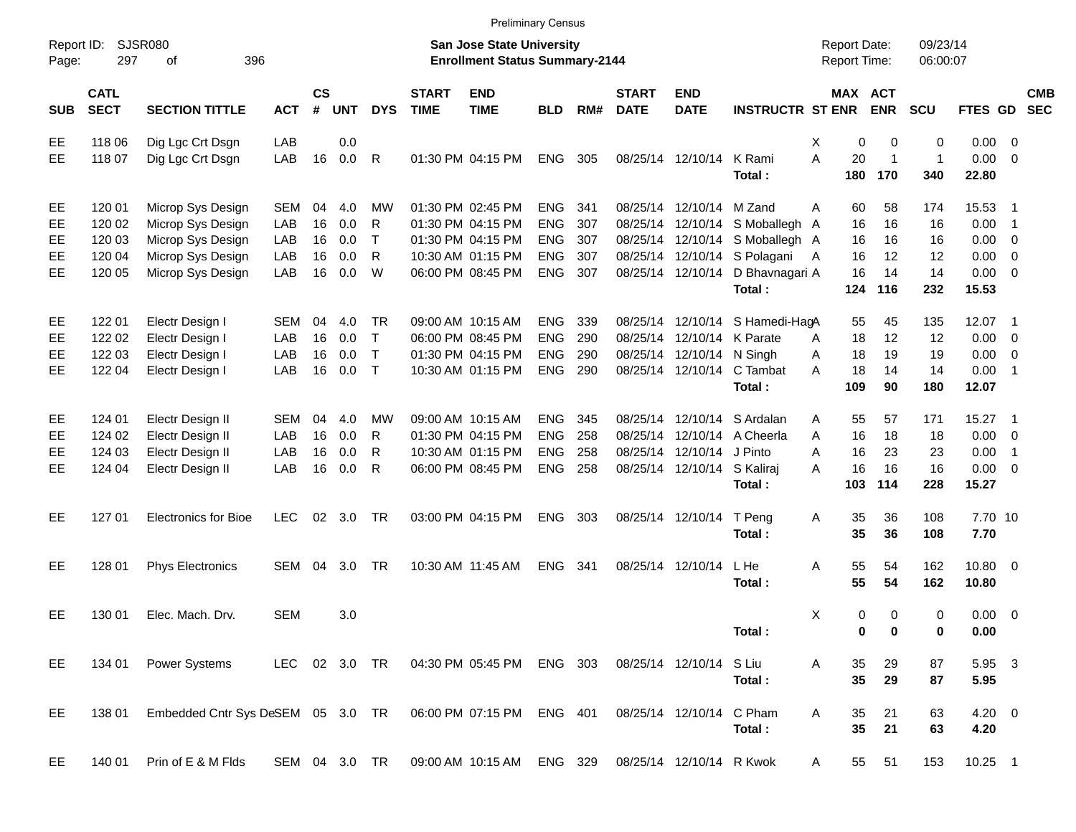|                     |                            |                                   |               |                             |            |              |                             | <b>Preliminary Census</b>                                          |            |     |                             |                           |                              |                                     |                     |                      |                      |                          |                          |
|---------------------|----------------------------|-----------------------------------|---------------|-----------------------------|------------|--------------|-----------------------------|--------------------------------------------------------------------|------------|-----|-----------------------------|---------------------------|------------------------------|-------------------------------------|---------------------|----------------------|----------------------|--------------------------|--------------------------|
| Report ID:<br>Page: | 297                        | <b>SJSR080</b><br>396<br>оf       |               |                             |            |              |                             | San Jose State University<br><b>Enrollment Status Summary-2144</b> |            |     |                             |                           |                              | <b>Report Date:</b><br>Report Time: |                     | 09/23/14<br>06:00:07 |                      |                          |                          |
| <b>SUB</b>          | <b>CATL</b><br><b>SECT</b> | <b>SECTION TITTLE</b>             | <b>ACT</b>    | $\mathsf{cs}$<br>$\pmb{\#}$ | <b>UNT</b> | <b>DYS</b>   | <b>START</b><br><b>TIME</b> | <b>END</b><br><b>TIME</b>                                          | <b>BLD</b> | RM# | <b>START</b><br><b>DATE</b> | <b>END</b><br><b>DATE</b> | <b>INSTRUCTR ST ENR</b>      | MAX ACT                             | <b>ENR</b>          | <b>SCU</b>           | <b>FTES GD</b>       |                          | <b>CMB</b><br><b>SEC</b> |
| EE                  | 118 06                     | Dig Lgc Crt Dsgn                  | LAB           |                             | 0.0        |              |                             |                                                                    |            |     |                             |                           |                              | X<br>0                              | 0                   | 0                    | $0.00 \t 0$          |                          |                          |
| EE.                 | 118 07                     | Dig Lgc Crt Dsgn                  | LAB           | 16                          | 0.0        | R            |                             | 01:30 PM 04:15 PM                                                  | <b>ENG</b> | 305 |                             | 08/25/14 12/10/14         | K Rami<br>Total:             | A<br>20<br>180                      | $\mathbf{1}$<br>170 | $\mathbf{1}$<br>340  | $0.00 \t 0$<br>22.80 |                          |                          |
| EE                  | 120 01                     | Microp Sys Design                 | <b>SEM</b>    | 04                          | 4.0        | МW           |                             | 01:30 PM 02:45 PM                                                  | <b>ENG</b> | 341 |                             | 08/25/14 12/10/14         | M Zand                       | 60<br>A                             | 58                  | 174                  | 15.53                | $\blacksquare$ 1         |                          |
| EE                  | 120 02                     | Microp Sys Design                 | LAB           | 16                          | 0.0        | R            |                             | 01:30 PM 04:15 PM                                                  | <b>ENG</b> | 307 | 08/25/14                    | 12/10/14                  | S Moballegh                  | 16<br>A                             | 16                  | 16                   | $0.00$ 1             |                          |                          |
| EE                  | 120 03                     | Microp Sys Design                 | LAB           | 16                          | 0.0        | $\mathsf{T}$ |                             | 01:30 PM 04:15 PM                                                  | <b>ENG</b> | 307 | 08/25/14                    |                           | 12/10/14 S Moballegh A       | 16                                  | 16                  | 16                   | $0.00 \t 0$          |                          |                          |
| EE                  | 120 04                     | Microp Sys Design                 | LAB           | 16                          | 0.0        | R            |                             | 10:30 AM 01:15 PM                                                  | <b>ENG</b> | 307 |                             |                           | 08/25/14 12/10/14 S Polagani | 16<br>A                             | 12                  | 12                   | $0.00 \t 0$          |                          |                          |
| EE                  | 120 05                     | Microp Sys Design                 | LAB           | 16                          | 0.0        | W            |                             | 06:00 PM 08:45 PM                                                  | <b>ENG</b> | 307 |                             | 08/25/14 12/10/14         | D Bhavnagari A<br>Total:     | 16<br>124                           | 14<br>116           | 14<br>232            | $0.00 \t 0$<br>15.53 |                          |                          |
| EE                  | 122 01                     | Electr Design I                   | <b>SEM</b>    | 04                          | 4.0        | <b>TR</b>    |                             | 09:00 AM 10:15 AM                                                  | <b>ENG</b> | 339 |                             | 08/25/14 12/10/14         | S Hamedi-HagA                | 55                                  | 45                  | 135                  | 12.07                | $\blacksquare$ 1         |                          |
| EE                  | 122 02                     | Electr Design I                   | LAB           | 16                          | 0.0        | $\top$       |                             | 06:00 PM 08:45 PM                                                  | <b>ENG</b> | 290 | 08/25/14                    | 12/10/14                  | K Parate                     | 18<br>A                             | 12                  | 12                   | $0.00 \t 0$          |                          |                          |
| EE                  | 122 03                     | Electr Design I                   | LAB           | 16                          | 0.0        | $\mathsf{T}$ |                             | 01:30 PM 04:15 PM                                                  | <b>ENG</b> | 290 |                             | 08/25/14 12/10/14         | N Singh                      | 18<br>Α                             | 19                  | 19                   | $0.00 \t 0$          |                          |                          |
| EE                  | 122 04                     | Electr Design I                   | LAB           | 16                          | 0.0        | $\mathsf{T}$ |                             | 10:30 AM 01:15 PM                                                  | <b>ENG</b> | 290 |                             | 08/25/14 12/10/14         | C Tambat                     | 18<br>А                             | 14                  | 14                   | 0.00                 | $\overline{\phantom{1}}$ |                          |
|                     |                            |                                   |               |                             |            |              |                             |                                                                    |            |     |                             |                           | Total:                       | 109                                 | 90                  | 180                  | 12.07                |                          |                          |
| EE                  | 124 01                     | Electr Design II                  | <b>SEM</b>    | 04                          | 4.0        | МW           |                             | 09:00 AM 10:15 AM                                                  | <b>ENG</b> | 345 |                             | 08/25/14 12/10/14         | S Ardalan                    | 55<br>Α                             | 57                  | 171                  | 15.27                | $\overline{\phantom{1}}$ |                          |
| EE                  | 124 02                     | Electr Design II                  | LAB           | 16                          | 0.0        | R            |                             | 01:30 PM 04:15 PM                                                  | <b>ENG</b> | 258 | 08/25/14                    | 12/10/14                  | A Cheerla                    | A<br>16                             | 18                  | 18                   | $0.00 \t 0$          |                          |                          |
| EE                  | 124 03                     | Electr Design II                  | LAB           | 16                          | 0.0        | R            |                             | 10:30 AM 01:15 PM                                                  | <b>ENG</b> | 258 |                             | 08/25/14 12/10/14         | J Pinto                      | A<br>16                             | 23                  | 23                   | 0.00                 | $\overline{\phantom{1}}$ |                          |
| EE                  | 124 04                     | Electr Design II                  | LAB           | 16                          | 0.0        | R            |                             | 06:00 PM 08:45 PM                                                  | <b>ENG</b> | 258 |                             | 08/25/14 12/10/14         | S Kaliraj                    | 16<br>А                             | 16                  | 16                   | $0.00 \t 0$          |                          |                          |
|                     |                            |                                   |               |                             |            |              |                             |                                                                    |            |     |                             |                           | Total:                       | 103                                 | 114                 | 228                  | 15.27                |                          |                          |
| EE                  | 127 01                     | <b>Electronics for Bioe</b>       | <b>LEC</b>    | 02                          | 3.0        | TR           |                             | 03:00 PM 04:15 PM                                                  | <b>ENG</b> | 303 |                             | 08/25/14 12/10/14         | T Peng                       | 35<br>Α<br>35                       | 36                  | 108                  | 7.70 10              |                          |                          |
|                     |                            |                                   |               |                             |            |              |                             |                                                                    |            |     |                             |                           | Total:                       |                                     | 36                  | 108                  | 7.70                 |                          |                          |
| EE                  | 128 01                     | <b>Phys Electronics</b>           | SEM           | 04                          | 3.0        | <b>TR</b>    |                             | 10:30 AM 11:45 AM                                                  | <b>ENG</b> | 341 |                             | 08/25/14 12/10/14         | L He                         | 55<br>Α                             | 54                  | 162                  | 10.80 0              |                          |                          |
|                     |                            |                                   |               |                             |            |              |                             |                                                                    |            |     |                             |                           | Total:                       | 55                                  | 54                  | 162                  | 10.80                |                          |                          |
| EE                  | 130 01                     | Elec. Mach. Drv.                  | <b>SEM</b>    |                             | 3.0        |              |                             |                                                                    |            |     |                             |                           |                              | X<br>0                              | 0                   | 0                    | $0.00 \t 0$          |                          |                          |
|                     |                            |                                   |               |                             |            |              |                             |                                                                    |            |     |                             |                           | Total:                       | 0                                   | 0                   | 0                    | 0.00                 |                          |                          |
| EE                  | 134 01                     | Power Systems                     | LEC 02 3.0 TR |                             |            |              |                             | 04:30 PM 05:45 PM                                                  | ENG 303    |     |                             | 08/25/14 12/10/14         | S Liu                        | Α<br>35                             | 29                  | 87                   | 5.95 3               |                          |                          |
|                     |                            |                                   |               |                             |            |              |                             |                                                                    |            |     |                             |                           | Total:                       | 35                                  | 29                  | 87                   | 5.95                 |                          |                          |
| EE                  | 138 01                     | Embedded Cntr Sys DeSEM 05 3.0 TR |               |                             |            |              |                             | 06:00 PM 07:15 PM                                                  | ENG 401    |     |                             | 08/25/14 12/10/14         | C Pham                       | Α<br>35                             | 21                  | 63                   | $4.20 \ 0$           |                          |                          |
|                     |                            |                                   |               |                             |            |              |                             |                                                                    |            |     |                             |                           | Total:                       | 35                                  | 21                  | 63                   | 4.20                 |                          |                          |
| EE                  | 140 01                     | Prin of E & M Flds                | SEM 04 3.0 TR |                             |            |              |                             | 09:00 AM 10:15 AM                                                  | ENG 329    |     |                             | 08/25/14 12/10/14 R Kwok  |                              | 55<br>A                             | 51                  | 153                  | $10.25$ 1            |                          |                          |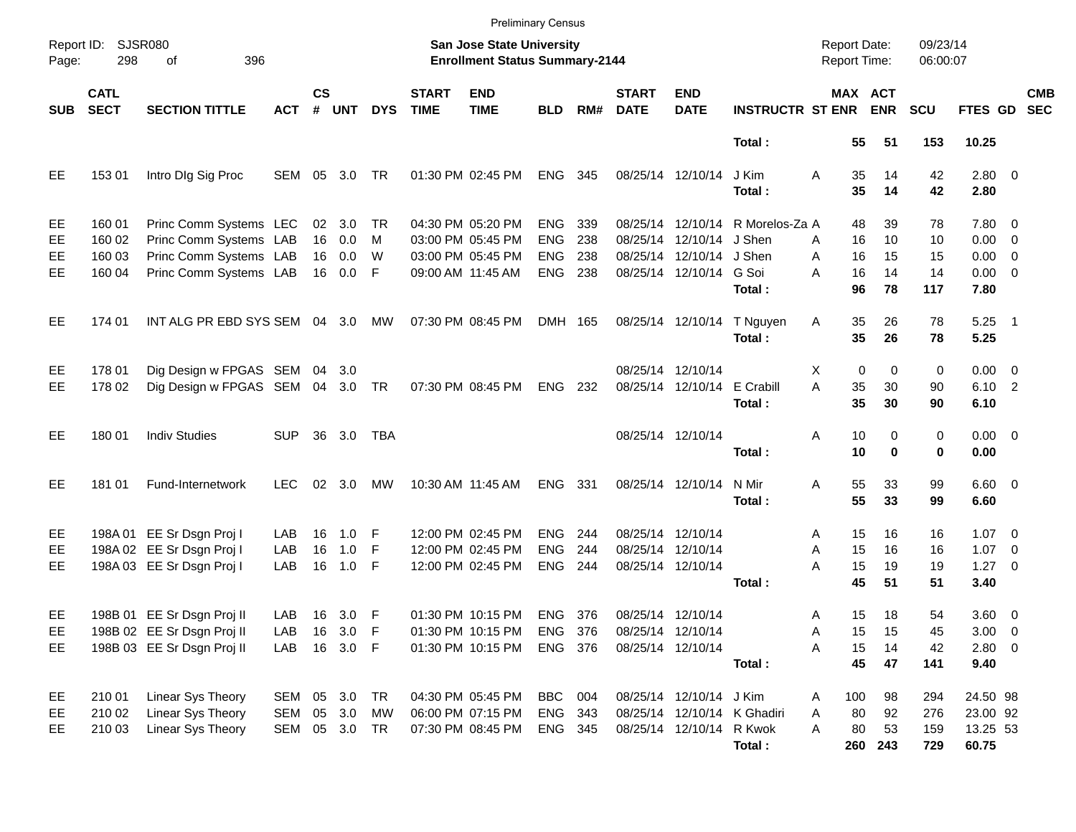|            |                            |                                  |            |                    |            |            |                                                                           | <b>Preliminary Census</b> |            |       |                             |                           |                                            |          |                              |                      |          |                    |            |
|------------|----------------------------|----------------------------------|------------|--------------------|------------|------------|---------------------------------------------------------------------------|---------------------------|------------|-------|-----------------------------|---------------------------|--------------------------------------------|----------|------------------------------|----------------------|----------|--------------------|------------|
| Page:      | Report ID: SJSR080<br>298  |                                  |            |                    |            |            | <b>San Jose State University</b><br><b>Enrollment Status Summary-2144</b> |                           |            |       |                             |                           | <b>Report Date:</b><br><b>Report Time:</b> |          |                              | 09/23/14<br>06:00:07 |          |                    |            |
| <b>SUB</b> | <b>CATL</b><br><b>SECT</b> | <b>SECTION TITTLE</b>            | <b>ACT</b> | $\mathsf{cs}$<br># | <b>UNT</b> | <b>DYS</b> | <b>START</b><br><b>TIME</b>                                               | <b>END</b><br><b>TIME</b> | <b>BLD</b> | RM#   | <b>START</b><br><b>DATE</b> | <b>END</b><br><b>DATE</b> | <b>INSTRUCTR ST ENR</b>                    |          | <b>MAX ACT</b><br><b>ENR</b> | <b>SCU</b>           |          | FTES GD SEC        | <b>CMB</b> |
|            |                            |                                  |            |                    |            |            |                                                                           |                           |            |       |                             |                           | Total:                                     |          | 55                           | 51                   | 153      | 10.25              |            |
| EE         | 153 01                     | Intro DIg Sig Proc               | SEM 05 3.0 |                    |            | TR         |                                                                           | 01:30 PM 02:45 PM         | <b>ENG</b> | 345   | 08/25/14 12/10/14           |                           | J Kim<br>Total:                            | A        | 35<br>35                     | 14<br>14             | 42<br>42 | $2.80 \ 0$<br>2.80 |            |
| EE         | 160 01                     | Princ Comm Systems LEC           |            |                    | 02 3.0     | TR         |                                                                           | 04:30 PM 05:20 PM         | <b>ENG</b> | 339   |                             | 08/25/14 12/10/14         | R Morelos-Za A                             |          | 48                           | 39                   | 78       | 7.80 0             |            |
| EE         | 160 02                     | Princ Comm Systems LAB           |            | 16                 | 0.0        | M          |                                                                           | 03:00 PM 05:45 PM         | <b>ENG</b> | 238   |                             | 08/25/14 12/10/14         | J Shen                                     | A        | 16                           | 10                   | 10       | $0.00 \t 0$        |            |
| EE         | 160 03                     | Princ Comm Systems LAB           |            | 16                 | 0.0        | W          |                                                                           | 03:00 PM 05:45 PM         | <b>ENG</b> | 238   |                             | 08/25/14 12/10/14 J Shen  |                                            | A        | 16                           | 15                   | 15       | $0.00 \t 0$        |            |
| EE         | 160 04                     | Princ Comm Systems LAB           |            |                    | 16 0.0     | F          |                                                                           | 09:00 AM 11:45 AM         | <b>ENG</b> | 238   |                             | 08/25/14 12/10/14         | G Soi                                      | A        | 16                           | 14                   | 14       | $0.00 \t 0$        |            |
|            |                            |                                  |            |                    |            |            |                                                                           |                           |            |       |                             |                           | Total:                                     |          | 96                           | 78                   | 117      | 7.80               |            |
| EE         | 174 01                     | INT ALG PR EBD SYS SEM 04 3.0    |            |                    |            | МW         |                                                                           | 07:30 PM 08:45 PM         | DMH 165    |       |                             | 08/25/14 12/10/14         | T Nguyen                                   | Α        | 35                           | 26                   | 78       | $5.25$ 1           |            |
|            |                            |                                  |            |                    |            |            |                                                                           |                           |            |       |                             |                           | Total:                                     |          | 35                           | 26                   | 78       | 5.25               |            |
| EE         | 178 01                     | Dig Design w FPGAS SEM 04 3.0    |            |                    |            |            |                                                                           |                           |            |       |                             | 08/25/14 12/10/14         |                                            | Х        | 0                            | 0                    | 0        | $0.00 \t 0$        |            |
| EE         | 178 02                     | Dig Design w FPGAS SEM 04 3.0 TR |            |                    |            |            |                                                                           | 07:30 PM 08:45 PM         | ENG 232    |       |                             | 08/25/14 12/10/14         | E Crabill                                  | A        | 35                           | 30                   | 90       | 6.10 2             |            |
|            |                            |                                  |            |                    |            |            |                                                                           |                           |            |       |                             |                           | Total:                                     |          | 35                           | 30                   | 90       | 6.10               |            |
| EE         | 180 01                     | <b>Indiv Studies</b>             | <b>SUP</b> | 36                 | 3.0        | TBA        |                                                                           |                           |            |       |                             | 08/25/14 12/10/14         |                                            | Α        | 10                           | 0                    | 0        | $0.00 \t 0$        |            |
|            |                            |                                  |            |                    |            |            |                                                                           |                           |            |       |                             |                           | Total:                                     |          | 10                           | 0                    | 0        | 0.00               |            |
| EE         | 181 01                     | Fund-Internetwork                | <b>LEC</b> | 02                 | 3.0        | МW         |                                                                           | 10:30 AM 11:45 AM         | <b>ENG</b> | - 331 | 08/25/14 12/10/14           |                           | N Mir                                      | Α        | 55                           | 33                   | 99       | $6.60$ 0           |            |
|            |                            |                                  |            |                    |            |            |                                                                           |                           |            |       |                             |                           | Total:                                     |          | 55                           | 33                   | 99       | 6.60               |            |
| EE         |                            | 198A 01 EE Sr Dsgn Proj I        | LAB        | 16                 | 1.0        | F          |                                                                           | 12:00 PM 02:45 PM         | <b>ENG</b> | 244   | 08/25/14 12/10/14           |                           |                                            | A        | 15                           | 16                   | 16       | $1.07 \t 0$        |            |
| EE         |                            | 198A 02 EE Sr Dsgn Proj I        | LAB        | 16                 | 1.0        | F          |                                                                           | 12:00 PM 02:45 PM         | <b>ENG</b> | 244   | 08/25/14 12/10/14           |                           |                                            | A        | 15                           | 16                   | 16       | $1.07 \t 0$        |            |
| EE         |                            | 198A 03 EE Sr Dsgn Proj I        | LAB        | 16                 | 1.0        | F          |                                                                           | 12:00 PM 02:45 PM         | <b>ENG</b> | 244   | 08/25/14 12/10/14           |                           |                                            | A        | 15                           | 19                   | 19       | $1.27 \t 0$        |            |
|            |                            |                                  |            |                    |            |            |                                                                           |                           |            |       |                             |                           | Total:                                     |          | 45                           | 51                   | 51       | 3.40               |            |
| EE         |                            | 198B 01 EE Sr Dsgn Proj II       | LAB        |                    | 16 3.0 F   |            |                                                                           | 01:30 PM 10:15 PM         | <b>ENG</b> | - 376 | 08/25/14 12/10/14           |                           |                                            | A        | 15                           | 18                   | 54       | 3.60 0             |            |
| EE         |                            | 198B 02 EE Sr Dsgn Proj II       | LAB        |                    | 16 3.0     | - F        |                                                                           | 01:30 PM 10:15 PM         | <b>ENG</b> | 376   | 08/25/14 12/10/14           |                           |                                            | A        | 15                           | 15                   | 45       | $3.00 \t 0$        |            |
| EE.        |                            | 198B 03 EE Sr Dsgn Proj II       | LAB        |                    | 16 3.0 F   |            |                                                                           | 01:30 PM 10:15 PM         | ENG 376    |       | 08/25/14 12/10/14           |                           |                                            | Α        | 15                           | 14                   | 42       | 2.80 0             |            |
|            |                            |                                  |            |                    |            |            |                                                                           |                           |            |       |                             |                           | Total:                                     |          | 45                           | 47                   | 141      | 9.40               |            |
| EE         | 210 01                     | Linear Sys Theory                | SEM        |                    | 05 3.0     | TR         |                                                                           | 04:30 PM 05:45 PM         | <b>BBC</b> | 004   |                             | 08/25/14 12/10/14 J Kim   |                                            | 100<br>A |                              | 98                   | 294      | 24.50 98           |            |
| EE         | 210 02                     | Linear Sys Theory                | SEM        | 05                 | 3.0        | MW         |                                                                           | 06:00 PM 07:15 PM         | ENG 343    |       |                             |                           | 08/25/14 12/10/14 K Ghadiri                | Α        | 80                           | 92                   | 276      | 23.00 92           |            |
| EE         | 210 03                     | Linear Sys Theory                | SEM        |                    | 05 3.0 TR  |            |                                                                           | 07:30 PM 08:45 PM         | ENG 345    |       |                             | 08/25/14 12/10/14         | R Kwok                                     | Α        | 80                           | 53                   | 159      | 13.25 53           |            |
|            |                            |                                  |            |                    |            |            |                                                                           |                           |            |       |                             |                           | Total:                                     |          | 260 243                      |                      | 729      | 60.75              |            |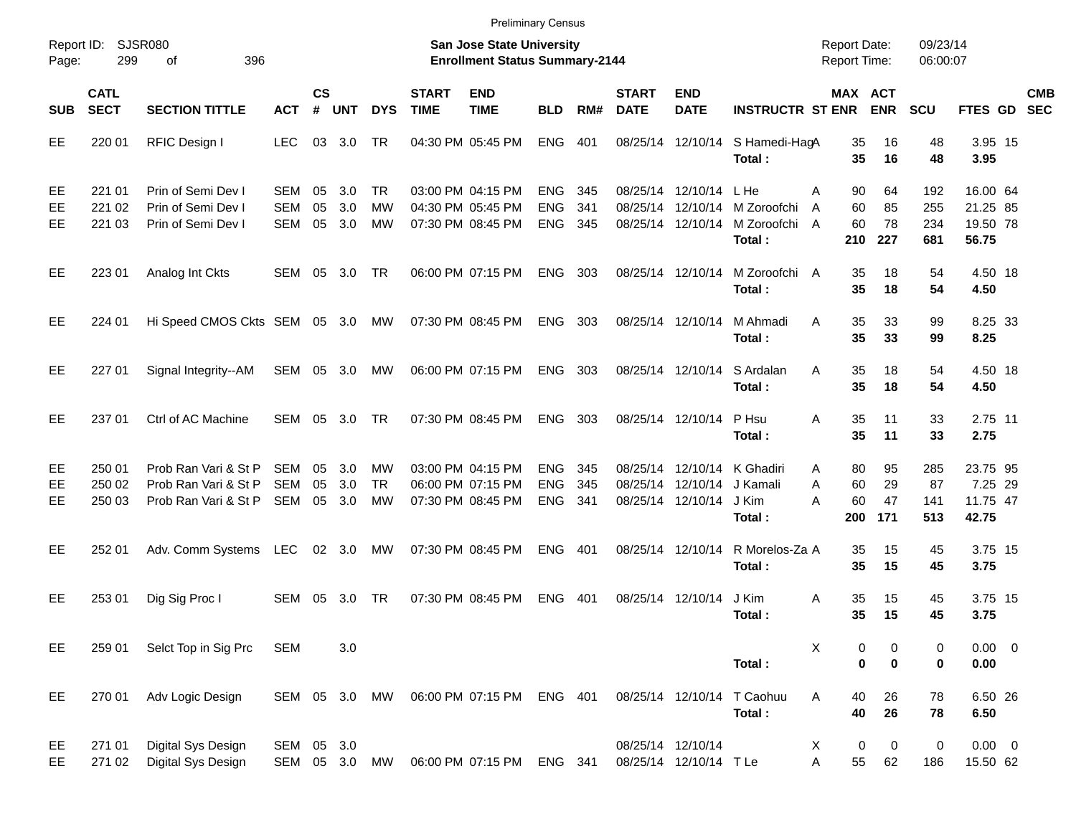| Report ID:<br>Page: | SJSR080<br>299             |                                                                      |                                 |                    |                   |                        | <b>San Jose State University</b><br><b>Enrollment Status Summary-2144</b> |                                                             |                                        |                   |                             |                                             | <b>Report Date:</b><br><b>Report Time:</b>                 |                                              | 09/23/14<br>06:00:07  |                          |                                           |            |
|---------------------|----------------------------|----------------------------------------------------------------------|---------------------------------|--------------------|-------------------|------------------------|---------------------------------------------------------------------------|-------------------------------------------------------------|----------------------------------------|-------------------|-----------------------------|---------------------------------------------|------------------------------------------------------------|----------------------------------------------|-----------------------|--------------------------|-------------------------------------------|------------|
| <b>SUB</b>          | <b>CATL</b><br><b>SECT</b> | <b>SECTION TITTLE</b>                                                | <b>ACT</b>                      | $\mathsf{cs}$<br># | <b>UNT</b>        | <b>DYS</b>             | <b>START</b><br><b>TIME</b>                                               | <b>END</b><br><b>TIME</b>                                   | <b>BLD</b>                             | RM#               | <b>START</b><br><b>DATE</b> | <b>END</b><br><b>DATE</b>                   | <b>INSTRUCTR ST ENR</b>                                    | MAX ACT                                      | <b>ENR</b>            | SCU                      | FTES GD SEC                               | <b>CMB</b> |
| EE                  | 220 01                     | RFIC Design I                                                        | <b>LEC</b>                      | 03                 | 3.0               | TR                     |                                                                           | 04:30 PM 05:45 PM                                           | <b>ENG</b>                             | 401               |                             |                                             | 08/25/14 12/10/14 S Hamedi-HagA<br>Total:                  | 35<br>35                                     | 16<br>16              | 48<br>48                 | 3.95 15<br>3.95                           |            |
| EE<br>EE<br>EЕ      | 221 01<br>221 02<br>221 03 | Prin of Semi Dev I<br>Prin of Semi Dev I<br>Prin of Semi Dev I       | SEM<br><b>SEM</b><br>SEM        | 05<br>05<br>05     | 3.0<br>3.0<br>3.0 | TR.<br><b>MW</b><br>МW |                                                                           | 03:00 PM 04:15 PM<br>04:30 PM 05:45 PM<br>07:30 PM 08:45 PM | <b>ENG</b><br><b>ENG</b><br><b>ENG</b> | 345<br>341<br>345 | 08/25/14                    | 08/25/14 12/10/14 L He<br>08/25/14 12/10/14 | 12/10/14 M Zoroofchi<br>M Zoroofchi A<br>Total:            | Α<br>90<br>60<br>$\overline{A}$<br>60<br>210 | 64<br>85<br>78<br>227 | 192<br>255<br>234<br>681 | 16.00 64<br>21.25 85<br>19.50 78<br>56.75 |            |
| EE                  | 223 01                     | Analog Int Ckts                                                      | SEM                             | 05                 | 3.0               | TR                     |                                                                           | 06:00 PM 07:15 PM                                           | <b>ENG</b>                             | 303               |                             |                                             | 08/25/14 12/10/14 M Zoroofchi A<br>Total:                  | 35<br>35                                     | 18<br>18              | 54<br>54                 | 4.50 18<br>4.50                           |            |
| EE                  | 224 01                     | Hi Speed CMOS Ckts SEM 05 3.0                                        |                                 |                    |                   | MW                     |                                                                           | 07:30 PM 08:45 PM                                           | <b>ENG</b>                             | 303               |                             | 08/25/14 12/10/14                           | M Ahmadi<br>Total:                                         | A<br>35<br>35                                | 33<br>33              | 99<br>99                 | 8.25 33<br>8.25                           |            |
| EE                  | 227 01                     | Signal Integrity--AM                                                 | SEM                             |                    | 05 3.0            | МW                     |                                                                           | 06:00 PM 07:15 PM                                           | <b>ENG</b>                             | 303               |                             |                                             | 08/25/14 12/10/14 S Ardalan<br>Total:                      | 35<br>A<br>35                                | 18<br>18              | 54<br>54                 | 4.50 18<br>4.50                           |            |
| EE                  | 237 01                     | Ctrl of AC Machine                                                   | SEM                             | 05                 | 3.0               | <b>TR</b>              |                                                                           | 07:30 PM 08:45 PM                                           | <b>ENG</b>                             | 303               |                             | 08/25/14 12/10/14 P Hsu                     | Total:                                                     | A<br>35<br>35                                | 11<br>11              | 33<br>33                 | 2.75 11<br>2.75                           |            |
| EE<br>EE<br>EЕ      | 250 01<br>250 02<br>250 03 | Prob Ran Vari & St P<br>Prob Ran Vari & St P<br>Prob Ran Vari & St P | <b>SEM</b><br><b>SEM</b><br>SEM | 05<br>05<br>05     | 3.0<br>3.0<br>3.0 | МW<br><b>TR</b><br>МW  |                                                                           | 03:00 PM 04:15 PM<br>06:00 PM 07:15 PM<br>07:30 PM 08:45 PM | <b>ENG</b><br><b>ENG</b><br><b>ENG</b> | 345<br>345<br>341 | 08/25/14                    | 12/10/14<br>08/25/14 12/10/14               | 08/25/14 12/10/14 K Ghadiri<br>J Kamali<br>J Kim<br>Total: | 80<br>A<br>A<br>60<br>A<br>60<br>200         | 95<br>29<br>47<br>171 | 285<br>87<br>141<br>513  | 23.75 95<br>7.25 29<br>11.75 47<br>42.75  |            |
| EE                  | 252 01                     | Adv. Comm Systems                                                    | LEC                             |                    | 02 3.0            | <b>MW</b>              |                                                                           | 07:30 PM 08:45 PM                                           | <b>ENG</b>                             | 401               |                             | 08/25/14 12/10/14                           | R Morelos-Za A<br>Total:                                   | 35<br>35                                     | 15<br>15              | 45<br>45                 | 3.75 15<br>3.75                           |            |
| EE                  | 253 01                     | Dig Sig Proc I                                                       | SEM                             | 05                 | 3.0               | TR                     |                                                                           | 07:30 PM 08:45 PM                                           | <b>ENG</b>                             | 401               |                             | 08/25/14 12/10/14                           | J Kim<br>Total:                                            | Α<br>35<br>35                                | 15<br>15              | 45<br>45                 | 3.75 15<br>3.75                           |            |
| EE                  | 259 01                     | Selct Top in Sig Prc                                                 | <b>SEM</b>                      |                    | 3.0               |                        |                                                                           |                                                             |                                        |                   |                             |                                             | Total:                                                     | X<br>0<br>0                                  | 0<br>0                | 0<br>0                   | $0.00 \t 0$<br>0.00                       |            |
| EE                  | 270 01                     | Adv Logic Design                                                     | SEM 05 3.0                      |                    |                   | MW                     |                                                                           | 06:00 PM 07:15 PM                                           | ENG 401                                |                   |                             |                                             | 08/25/14 12/10/14 T Caohuu<br>Total:                       | Α<br>40<br>40                                | 26<br>26              | 78<br>78                 | 6.50 26<br>6.50                           |            |
| EE<br>EE            | 271 01<br>271 02           | Digital Sys Design<br>Digital Sys Design                             | SEM 05 3.0<br>SEM 05 3.0        |                    |                   | MW                     |                                                                           | 06:00 PM 07:15 PM                                           | ENG 341                                |                   |                             | 08/25/14 12/10/14<br>08/25/14 12/10/14 TLe  |                                                            | X<br>0<br>Α<br>55                            | 0<br>62               | $\pmb{0}$<br>186         | $0.00 \t 0$<br>15.50 62                   |            |

Preliminary Census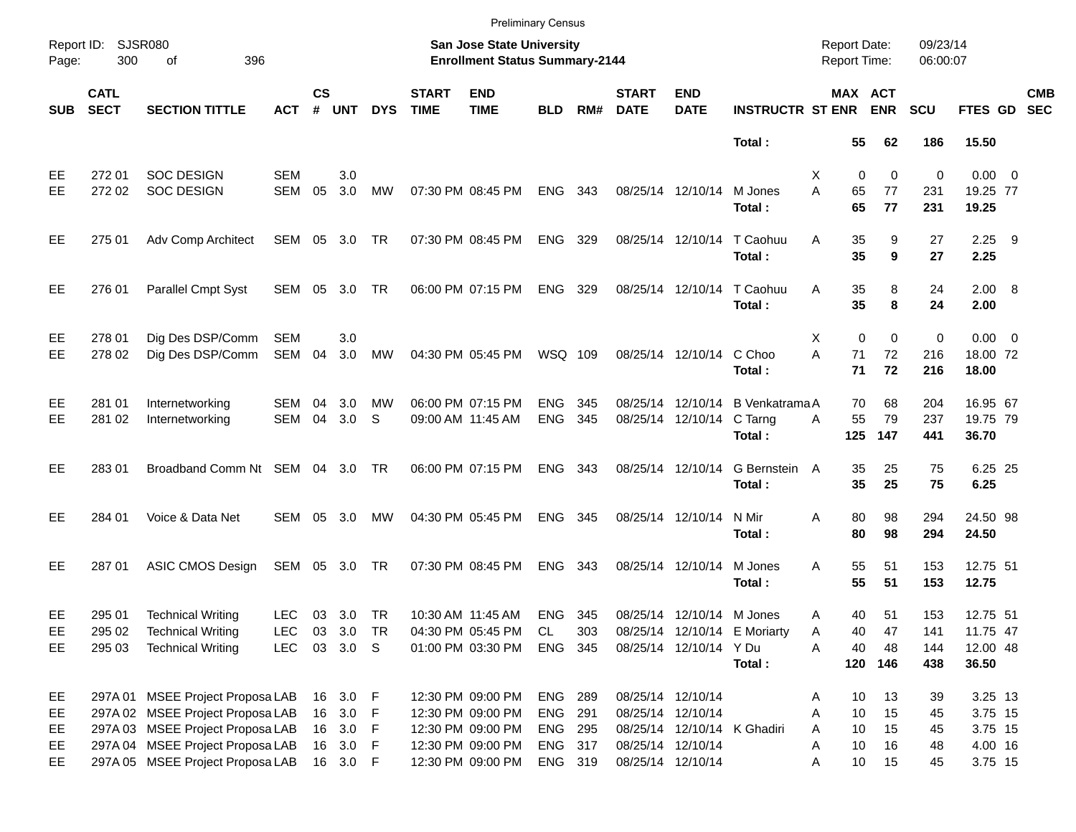|            |                            |                                  |               |                    |            |            |                             |                                                                    | <b>Preliminary Census</b> |       |                             |                           |                              |                                            |             |                      |             |            |
|------------|----------------------------|----------------------------------|---------------|--------------------|------------|------------|-----------------------------|--------------------------------------------------------------------|---------------------------|-------|-----------------------------|---------------------------|------------------------------|--------------------------------------------|-------------|----------------------|-------------|------------|
| Page:      | Report ID: SJSR080<br>300  | 396<br>of                        |               |                    |            |            |                             | San Jose State University<br><b>Enrollment Status Summary-2144</b> |                           |       |                             |                           |                              | <b>Report Date:</b><br><b>Report Time:</b> |             | 09/23/14<br>06:00:07 |             |            |
| <b>SUB</b> | <b>CATL</b><br><b>SECT</b> | <b>SECTION TITTLE</b>            | ACT           | $\mathsf{cs}$<br># | <b>UNT</b> | <b>DYS</b> | <b>START</b><br><b>TIME</b> | <b>END</b><br><b>TIME</b>                                          | <b>BLD</b>                | RM#   | <b>START</b><br><b>DATE</b> | <b>END</b><br><b>DATE</b> | <b>INSTRUCTR ST ENR</b>      | MAX ACT                                    | <b>ENR</b>  | <b>SCU</b>           | FTES GD SEC | <b>CMB</b> |
|            |                            |                                  |               |                    |            |            |                             |                                                                    |                           |       |                             |                           | Total:                       | 55                                         | 62          | 186                  | 15.50       |            |
| EE.        | 272 01                     | <b>SOC DESIGN</b>                | <b>SEM</b>    |                    | 3.0        |            |                             |                                                                    |                           |       |                             |                           |                              | 0<br>X                                     | $\mathbf 0$ | 0                    | $0.00 \t 0$ |            |
| EE         | 272 02                     | <b>SOC DESIGN</b>                | <b>SEM</b>    | 05                 | 3.0        | MW         |                             | 07:30 PM 08:45 PM                                                  | ENG                       | - 343 |                             | 08/25/14 12/10/14         | M Jones                      | A<br>65                                    | 77          | 231                  | 19.25 77    |            |
|            |                            |                                  |               |                    |            |            |                             |                                                                    |                           |       |                             |                           | Total:                       | 65                                         | 77          | 231                  | 19.25       |            |
| EE         | 275 01                     | Adv Comp Architect               | SEM 05 3.0 TR |                    |            |            |                             | 07:30 PM 08:45 PM                                                  | ENG 329                   |       |                             | 08/25/14 12/10/14         | T Caohuu                     | 35<br>A                                    | 9           | 27                   | $2.25$ 9    |            |
|            |                            |                                  |               |                    |            |            |                             |                                                                    |                           |       |                             |                           | Total:                       | 35                                         | 9           | 27                   | 2.25        |            |
| EE         | 276 01                     | <b>Parallel Cmpt Syst</b>        | SEM 05 3.0 TR |                    |            |            |                             | 06:00 PM 07:15 PM                                                  | ENG 329                   |       |                             | 08/25/14 12/10/14         | T Caohuu                     | 35<br>A                                    | 8           | 24                   | 2.00 8      |            |
|            |                            |                                  |               |                    |            |            |                             |                                                                    |                           |       |                             |                           | Total:                       | 35                                         | 8           | 24                   | 2.00        |            |
| EE         | 278 01                     | Dig Des DSP/Comm                 | <b>SEM</b>    |                    | 3.0        |            |                             |                                                                    |                           |       |                             |                           |                              | $\Omega$<br>X                              | $\mathbf 0$ | $\pmb{0}$            | $0.00 \t 0$ |            |
| <b>EE</b>  | 278 02                     | Dig Des DSP/Comm                 | SEM           | 04                 | 3.0        | MW         |                             | 04:30 PM 05:45 PM                                                  | WSQ 109                   |       |                             | 08/25/14 12/10/14         | C Choo                       | A<br>71                                    | 72          | 216                  | 18.00 72    |            |
|            |                            |                                  |               |                    |            |            |                             |                                                                    |                           |       |                             |                           | Total:                       | 71                                         | 72          | 216                  | 18.00       |            |
| EE         | 281 01                     | Internetworking                  | SEM           | 04                 | 3.0        | MW         |                             | 06:00 PM 07:15 PM                                                  | <b>ENG</b>                | 345   |                             | 08/25/14 12/10/14         | <b>B</b> Venkatrama A        | 70                                         | 68          | 204                  | 16.95 67    |            |
| EE         | 281 02                     | Internetworking                  | SEM           | 04                 | 3.0        | S          |                             | 09:00 AM 11:45 AM                                                  | <b>ENG</b>                | 345   |                             | 08/25/14 12/10/14 C Tarng |                              | 55<br>A                                    | 79          | 237                  | 19.75 79    |            |
|            |                            |                                  |               |                    |            |            |                             |                                                                    |                           |       |                             |                           | Total:                       | 125                                        | 147         | 441                  | 36.70       |            |
| EE         | 28301                      | Broadband Comm Nt SEM 04 3.0 TR  |               |                    |            |            |                             | 06:00 PM 07:15 PM                                                  | ENG 343                   |       |                             | 08/25/14 12/10/14         | G Bernstein A                | 35                                         | 25          | 75                   | 6.25 25     |            |
|            |                            |                                  |               |                    |            |            |                             |                                                                    |                           |       |                             |                           | Total:                       | 35                                         | 25          | 75                   | 6.25        |            |
| EE.        | 284 01                     | Voice & Data Net                 | SEM           | 05                 | -3.0       | MW         |                             | 04:30 PM 05:45 PM                                                  | <b>ENG</b>                | - 345 |                             | 08/25/14 12/10/14         | N Mir                        | 80<br>Α                                    | 98          | 294                  | 24.50 98    |            |
|            |                            |                                  |               |                    |            |            |                             |                                                                    |                           |       |                             |                           | Total:                       | 80                                         | 98          | 294                  | 24.50       |            |
| EE         | 287 01                     | ASIC CMOS Design                 | SEM 05 3.0 TR |                    |            |            |                             | 07:30 PM 08:45 PM                                                  | <b>ENG</b>                | - 343 |                             | 08/25/14 12/10/14         | M Jones                      | 55<br>A                                    | 51          | 153                  | 12.75 51    |            |
|            |                            |                                  |               |                    |            |            |                             |                                                                    |                           |       |                             |                           | Total:                       | 55                                         | 51          | 153                  | 12.75       |            |
| EE         | 295 01                     | <b>Technical Writing</b>         | <b>LEC</b>    |                    | 03 3.0 TR  |            |                             | 10:30 AM 11:45 AM                                                  | ENG 345                   |       |                             | 08/25/14 12/10/14 M Jones |                              | 40<br>Α                                    | 51          | 153                  | 12.75 51    |            |
| EE         | 295 02                     | <b>Technical Writing</b>         | <b>LEC</b>    |                    | 03 3.0 TR  |            |                             | 04:30 PM 05:45 PM                                                  | CL                        | 303   |                             |                           | 08/25/14 12/10/14 E Moriarty | 40<br>Α                                    | 47          | 141                  | 11.75 47    |            |
| EE         | 295 03                     | <b>Technical Writing</b>         | <b>LEC</b>    |                    | 03 3.0 S   |            |                             | 01:00 PM 03:30 PM                                                  | ENG 345                   |       |                             | 08/25/14 12/10/14 Y Du    |                              | A<br>40                                    | 48          | 144                  | 12.00 48    |            |
|            |                            |                                  |               |                    |            |            |                             |                                                                    |                           |       |                             |                           | Total:                       |                                            | 120 146     | 438                  | 36.50       |            |
| EE         |                            | 297A 01 MSEE Project Proposa LAB |               |                    | 16 3.0 F   |            |                             | 12:30 PM 09:00 PM                                                  | <b>ENG 289</b>            |       |                             | 08/25/14 12/10/14         |                              | 10<br>Α                                    | 13          | 39                   | 3.25 13     |            |
| EE         |                            | 297A 02 MSEE Project Proposa LAB |               |                    | 16 3.0 F   |            |                             | 12:30 PM 09:00 PM                                                  | ENG 291                   |       |                             | 08/25/14 12/10/14         |                              | 10<br>Α                                    | 15          | 45                   | 3.75 15     |            |
| EE         |                            | 297A 03 MSEE Project Proposa LAB |               |                    | 16 3.0 F   |            |                             | 12:30 PM 09:00 PM                                                  | ENG 295                   |       |                             |                           | 08/25/14 12/10/14 K Ghadiri  | 10<br>A                                    | 15          | 45                   | 3.75 15     |            |
| EE         |                            | 297A 04 MSEE Project Proposa LAB |               |                    | 16 3.0 F   |            |                             | 12:30 PM 09:00 PM                                                  | ENG 317                   |       |                             | 08/25/14 12/10/14         |                              | 10<br>Α                                    | 16          | 48                   | 4.00 16     |            |
| EE.        |                            | 297A 05 MSEE Project Proposa LAB |               |                    | 16 3.0 F   |            |                             | 12:30 PM 09:00 PM                                                  | ENG 319                   |       |                             | 08/25/14 12/10/14         |                              | 10<br>Α                                    | 15          | 45                   | 3.75 15     |            |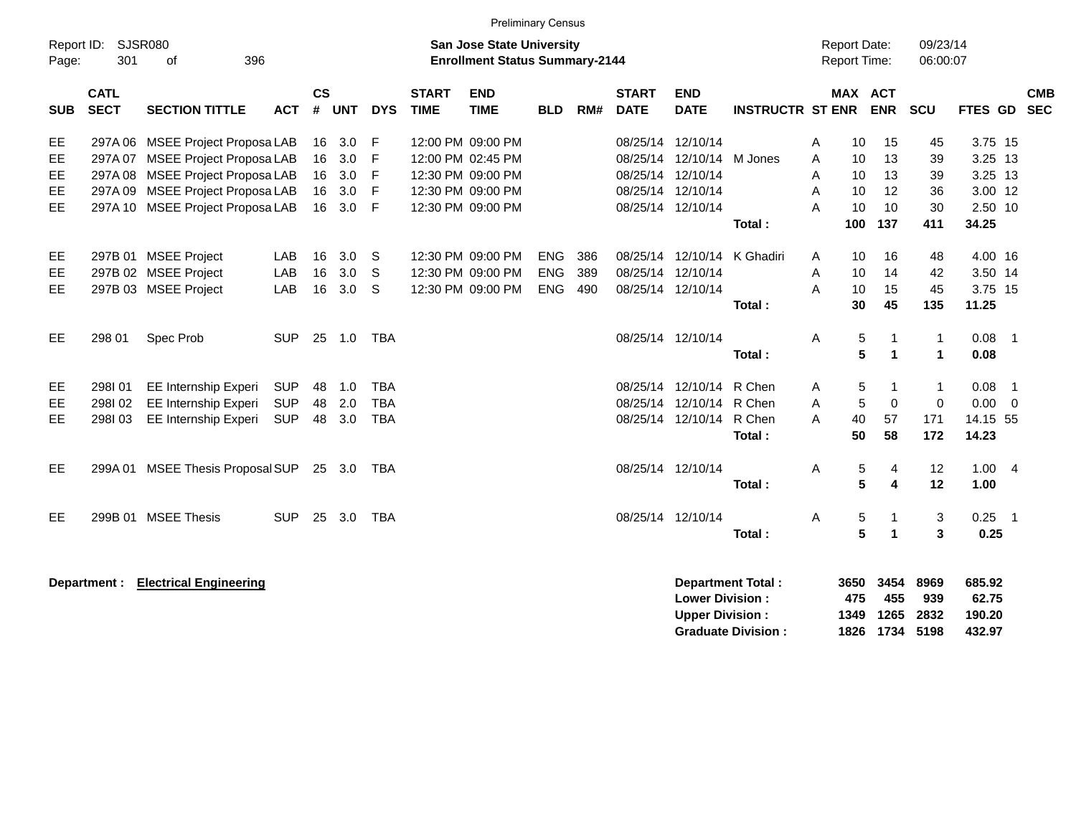|                                                  |                            |                                                                                                                                                                                  |                                        |                            |                                 |                                        |                             |                                                                                                       | <b>Preliminary Census</b>              |                   |                                                                                     |                                                         |                                       |                                                            |                                   |                                   |                                                              |            |
|--------------------------------------------------|----------------------------|----------------------------------------------------------------------------------------------------------------------------------------------------------------------------------|----------------------------------------|----------------------------|---------------------------------|----------------------------------------|-----------------------------|-------------------------------------------------------------------------------------------------------|----------------------------------------|-------------------|-------------------------------------------------------------------------------------|---------------------------------------------------------|---------------------------------------|------------------------------------------------------------|-----------------------------------|-----------------------------------|--------------------------------------------------------------|------------|
| Report ID:<br>Page:                              | 301                        | <b>SJSR080</b><br>396<br>0f                                                                                                                                                      |                                        |                            |                                 |                                        |                             | <b>San Jose State University</b><br><b>Enrollment Status Summary-2144</b>                             |                                        |                   |                                                                                     |                                                         |                                       | <b>Report Date:</b><br><b>Report Time:</b>                 |                                   | 09/23/14<br>06:00:07              |                                                              |            |
| <b>SUB</b>                                       | <b>CATL</b><br><b>SECT</b> | <b>SECTION TITTLE</b>                                                                                                                                                            | <b>ACT</b>                             | $\mathsf{cs}$<br>#         | <b>UNT</b>                      | <b>DYS</b>                             | <b>START</b><br><b>TIME</b> | <b>END</b><br><b>TIME</b>                                                                             | <b>BLD</b>                             | RM#               | <b>START</b><br><b>DATE</b>                                                         | <b>END</b><br><b>DATE</b>                               | <b>INSTRUCTR ST ENR</b>               | <b>MAX ACT</b>                                             | <b>ENR</b>                        | <b>SCU</b>                        | FTES GD SEC                                                  | <b>CMB</b> |
| EE.<br>EE<br><b>EE</b><br><b>EE</b><br><b>EE</b> |                            | 297A 06 MSEE Project Proposa LAB<br>297A 07 MSEE Project Proposa LAB<br>297A 08 MSEE Project Proposa LAB<br>297A 09 MSEE Project Proposa LAB<br>297A 10 MSEE Project Proposa LAB |                                        | 16<br>16<br>16<br>16<br>16 | 3.0<br>3.0<br>3.0<br>3.0<br>3.0 | -F<br>-F<br>F<br>F<br>$\mathsf{F}$     |                             | 12:00 PM 09:00 PM<br>12:00 PM 02:45 PM<br>12:30 PM 09:00 PM<br>12:30 PM 09:00 PM<br>12:30 PM 09:00 PM |                                        |                   | 08/25/14<br>08/25/14<br>08/25/14 12/10/14<br>08/25/14 12/10/14<br>08/25/14 12/10/14 | 12/10/14<br>12/10/14 M Jones                            | Total:                                | Α<br>10<br>A<br>10<br>A<br>10<br>A<br>10<br>A<br>10<br>100 | 15<br>13<br>13<br>12<br>10<br>137 | 45<br>39<br>39<br>36<br>30<br>411 | 3.75 15<br>3.25 13<br>3.25 13<br>3.00 12<br>2.50 10<br>34.25 |            |
| EE<br><b>EE</b><br>EE                            |                            | 297B 01 MSEE Project<br>297B 02 MSEE Project<br>297B 03 MSEE Project                                                                                                             | LAB<br>LAB<br>LAB                      | 16<br>16<br>16             | 3.0<br>3.0<br>3.0               | -S<br>-S<br>-S                         |                             | 12:30 PM 09:00 PM<br>12:30 PM 09:00 PM<br>12:30 PM 09:00 PM                                           | <b>ENG</b><br><b>ENG</b><br><b>ENG</b> | 386<br>389<br>490 | 08/25/14                                                                            | 12/10/14<br>08/25/14 12/10/14                           | 08/25/14 12/10/14 K Ghadiri<br>Total: | A<br>10<br>Α<br>10<br>10<br>A<br>30                        | 16<br>14<br>15<br>45              | 48<br>42<br>45<br>135             | 4.00 16<br>3.50 14<br>3.75 15<br>11.25                       |            |
| EE.                                              | 298 01                     | Spec Prob                                                                                                                                                                        | <b>SUP</b>                             | 25                         | 1.0                             | <b>TBA</b>                             |                             |                                                                                                       |                                        |                   | 08/25/14 12/10/14                                                                   |                                                         | Total:                                | 5<br>Α<br>5                                                | $\mathbf 1$                       | $\mathbf{1}$<br>1                 | $0.08$ 1<br>0.08                                             |            |
| EE<br><b>EE</b><br>EE                            | 298I01<br>298102<br>298103 | <b>EE Internship Experi</b><br>EE Internship Experi<br>EE Internship Experi                                                                                                      | <b>SUP</b><br><b>SUP</b><br><b>SUP</b> | 48<br>48<br>48             | 1.0<br>2.0<br>3.0               | <b>TBA</b><br><b>TBA</b><br><b>TBA</b> |                             |                                                                                                       |                                        |                   | 08/25/14<br>08/25/14                                                                | 12/10/14 R Chen<br>12/10/14<br>08/25/14 12/10/14 R Chen | R Chen<br>Total:                      | 5<br>Α<br>5<br>A<br>40<br>A<br>50                          | $\mathbf 0$<br>57<br>58           | 1<br>$\overline{0}$<br>171<br>172 | $0.08$ 1<br>$0.00 \ 0$<br>14.15 55<br>14.23                  |            |
| EE.                                              |                            | 299A 01 MSEE Thesis Proposal SUP                                                                                                                                                 |                                        |                            | 25 3.0                          | TBA                                    |                             |                                                                                                       |                                        |                   |                                                                                     | 08/25/14 12/10/14                                       | Total:                                | Α<br>5<br>5                                                | 4<br>4                            | 12<br>12                          | 1.004<br>1.00                                                |            |
| EE                                               |                            | 299B 01 MSEE Thesis                                                                                                                                                              | <b>SUP</b>                             | 25                         | 3.0                             | <b>TBA</b>                             |                             |                                                                                                       |                                        |                   |                                                                                     | 08/25/14 12/10/14                                       | Total:                                | 5<br>Α<br>5                                                | 1                                 | 3<br>3                            | $0.25$ 1<br>0.25                                             |            |

**Department : Electrical Engineering 3650 3454 8969 685.92 Lower Division : 475 455 939 62.75<br>
Upper Division : 41349 1265 2832 190.20 Upper Division : 1349 1265 2832 190.20 Graduate Division : 1826 1734 5198 432.97**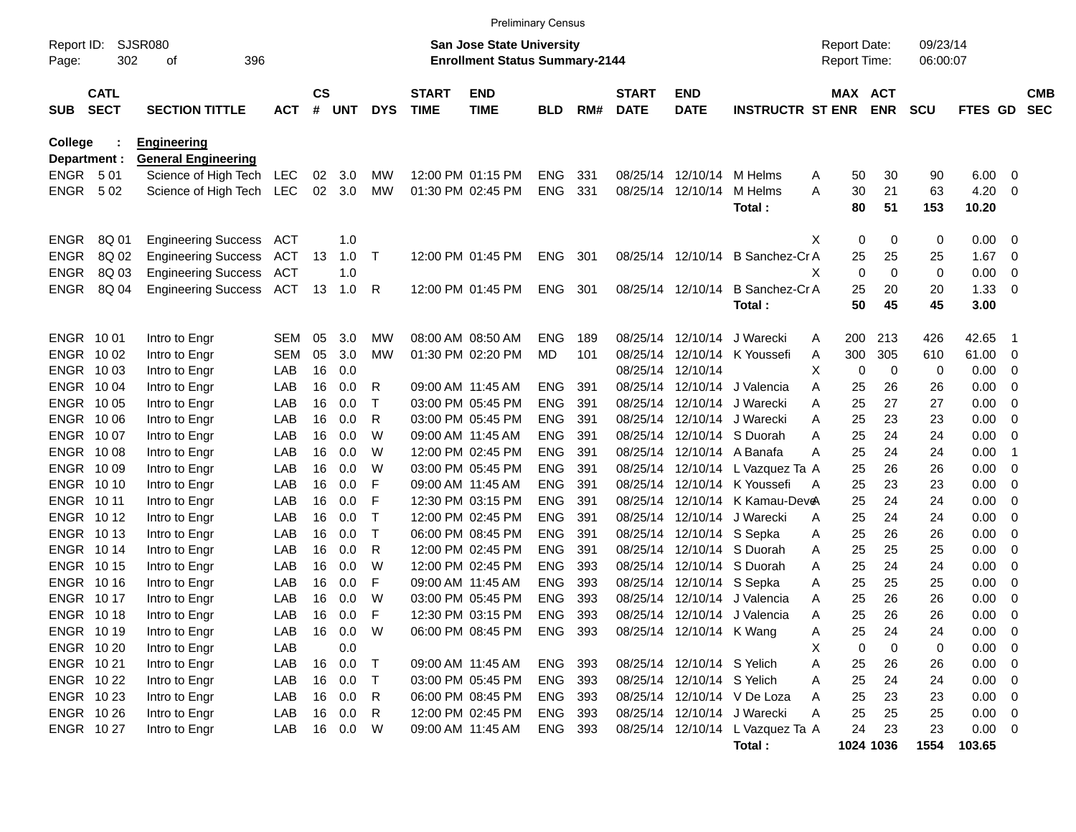|                     |                            |                                              |            |                    |            |            |                             | <b>Preliminary Census</b>                                                 |            |     |                             |                            |                                   |                                     |             |                      |                |                          |                          |
|---------------------|----------------------------|----------------------------------------------|------------|--------------------|------------|------------|-----------------------------|---------------------------------------------------------------------------|------------|-----|-----------------------------|----------------------------|-----------------------------------|-------------------------------------|-------------|----------------------|----------------|--------------------------|--------------------------|
| Report ID:<br>Page: | 302                        | SJSR080<br>396<br>оf                         |            |                    |            |            |                             | <b>San Jose State University</b><br><b>Enrollment Status Summary-2144</b> |            |     |                             |                            |                                   | <b>Report Date:</b><br>Report Time: |             | 09/23/14<br>06:00:07 |                |                          |                          |
| <b>SUB</b>          | <b>CATL</b><br><b>SECT</b> | <b>SECTION TITTLE</b>                        | <b>ACT</b> | $\mathsf{cs}$<br># | <b>UNT</b> | <b>DYS</b> | <b>START</b><br><b>TIME</b> | <b>END</b><br><b>TIME</b>                                                 | <b>BLD</b> | RM# | <b>START</b><br><b>DATE</b> | <b>END</b><br><b>DATE</b>  | <b>INSTRUCTR ST ENR</b>           | MAX ACT                             | <b>ENR</b>  | <b>SCU</b>           | <b>FTES GD</b> |                          | <b>CMB</b><br><b>SEC</b> |
| <b>College</b>      |                            | <b>Engineering</b>                           |            |                    |            |            |                             |                                                                           |            |     |                             |                            |                                   |                                     |             |                      |                |                          |                          |
| Department :        |                            | <b>General Engineering</b>                   |            |                    |            | <b>MW</b>  |                             | 12:00 PM 01:15 PM                                                         | <b>ENG</b> | 331 |                             | 08/25/14 12/10/14 M Helms  |                                   | 50                                  | 30          | 90                   |                | - 0                      |                          |
| ENGR 501<br>ENGR    | 502                        | Science of High Tech<br>Science of High Tech | LEC<br>LEC | 02<br>$02\,$       | 3.0<br>3.0 | MW         |                             | 01:30 PM 02:45 PM                                                         | <b>ENG</b> | 331 |                             | 08/25/14 12/10/14          | M Helms                           | Α<br>Α<br>30                        | 21          | 63                   | 6.00<br>4.20   | - 0                      |                          |
|                     |                            |                                              |            |                    |            |            |                             |                                                                           |            |     |                             |                            | Total :                           | 80                                  | 51          | 153                  | 10.20          |                          |                          |
|                     |                            |                                              |            |                    |            |            |                             |                                                                           |            |     |                             |                            |                                   |                                     |             |                      |                |                          |                          |
| <b>ENGR</b>         | 8Q 01                      | <b>Engineering Success</b>                   | ACT        |                    | 1.0        |            |                             |                                                                           |            |     |                             |                            |                                   | 0<br>х                              | 0           | 0                    | $0.00 \t 0$    |                          |                          |
| <b>ENGR</b>         | 8Q 02                      | <b>Engineering Success</b>                   | ACT        | 13                 | 1.0        | $\top$     |                             | 12:00 PM 01:45 PM                                                         | <b>ENG</b> | 301 |                             |                            | 08/25/14 12/10/14 B Sanchez-Cr A  | 25                                  | 25          | 25                   | 1.67           | $\overline{\phantom{0}}$ |                          |
| <b>ENGR</b>         | 8Q 03                      | <b>Engineering Success</b>                   | ACT        |                    | 1.0        |            |                             |                                                                           |            |     |                             |                            |                                   | $\mathbf 0$<br>х                    | $\mathbf 0$ | 0                    | 0.00           | 0                        |                          |
| <b>ENGR</b>         | 8Q 04                      | <b>Engineering Success</b>                   | ACT        | 13                 | 1.0        | R          |                             | 12:00 PM 01:45 PM                                                         | <b>ENG</b> | 301 |                             | 08/25/14 12/10/14          | <b>B</b> Sanchez-Cr A             | 25                                  | 20          | 20                   | 1.33           | - 0                      |                          |
|                     |                            |                                              |            |                    |            |            |                             |                                                                           |            |     |                             |                            | Total:                            | 50                                  | 45          | 45                   | 3.00           |                          |                          |
| ENGR 1001           |                            | Intro to Engr                                | <b>SEM</b> | 05                 | 3.0        | MW         |                             | 08:00 AM 08:50 AM                                                         | <b>ENG</b> | 189 |                             | 08/25/14 12/10/14          | J Warecki                         | 200<br>Α                            | 213         | 426                  | 42.65          | - 1                      |                          |
| ENGR 1002           |                            | Intro to Engr                                | <b>SEM</b> | 05                 | 3.0        | МW         |                             | 01:30 PM 02:20 PM                                                         | MD         | 101 |                             |                            | 08/25/14 12/10/14 K Youssefi      | 300<br>Α                            | 305         | 610                  | 61.00          | $\overline{\phantom{0}}$ |                          |
| ENGR 1003           |                            | Intro to Engr                                | LAB        | 16                 | 0.0        |            |                             |                                                                           |            |     |                             | 08/25/14 12/10/14          |                                   | х<br>0                              | 0           | 0                    | 0.00           | - 0                      |                          |
| ENGR 1004           |                            | Intro to Engr                                | LAB        | 16                 | 0.0        | R          |                             | 09:00 AM 11:45 AM                                                         | <b>ENG</b> | 391 |                             |                            | 08/25/14 12/10/14 J Valencia      | 25<br>Α                             | 26          | 26                   | 0.00           | - 0                      |                          |
| ENGR 1005           |                            | Intro to Engr                                | LAB        | 16                 | 0.0        | Τ          |                             | 03:00 PM 05:45 PM                                                         | <b>ENG</b> | 391 |                             |                            | 08/25/14 12/10/14 J Warecki       | 25<br>Α                             | 27          | 27                   | 0.00           | - 0                      |                          |
| ENGR 1006           |                            | Intro to Engr                                | LAB        | 16                 | 0.0        | R          |                             | 03:00 PM 05:45 PM                                                         | <b>ENG</b> | 391 |                             |                            | 08/25/14 12/10/14 J Warecki       | 25<br>Α                             | 23          | 23                   | 0.00           | - 0                      |                          |
| ENGR 1007           |                            | Intro to Engr                                | LAB        | 16                 | 0.0        | W          |                             | 09:00 AM 11:45 AM                                                         | <b>ENG</b> | 391 |                             |                            | 08/25/14 12/10/14 S Duorah        | Α<br>25                             | 24          | 24                   | 0.00           | - 0                      |                          |
| <b>ENGR 1008</b>    |                            | Intro to Engr                                | LAB        | 16                 | 0.0        | W          |                             | 12:00 PM 02:45 PM                                                         | <b>ENG</b> | 391 |                             | 08/25/14 12/10/14 A Banafa |                                   | 25<br>Α                             | 24          | 24                   | 0.00           | -1                       |                          |
| ENGR 10 09          |                            | Intro to Engr                                | LAB        | 16                 | 0.0        | W          |                             | 03:00 PM 05:45 PM                                                         | <b>ENG</b> | 391 |                             |                            | 08/25/14 12/10/14 L Vazquez Ta A  | 25                                  | 26          | 26                   | 0.00           | - 0                      |                          |
| ENGR 1010           |                            | Intro to Engr                                | LAB        | 16                 | 0.0        | F          |                             | 09:00 AM 11:45 AM                                                         | <b>ENG</b> | 391 |                             |                            | 08/25/14 12/10/14 K Youssefi<br>A | 25                                  | 23          | 23                   | 0.00           | - 0                      |                          |
| ENGR 1011           |                            | Intro to Engr                                | LAB        | 16                 | 0.0        | F          |                             | 12:30 PM 03:15 PM                                                         | <b>ENG</b> | 391 |                             |                            | 08/25/14 12/10/14 K Kamau-Deve    | 25                                  | 24          | 24                   | 0.00           | - 0                      |                          |
| <b>ENGR 1012</b>    |                            | Intro to Engr                                | LAB        | 16                 | 0.0        | Τ          |                             | 12:00 PM 02:45 PM                                                         | <b>ENG</b> | 391 |                             |                            | 08/25/14 12/10/14 J Warecki       | 25<br>Α                             | 24          | 24                   | 0.00           | - 0                      |                          |
| <b>ENGR 1013</b>    |                            | Intro to Engr                                | LAB        | 16                 | 0.0        | Τ          |                             | 06:00 PM 08:45 PM                                                         | <b>ENG</b> | 391 |                             | 08/25/14 12/10/14 S Sepka  |                                   | 25<br>Α                             | 26          | 26                   | 0.00           | - 0                      |                          |
| <b>ENGR 1014</b>    |                            | Intro to Engr                                | LAB        | 16                 | 0.0        | R          |                             | 12:00 PM 02:45 PM                                                         | <b>ENG</b> | 391 |                             |                            | 08/25/14 12/10/14 S Duorah        | 25<br>Α                             | 25          | 25                   | 0.00           | - 0                      |                          |
| <b>ENGR 1015</b>    |                            | Intro to Engr                                | LAB        | 16                 | 0.0        | W          |                             | 12:00 PM 02:45 PM                                                         | <b>ENG</b> | 393 |                             |                            | 08/25/14 12/10/14 S Duorah        | 25<br>Α                             | 24          | 24                   | 0.00           | - 0                      |                          |
| <b>ENGR 1016</b>    |                            | Intro to Engr                                | LAB        | 16                 | 0.0        | F          |                             | 09:00 AM 11:45 AM                                                         | <b>ENG</b> | 393 |                             | 08/25/14 12/10/14 S Sepka  |                                   | 25<br>Α                             | 25          | 25                   | 0.00           | - 0                      |                          |
| <b>ENGR 1017</b>    |                            | Intro to Engr                                | LAB        | 16                 | 0.0        | W          |                             | 03:00 PM 05:45 PM                                                         | <b>ENG</b> | 393 |                             |                            | 08/25/14 12/10/14 J Valencia      | 25<br>Α                             | 26          | 26                   | 0.00           | - 0                      |                          |
| ENGR 1018           |                            | Intro to Engr                                | LAB        | 16                 | 0.0        | F          |                             | 12:30 PM 03:15 PM                                                         | <b>ENG</b> | 393 |                             |                            | 08/25/14 12/10/14 J Valencia      | 25<br>Α                             | 26          | 26                   | 0.00           | - 0                      |                          |
| ENGR 1019           |                            | Intro to Engr                                | LAB        |                    | 16 0.0     | W          |                             | 06:00 PM 08:45 PM ENG 393                                                 |            |     |                             | 08/25/14 12/10/14 K Wang   |                                   | 25<br>A                             | 24          | 24                   | $0.00 \t 0$    |                          |                          |
| ENGR 10 20          |                            | Intro to Engr                                | LAB        |                    | 0.0        |            |                             |                                                                           |            |     |                             |                            |                                   | 0<br>X                              | 0           | 0                    | $0.00 \t 0$    |                          |                          |
| ENGR 1021           |                            | Intro to Engr                                | LAB        | 16                 | 0.0        | $\top$     |                             | 09:00 AM 11:45 AM                                                         | ENG 393    |     |                             | 08/25/14 12/10/14 S Yelich |                                   | 25<br>Α                             | 26          | 26                   | $0.00 \t 0$    |                          |                          |
| ENGR 10 22          |                            | Intro to Engr                                | LAB        | 16                 | 0.0        | $\top$     |                             | 03:00 PM 05:45 PM                                                         | ENG 393    |     |                             | 08/25/14 12/10/14 S Yelich |                                   | 25<br>Α                             | 24          | 24                   | $0.00 \t 0$    |                          |                          |
| ENGR 10 23          |                            | Intro to Engr                                | LAB        | 16                 | 0.0        | R          |                             | 06:00 PM 08:45 PM                                                         | ENG 393    |     |                             |                            | 08/25/14 12/10/14 V De Loza       | 25<br>A                             | 23          | 23                   | $0.00 \t 0$    |                          |                          |
| ENGR 10 26          |                            | Intro to Engr                                | LAB        | 16                 | 0.0        | R          |                             | 12:00 PM 02:45 PM                                                         | ENG 393    |     |                             |                            | 08/25/14 12/10/14 J Warecki       | 25<br>Α                             | 25          | 25                   | $0.00 \t 0$    |                          |                          |
| ENGR 1027           |                            | Intro to Engr                                | LAB        |                    | 16 0.0     | W          |                             | 09:00 AM 11:45 AM                                                         | ENG 393    |     |                             |                            | 08/25/14 12/10/14 L Vazquez Ta A  | 24                                  | 23          | 23                   | $0.00 \t 0$    |                          |                          |
|                     |                            |                                              |            |                    |            |            |                             |                                                                           |            |     |                             |                            | Total:                            |                                     | 1024 1036   | 1554                 | 103.65         |                          |                          |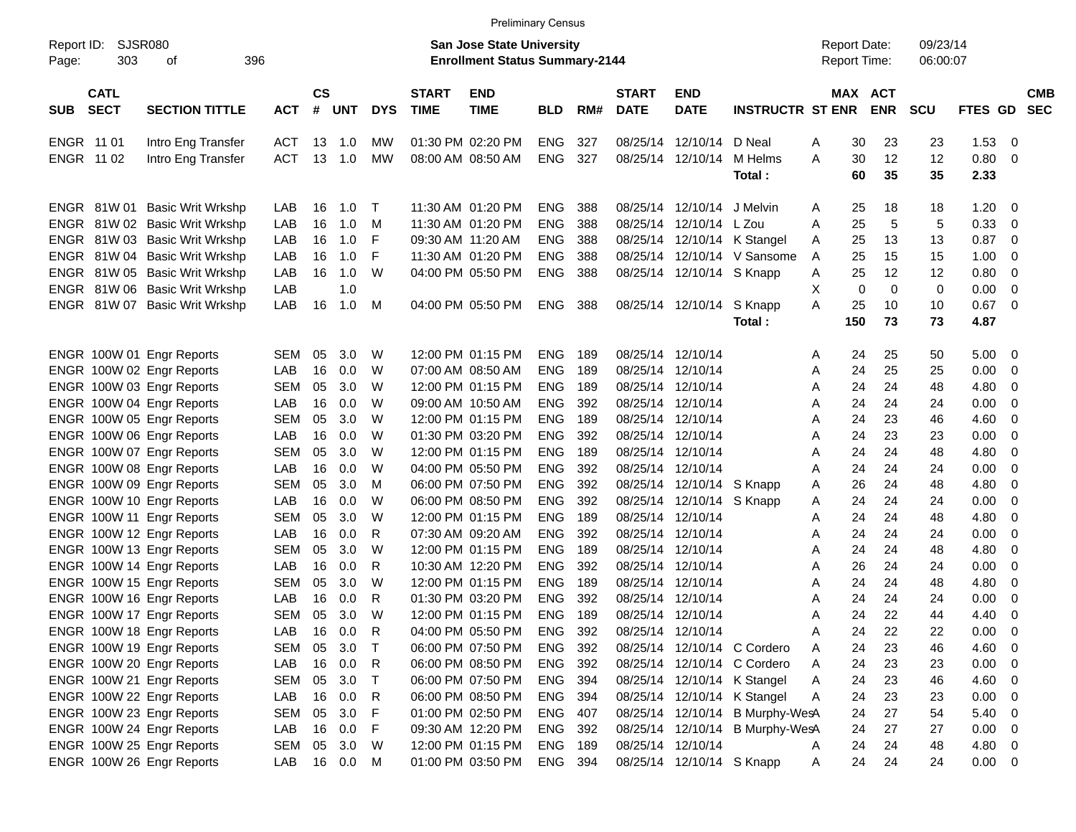|                                          |                               |            |                |            |              |                             | <b>Preliminary Census</b>                                                 |            |     |                             |                           |                                 |                                            |                       |                      |                |                          |
|------------------------------------------|-------------------------------|------------|----------------|------------|--------------|-----------------------------|---------------------------------------------------------------------------|------------|-----|-----------------------------|---------------------------|---------------------------------|--------------------------------------------|-----------------------|----------------------|----------------|--------------------------|
| Report ID:<br>303<br>Page:               | SJSR080<br>396<br>οf          |            |                |            |              |                             | <b>San Jose State University</b><br><b>Enrollment Status Summary-2144</b> |            |     |                             |                           |                                 | <b>Report Date:</b><br><b>Report Time:</b> |                       | 09/23/14<br>06:00:07 |                |                          |
| <b>CATL</b><br><b>SECT</b><br><b>SUB</b> | <b>SECTION TITTLE</b>         | <b>ACT</b> | <b>CS</b><br># | <b>UNT</b> | <b>DYS</b>   | <b>START</b><br><b>TIME</b> | <b>END</b><br><b>TIME</b>                                                 | <b>BLD</b> | RM# | <b>START</b><br><b>DATE</b> | <b>END</b><br><b>DATE</b> | <b>INSTRUCTR ST ENR</b>         |                                            | MAX ACT<br><b>ENR</b> | <b>SCU</b>           | <b>FTES GD</b> | <b>CMB</b><br><b>SEC</b> |
| ENGR 11 01                               | Intro Eng Transfer            | <b>ACT</b> | 13             | 1.0        | <b>MW</b>    |                             | 01:30 PM 02:20 PM                                                         | <b>ENG</b> | 327 | 08/25/14                    | 12/10/14 D Neal           |                                 | 30<br>Α                                    | 23                    | 23                   | 1.53           | - 0                      |
| ENGR 11 02                               | Intro Eng Transfer            | <b>ACT</b> | 13             | 1.0        | MW           |                             | 08:00 AM 08:50 AM                                                         | <b>ENG</b> | 327 |                             | 08/25/14 12/10/14         | M Helms                         | A<br>30                                    | 12                    | 12                   | 0.80 0         |                          |
|                                          |                               |            |                |            |              |                             |                                                                           |            |     |                             |                           | Total:                          | 60                                         | 35                    | 35                   | 2.33           |                          |
| ENGR 81W 01                              | <b>Basic Writ Wrkshp</b>      | LAB        | 16             | 1.0        | $\top$       |                             | 11:30 AM 01:20 PM                                                         | <b>ENG</b> | 388 |                             | 08/25/14 12/10/14         | J Melvin                        | 25<br>Α                                    | 18                    | 18                   | 1.20           | $\overline{\phantom{0}}$ |
|                                          | ENGR 81W 02 Basic Writ Wrkshp | LAB        | 16             | 1.0        | M            |                             | 11:30 AM 01:20 PM                                                         | <b>ENG</b> | 388 |                             | 08/25/14 12/10/14 L Zou   |                                 | 25<br>Α                                    | 5                     | 5                    | 0.33           | $\overline{\mathbf{0}}$  |
|                                          | ENGR 81W 03 Basic Writ Wrkshp | LAB        | 16             | 1.0        | F            |                             | 09:30 AM 11:20 AM                                                         | <b>ENG</b> | 388 |                             |                           | 08/25/14 12/10/14 K Stangel     | 25<br>Α                                    | 13                    | 13                   | 0.87           | $\overline{\mathbf{0}}$  |
|                                          | ENGR 81W 04 Basic Writ Wrkshp | LAB        | 16             | 1.0        | F            |                             | 11:30 AM 01:20 PM                                                         | <b>ENG</b> | 388 |                             |                           | 08/25/14 12/10/14 V Sansome     | 25<br>A                                    | 15                    | 15                   | 1.00           | - 0                      |
|                                          | ENGR 81W 05 Basic Writ Wrkshp | LAB        | 16             | 1.0        | W            |                             | 04:00 PM 05:50 PM                                                         | <b>ENG</b> | 388 |                             | 08/25/14 12/10/14 S Knapp |                                 | 25<br>Α                                    | 12                    | 12                   | 0.80           | $\overline{\mathbf{0}}$  |
|                                          | ENGR 81W 06 Basic Writ Wrkshp | LAB        |                | 1.0        |              |                             |                                                                           |            |     |                             |                           |                                 | Χ<br>0                                     | 0                     | 0                    | 0.00           | 0                        |
|                                          | ENGR 81W 07 Basic Writ Wrkshp | LAB        | 16             | 1.0        | M            |                             | 04:00 PM 05:50 PM                                                         | <b>ENG</b> | 388 |                             | 08/25/14 12/10/14         | S Knapp                         | A<br>25                                    | 10                    | 10                   | 0.67           | $\overline{\phantom{0}}$ |
|                                          |                               |            |                |            |              |                             |                                                                           |            |     |                             |                           | Total:                          | 150                                        | 73                    | 73                   | 4.87           |                          |
| ENGR 100W 01 Engr Reports                |                               | SEM        | 05             | 3.0        | W            |                             | 12:00 PM 01:15 PM                                                         | <b>ENG</b> | 189 |                             | 08/25/14 12/10/14         |                                 | 24<br>Α                                    | 25                    | 50                   | $5.00 \t 0$    |                          |
| ENGR 100W 02 Engr Reports                |                               | LAB        | 16             | 0.0        | W            |                             | 07:00 AM 08:50 AM                                                         | <b>ENG</b> | 189 | 08/25/14                    | 12/10/14                  |                                 | 24<br>Α                                    | 25                    | 25                   | 0.00           | $\overline{\mathbf{0}}$  |
| ENGR 100W 03 Engr Reports                |                               | <b>SEM</b> | 05             | 3.0        | W            |                             | 12:00 PM 01:15 PM                                                         | <b>ENG</b> | 189 |                             | 08/25/14 12/10/14         |                                 | 24<br>Α                                    | 24                    | 48                   | 4.80           | - 0                      |
| ENGR 100W 04 Engr Reports                |                               | LAB        | 16             | 0.0        | W            |                             | 09:00 AM 10:50 AM                                                         | <b>ENG</b> | 392 |                             | 08/25/14 12/10/14         |                                 | 24<br>Α                                    | 24                    | 24                   | 0.00           | 0                        |
| ENGR 100W 05 Engr Reports                |                               | <b>SEM</b> | 05             | 3.0        | W            |                             | 12:00 PM 01:15 PM                                                         | <b>ENG</b> | 189 |                             | 08/25/14 12/10/14         |                                 | 24<br>Α                                    | 23                    | 46                   | 4.60           | - 0                      |
| ENGR 100W 06 Engr Reports                |                               | LAB        | 16             | 0.0        | W            |                             | 01:30 PM 03:20 PM                                                         | <b>ENG</b> | 392 |                             | 08/25/14 12/10/14         |                                 | 24<br>Α                                    | 23                    | 23                   | 0.00           | - 0                      |
| ENGR 100W 07 Engr Reports                |                               | <b>SEM</b> | 05             | 3.0        | W            |                             | 12:00 PM 01:15 PM                                                         | <b>ENG</b> | 189 |                             | 08/25/14 12/10/14         |                                 | 24<br>Α                                    | 24                    | 48                   | 4.80           | - 0                      |
| ENGR 100W 08 Engr Reports                |                               | LAB        | 16             | 0.0        | W            |                             | 04:00 PM 05:50 PM                                                         | <b>ENG</b> | 392 |                             | 08/25/14 12/10/14         |                                 | 24<br>Α                                    | 24                    | 24                   | 0.00           | - 0                      |
| ENGR 100W 09 Engr Reports                |                               | <b>SEM</b> | 05             | 3.0        | м            |                             | 06:00 PM 07:50 PM                                                         | <b>ENG</b> | 392 |                             | 08/25/14 12/10/14 S Knapp |                                 | 26<br>Α                                    | 24                    | 48                   | 4.80           | - 0                      |
| ENGR 100W 10 Engr Reports                |                               | LAB        | 16             | 0.0        | W            |                             | 06:00 PM 08:50 PM                                                         | <b>ENG</b> | 392 |                             | 08/25/14 12/10/14 S Knapp |                                 | 24<br>Α                                    | 24                    | 24                   | 0.00           | 0                        |
| ENGR 100W 11 Engr Reports                |                               | <b>SEM</b> | 05             | 3.0        | W            |                             | 12:00 PM 01:15 PM                                                         | <b>ENG</b> | 189 |                             | 08/25/14 12/10/14         |                                 | 24<br>Α                                    | 24                    | 48                   | 4.80           | - 0                      |
| ENGR 100W 12 Engr Reports                |                               | LAB        | 16             | 0.0        | R            |                             | 07:30 AM 09:20 AM                                                         | <b>ENG</b> | 392 |                             | 08/25/14 12/10/14         |                                 | 24<br>Α                                    | 24                    | 24                   | 0.00           | 0                        |
| ENGR 100W 13 Engr Reports                |                               | <b>SEM</b> | 05             | 3.0        | W            |                             | 12:00 PM 01:15 PM                                                         | <b>ENG</b> | 189 |                             | 08/25/14 12/10/14         |                                 | 24<br>Α                                    | 24                    | 48                   | 4.80           | - 0                      |
| ENGR 100W 14 Engr Reports                |                               | LAB        | 16             | 0.0        | R            |                             | 10:30 AM 12:20 PM                                                         | <b>ENG</b> | 392 | 08/25/14                    | 12/10/14                  |                                 | 26<br>Α                                    | 24                    | 24                   | 0.00           | - 0                      |
| ENGR 100W 15 Engr Reports                |                               | <b>SEM</b> | 05             | 3.0        | W            |                             | 12:00 PM 01:15 PM                                                         | <b>ENG</b> | 189 |                             | 08/25/14 12/10/14         |                                 | 24<br>Α                                    | 24                    | 48                   | 4.80           | 0                        |
| ENGR 100W 16 Engr Reports                |                               | LAB        | 16             | 0.0        | R            |                             | 01:30 PM 03:20 PM                                                         | <b>ENG</b> | 392 |                             | 08/25/14 12/10/14         |                                 | 24<br>Α                                    | 24                    | 24                   | 0.00           | 0                        |
| ENGR 100W 17 Engr Reports                |                               | SEM        | 05             | 3.0        | W            |                             | 12:00 PM 01:15 PM                                                         | <b>ENG</b> | 189 |                             | 08/25/14 12/10/14         |                                 | 24<br>Α                                    | 22                    | 44                   | 4.40           | - 0                      |
| ENGR 100W 18 Engr Reports                |                               | LAB        | 16             | 0.0        | $\mathsf{R}$ |                             | 04:00 PM 05:50 PM                                                         | <b>ENG</b> | 392 |                             | 08/25/14 12/10/14         |                                 | 24<br>Α                                    | 22                    | 22                   | 0.00           | $\overline{\phantom{0}}$ |
| ENGR 100W 19 Engr Reports                |                               | <b>SEM</b> | 05             | 3.0        | $\top$       |                             | 06:00 PM 07:50 PM                                                         | ENG        | 392 |                             |                           | 08/25/14 12/10/14 C Cordero     | 24<br>Α                                    | 23                    | 46                   | 4.60 0         |                          |
| ENGR 100W 20 Engr Reports                |                               | LAB        | 16             | 0.0        | R            |                             | 06:00 PM 08:50 PM                                                         | <b>ENG</b> | 392 |                             |                           | 08/25/14 12/10/14 C Cordero     | 24<br>Α                                    | 23                    | 23                   | $0.00 \t 0$    |                          |
| ENGR 100W 21 Engr Reports                |                               | SEM        |                | 05 3.0     | $\top$       |                             | 06:00 PM 07:50 PM                                                         | <b>ENG</b> | 394 |                             |                           | 08/25/14 12/10/14 K Stangel     | 24<br>Α                                    | 23                    | 46                   | $4.60$ 0       |                          |
| ENGR 100W 22 Engr Reports                |                               | LAB        | 16             | 0.0        | R            |                             | 06:00 PM 08:50 PM                                                         | <b>ENG</b> | 394 |                             |                           | 08/25/14 12/10/14 K Stangel     | 24<br>Α                                    | 23                    | 23                   | $0.00 \t 0$    |                          |
| ENGR 100W 23 Engr Reports                |                               | SEM        | 05             | 3.0        | - F          |                             | 01:00 PM 02:50 PM                                                         | <b>ENG</b> | 407 |                             |                           | 08/25/14 12/10/14 B Murphy-WesA | 24                                         | 27                    | 54                   | $5.40\ 0$      |                          |
| ENGR 100W 24 Engr Reports                |                               | LAB        | 16             | 0.0        | - F          |                             | 09:30 AM 12:20 PM                                                         | ENG        | 392 |                             |                           | 08/25/14 12/10/14 B Murphy-WesA | 24                                         | 27                    | 27                   | $0.00 \t 0$    |                          |
| ENGR 100W 25 Engr Reports                |                               | SEM        |                | 05 3.0     | <b>W</b>     |                             | 12:00 PM 01:15 PM                                                         | ENG        | 189 |                             | 08/25/14 12/10/14         |                                 | 24<br>A                                    | 24                    | 48                   | 4.80 0         |                          |
| ENGR 100W 26 Engr Reports                |                               | LAB        |                | 16  0.0  M |              |                             | 01:00 PM 03:50 PM                                                         | ENG 394    |     |                             | 08/25/14 12/10/14 S Knapp |                                 | 24<br>Α                                    | 24                    | 24                   | $0.00 \t 0$    |                          |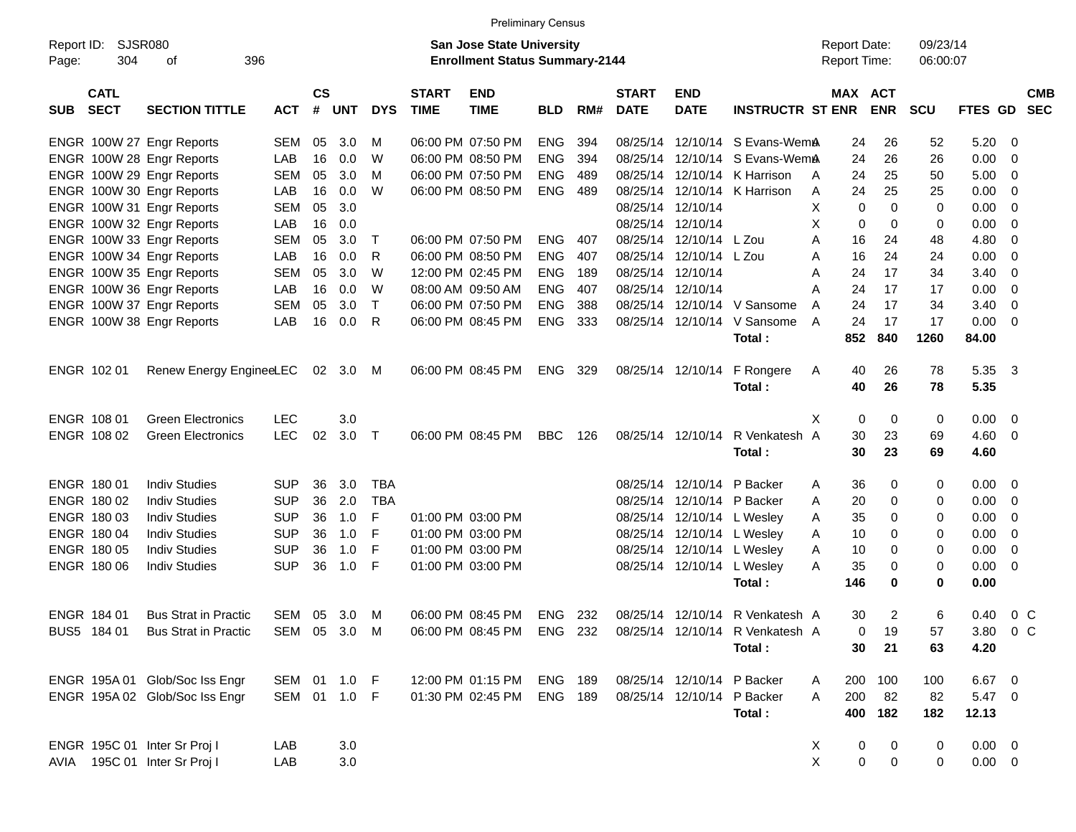|                     |                            |                                |              |                    |          |              |                             |                                                                           | <b>Preliminary Census</b> |     |                             |                           |                                                           |   |             |                                            |                      |                |                         |                          |
|---------------------|----------------------------|--------------------------------|--------------|--------------------|----------|--------------|-----------------------------|---------------------------------------------------------------------------|---------------------------|-----|-----------------------------|---------------------------|-----------------------------------------------------------|---|-------------|--------------------------------------------|----------------------|----------------|-------------------------|--------------------------|
| Report ID:<br>Page: | SJSR080<br>304             | 396<br>οf                      |              |                    |          |              |                             | <b>San Jose State University</b><br><b>Enrollment Status Summary-2144</b> |                           |     |                             |                           |                                                           |   |             | <b>Report Date:</b><br><b>Report Time:</b> | 09/23/14<br>06:00:07 |                |                         |                          |
| <b>SUB</b>          | <b>CATL</b><br><b>SECT</b> | <b>SECTION TITTLE</b>          | <b>ACT</b>   | $\mathsf{cs}$<br># | UNT      | <b>DYS</b>   | <b>START</b><br><b>TIME</b> | <b>END</b><br><b>TIME</b>                                                 | <b>BLD</b>                | RM# | <b>START</b><br><b>DATE</b> | <b>END</b><br><b>DATE</b> | <b>INSTRUCTR ST ENR</b>                                   |   |             | MAX ACT<br><b>ENR</b>                      | <b>SCU</b>           | <b>FTES GD</b> |                         | <b>CMB</b><br><b>SEC</b> |
|                     |                            | ENGR 100W 27 Engr Reports      | <b>SEM</b>   | 05                 | 3.0      | м            |                             | 06:00 PM 07:50 PM                                                         | <b>ENG</b>                | 394 |                             | 08/25/14 12/10/14         | S Evans-WemA                                              |   | 24          | 26                                         | 52                   | 5.20           | - 0                     |                          |
|                     |                            | ENGR 100W 28 Engr Reports      | LAB          | 16                 | 0.0      | W            |                             | 06:00 PM 08:50 PM                                                         | <b>ENG</b>                | 394 | 08/25/14                    | 12/10/14                  | S Evans-WemA                                              |   | 24          | 26                                         | 26                   | 0.00           | - 0                     |                          |
|                     |                            | ENGR 100W 29 Engr Reports      | <b>SEM</b>   | 05                 | 3.0      | м            |                             | 06:00 PM 07:50 PM                                                         | <b>ENG</b>                | 489 | 08/25/14                    | 12/10/14                  | K Harrison                                                | A | 24          | 25                                         | 50                   | 5.00           | - 0                     |                          |
|                     |                            | ENGR 100W 30 Engr Reports      | LAB          | 16                 | 0.0      | W            |                             | 06:00 PM 08:50 PM                                                         | <b>ENG</b>                | 489 | 08/25/14                    | 12/10/14                  | K Harrison                                                | Α | 24          | 25                                         | 25                   | 0.00           | 0                       |                          |
|                     |                            | ENGR 100W 31 Engr Reports      | <b>SEM</b>   | 05                 | 3.0      |              |                             |                                                                           |                           |     |                             | 08/25/14 12/10/14         |                                                           | Χ | 0           | $\Omega$                                   | $\Omega$             | 0.00           | 0                       |                          |
|                     |                            | ENGR 100W 32 Engr Reports      | LAB          | 16                 | 0.0      |              |                             |                                                                           |                           |     |                             | 08/25/14 12/10/14         |                                                           | X | 0           | $\Omega$                                   | 0                    | 0.00           | 0                       |                          |
|                     |                            | ENGR 100W 33 Engr Reports      | <b>SEM</b>   | 05                 | 3.0      | Т            |                             | 06:00 PM 07:50 PM                                                         | <b>ENG</b>                | 407 | 08/25/14                    | 12/10/14                  | L Zou                                                     | A | 16          | 24                                         | 48                   | 4.80           | 0                       |                          |
|                     |                            | ENGR 100W 34 Engr Reports      | LAB          | 16                 | 0.0      | R            |                             | 06:00 PM 08:50 PM                                                         | <b>ENG</b>                | 407 | 08/25/14                    | 12/10/14                  | L Zou                                                     | A | 16          | 24                                         | 24                   | 0.00           | 0                       |                          |
|                     |                            | ENGR 100W 35 Engr Reports      | <b>SEM</b>   | 05                 | 3.0      | W            |                             | 12:00 PM 02:45 PM                                                         | <b>ENG</b>                | 189 |                             | 08/25/14 12/10/14         |                                                           | A | 24          | 17                                         | 34                   | 3.40           | 0                       |                          |
|                     |                            | ENGR 100W 36 Engr Reports      | LAB          | 16                 | 0.0      | W            |                             | 08:00 AM 09:50 AM                                                         | <b>ENG</b>                | 407 |                             | 08/25/14 12/10/14         |                                                           | A | 24          | 17                                         | 17                   | 0.00           | 0                       |                          |
|                     |                            | ENGR 100W 37 Engr Reports      | <b>SEM</b>   | 05                 | 3.0      | $\mathsf{T}$ |                             | 06:00 PM 07:50 PM                                                         | <b>ENG</b>                | 388 | 08/25/14                    | 12/10/14                  | V Sansome                                                 | A | 24          | 17                                         | 34                   | 3.40           | 0                       |                          |
|                     |                            | ENGR 100W 38 Engr Reports      | LAB          | 16                 | 0.0      | R            |                             | 06:00 PM 08:45 PM                                                         | <b>ENG</b>                | 333 |                             | 08/25/14 12/10/14         | V Sansome                                                 | A | 24          | 17                                         | 17                   | 0.00           | - 0                     |                          |
|                     |                            |                                |              |                    |          |              |                             |                                                                           |                           |     |                             |                           | Total:                                                    |   | 852         | 840                                        | 1260                 | 84.00          |                         |                          |
|                     |                            |                                |              |                    |          |              |                             |                                                                           |                           |     |                             |                           |                                                           |   |             |                                            |                      |                |                         |                          |
|                     | ENGR 102 01                | Renew Energy EngineeLEC        |              |                    | 02 3.0 M |              |                             | 06:00 PM 08:45 PM                                                         | <b>ENG</b>                | 329 |                             | 08/25/14 12/10/14         | F Rongere                                                 | A | 40          | 26                                         | 78                   | 5.35           | - 3                     |                          |
|                     |                            |                                |              |                    |          |              |                             |                                                                           |                           |     |                             |                           | Total:                                                    |   | 40          | 26                                         | 78                   | 5.35           |                         |                          |
|                     |                            |                                |              |                    |          |              |                             |                                                                           |                           |     |                             |                           |                                                           |   |             |                                            |                      |                |                         |                          |
|                     | ENGR 108 01                | <b>Green Electronics</b>       | <b>LEC</b>   |                    | 3.0      |              |                             |                                                                           |                           |     |                             |                           |                                                           | X | 0           | 0                                          | 0                    | 0.00           | $\overline{\mathbf{0}}$ |                          |
|                     | ENGR 108 02                | <b>Green Electronics</b>       | <b>LEC</b>   | 02                 | 3.0      | $\top$       |                             | 06:00 PM 08:45 PM                                                         | <b>BBC</b>                | 126 |                             | 08/25/14 12/10/14         | R Venkatesh A                                             |   | 30          | 23                                         | 69                   | 4.60           | - 0                     |                          |
|                     |                            |                                |              |                    |          |              |                             |                                                                           |                           |     |                             |                           | Total:                                                    |   | 30          | 23                                         | 69                   | 4.60           |                         |                          |
|                     | <b>ENGR 18001</b>          | <b>Indiv Studies</b>           | <b>SUP</b>   | 36                 | 3.0      | <b>TBA</b>   |                             |                                                                           |                           |     |                             | 08/25/14 12/10/14         | P Backer                                                  | A | 36          | 0                                          | 0                    | 0.00           | - 0                     |                          |
|                     | ENGR 180 02                | <b>Indiv Studies</b>           | <b>SUP</b>   | 36                 | 2.0      | <b>TBA</b>   |                             |                                                                           |                           |     |                             | 08/25/14 12/10/14         | P Backer                                                  | A | 20          | 0                                          | 0                    | 0.00           | - 0                     |                          |
|                     | ENGR 180 03                | <b>Indiv Studies</b>           | <b>SUP</b>   | 36                 | 1.0      | F            |                             | 01:00 PM 03:00 PM                                                         |                           |     |                             | 08/25/14 12/10/14         | L Wesley                                                  | A | 35          | 0                                          | 0                    | 0.00           | 0                       |                          |
|                     | ENGR 180 04                | <b>Indiv Studies</b>           | <b>SUP</b>   | 36                 | 1.0      | F            |                             | 01:00 PM 03:00 PM                                                         |                           |     |                             | 08/25/14 12/10/14         | L Wesley                                                  | A | 10          | 0                                          | 0                    | 0.00           | 0                       |                          |
|                     | ENGR 180 05                | <b>Indiv Studies</b>           | <b>SUP</b>   | 36                 | 1.0      | F            |                             | 01:00 PM 03:00 PM                                                         |                           |     |                             | 08/25/14 12/10/14         | L Wesley                                                  | A | 10          | 0                                          | 0                    | 0.00           | 0                       |                          |
|                     | ENGR 180 06                | <b>Indiv Studies</b>           | <b>SUP</b>   | 36                 | 1.0      | F            |                             | 01:00 PM 03:00 PM                                                         |                           |     |                             | 08/25/14 12/10/14         | L Wesley                                                  | A | 35          | 0                                          | 0                    | 0.00           | - 0                     |                          |
|                     |                            |                                |              |                    |          |              |                             |                                                                           |                           |     |                             |                           | Total:                                                    |   | 146         | 0                                          | 0                    | 0.00           |                         |                          |
|                     |                            |                                |              |                    |          |              |                             |                                                                           |                           |     |                             |                           |                                                           |   |             |                                            |                      |                |                         |                          |
|                     | ENGR 184 01                | <b>Bus Strat in Practic</b>    | SEM          | 05                 | 3.0      | M            |                             | 06:00 PM 08:45 PM                                                         | ENG                       | 232 |                             | 08/25/14 12/10/14         | R Venkatesh A                                             |   | 30          | $\overline{2}$                             | 6                    | 0.40           | $0\,C$                  |                          |
|                     | BUS5 184 01                | <b>Bus Strat in Practic</b>    | SEM 05 3.0 M |                    |          |              |                             |                                                                           |                           |     |                             |                           | 06:00 PM 08:45 PM ENG 232 08/25/14 12/10/14 R Venkatesh A |   | 0           | 19                                         | 57                   | 3.80 0 C       |                         |                          |
|                     |                            |                                |              |                    |          |              |                             |                                                                           |                           |     |                             |                           | Total:                                                    |   | 30          | 21                                         | 63                   | 4.20           |                         |                          |
|                     |                            |                                |              |                    |          |              |                             |                                                                           |                           |     |                             |                           |                                                           |   |             |                                            |                      |                |                         |                          |
|                     |                            | ENGR 195A 01 Glob/Soc Iss Engr | SEM 01 1.0 F |                    |          |              |                             | 12:00 PM 01:15 PM                                                         | <b>ENG 189</b>            |     |                             | 08/25/14 12/10/14         | P Backer                                                  | A | 200         | 100                                        | 100                  | 6.67 0         |                         |                          |
|                     |                            | ENGR 195A 02 Glob/Soc Iss Engr | SEM 01 1.0 F |                    |          |              |                             | 01:30 PM 02:45 PM                                                         | <b>ENG 189</b>            |     |                             | 08/25/14 12/10/14         | P Backer                                                  | A | 200         | 82                                         | 82                   | 5.47 0         |                         |                          |
|                     |                            |                                |              |                    |          |              |                             |                                                                           |                           |     |                             |                           | Total:                                                    |   | 400         | 182                                        | 182                  | 12.13          |                         |                          |
|                     |                            |                                |              |                    |          |              |                             |                                                                           |                           |     |                             |                           |                                                           |   |             |                                            |                      |                |                         |                          |
|                     |                            | ENGR 195C 01 Inter Sr Proj I   | LAB          |                    | 3.0      |              |                             |                                                                           |                           |     |                             |                           |                                                           | X | 0           | 0                                          | 0                    | $0.00 \t 0$    |                         |                          |
| AVIA                |                            | 195C 01 Inter Sr Proj I        | LAB          |                    | 3.0      |              |                             |                                                                           |                           |     |                             |                           |                                                           | X | $\mathbf 0$ | 0                                          | 0                    | $0.00 \t 0$    |                         |                          |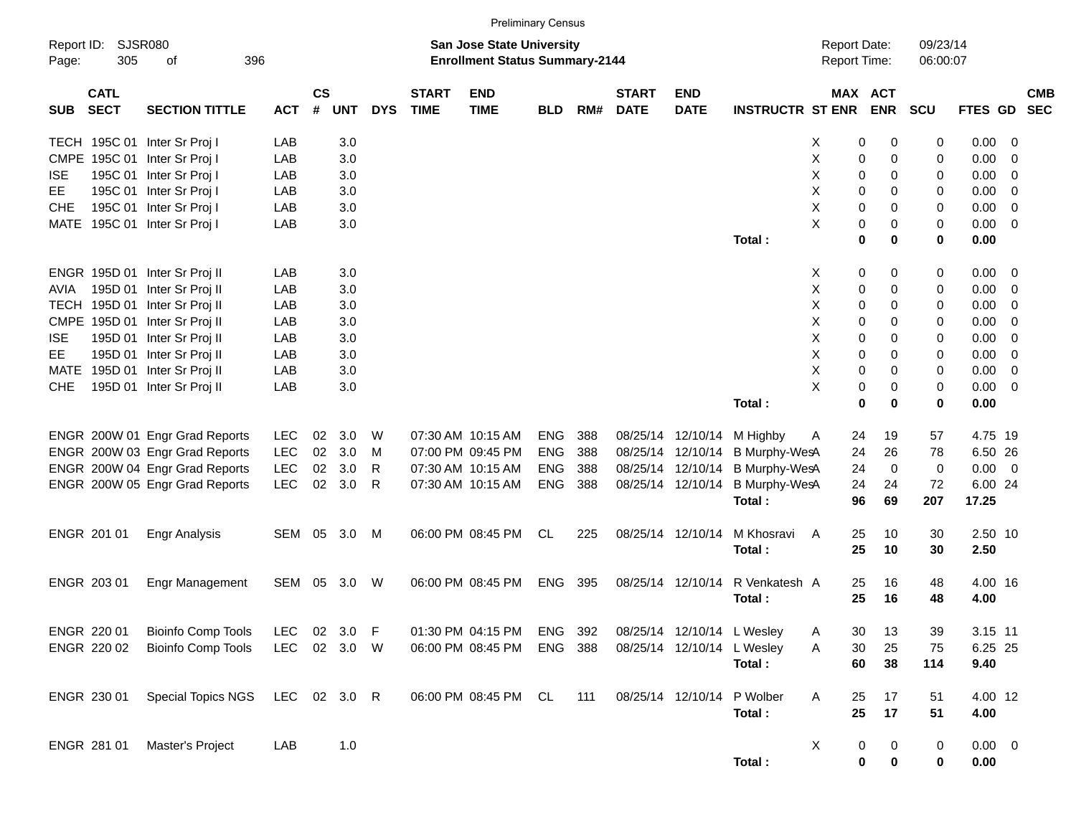TECH 195C 01 Inter Sr Proj I LAB 3.0 X 0 0 0.00 0 CMPE 195C 01 Inter Sr Proj I LAB 3.0 X 0 0 0 0.00 0 ISE 195C 01 Inter Sr Proj I LAB 3.0 X 0 0 0 0.00 0 EE 195C 01 Inter Sr Proj I LAB 3.0 X 0 0 0 0.00 0 CHE 195C 01 Inter Sr Proj | LAB 3.0 X 0 0 0.00 0 MATE 195C 01 Inter Sr Proj I LAB 3.0 And The St Projection of the St Project of the St Project of the St Project of the St Project of the St Project of the St Project of the St Project of the St Project of the St Project o **Total : 0 0 0 0.00** ENGR 195D 01 Inter Sr Proj II LAB 3.0 X 0 0 0 0.00 0 AVIA 195D 01 Inter Sr Proj II LAB 3.0 AVIA 195D 01 Inter Sr Proj II LAB 3.0 TECH 195D 01 Inter Sr Proj II LAB 3.0 X 0 0 0 0.00 0 CMPE 195D 01 Inter Sr Proj II LAB 3.0 X 0 0 0 0.00 0 ISE 195D 01 Inter Sr Proj II LAB 3.0 X 0 0 0 0.00 0 EE 195D 01 Inter Sr Proj II LAB 3.0 X 0 0 0 0.00 0 MATE 195D 01 Inter Sr Proj II LAB 3.0 And the St Proj II LAB 3.0 And the St Proj II LAB 3.0 And the St Proj II CHE 195D 01 Inter Sr Proj II LAB 3.0 X 0 0 0 0.00 0 **Total : 0 0 0 0.00** ENGR 200W 01 Engr Grad Reports LEC 02 3.0 W 07:30 AM 10:15 AM ENG 388 08/25/14 12/10/14 M Highby A 24 19 57 4.75 19 ENGR 200W 03 Engr Grad Reports LEC 02 3.0 M 07:00 PM 09:45 PM ENG 388 08/25/14 12/10/14 B Murphy-WesA 24 26 78 6.50 26 ENGR 200W 04 Engr Grad Reports LEC 02 3.0 R 07:30 AM 10:15 AM ENG 388 08/25/14 12/10/14 B Murphy-WesA 24 0 0 0.00 0 ENGR 200W 05 Engr Grad Reports LEC 02 3.0 R 07:30 AM 10:15 AM ENG 388 08/25/14 12/10/14 B Murphy-WesA 24 24 72 6.00 24 **Total : 96 69 207 17.25** ENGR 201 01 Engr Analysis SEM 05 3.0 M 06:00 PM 08:45 PM CL 225 08/25/14 12/10/14 M Khosravi A 25 10 30 2.50 10 **Total : 25 10 30 2.50** ENGR 203 01 Engr Management SEM 05 3.0 W 06:00 PM 08:45 PM ENG 395 08/25/14 12/10/14 R Venkatesh A 25 16 48 4.00 16 **Total : 25 16 48 4.00** ENGR 220 01 Bioinfo Comp Tools LEC 02 3.0 F 01:30 PM 04:15 PM ENG 392 08/25/14 12/10/14 L Wesley A 30 13 39 3.15 11 ENGR 220 02 Bioinfo Comp Tools LEC 02 3.0 W 06:00 PM 08:45 PM ENG 388 08/25/14 12/10/14 L Wesley A 30 25 75 6.25 25 **Total : 60 38 114 9.40** ENGR 230 01 Special Topics NGS LEC 02 3.0 R 06:00 PM 08:45 PM CL 111 08/25/14 12/10/14 P Wolber A 25 17 51 4.00 12 **Total : 25 17 51 4.00** ENGR 281 01 Master's Project LAB 1.0 X 0 0 0 0.00 0 Report ID: SJSR080 **San Jose State University San Jose State University San Jose State University Report Date:** 09/23/14 Page: 305 of 396 **Enrollment Status Summary-2144** Report Time: 06:00:07 **CATL CS START END START END MAX ACT CMB** SUB SECT SECTION TITTLE ACT # UNT DYS TIME TIME BLD RM# DATE DATE INSTRUCTR STENR ENR SCU FTES GD SEC Preliminary Census

**Total : 0 0 0 0.00**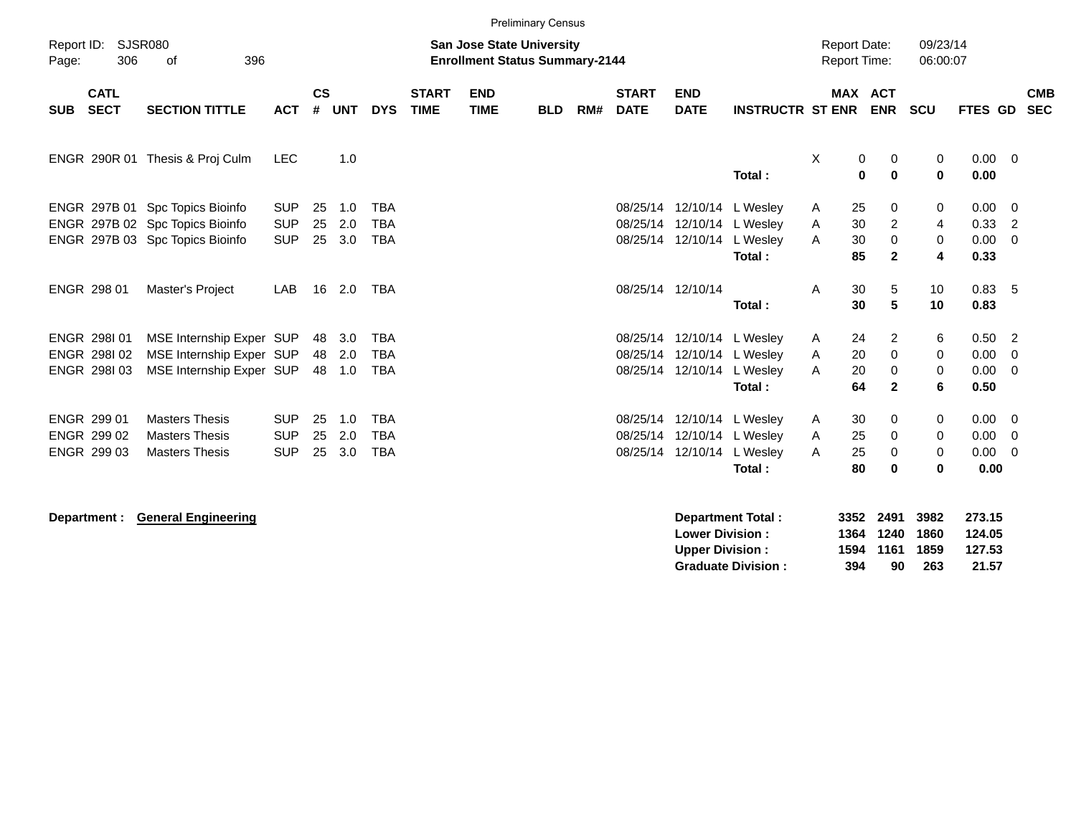|                     |                                           |                                                                                                       |                                        |                    |                   |                                        |                             |                                                                           | <b>Preliminary Census</b> |     |                                  |                           |                                                              |                                            |                                                    |                            |                                     |                                                              |  |
|---------------------|-------------------------------------------|-------------------------------------------------------------------------------------------------------|----------------------------------------|--------------------|-------------------|----------------------------------------|-----------------------------|---------------------------------------------------------------------------|---------------------------|-----|----------------------------------|---------------------------|--------------------------------------------------------------|--------------------------------------------|----------------------------------------------------|----------------------------|-------------------------------------|--------------------------------------------------------------|--|
| Report ID:<br>Page: | 306                                       | SJSR080<br>396<br>of                                                                                  |                                        |                    |                   |                                        |                             | <b>San Jose State University</b><br><b>Enrollment Status Summary-2144</b> |                           |     |                                  |                           |                                                              | <b>Report Date:</b><br><b>Report Time:</b> |                                                    | 09/23/14<br>06:00:07       |                                     |                                                              |  |
| <b>SUB</b>          | <b>CATL</b><br><b>SECT</b>                | <b>SECTION TITTLE</b>                                                                                 | <b>ACT</b>                             | $\mathsf{cs}$<br># | <b>UNT</b>        | <b>DYS</b>                             | <b>START</b><br><b>TIME</b> | <b>END</b><br><b>TIME</b>                                                 | <b>BLD</b>                | RM# | <b>START</b><br><b>DATE</b>      | <b>END</b><br><b>DATE</b> | <b>INSTRUCTR ST ENR</b>                                      |                                            | <b>MAX ACT</b><br><b>ENR</b>                       | <b>SCU</b>                 | FTES GD                             | <b>CMB</b><br><b>SEC</b>                                     |  |
|                     |                                           | ENGR 290R 01 Thesis & Proj Culm                                                                       | <b>LEC</b>                             |                    | 1.0               |                                        |                             |                                                                           |                           |     |                                  |                           | Total:                                                       | X                                          | 0<br>0<br>0<br>$\bf{0}$                            | 0<br>$\bf{0}$              | $0.00 \t 0$<br>0.00                 |                                                              |  |
|                     |                                           | ENGR 297B 01 Spc Topics Bioinfo<br>ENGR 297B 02 Spc Topics Bioinfo<br>ENGR 297B 03 Spc Topics Bioinfo | <b>SUP</b><br><b>SUP</b><br><b>SUP</b> | 25<br>25<br>25     | 1.0<br>2.0<br>3.0 | <b>TBA</b><br><b>TBA</b><br><b>TBA</b> |                             |                                                                           |                           |     | 08/25/14<br>08/25/14<br>08/25/14 | 12/10/14                  | 12/10/14 L Wesley<br>12/10/14 L Wesley<br>L Wesley<br>Total: | 25<br>A<br>30<br>Α<br>30<br>Α<br>85        | 0<br>$\overline{2}$<br>0<br>$\mathbf{2}$           | 0<br>4<br>0<br>4           | 0.00<br>0.33<br>0.00<br>0.33        | $\overline{\phantom{0}}$<br>$\overline{2}$<br>$\overline{0}$ |  |
|                     | ENGR 298 01                               | Master's Project                                                                                      | LAB                                    | 16                 | 2.0               | TBA                                    |                             |                                                                           |                           |     |                                  | 08/25/14 12/10/14         | Total:                                                       | 30<br>A<br>30                              | $\,$ 5 $\,$<br>5                                   | 10<br>10                   | 0.83, 5<br>0.83                     |                                                              |  |
|                     | ENGR 298101<br>ENGR 298102<br>ENGR 298103 | MSE Internship Exper SUP<br>MSE Internship Exper SUP<br>MSE Internship Exper SUP                      |                                        | 48<br>48<br>48     | 3.0<br>2.0<br>1.0 | <b>TBA</b><br><b>TBA</b><br><b>TBA</b> |                             |                                                                           |                           |     | 08/25/14<br>08/25/14<br>08/25/14 | 12/10/14 L Wesley         | 12/10/14 L Wesley<br>12/10/14 L Wesley<br>Total:             | 24<br>A<br>20<br>Α<br>20<br>A<br>64        | $\overline{2}$<br>0<br>$\mathbf 0$<br>$\mathbf{2}$ | 6<br>0<br>0<br>6           | 0.50<br>0.00<br>0.00<br>0.50        | $\overline{\phantom{0}}^2$<br>$\Omega$<br>- 0                |  |
|                     | ENGR 299 01<br>ENGR 299 02<br>ENGR 299 03 | <b>Masters Thesis</b><br><b>Masters Thesis</b><br><b>Masters Thesis</b>                               | <b>SUP</b><br><b>SUP</b><br><b>SUP</b> | 25<br>25<br>25     | 1.0<br>2.0<br>3.0 | <b>TBA</b><br><b>TBA</b><br><b>TBA</b> |                             |                                                                           |                           |     | 08/25/14<br>08/25/14<br>08/25/14 | 12/10/14                  | 12/10/14 L Wesley<br>12/10/14 L Wesley<br>L Wesley<br>Total: | 30<br>A<br>25<br>A<br>25<br>A<br>80        | 0<br>0<br>0<br>$\bf{0}$                            | 0<br>$\mathbf 0$<br>0<br>0 | $0.00 \t 0$<br>0.00<br>0.00<br>0.00 | - 0<br>- 0                                                   |  |

| Department : | <b>General Engineering</b> | Department Total:         | 3352 | 2491 | 3982 | 273.15 |
|--------------|----------------------------|---------------------------|------|------|------|--------|
|              |                            | <b>Lower Division:</b>    | 1364 | 1240 | 1860 | 124.05 |
|              |                            | <b>Upper Division:</b>    | 1594 | 1161 | 1859 | 127.53 |
|              |                            | <b>Graduate Division:</b> | 394  | 90   | 263  | 21.57  |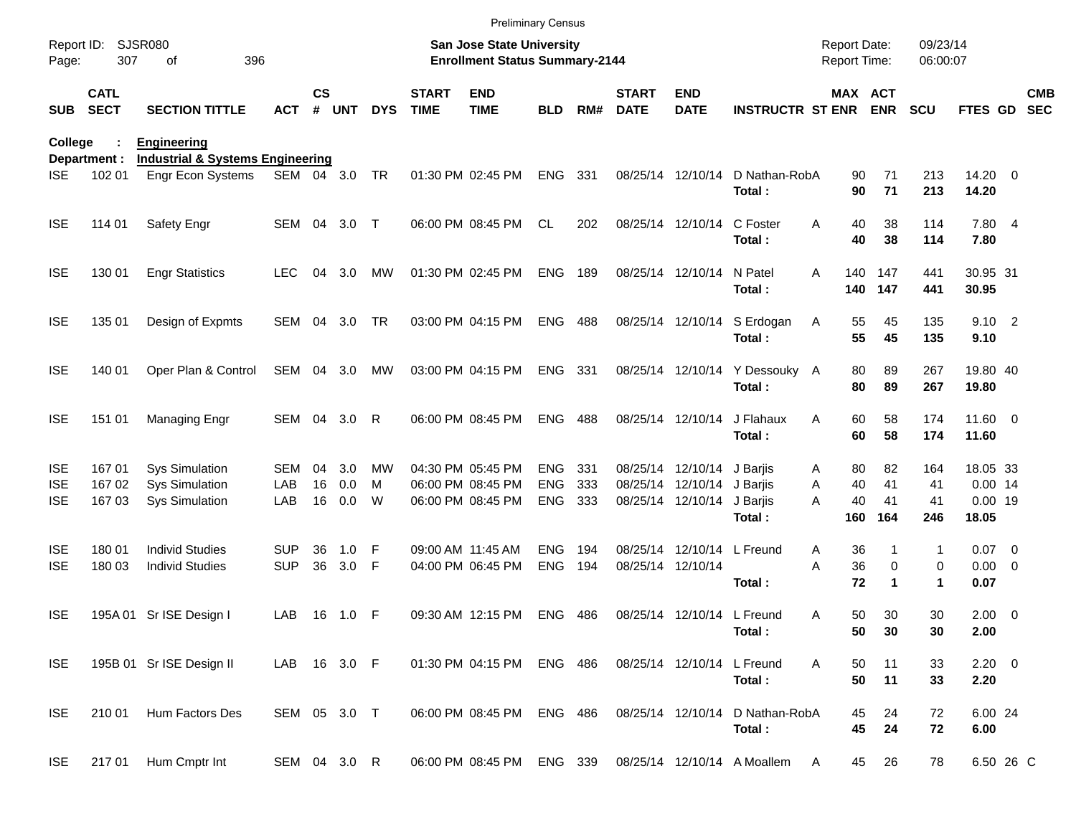|                                        |                            |                                                                  |                    |                    |                   |                     |                             | <b>Preliminary Census</b>                                                 |                                     |            |                             |                                                                               |                                          |                                      |                       |                        |                                             |                          |
|----------------------------------------|----------------------------|------------------------------------------------------------------|--------------------|--------------------|-------------------|---------------------|-----------------------------|---------------------------------------------------------------------------|-------------------------------------|------------|-----------------------------|-------------------------------------------------------------------------------|------------------------------------------|--------------------------------------|-----------------------|------------------------|---------------------------------------------|--------------------------|
| Report ID:<br>Page:                    | 307                        | <b>SJSR080</b><br>396<br>οf                                      |                    |                    |                   |                     |                             | <b>San Jose State University</b><br><b>Enrollment Status Summary-2144</b> |                                     |            |                             |                                                                               |                                          | <b>Report Date:</b><br>Report Time:  |                       | 09/23/14<br>06:00:07   |                                             |                          |
| <b>SUB</b>                             | <b>CATL</b><br><b>SECT</b> | <b>SECTION TITTLE</b>                                            | <b>ACT</b>         | $\mathsf{cs}$<br># | <b>UNT</b>        | <b>DYS</b>          | <b>START</b><br><b>TIME</b> | <b>END</b><br><b>TIME</b>                                                 | <b>BLD</b>                          | RM#        | <b>START</b><br><b>DATE</b> | <b>END</b><br><b>DATE</b>                                                     | <b>INSTRUCTR ST ENR ENR</b>              | <b>MAX ACT</b>                       |                       | <b>SCU</b>             | FTES GD                                     | <b>CMB</b><br><b>SEC</b> |
| College                                |                            | <b>Engineering</b>                                               |                    |                    |                   |                     |                             |                                                                           |                                     |            |                             |                                                                               |                                          |                                      |                       |                        |                                             |                          |
| ISE.                                   | Department :<br>102 01     | <b>Industrial &amp; Systems Engineering</b><br>Engr Econ Systems | SEM 04 3.0         |                    |                   | TR                  |                             | 01:30 PM 02:45 PM                                                         | ENG 331                             |            |                             | 08/25/14 12/10/14                                                             | D Nathan-RobA<br>Total:                  | 90<br>90                             | 71<br>71              | 213<br>213             | 14.20 0<br>14.20                            |                          |
| <b>ISE</b>                             | 114 01                     | Safety Engr                                                      | SEM 04             |                    | 3.0               | $\top$              |                             | 06:00 PM 08:45 PM                                                         | <b>CL</b>                           | 202        |                             | 08/25/14 12/10/14                                                             | C Foster<br>Total:                       | 40<br>Α<br>40                        | 38<br>38              | 114<br>114             | 7.80 4<br>7.80                              |                          |
| <b>ISE</b>                             | 130 01                     | <b>Engr Statistics</b>                                           | <b>LEC</b>         | 04                 | 3.0               | МW                  |                             | 01:30 PM 02:45 PM                                                         | ENG                                 | 189        |                             | 08/25/14 12/10/14 N Patel                                                     | Total:                                   | 140<br>A                             | 147<br>140 147        | 441<br>441             | 30.95 31<br>30.95                           |                          |
| <b>ISE</b>                             | 135 01                     | Design of Expmts                                                 | SEM 04             |                    | 3.0               | <b>TR</b>           |                             | 03:00 PM 04:15 PM                                                         | <b>ENG 488</b>                      |            |                             |                                                                               | 08/25/14 12/10/14 S Erdogan<br>Total:    | 55<br>Α<br>55                        | 45<br>45              | 135<br>135             | $9.10 \quad 2$<br>9.10                      |                          |
| <b>ISE</b>                             | 140 01                     | Oper Plan & Control                                              | SEM 04 3.0         |                    |                   | MW                  |                             | 03:00 PM 04:15 PM                                                         | ENG 331                             |            |                             |                                                                               | 08/25/14 12/10/14 Y Dessouky A<br>Total: | 80<br>80                             | 89<br>89              | 267<br>267             | 19.80 40<br>19.80                           |                          |
| <b>ISE</b>                             | 151 01                     | <b>Managing Engr</b>                                             | SEM 04             |                    | 3.0               | R                   |                             | 06:00 PM 08:45 PM                                                         | <b>ENG</b>                          | -488       |                             | 08/25/14 12/10/14                                                             | J Flahaux<br>Total:                      | 60<br>A<br>60                        | 58<br>58              | 174<br>174             | 11.60 0<br>11.60                            |                          |
| <b>ISE</b><br><b>ISE</b><br><b>ISE</b> | 167 01<br>167 02<br>167 03 | <b>Sys Simulation</b><br><b>Sys Simulation</b><br>Sys Simulation | SEM<br>LAB<br>LAB  | 04<br>16<br>16     | 3.0<br>0.0<br>0.0 | <b>MW</b><br>м<br>W |                             | 04:30 PM 05:45 PM<br>06:00 PM 08:45 PM<br>06:00 PM 08:45 PM               | <b>ENG</b><br><b>ENG</b><br>ENG 333 | 331<br>333 |                             | 08/25/14 12/10/14 J Barjis<br>08/25/14 12/10/14 J Barjis<br>08/25/14 12/10/14 | J Barjis<br>Total:                       | 80<br>A<br>40<br>Α<br>40<br>A<br>160 | 82<br>41<br>41<br>164 | 164<br>41<br>41<br>246 | 18.05 33<br>$0.00$ 14<br>$0.00$ 19<br>18.05 |                          |
| <b>ISE</b><br><b>ISE</b>               | 180 01<br>180 03           | <b>Individ Studies</b><br><b>Individ Studies</b>                 | SUP.<br><b>SUP</b> | 36<br>36           | 1.0<br>3.0        | F<br>F              |                             | 09:00 AM 11:45 AM<br>04:00 PM 06:45 PM                                    | <b>ENG</b><br><b>ENG</b>            | 194<br>194 |                             | 08/25/14 12/10/14 L Freund<br>08/25/14 12/10/14                               | Total:                                   | 36<br>A<br>36<br>A<br>72             | 0<br>1                | 1<br>0<br>$\mathbf{1}$ | $0.07$ 0<br>$0.00 \t 0$<br>0.07             |                          |
| <b>ISE</b>                             |                            | 195A 01 Sr ISE Design I                                          | LAB                |                    | 16  1.0  F        |                     |                             | 09:30 AM 12:15 PM                                                         | <b>ENG</b>                          | 486        |                             | 08/25/14 12/10/14 L Freund                                                    | Total:                                   | 50<br>A<br>50                        | 30<br>30              | 30<br>30               | $2.00 \t 0$<br>2.00                         |                          |
| <b>ISE</b>                             |                            | 195B 01 Sr ISE Design II                                         | LAB 16 3.0 F       |                    |                   |                     |                             | 01:30 PM 04:15 PM                                                         | ENG 486                             |            |                             | 08/25/14 12/10/14 L Freund                                                    | Total:                                   | Α<br>50<br>50                        | 11<br>11              | 33<br>33               | $2.20 \t 0$<br>2.20                         |                          |
| <b>ISE</b>                             | 210 01                     | Hum Factors Des                                                  | SEM 05 3.0 T       |                    |                   |                     |                             | 06:00 PM 08:45 PM                                                         | ENG 486                             |            |                             | 08/25/14 12/10/14                                                             | D Nathan-RobA<br>Total:                  | 45<br>45                             | 24<br>24              | 72<br>72               | 6.00 24<br>6.00                             |                          |
| <b>ISE</b>                             | 217 01                     | Hum Cmptr Int                                                    | SEM 04 3.0 R       |                    |                   |                     |                             | 06:00 PM 08:45 PM                                                         | ENG 339                             |            |                             |                                                                               | 08/25/14 12/10/14 A Moallem              | 45<br><b>A</b>                       | 26                    | 78                     | 6.50 26 C                                   |                          |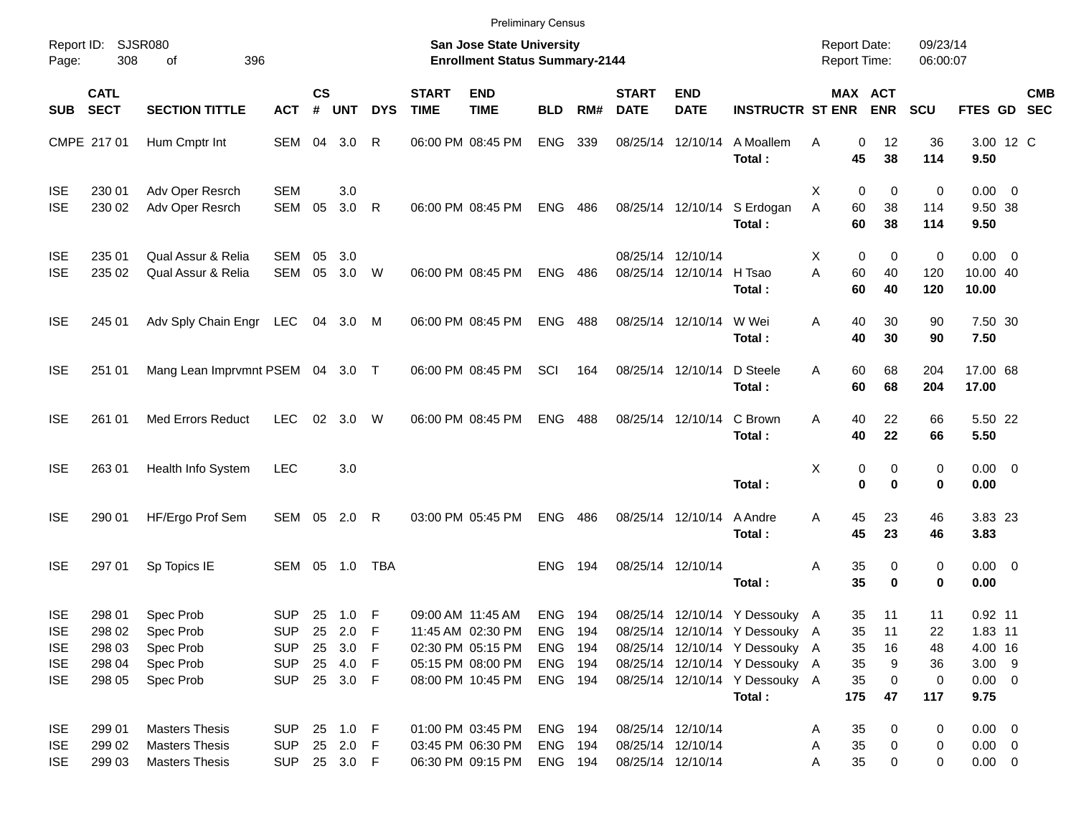|                                                                    |                                                |                                                                         |                                                                    |                             |                                                 |                         |                             | <b>Preliminary Census</b>                                                                             |                                                 |     |                                                             |                           |                                                                                                                                                                                  |                                            |                                   |                                |                                  |                                                                    |            |
|--------------------------------------------------------------------|------------------------------------------------|-------------------------------------------------------------------------|--------------------------------------------------------------------|-----------------------------|-------------------------------------------------|-------------------------|-----------------------------|-------------------------------------------------------------------------------------------------------|-------------------------------------------------|-----|-------------------------------------------------------------|---------------------------|----------------------------------------------------------------------------------------------------------------------------------------------------------------------------------|--------------------------------------------|-----------------------------------|--------------------------------|----------------------------------|--------------------------------------------------------------------|------------|
| Page:                                                              | Report ID: SJSR080<br>308                      | 396<br>οf                                                               |                                                                    |                             |                                                 |                         |                             | <b>San Jose State University</b><br><b>Enrollment Status Summary-2144</b>                             |                                                 |     |                                                             |                           |                                                                                                                                                                                  | <b>Report Date:</b><br><b>Report Time:</b> |                                   |                                | 09/23/14<br>06:00:07             |                                                                    |            |
| SUB                                                                | <b>CATL</b><br><b>SECT</b>                     | <b>SECTION TITTLE</b>                                                   | <b>ACT</b>                                                         | $\mathsf{cs}$<br>$\pmb{\#}$ | <b>UNT</b>                                      | <b>DYS</b>              | <b>START</b><br><b>TIME</b> | <b>END</b><br><b>TIME</b>                                                                             | <b>BLD</b>                                      | RM# | <b>START</b><br><b>DATE</b>                                 | <b>END</b><br><b>DATE</b> | <b>INSTRUCTR ST ENR</b>                                                                                                                                                          |                                            | MAX ACT                           | <b>ENR</b>                     | SCU                              | FTES GD SEC                                                        | <b>CMB</b> |
|                                                                    | CMPE 217 01                                    | Hum Cmptr Int                                                           | SEM                                                                | 04                          | 3.0                                             | R                       |                             | 06:00 PM 08:45 PM                                                                                     | <b>ENG</b>                                      | 339 | 08/25/14                                                    | 12/10/14                  | A Moallem<br>Total:                                                                                                                                                              | Α                                          | 0<br>45                           | 12<br>38                       | 36<br>114                        | 3.00 12 C<br>9.50                                                  |            |
| <b>ISE</b><br><b>ISE</b>                                           | 230 01<br>230 02                               | Adv Oper Resrch<br>Adv Oper Resrch                                      | <b>SEM</b><br>SEM                                                  | 05                          | 3.0<br>3.0                                      | R                       |                             | 06:00 PM 08:45 PM                                                                                     | <b>ENG</b>                                      | 486 | 08/25/14 12/10/14                                           |                           | S Erdogan<br>Total:                                                                                                                                                              | X<br>A                                     | 0<br>60<br>60                     | 0<br>38<br>38                  | 0<br>114<br>114                  | $0.00 \t 0$<br>9.50 38<br>9.50                                     |            |
| <b>ISE</b><br><b>ISE</b>                                           | 235 01<br>235 02                               | Qual Assur & Relia<br>Qual Assur & Relia                                | <b>SEM</b><br><b>SEM</b>                                           | 05<br>05                    | 3.0<br>3.0                                      | W                       |                             | 06:00 PM 08:45 PM                                                                                     | <b>ENG</b>                                      | 486 | 08/25/14 12/10/14<br>08/25/14                               | 12/10/14                  | H Tsao<br>Total:                                                                                                                                                                 | X<br>A                                     | 0<br>60<br>60                     | 0<br>40<br>40                  | 0<br>120<br>120                  | $0.00 \t 0$<br>10.00 40<br>10.00                                   |            |
| <b>ISE</b>                                                         | 245 01                                         | Adv Sply Chain Engr LEC                                                 |                                                                    |                             | 04 3.0                                          | M                       |                             | 06:00 PM 08:45 PM                                                                                     | <b>ENG</b>                                      | 488 | 08/25/14 12/10/14                                           |                           | W Wei<br>Total:                                                                                                                                                                  | Α                                          | 40<br>40                          | 30<br>30                       | 90<br>90                         | 7.50 30<br>7.50                                                    |            |
| <b>ISE</b>                                                         | 251 01                                         | Mang Lean Imprvmnt PSEM 04 3.0 T                                        |                                                                    |                             |                                                 |                         |                             | 06:00 PM 08:45 PM                                                                                     | SCI                                             | 164 | 08/25/14 12/10/14                                           |                           | D Steele<br>Total:                                                                                                                                                               | A                                          | 60<br>60                          | 68<br>68                       | 204<br>204                       | 17.00 68<br>17.00                                                  |            |
| <b>ISE</b>                                                         | 261 01                                         | <b>Med Errors Reduct</b>                                                | <b>LEC</b>                                                         | 02                          | 3.0                                             | W                       |                             | 06:00 PM 08:45 PM                                                                                     | <b>ENG</b>                                      | 488 | 08/25/14 12/10/14                                           |                           | C Brown<br>Total:                                                                                                                                                                | Α                                          | 40<br>40                          | 22<br>22                       | 66<br>66                         | 5.50 22<br>5.50                                                    |            |
| <b>ISE</b>                                                         | 263 01                                         | Health Info System                                                      | <b>LEC</b>                                                         |                             | 3.0                                             |                         |                             |                                                                                                       |                                                 |     |                                                             |                           | Total:                                                                                                                                                                           | X                                          | 0<br>$\mathbf 0$                  | 0<br>0                         | 0<br>0                           | $0.00 \t 0$<br>0.00                                                |            |
| <b>ISE</b>                                                         | 290 01                                         | HF/Ergo Prof Sem                                                        | SEM 05                                                             |                             | 2.0                                             | R                       |                             | 03:00 PM 05:45 PM                                                                                     | <b>ENG</b>                                      | 486 | 08/25/14 12/10/14                                           |                           | A Andre<br>Total:                                                                                                                                                                | Α                                          | 45<br>45                          | 23<br>23                       | 46<br>46                         | 3.83 23<br>3.83                                                    |            |
| <b>ISE</b>                                                         | 297 01                                         | Sp Topics IE                                                            | SEM                                                                |                             | 05 1.0                                          | <b>TBA</b>              |                             |                                                                                                       | ENG.                                            | 194 | 08/25/14 12/10/14                                           |                           | Total:                                                                                                                                                                           | Α                                          | 35<br>35                          | 0<br>0                         | 0<br>0                           | $0.00 \t 0$<br>0.00                                                |            |
| <b>ISE</b><br><b>ISE</b><br><b>ISE</b><br><b>ISE</b><br><b>ISE</b> | 298 01<br>298 02<br>298 03<br>298 04<br>298 05 | Spec Prob<br>Spec Prob<br>Spec Prob<br>Spec Prob<br>Spec Prob           | <b>SUP</b><br><b>SUP</b><br><b>SUP</b><br><b>SUP</b><br><b>SUP</b> | 25                          | 1.0<br>25 2.0<br>25 3.0<br>25 4.0 F<br>25 3.0 F | F<br>$\mathsf{F}$<br>-F |                             | 09:00 AM 11:45 AM<br>11:45 AM 02:30 PM<br>02:30 PM 05:15 PM<br>05:15 PM 08:00 PM<br>08:00 PM 10:45 PM | ENG<br>ENG 194<br>ENG 194<br>ENG 194<br>ENG 194 | 194 |                                                             |                           | 08/25/14 12/10/14 Y Dessouky A<br>08/25/14 12/10/14 Y Dessouky A<br>08/25/14 12/10/14 Y Dessouky A<br>08/25/14 12/10/14 Y Dessouky A<br>08/25/14 12/10/14 Y Dessouky A<br>Total: |                                            | 35<br>35<br>35<br>35<br>35<br>175 | 11<br>11<br>16<br>9<br>0<br>47 | 11<br>22<br>48<br>36<br>0<br>117 | $0.92$ 11<br>1.83 11<br>4.00 16<br>$3.00$ 9<br>$0.00 \t 0$<br>9.75 |            |
| <b>ISE</b><br><b>ISE</b><br><b>ISE</b>                             | 299 01<br>299 02<br>299 03                     | <b>Masters Thesis</b><br><b>Masters Thesis</b><br><b>Masters Thesis</b> | <b>SUP</b><br>SUP 25 2.0 F<br>SUP 25 3.0 F                         |                             | 25 1.0 F                                        |                         |                             | 01:00 PM 03:45 PM<br>03:45 PM 06:30 PM<br>06:30 PM 09:15 PM                                           | ENG 194<br>ENG 194<br>ENG 194                   |     | 08/25/14 12/10/14<br>08/25/14 12/10/14<br>08/25/14 12/10/14 |                           |                                                                                                                                                                                  | A<br>A<br>A                                | 35<br>35<br>35                    | 0<br>0<br>0                    | 0<br>0<br>0                      | $0.00 \t 0$<br>$0.00 \t 0$<br>$0.00 \t 0$                          |            |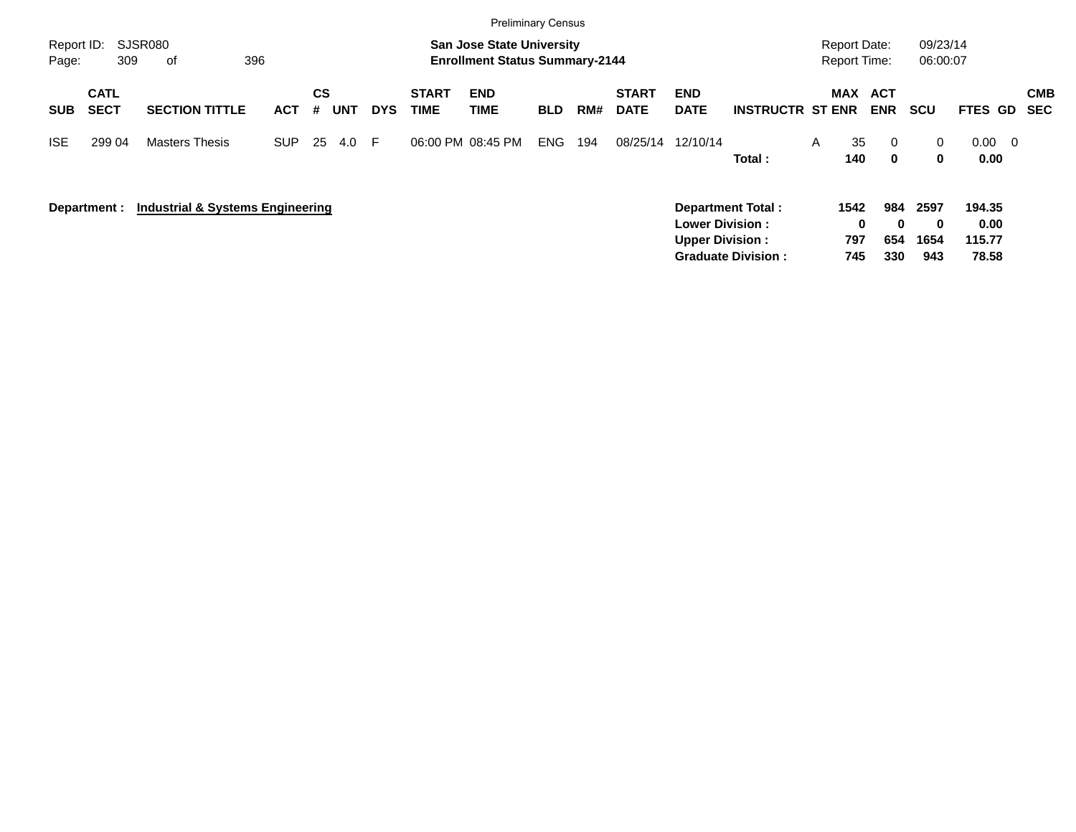|                     |                            |                                  |            |                |            |            |                      | <b>Preliminary Census</b>                                                 |            |     |                             |                                                  |                          |   |                                            |                          |                          |                          |                          |
|---------------------|----------------------------|----------------------------------|------------|----------------|------------|------------|----------------------|---------------------------------------------------------------------------|------------|-----|-----------------------------|--------------------------------------------------|--------------------------|---|--------------------------------------------|--------------------------|--------------------------|--------------------------|--------------------------|
| Report ID:<br>Page: | 309                        | SJSR080<br>396<br>of             |            |                |            |            |                      | <b>San Jose State University</b><br><b>Enrollment Status Summary-2144</b> |            |     |                             |                                                  |                          |   | <b>Report Date:</b><br><b>Report Time:</b> |                          | 09/23/14<br>06:00:07     |                          |                          |
| <b>SUB</b>          | <b>CATL</b><br><b>SECT</b> | <b>SECTION TITTLE</b>            | <b>ACT</b> | <b>CS</b><br># | <b>UNT</b> | <b>DYS</b> | <b>START</b><br>TIME | <b>END</b><br><b>TIME</b>                                                 | <b>BLD</b> | RM# | <b>START</b><br><b>DATE</b> | <b>END</b><br><b>DATE</b>                        | <b>INSTRUCTR ST ENR</b>  |   | MAX ACT                                    | <b>ENR</b>               | <b>SCU</b>               | FTES GD                  | <b>CMB</b><br><b>SEC</b> |
| <b>ISE</b>          | 299 04                     | <b>Masters Thesis</b>            | <b>SUP</b> | 25             | 4.0        | E          | 06:00 PM 08:45 PM    |                                                                           | <b>ENG</b> | 194 | 08/25/14                    | 12/10/14                                         | Total:                   | A | 35<br>140                                  | $\mathbf{0}$<br>$\bf{0}$ | $\mathbf{0}$<br>0        | $0.00 \quad 0$<br>0.00   |                          |
|                     | Department :               | Industrial & Systems Engineering |            |                |            |            |                      |                                                                           |            |     |                             | <b>Lower Division:</b><br><b>Upper Division:</b> | <b>Department Total:</b> |   | 1542<br>0<br>797                           | 984<br>$\bf{0}$<br>654   | 2597<br>$\bf{0}$<br>1654 | 194.35<br>0.00<br>115.77 |                          |

**Graduate Division : 745 330 943 78.58**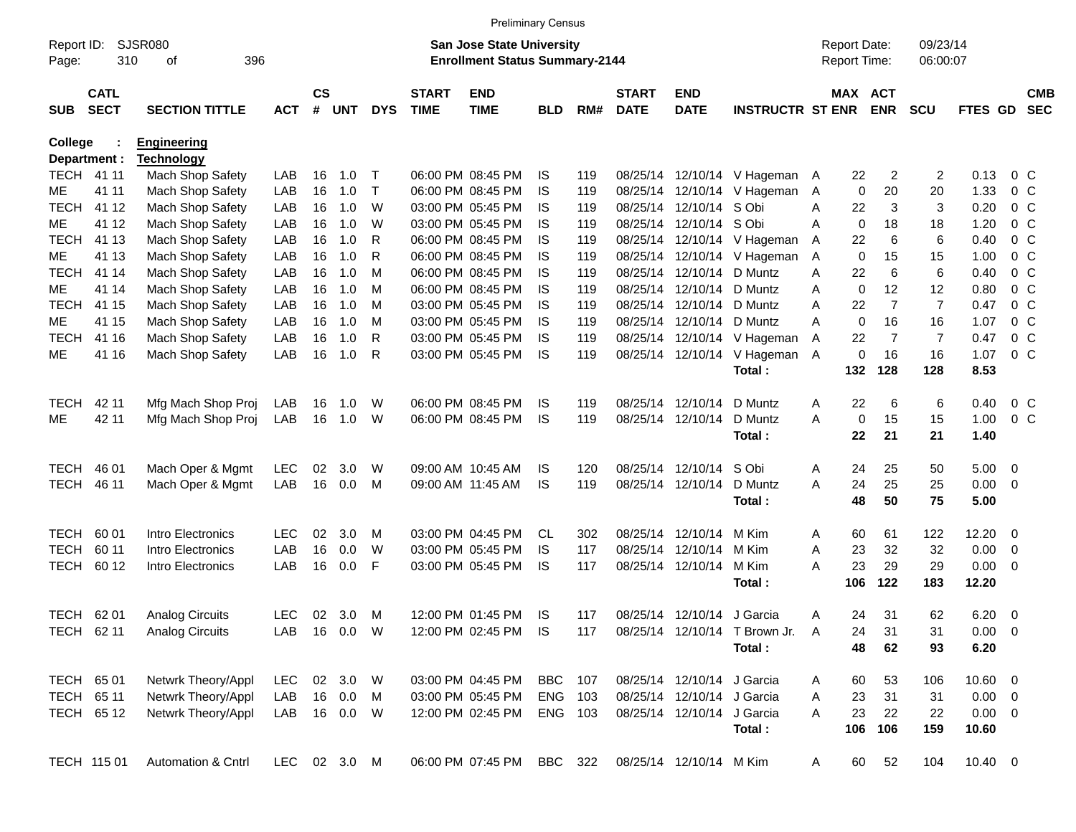|                |                            |                         |              |                    |            |            |                             |                                       | <b>Preliminary Census</b> |     |                             |                            |                               |                |                     |                |                |                |                          |                          |
|----------------|----------------------------|-------------------------|--------------|--------------------|------------|------------|-----------------------------|---------------------------------------|---------------------------|-----|-----------------------------|----------------------------|-------------------------------|----------------|---------------------|----------------|----------------|----------------|--------------------------|--------------------------|
| Report ID:     |                            | <b>SJSR080</b>          |              |                    |            |            |                             | <b>San Jose State University</b>      |                           |     |                             |                            |                               |                | <b>Report Date:</b> |                | 09/23/14       |                |                          |                          |
| Page:          | 310                        | 396<br>οf               |              |                    |            |            |                             | <b>Enrollment Status Summary-2144</b> |                           |     |                             |                            |                               |                | Report Time:        |                | 06:00:07       |                |                          |                          |
| <b>SUB</b>     | <b>CATL</b><br><b>SECT</b> | <b>SECTION TITTLE</b>   | <b>ACT</b>   | $\mathsf{cs}$<br># | <b>UNT</b> | <b>DYS</b> | <b>START</b><br><b>TIME</b> | <b>END</b><br><b>TIME</b>             | <b>BLD</b>                | RM# | <b>START</b><br><b>DATE</b> | <b>END</b><br><b>DATE</b>  | <b>INSTRUCTR ST ENR</b>       |                | <b>MAX ACT</b>      | <b>ENR</b>     | <b>SCU</b>     | <b>FTES GD</b> |                          | <b>CMB</b><br><b>SEC</b> |
| <b>College</b> |                            | <b>Engineering</b>      |              |                    |            |            |                             |                                       |                           |     |                             |                            |                               |                |                     |                |                |                |                          |                          |
|                | Department :               | <b>Technology</b>       |              |                    |            |            |                             |                                       |                           |     |                             |                            |                               |                |                     |                |                |                |                          |                          |
|                | <b>TECH 4111</b>           | Mach Shop Safety        | LAB          | 16                 | 1.0        | Т          |                             | 06:00 PM 08:45 PM                     | IS                        | 119 |                             |                            | 08/25/14 12/10/14 V Hageman A |                | 22                  | 2              | 2              | 0.13           | $0\,C$                   |                          |
| МE             | 41 11                      | Mach Shop Safety        | LAB          | 16                 | 1.0        | $\top$     |                             | 06:00 PM 08:45 PM                     | IS                        | 119 |                             |                            | 08/25/14 12/10/14 V Hageman   | A              | 0                   | 20             | 20             | 1.33           | 0 <sup>o</sup>           |                          |
| <b>TECH</b>    | 41 12                      | Mach Shop Safety        | LAB          | 16                 | 1.0        | W          |                             | 03:00 PM 05:45 PM                     | IS                        | 119 |                             | 08/25/14 12/10/14 S Obi    |                               | A              | 22                  | 3              | 3              | 0.20           | 0 <sup>o</sup>           |                          |
| МE             | 41 12                      | Mach Shop Safety        | LAB          | 16                 | 1.0        | W          |                             | 03:00 PM 05:45 PM                     | IS                        | 119 |                             | 08/25/14 12/10/14 S Obi    |                               | A              | 0                   | 18             | 18             | 1.20           |                          | 0 <sup>o</sup>           |
| TECH           | 41 13                      | Mach Shop Safety        | LAB          | 16                 | 1.0        | R          |                             | 06:00 PM 08:45 PM                     | IS                        | 119 |                             |                            | 08/25/14 12/10/14 V Hageman   | A              | 22                  | 6              | 6              | 0.40           | 0 <sup>o</sup>           |                          |
| МE             | 41 13                      | Mach Shop Safety        | LAB          | 16                 | 1.0        | R          |                             | 06:00 PM 08:45 PM                     | IS                        | 119 |                             |                            | 08/25/14 12/10/14 V Hageman   | A              | $\mathbf 0$         | 15             | 15             | 1.00           | 0 <sup>o</sup>           |                          |
| <b>TECH</b>    | 41 14                      | Mach Shop Safety        | LAB          | 16                 | 1.0        | м          |                             | 06:00 PM 08:45 PM                     | IS                        | 119 |                             | 08/25/14 12/10/14 D Muntz  |                               | A              | 22                  | 6              | 6              | 0.40           | 0 <sup>o</sup>           |                          |
| ME             | 41 14                      | Mach Shop Safety        | LAB          | 16                 | 1.0        | M          |                             | 06:00 PM 08:45 PM                     | IS                        | 119 |                             | 08/25/14 12/10/14 D Muntz  |                               | A              | $\mathbf 0$         | 12             | 12             | 0.80           | 0 <sup>o</sup>           |                          |
| <b>TECH</b>    | 41 15                      | Mach Shop Safety        | LAB          | 16                 | 1.0        | M          |                             | 03:00 PM 05:45 PM                     | IS                        | 119 |                             | 08/25/14 12/10/14 D Muntz  |                               | A              | 22                  | $\overline{7}$ | $\overline{7}$ | 0.47           | 0 <sup>o</sup>           |                          |
| МE             | 41 15                      | Mach Shop Safety        | LAB          | 16                 | 1.0        | м          |                             | 03:00 PM 05:45 PM                     | IS                        | 119 |                             | 08/25/14 12/10/14 D Muntz  |                               | A              | $\mathbf 0$         | 16             | 16             | 1.07           | 0 <sup>o</sup>           |                          |
| <b>TECH</b>    | 41 16                      | <b>Mach Shop Safety</b> | LAB          | 16                 | 1.0        | R          |                             | 03:00 PM 05:45 PM                     | IS                        | 119 |                             |                            | 08/25/14 12/10/14 V Hageman   | Α              | 22                  | $\overline{7}$ | $\overline{7}$ | 0.47           | 0 <sup>o</sup>           |                          |
| ME             | 41 16                      | Mach Shop Safety        | LAB          | 16                 | 1.0        | R          |                             | 03:00 PM 05:45 PM                     | IS                        | 119 |                             |                            | 08/25/14 12/10/14 V Hageman   | $\overline{A}$ | 0                   | 16             | 16             | 1.07           | 0 <sup>o</sup>           |                          |
|                |                            |                         |              |                    |            |            |                             |                                       |                           |     |                             |                            | Total:                        |                | 132                 | 128            | 128            | 8.53           |                          |                          |
| <b>TECH</b>    | 42 11                      | Mfg Mach Shop Proj      | LAB          | 16                 | 1.0        | W          |                             | 06:00 PM 08:45 PM                     | IS                        | 119 |                             | 08/25/14 12/10/14          | D Muntz                       | Α              | 22                  | 6              | 6              | 0.40           | 0 <sup>o</sup>           |                          |
| ME             | 42 11                      | Mfg Mach Shop Proj      | LAB          | 16                 | 1.0        | W          |                             | 06:00 PM 08:45 PM                     | IS                        | 119 |                             | 08/25/14 12/10/14          | D Muntz                       | A              | 0                   | 15             | 15             | 1.00           | 0 <sup>o</sup>           |                          |
|                |                            |                         |              |                    |            |            |                             |                                       |                           |     |                             |                            | Total:                        |                | 22                  | 21             | 21             | 1.40           |                          |                          |
|                |                            |                         |              |                    |            |            |                             |                                       |                           |     |                             |                            |                               |                |                     |                |                |                |                          |                          |
| TECH           | 46 01                      | Mach Oper & Mgmt        | <b>LEC</b>   | 02                 | 3.0        | W          |                             | 09:00 AM 10:45 AM                     | IS                        | 120 |                             | 08/25/14 12/10/14 S Obi    |                               | A              | 24                  | 25             | 50             | $5.00 \t 0$    |                          |                          |
| TECH           | 46 11                      | Mach Oper & Mgmt        | LAB          | 16                 | 0.0        | М          |                             | 09:00 AM 11:45 AM                     | IS                        | 119 |                             | 08/25/14 12/10/14          | D Muntz                       | A              | 24                  | 25             | 25             | $0.00 \t 0$    |                          |                          |
|                |                            |                         |              |                    |            |            |                             |                                       |                           |     |                             |                            | Total:                        |                | 48                  | 50             | 75             | 5.00           |                          |                          |
| TECH           | 60 01                      | Intro Electronics       | <b>LEC</b>   | 02                 | 3.0        | м          |                             | 03:00 PM 04:45 PM                     | CL.                       | 302 |                             | 08/25/14 12/10/14          | M Kim                         | Α              | 60                  | 61             | 122            | $12.20 \t 0$   |                          |                          |
| <b>TECH</b>    | 60 11                      | Intro Electronics       | LAB          | 16                 | 0.0        | W          |                             | 03:00 PM 05:45 PM                     | IS                        | 117 |                             | 08/25/14 12/10/14 M Kim    |                               | Α              | 23                  | 32             | 32             | 0.00           | $\overline{\phantom{0}}$ |                          |
| TECH           | 60 12                      | Intro Electronics       | LAB          | 16                 | 0.0        | F          |                             | 03:00 PM 05:45 PM                     | IS                        | 117 |                             | 08/25/14 12/10/14 M Kim    |                               | A              | 23                  | 29             | 29             | $0.00 \t 0$    |                          |                          |
|                |                            |                         |              |                    |            |            |                             |                                       |                           |     |                             |                            | Total:                        |                | 106                 | 122            | 183            | 12.20          |                          |                          |
|                | TECH 62 01                 | <b>Analog Circuits</b>  | <b>LEC</b>   | 02                 | 3.0        | M          |                             | 12:00 PM 01:45 PM                     | IS                        | 117 |                             | 08/25/14 12/10/14 J Garcia |                               | Α              | 24                  | 31             | 62             | $6.20\ 0$      |                          |                          |
|                | TECH 62 11                 | <b>Analog Circuits</b>  | LAB          |                    | 16  0.0  W |            |                             | 12:00 PM 02:45 PM                     | IS                        | 117 |                             | 08/25/14 12/10/14          | T Brown Jr.                   | A              | 24                  | 31             | 31             | $0.00 \t 0$    |                          |                          |
|                |                            |                         |              |                    |            |            |                             |                                       |                           |     |                             |                            | Total:                        |                | 48                  | 62             | 93             | 6.20           |                          |                          |
|                |                            |                         |              |                    |            |            |                             |                                       |                           |     |                             |                            |                               |                |                     |                |                |                |                          |                          |
|                | TECH 65 01                 | Netwrk Theory/Appl      | LEC          |                    | 02 3.0     | W          |                             | 03:00 PM 04:45 PM                     | <b>BBC</b> 107            |     |                             | 08/25/14 12/10/14 J Garcia |                               | A              | 60                  | 53             | 106            | 10.60 0        |                          |                          |
|                | TECH 65 11                 | Netwrk Theory/Appl      | LAB          |                    | 16 0.0     | M          |                             | 03:00 PM 05:45 PM                     | ENG 103                   |     |                             | 08/25/14 12/10/14 J Garcia |                               | Α              | 23                  | 31             | 31             | $0.00 \t 0$    |                          |                          |
|                | TECH 65 12                 | Netwrk Theory/Appl      | LAB          |                    | 16 0.0     | W          |                             | 12:00 PM 02:45 PM                     | ENG 103                   |     |                             | 08/25/14 12/10/14 J Garcia |                               | A              | 23                  | 22             | 22             | $0.00 \t 0$    |                          |                          |
|                |                            |                         |              |                    |            |            |                             |                                       |                           |     |                             |                            | Total:                        |                | 106                 | 106            | 159            | 10.60          |                          |                          |
|                | TECH 115 01                | Automation & Cntrl      | LEC 02 3.0 M |                    |            |            |                             | 06:00 PM 07:45 PM                     | BBC 322                   |     |                             | 08/25/14 12/10/14 M Kim    |                               | A              | 60                  | 52             | 104            | $10.40 \ 0$    |                          |                          |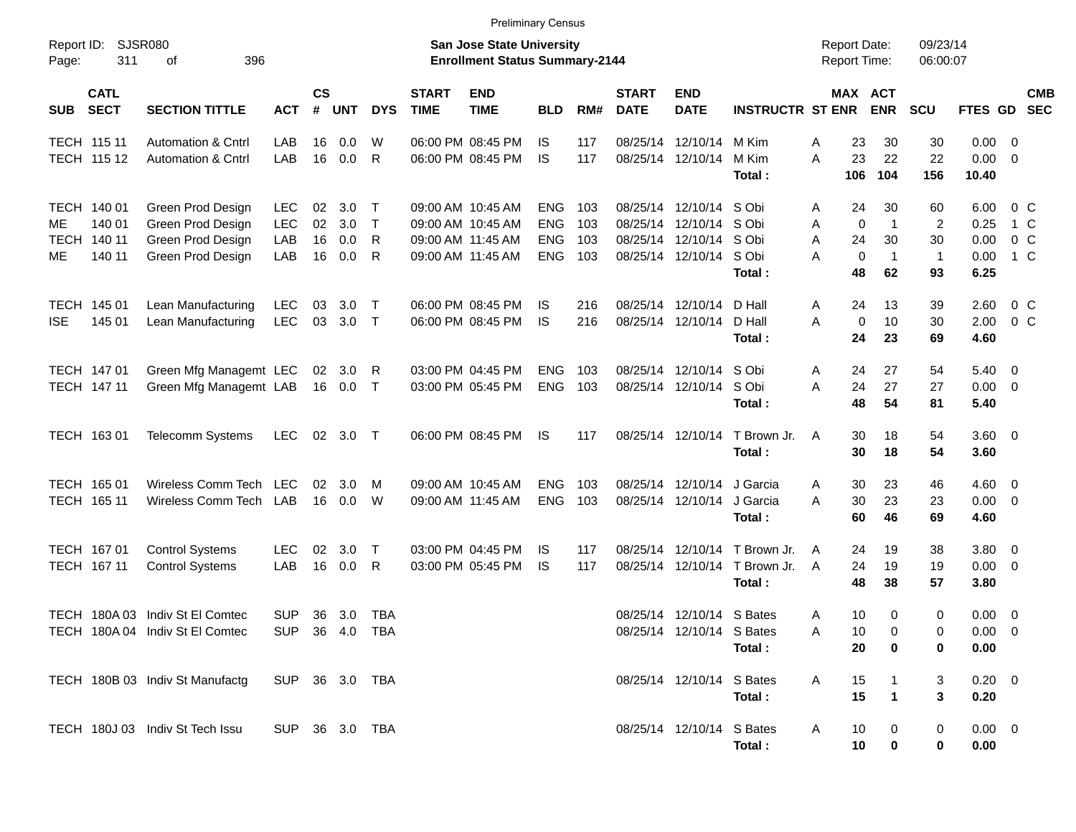|                     |                                                |                                                                                  |                                        |                      |                          |                            |                             | <b>Preliminary Census</b>                                                        |                                                      |                          |                             |                                                                                                 |                                      |                                            |                                                                                      |                                       |                                      |                              |            |
|---------------------|------------------------------------------------|----------------------------------------------------------------------------------|----------------------------------------|----------------------|--------------------------|----------------------------|-----------------------------|----------------------------------------------------------------------------------|------------------------------------------------------|--------------------------|-----------------------------|-------------------------------------------------------------------------------------------------|--------------------------------------|--------------------------------------------|--------------------------------------------------------------------------------------|---------------------------------------|--------------------------------------|------------------------------|------------|
| Report ID:<br>Page: | 311                                            | SJSR080<br>396<br>οf                                                             |                                        |                      |                          |                            |                             | <b>San Jose State University</b><br><b>Enrollment Status Summary-2144</b>        |                                                      |                          |                             |                                                                                                 |                                      | <b>Report Date:</b><br><b>Report Time:</b> |                                                                                      | 09/23/14<br>06:00:07                  |                                      |                              |            |
| <b>SUB</b>          | <b>CATL</b><br><b>SECT</b>                     | <b>SECTION TITTLE</b>                                                            | <b>ACT</b>                             | $\mathsf{cs}$<br>#   | <b>UNT</b>               | <b>DYS</b>                 | <b>START</b><br><b>TIME</b> | <b>END</b><br><b>TIME</b>                                                        | <b>BLD</b>                                           | RM#                      | <b>START</b><br><b>DATE</b> | <b>END</b><br><b>DATE</b>                                                                       | <b>INSTRUCTR ST ENR</b>              |                                            | MAX ACT<br><b>ENR</b>                                                                | <b>SCU</b>                            | FTES GD SEC                          |                              | <b>CMB</b> |
| <b>TECH 11511</b>   | TECH 115 12                                    | <b>Automation &amp; Cntrl</b><br><b>Automation &amp; Cntrl</b>                   | LAB<br>LAB                             | 16<br>16             | 0.0<br>0.0               | W<br>R                     |                             | 06:00 PM 08:45 PM<br>06:00 PM 08:45 PM                                           | IS<br>IS                                             | 117<br>117               |                             | 08/25/14 12/10/14<br>08/25/14 12/10/14                                                          | M Kim<br>M Kim<br>Total:             | Α<br>A<br>106                              | 30<br>23<br>23<br>22<br>104                                                          | 30<br>22<br>156                       | $0.00 \t 0$<br>$0.00 \t 0$<br>10.40  |                              |            |
| ME<br>ME            | TECH 140 01<br>140 01<br>TECH 140 11<br>140 11 | Green Prod Design<br>Green Prod Design<br>Green Prod Design<br>Green Prod Design | <b>LEC</b><br><b>LEC</b><br>LAB<br>LAB | 02<br>02<br>16<br>16 | 3.0<br>3.0<br>0.0<br>0.0 | $\top$<br>$\top$<br>R<br>R |                             | 09:00 AM 10:45 AM<br>09:00 AM 10:45 AM<br>09:00 AM 11:45 AM<br>09:00 AM 11:45 AM | <b>ENG</b><br><b>ENG</b><br><b>ENG</b><br><b>ENG</b> | 103<br>103<br>103<br>103 | 08/25/14                    | 08/25/14 12/10/14 S Obi<br>12/10/14 S Obi<br>08/25/14 12/10/14 S Obi<br>08/25/14 12/10/14 S Obi | Total:                               | Α<br>Α<br>A<br>A                           | 30<br>24<br>$\mathbf 0$<br>$\mathbf{1}$<br>24<br>30<br>0<br>$\mathbf{1}$<br>48<br>62 | 60<br>2<br>30<br>$\overline{1}$<br>93 | 6.00<br>0.25<br>0.00<br>0.00<br>6.25 | 0 C<br>1 C<br>$0\,$ C<br>1 C |            |
| <b>ISE</b>          | TECH 145 01<br>145 01                          | Lean Manufacturing<br>Lean Manufacturing                                         | LEC<br><b>LEC</b>                      | 03<br>03             | 3.0<br>3.0               | $\top$<br>$\top$           |                             | 06:00 PM 08:45 PM<br>06:00 PM 08:45 PM                                           | IS<br>IS                                             | 216<br>216               |                             | 08/25/14 12/10/14<br>08/25/14 12/10/14                                                          | D Hall<br>D Hall<br>Total:           | A<br>A                                     | 13<br>24<br>10<br>0<br>24<br>23                                                      | 39<br>30<br>69                        | 2.60<br>2.00<br>4.60                 | $0\,$ C<br>0 <sup>o</sup>    |            |
|                     | TECH 147 01<br>TECH 147 11                     | Green Mfg Managemt LEC<br>Green Mfg Managemt LAB                                 |                                        | 02                   | 3.0<br>16  0.0           | R<br>$\top$                |                             | 03:00 PM 04:45 PM<br>03:00 PM 05:45 PM                                           | <b>ENG</b><br><b>ENG</b>                             | 103<br>103               |                             | 08/25/14 12/10/14<br>08/25/14 12/10/14                                                          | S Obi<br>S Obi<br>Total:             | A<br>A                                     | 27<br>24<br>24<br>27<br>48<br>54                                                     | 54<br>27<br>81                        | 5.40<br>$0.00 \t 0$<br>5.40          | $\overline{\phantom{0}}$     |            |
|                     | TECH 163 01                                    | Telecomm Systems                                                                 | LEC                                    | 02 <sub>o</sub>      | 3.0                      | $\top$                     |                             | 06:00 PM 08:45 PM                                                                | IS.                                                  | 117                      |                             | 08/25/14 12/10/14                                                                               | T Brown Jr.<br>Total:                | A                                          | 30<br>18<br>30<br>18                                                                 | 54<br>54                              | $3.60 \ 0$<br>3.60                   |                              |            |
|                     | TECH 165 01<br>TECH 165 11                     | Wireless Comm Tech LEC<br>Wireless Comm Tech LAB                                 |                                        | 02<br>16             | 3.0<br>0.0               | м<br>W                     |                             | 09:00 AM 10:45 AM<br>09:00 AM 11:45 AM                                           | <b>ENG</b><br><b>ENG</b>                             | 103<br>103               |                             | 08/25/14 12/10/14<br>08/25/14 12/10/14                                                          | J Garcia<br>J Garcia<br>Total:       | Α<br>A                                     | 30<br>23<br>30<br>23<br>60<br>46                                                     | 46<br>23<br>69                        | $4.60$ 0<br>$0.00 \t 0$<br>4.60      |                              |            |
|                     | TECH 167 01<br>TECH 167 11                     | <b>Control Systems</b><br><b>Control Systems</b>                                 | <b>LEC</b><br>LAB                      | 02<br>16             | 3.0<br>0.0               | $\top$<br>R                |                             | 03:00 PM 04:45 PM<br>03:00 PM 05:45 PM                                           | IS<br>IS                                             | 117<br>117               |                             | 08/25/14 12/10/14<br>08/25/14 12/10/14                                                          | T Brown Jr.<br>T Brown Jr.<br>Total: | A<br>24<br>A                               | 19<br>24<br>19<br>48<br>38                                                           | 38<br>19<br>57                        | 3.80 0<br>$0.00 \t 0$<br>3.80        |                              |            |
|                     |                                                | TECH 180A 03 Indiv St El Comtec<br>TECH 180A 04 Indiv St El Comtec               | <b>SUP</b><br>SUP 36 4.0 TBA           | 36                   | 3.0                      | <b>TBA</b>                 |                             |                                                                                  |                                                      |                          |                             | 08/25/14 12/10/14 S Bates<br>08/25/14 12/10/14 S Bates                                          | Total:                               | Α<br>Α<br>10                               | 10<br>0<br>0<br>20<br>0                                                              | 0<br>0<br>0                           | $0.00 \t 0$<br>$0.00 \t 0$<br>0.00   |                              |            |
|                     |                                                | TECH 180B 03 Indiv St Manufactg                                                  | SUP 36 3.0 TBA                         |                      |                          |                            |                             |                                                                                  |                                                      |                          |                             | 08/25/14 12/10/14 S Bates                                                                       | Total:                               | 15<br>A<br>15                              | $\mathbf 1$                                                                          | 3<br>3                                | $0.20 \ 0$<br>0.20                   |                              |            |
|                     |                                                | TECH 180J 03 Indiv St Tech Issu                                                  | SUP 36 3.0 TBA                         |                      |                          |                            |                             |                                                                                  |                                                      |                          |                             | 08/25/14 12/10/14 S Bates                                                                       | Total:                               | A                                          | 10<br>0<br>10<br>0                                                                   | 0<br>0                                | $0.00 \t 0$<br>0.00                  |                              |            |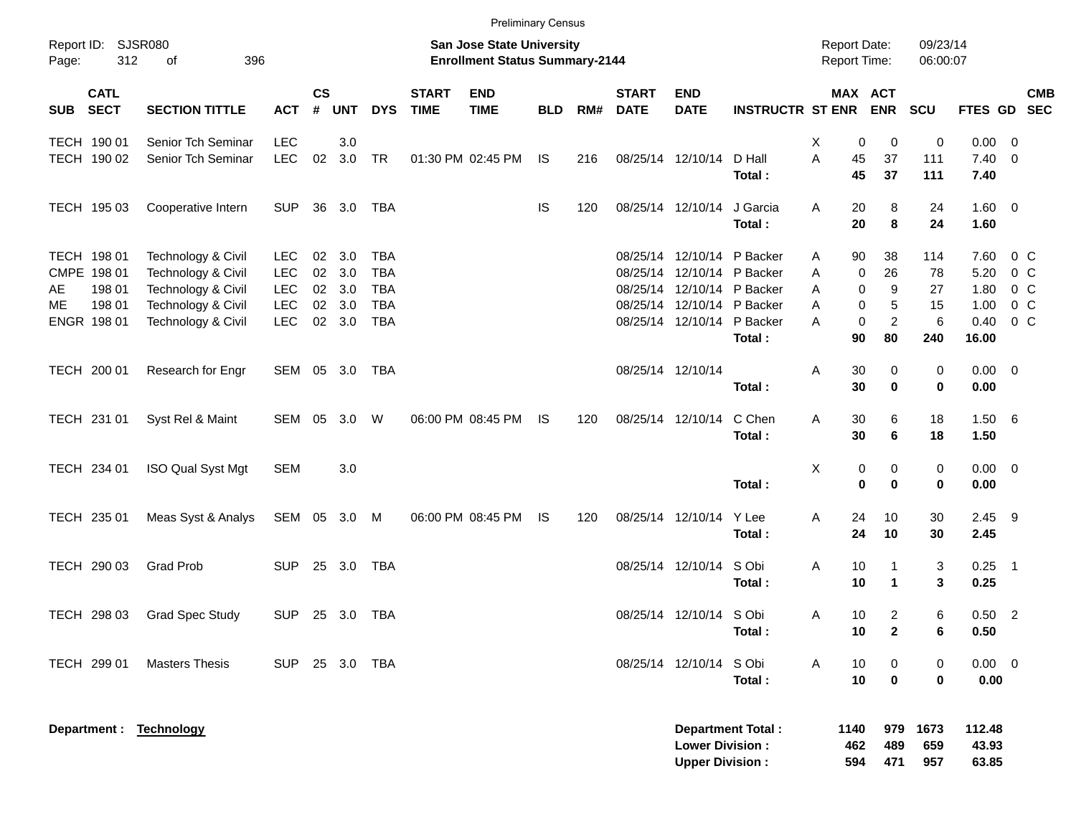|                             |             |                         |              |                    |            |            |                             | <b>Preliminary Census</b>                                          |            |     |                             |                                                  |                          |                                     |                                      |                      |                          |                |            |
|-----------------------------|-------------|-------------------------|--------------|--------------------|------------|------------|-----------------------------|--------------------------------------------------------------------|------------|-----|-----------------------------|--------------------------------------------------|--------------------------|-------------------------------------|--------------------------------------|----------------------|--------------------------|----------------|------------|
| Report ID: SJSR080<br>Page: | 312         | 396<br>of               |              |                    |            |            |                             | San Jose State University<br><b>Enrollment Status Summary-2144</b> |            |     |                             |                                                  |                          | <b>Report Date:</b><br>Report Time: |                                      | 09/23/14<br>06:00:07 |                          |                |            |
| <b>SECT</b><br>SUB          | <b>CATL</b> | <b>SECTION TITTLE</b>   | <b>ACT</b>   | $\mathsf{cs}$<br># | <b>UNT</b> | <b>DYS</b> | <b>START</b><br><b>TIME</b> | <b>END</b><br><b>TIME</b>                                          | <b>BLD</b> | RM# | <b>START</b><br><b>DATE</b> | <b>END</b><br><b>DATE</b>                        | <b>INSTRUCTR ST ENR</b>  |                                     | MAX ACT<br><b>ENR</b>                | SCU                  | FTES GD SEC              |                | <b>CMB</b> |
| TECH 190 01                 |             | Senior Tch Seminar      | <b>LEC</b>   |                    | 3.0        |            |                             |                                                                    |            |     |                             |                                                  |                          | х                                   | 0<br>0                               | 0                    | $0.00 \t 0$              |                |            |
| TECH 190 02                 |             | Senior Tch Seminar      | <b>LEC</b>   | 02                 | 3.0        | <b>TR</b>  |                             | 01:30 PM 02:45 PM                                                  | <b>IS</b>  | 216 |                             | 08/25/14 12/10/14                                | D Hall<br>Total:         | Α<br>45<br>45                       | 37<br>37                             | 111<br>111           | $7.40 \ 0$<br>7.40       |                |            |
| TECH 195 03                 |             | Cooperative Intern      | <b>SUP</b>   |                    | 36 3.0     | <b>TBA</b> |                             |                                                                    | <b>IS</b>  | 120 |                             | 08/25/14 12/10/14                                | J Garcia<br>Total:       | 20<br>Α<br>20                       | 8<br>8                               | 24<br>24             | 1.60 0<br>1.60           |                |            |
| TECH 198 01                 |             | Technology & Civil      | <b>LEC</b>   | 02                 | 3.0        | <b>TBA</b> |                             |                                                                    |            |     |                             | 08/25/14 12/10/14 P Backer                       |                          | 90<br>Α                             | 38                                   | 114                  | 7.60                     | $0\,$ C        |            |
| CMPE 198 01                 |             | Technology & Civil      | <b>LEC</b>   | 02                 | 3.0        | <b>TBA</b> |                             |                                                                    |            |     |                             | 08/25/14 12/10/14 P Backer                       |                          | Α                                   | 26<br>0                              | 78                   | 5.20                     | 0 <sup>o</sup> |            |
| AE                          | 198 01      | Technology & Civil      | <b>LEC</b>   | $02\,$             | 3.0        | <b>TBA</b> |                             |                                                                    |            |     |                             | 08/25/14 12/10/14 P Backer                       |                          | Α                                   | 9<br>$\mathbf 0$                     | 27                   | 1.80                     | 0 <sup>o</sup> |            |
| МE                          | 198 01      | Technology & Civil      | <b>LEC</b>   | 02                 | 3.0        | <b>TBA</b> |                             |                                                                    |            |     |                             | 08/25/14 12/10/14 P Backer                       |                          | Α                                   | 0<br>5                               | 15                   | 1.00                     | 0 <sup>o</sup> |            |
| ENGR 198 01                 |             | Technology & Civil      | <b>LEC</b>   | $02\,$             | 3.0        | <b>TBA</b> |                             |                                                                    |            |     |                             | 08/25/14 12/10/14 P Backer                       | Total:                   | A<br>90                             | $\overline{c}$<br>$\mathbf 0$<br>80  | 6<br>240             | 0.40<br>16.00            | 0 <sup>o</sup> |            |
| TECH 200 01                 |             | Research for Engr       | SEM 05 3.0   |                    |            | TBA        |                             |                                                                    |            |     | 08/25/14 12/10/14           |                                                  | Total:                   | 30<br>Α<br>30                       | 0<br>$\mathbf 0$                     | 0<br>0               | $0.00 \t 0$<br>0.00      |                |            |
| TECH 231 01                 |             | Syst Rel & Maint        | SEM 05       |                    | 3.0        | W          |                             | 06:00 PM 08:45 PM                                                  | IS         | 120 |                             | 08/25/14 12/10/14                                | C Chen<br>Total:         | 30<br>Α<br>30                       | 6<br>6                               | 18<br>18             | 1.506<br>1.50            |                |            |
| TECH 234 01                 |             | ISO Qual Syst Mgt       | <b>SEM</b>   |                    | 3.0        |            |                             |                                                                    |            |     |                             |                                                  | Total:                   | х                                   | 0<br>0<br>$\mathbf 0$<br>$\mathbf 0$ | 0<br>0               | $0.00 \t 0$<br>0.00      |                |            |
| TECH 235 01                 |             | Meas Syst & Analys      | SEM 05 3.0 M |                    |            |            |                             | 06:00 PM 08:45 PM                                                  | IS         | 120 |                             | 08/25/14 12/10/14                                | Y Lee<br>Total:          | Α<br>24<br>24                       | 10<br>10                             | 30<br>30             | $2.45$ 9<br>2.45         |                |            |
| TECH 290 03                 |             | <b>Grad Prob</b>        | <b>SUP</b>   |                    | 25 3.0     | TBA        |                             |                                                                    |            |     |                             | 08/25/14 12/10/14                                | S Obi<br>Total:          | 10<br>Α<br>10                       | 1<br>$\blacktriangleleft$            | 3<br>3               | $0.25$ 1<br>0.25         |                |            |
| TECH 298 03                 |             | <b>Grad Spec Study</b>  | <b>SUP</b>   |                    | 25 3.0     | TBA        |                             |                                                                    |            |     |                             | 08/25/14 12/10/14 S Obi                          | Total:                   | 10<br>Α<br>10                       | $\overline{2}$<br>$\mathbf{2}$       | 6<br>6               | $0.50$ 2<br>0.50         |                |            |
| TECH 299 01                 |             | <b>Masters Thesis</b>   | <b>SUP</b>   |                    | 25 3.0 TBA |            |                             |                                                                    |            |     |                             | 08/25/14 12/10/14                                | S Obi<br>Total:          | 10<br>Α<br>10                       | 0<br>$\mathbf 0$                     | 0<br>0               | $0.00 \t 0$<br>0.00      |                |            |
|                             |             | Department : Technology |              |                    |            |            |                             |                                                                    |            |     |                             | <b>Lower Division:</b><br><b>Upper Division:</b> | <b>Department Total:</b> | 1140<br>462<br>594                  | 979<br>489<br>471                    | 1673<br>659<br>957   | 112.48<br>43.93<br>63.85 |                |            |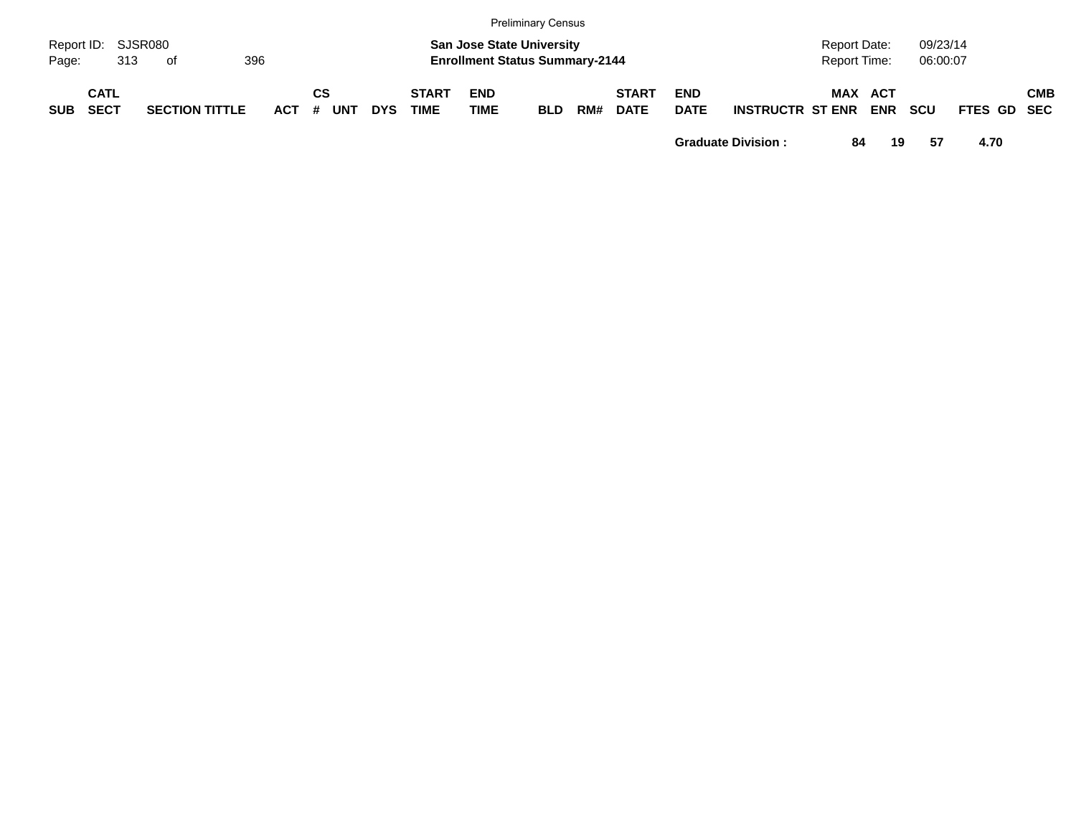|            |                            |     |                       |     |            |             |            |            |                             |                           | <b>Preliminary Census</b>                                                 |     |                             |                           |                         |                                     |            |                      |             |            |
|------------|----------------------------|-----|-----------------------|-----|------------|-------------|------------|------------|-----------------------------|---------------------------|---------------------------------------------------------------------------|-----|-----------------------------|---------------------------|-------------------------|-------------------------------------|------------|----------------------|-------------|------------|
| Page:      | Report ID: SJSR080         | 313 | of                    | 396 |            |             |            |            |                             |                           | <b>San Jose State University</b><br><b>Enrollment Status Summary-2144</b> |     |                             |                           |                         | <b>Report Date:</b><br>Report Time: |            | 09/23/14<br>06:00:07 |             |            |
| <b>SUB</b> | <b>CATL</b><br><b>SECT</b> |     | <b>SECTION TITTLE</b> |     | <b>ACT</b> | СS<br>$\pm$ | <b>UNT</b> | <b>DYS</b> | <b>START</b><br><b>TIME</b> | <b>END</b><br><b>TIME</b> | <b>BLD</b>                                                                | RM# | <b>START</b><br><b>DATE</b> | <b>END</b><br><b>DATE</b> | <b>INSTRUCTR ST ENR</b> | MAX ACT                             | <b>ENR</b> | <b>SCU</b>           | FTES GD SEC | <b>CMB</b> |

**Graduate Division : 84 19 57 4.70**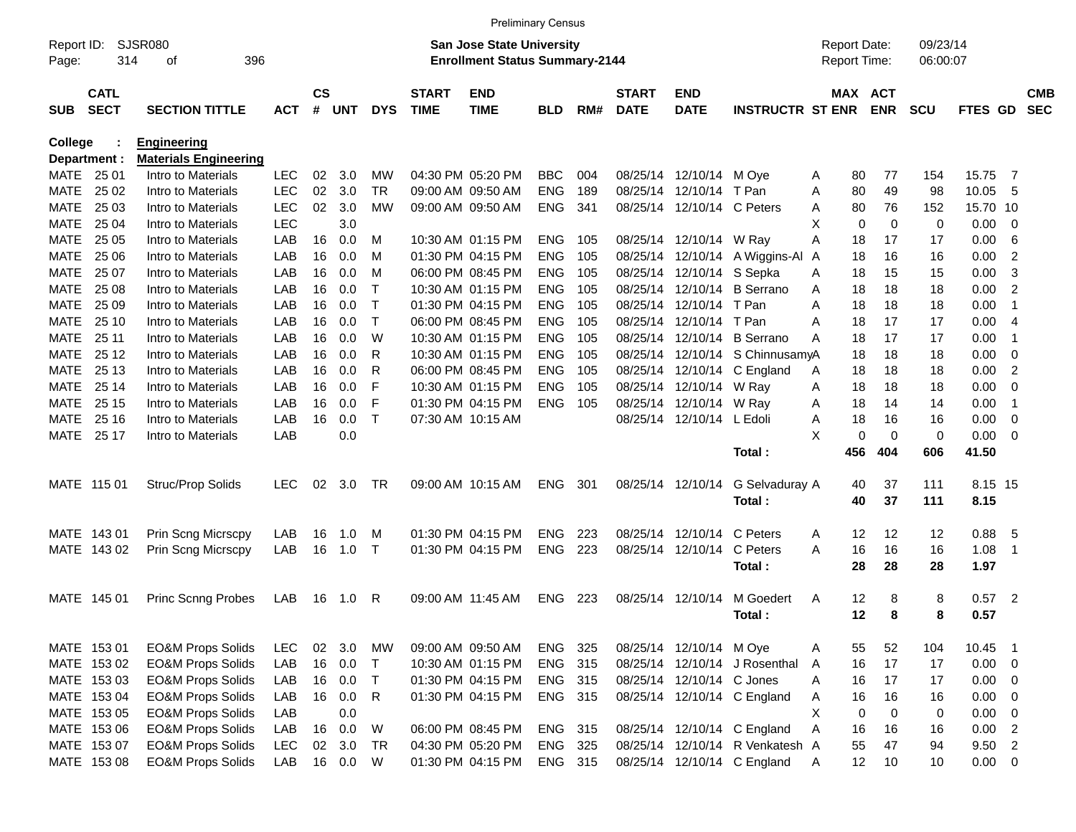|                |                            |                              |            |                    |            |            |                             |                                       | <b>Preliminary Census</b> |     |                             |                            |                                 |                     |                              |            |                |                          |                          |
|----------------|----------------------------|------------------------------|------------|--------------------|------------|------------|-----------------------------|---------------------------------------|---------------------------|-----|-----------------------------|----------------------------|---------------------------------|---------------------|------------------------------|------------|----------------|--------------------------|--------------------------|
| Report ID:     |                            | SJSR080                      |            |                    |            |            |                             | <b>San Jose State University</b>      |                           |     |                             |                            |                                 | <b>Report Date:</b> |                              | 09/23/14   |                |                          |                          |
| Page:          | 314                        | 396<br>οf                    |            |                    |            |            |                             | <b>Enrollment Status Summary-2144</b> |                           |     |                             |                            |                                 | Report Time:        |                              | 06:00:07   |                |                          |                          |
| <b>SUB</b>     | <b>CATL</b><br><b>SECT</b> | <b>SECTION TITTLE</b>        | <b>ACT</b> | $\mathsf{cs}$<br># | <b>UNT</b> | <b>DYS</b> | <b>START</b><br><b>TIME</b> | <b>END</b><br><b>TIME</b>             | <b>BLD</b>                | RM# | <b>START</b><br><b>DATE</b> | <b>END</b><br><b>DATE</b>  | <b>INSTRUCTR ST ENR</b>         |                     | <b>MAX ACT</b><br><b>ENR</b> | <b>SCU</b> | <b>FTES GD</b> |                          | <b>CMB</b><br><b>SEC</b> |
| <b>College</b> |                            | <b>Engineering</b>           |            |                    |            |            |                             |                                       |                           |     |                             |                            |                                 |                     |                              |            |                |                          |                          |
|                | Department :               | <b>Materials Engineering</b> |            |                    |            |            |                             |                                       |                           |     |                             |                            |                                 |                     |                              |            |                |                          |                          |
|                | MATE 25 01                 | Intro to Materials           | <b>LEC</b> | 02                 | 3.0        | MW         |                             | 04:30 PM 05:20 PM                     | <b>BBC</b>                | 004 |                             | 08/25/14 12/10/14 M Oye    |                                 | 80<br>Α             | 77                           | 154        | 15.75          | $\overline{7}$           |                          |
| MATE           | 25 02                      | Intro to Materials           | <b>LEC</b> | 02                 | 3.0        | TR         |                             | 09:00 AM 09:50 AM                     | <b>ENG</b>                | 189 |                             | 08/25/14 12/10/14 T Pan    |                                 | 80<br>Α             | 49                           | 98         | 10.05          | - 5                      |                          |
| MATE           | 25 03                      | Intro to Materials           | <b>LEC</b> | 02                 | 3.0        | МW         |                             | 09:00 AM 09:50 AM                     | <b>ENG</b>                | 341 |                             | 08/25/14 12/10/14 C Peters |                                 | 80<br>Α             | 76                           | 152        | 15.70 10       |                          |                          |
| MATE           | 25 04                      | Intro to Materials           | <b>LEC</b> |                    | 3.0        |            |                             |                                       |                           |     |                             |                            |                                 | X<br>0              | $\mathbf 0$                  | 0          | 0.00           | - 0                      |                          |
| MATE           | 25 05                      | Intro to Materials           | LAB        | 16                 | 0.0        | м          |                             | 10:30 AM 01:15 PM                     | <b>ENG</b>                | 105 |                             | 08/25/14 12/10/14 W Ray    |                                 | Α<br>18             | 17                           | 17         | 0.00           | -6                       |                          |
| MATE           | 25 06                      | Intro to Materials           | LAB        | 16                 | 0.0        | м          |                             | 01:30 PM 04:15 PM                     | <b>ENG</b>                | 105 |                             |                            | 08/25/14 12/10/14 A Wiggins-Al  | 18<br>A             | 16                           | 16         | 0.00           | 2                        |                          |
| MATE           | 25 07                      | Intro to Materials           | LAB        | 16                 | 0.0        | м          |                             | 06:00 PM 08:45 PM                     | <b>ENG</b>                | 105 |                             | 08/25/14 12/10/14 S Sepka  |                                 | 18<br>Α             | 15                           | 15         | 0.00           | 3                        |                          |
| MATE           | 25 08                      | Intro to Materials           | LAB        | 16                 | 0.0        | т          |                             | 10:30 AM 01:15 PM                     | <b>ENG</b>                | 105 |                             |                            | 08/25/14 12/10/14 B Serrano     | 18<br>Α             | 18                           | 18         | 0.00           | $\overline{2}$           |                          |
| MATE           | 25 09                      | Intro to Materials           | LAB        | 16                 | 0.0        | т          |                             | 01:30 PM 04:15 PM                     | <b>ENG</b>                | 105 |                             | 08/25/14 12/10/14 T Pan    |                                 | Α<br>18             | 18                           | 18         | 0.00           | -1                       |                          |
| MATE           | 25 10                      | Intro to Materials           | LAB        | 16                 | 0.0        | Τ          |                             | 06:00 PM 08:45 PM                     | <b>ENG</b>                | 105 | 08/25/14                    | 12/10/14 T Pan             |                                 | Α<br>18             | 17                           | 17         | 0.00           | -4                       |                          |
| MATE           | 25 11                      | Intro to Materials           | LAB        | 16                 | 0.0        | W          |                             | 10:30 AM 01:15 PM                     | <b>ENG</b>                | 105 | 08/25/14                    |                            | 12/10/14 B Serrano              | Α<br>18             | 17                           | 17         | 0.00           | -1                       |                          |
| MATE           | 25 12                      | Intro to Materials           | LAB        | 16                 | 0.0        | R          |                             | 10:30 AM 01:15 PM                     | <b>ENG</b>                | 105 |                             |                            | 08/25/14 12/10/14 S ChinnusamyA | 18                  | 18                           | 18         | 0.00           | 0                        |                          |
| MATE           | 25 13                      | Intro to Materials           | LAB        | 16                 | 0.0        | R          |                             | 06:00 PM 08:45 PM                     | <b>ENG</b>                | 105 |                             |                            | 08/25/14 12/10/14 C England     | 18<br>Α             | 18                           | 18         | 0.00           | $\overline{2}$           |                          |
| MATE           | 25 14                      | Intro to Materials           | LAB        | 16                 | 0.0        | F          |                             | 10:30 AM 01:15 PM                     | <b>ENG</b>                | 105 |                             | 08/25/14 12/10/14 W Ray    |                                 | 18<br>Α             | 18                           | 18         | 0.00           | 0                        |                          |
| MATE           | 25 15                      | Intro to Materials           | LAB        | 16                 | 0.0        | F          |                             | 01:30 PM 04:15 PM                     | <b>ENG</b>                | 105 |                             | 08/25/14 12/10/14 W Ray    |                                 | Α<br>18             | 14                           | 14         | 0.00           | -1                       |                          |
| MATE           | 25 16                      | Intro to Materials           | LAB        | 16                 | 0.0        | Τ          |                             | 07:30 AM 10:15 AM                     |                           |     |                             | 08/25/14 12/10/14 L Edoli  |                                 | Α<br>18             | 16                           | 16         | 0.00           | 0                        |                          |
|                | MATE 25 17                 | Intro to Materials           | LAB        |                    | 0.0        |            |                             |                                       |                           |     |                             |                            |                                 | X<br>$\mathbf 0$    | $\Omega$                     | 0          | 0.00           | $\overline{\phantom{0}}$ |                          |
|                |                            |                              |            |                    |            |            |                             |                                       |                           |     |                             |                            | Total:                          | 456                 | 404                          | 606        | 41.50          |                          |                          |
|                | MATE 115 01                | Struc/Prop Solids            | <b>LEC</b> | 02                 | 3.0        | TR         |                             | 09:00 AM 10:15 AM                     | <b>ENG</b>                | 301 |                             | 08/25/14 12/10/14          | G Selvaduray A                  | 40                  | 37                           | 111        | 8.15 15        |                          |                          |
|                |                            |                              |            |                    |            |            |                             |                                       |                           |     |                             |                            | Total:                          | 40                  | 37                           | 111        | 8.15           |                          |                          |
|                | MATE 143 01                | Prin Scng Micrscpy           | LAB        | 16                 | 1.0        | M          |                             | 01:30 PM 04:15 PM                     | <b>ENG</b>                | 223 |                             | 08/25/14 12/10/14          | C Peters                        | 12<br>Α             | 12                           | 12         | 0.88           | - 5                      |                          |
|                | MATE 143 02                | Prin Scng Micrscpy           | LAB        | 16                 | 1.0        | $\top$     |                             | 01:30 PM 04:15 PM                     | <b>ENG</b>                | 223 |                             | 08/25/14 12/10/14          | C Peters                        | А<br>16             | 16                           | 16         | 1.08           | -1                       |                          |
|                |                            |                              |            |                    |            |            |                             |                                       |                           |     |                             |                            | Total:                          | 28                  | 28                           | 28         | 1.97           |                          |                          |
|                | MATE 145 01                | <b>Princ Scnng Probes</b>    |            |                    |            |            |                             | 09:00 AM 11:45 AM                     | <b>ENG</b>                | 223 |                             | 08/25/14 12/10/14          | M Goedert                       | 12                  |                              |            | $0.57$ 2       |                          |                          |
|                |                            |                              | LAB        | 16                 | 1.0        | R          |                             |                                       |                           |     |                             |                            |                                 | A<br>12             | 8<br>8                       | 8<br>8     | 0.57           |                          |                          |
|                |                            |                              |            |                    |            |            |                             |                                       |                           |     |                             |                            | Total :                         |                     |                              |            |                |                          |                          |
|                | MATE 153 01                | <b>EO&amp;M Props Solids</b> | <b>LEC</b> |                    | 02 3.0     | МW         |                             | 09:00 AM 09:50 AM                     | ENG 325                   |     |                             | 08/25/14 12/10/14 M Oye    |                                 | 55<br>A             | 52                           | 104        | 10.45 1        |                          |                          |
|                | MATE 153 02                | <b>EO&amp;M Props Solids</b> | LAB        | 16                 | 0.0        | Т          |                             | 10:30 AM 01:15 PM                     | ENG 315                   |     |                             |                            | 08/25/14 12/10/14 J Rosenthal   | 16<br>A             | 17                           | 17         | $0.00 \t 0$    |                          |                          |
|                | MATE 153 03                | <b>EO&amp;M Props Solids</b> | LAB        | 16                 | 0.0        | $\top$     |                             | 01:30 PM 04:15 PM                     | ENG 315                   |     |                             | 08/25/14 12/10/14 C Jones  |                                 | 16<br>A             | 17                           | 17         | $0.00 \t 0$    |                          |                          |
|                | MATE 153 04                | <b>EO&amp;M Props Solids</b> | LAB        | 16                 | 0.0        | R          |                             | 01:30 PM 04:15 PM                     | ENG 315                   |     |                             |                            | 08/25/14 12/10/14 C England     | 16<br>Α             | 16                           | 16         | $0.00 \t 0$    |                          |                          |
|                | MATE 153 05                | <b>EO&amp;M Props Solids</b> | LAB        |                    | 0.0        |            |                             |                                       |                           |     |                             |                            |                                 | Χ<br>0              | $\mathbf 0$                  | 0          | $0.00 \t 0$    |                          |                          |
|                | MATE 153 06                | <b>EO&amp;M Props Solids</b> | LAB        | 16                 | 0.0        | W          |                             | 06:00 PM 08:45 PM                     | ENG 315                   |     |                             |                            | 08/25/14 12/10/14 C England     | Α<br>16             | 16                           | 16         | $0.00$ 2       |                          |                          |
|                | MATE 153 07                | <b>EO&amp;M Props Solids</b> | <b>LEC</b> | 02 <sub>o</sub>    | 3.0        | <b>TR</b>  |                             | 04:30 PM 05:20 PM                     | ENG 325                   |     |                             |                            | 08/25/14 12/10/14 R Venkatesh A | 55                  | 47                           | 94         | $9.50$ 2       |                          |                          |
|                | MATE 153 08                | <b>EO&amp;M Props Solids</b> | LAB        |                    | 16 0.0     | W          |                             | 01:30 PM 04:15 PM                     | ENG 315                   |     |                             |                            | 08/25/14 12/10/14 C England     | 12<br>A             | 10                           | 10         | $0.00 \t 0$    |                          |                          |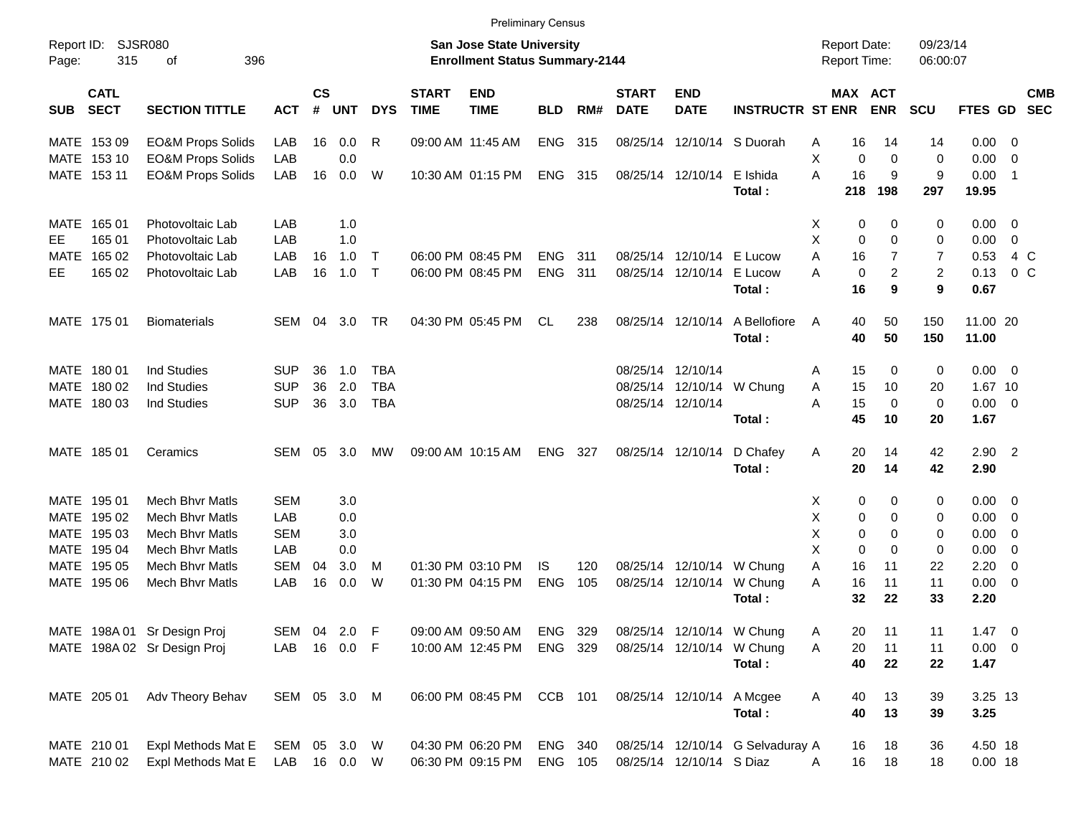| <b>Preliminary Census</b> |
|---------------------------|
|---------------------------|

| Report ID:<br>Page: | 315                        | SJSR080<br>396<br>οf         |              |                   |            |              |                             | <b>San Jose State University</b><br><b>Enrollment Status Summary-2144</b> |            |     |                             |                            |                                  | <b>Report Date:</b><br>Report Time: |           |                         | 09/23/14<br>06:00:07 |                   |                          |                          |
|---------------------|----------------------------|------------------------------|--------------|-------------------|------------|--------------|-----------------------------|---------------------------------------------------------------------------|------------|-----|-----------------------------|----------------------------|----------------------------------|-------------------------------------|-----------|-------------------------|----------------------|-------------------|--------------------------|--------------------------|
| <b>SUB</b>          | <b>CATL</b><br><b>SECT</b> | <b>SECTION TITTLE</b>        | <b>ACT</b>   | <b>CS</b><br>$\#$ | <b>UNT</b> | <b>DYS</b>   | <b>START</b><br><b>TIME</b> | <b>END</b><br><b>TIME</b>                                                 | <b>BLD</b> | RM# | <b>START</b><br><b>DATE</b> | <b>END</b><br><b>DATE</b>  | <b>INSTRUCTR ST ENR</b>          |                                     |           | MAX ACT<br><b>ENR</b>   | <b>SCU</b>           | FTES GD           |                          | <b>CMB</b><br><b>SEC</b> |
|                     | MATE 153 09                | <b>EO&amp;M Props Solids</b> | LAB          | 16                | 0.0        | R            |                             | 09:00 AM 11:45 AM                                                         | ENG        | 315 |                             | 08/25/14 12/10/14 S Duorah |                                  | A                                   | 16        | 14                      | 14                   | $0.00 \t 0$       |                          |                          |
|                     | MATE 153 10                | <b>EO&amp;M Props Solids</b> | LAB          |                   | 0.0        |              |                             |                                                                           |            |     |                             |                            |                                  | X                                   | 0         | 0                       | 0                    | 0.00              | 0                        |                          |
|                     | MATE 153 11                | <b>EO&amp;M Props Solids</b> | LAB          | 16                | 0.0        | W            |                             | 10:30 AM 01:15 PM                                                         | ENG        | 315 |                             | 08/25/14 12/10/14          | E Ishida<br>Total:               | A                                   | 16<br>218 | 9<br>198                | 9<br>297             | 0.00<br>19.95     | $\overline{1}$           |                          |
| MATE                | 165 01                     | Photovoltaic Lab             | LAB          |                   | 1.0        |              |                             |                                                                           |            |     |                             |                            |                                  | Х                                   | 0         | 0                       | 0                    | $0.00 \t 0$       |                          |                          |
| EE.                 | 165 01                     | Photovoltaic Lab             | LAB          |                   | 1.0        |              |                             |                                                                           |            |     |                             |                            |                                  | Х                                   | 0         | 0                       | 0                    | 0.00              | 0                        |                          |
| MATE                | 165 02                     | Photovoltaic Lab             | LAB          | 16                | 1.0        | $\top$       |                             | 06:00 PM 08:45 PM                                                         | <b>ENG</b> | 311 |                             | 08/25/14 12/10/14 E Lucow  |                                  | A                                   | 16        | 7                       | 7                    | 0.53              | 4 C                      |                          |
| EE.                 | 165 02                     | Photovoltaic Lab             | LAB          | 16                | 1.0        | $\mathsf{T}$ |                             | 06:00 PM 08:45 PM                                                         | <b>ENG</b> | 311 |                             | 08/25/14 12/10/14          | E Lucow                          | А                                   | 0         | $\overline{\mathbf{c}}$ | 2                    | 0.13              | 0 <sup>o</sup>           |                          |
|                     |                            |                              |              |                   |            |              |                             |                                                                           |            |     |                             |                            | Total:                           |                                     | 16        | 9                       | 9                    | 0.67              |                          |                          |
|                     | MATE 175 01                | <b>Biomaterials</b>          | SEM          | 04                | 3.0        | TR           |                             | 04:30 PM 05:45 PM                                                         | CL         | 238 |                             | 08/25/14 12/10/14          | A Bellofiore<br>Total:           | A                                   | 40<br>40  | 50<br>50                | 150<br>150           | 11.00 20<br>11.00 |                          |                          |
|                     | MATE 180 01                | Ind Studies                  | <b>SUP</b>   | 36                | 1.0        | TBA          |                             |                                                                           |            |     |                             | 08/25/14 12/10/14          |                                  | A                                   | 15        | 0                       | 0                    | $0.00 \t 0$       |                          |                          |
|                     | MATE 180 02                | <b>Ind Studies</b>           | <b>SUP</b>   | 36                | 2.0        | <b>TBA</b>   |                             |                                                                           |            |     |                             | 08/25/14 12/10/14          | W Chung                          | Α                                   | 15        | 10                      | 20                   | 1.67 10           |                          |                          |
|                     | MATE 180 03                | <b>Ind Studies</b>           | <b>SUP</b>   | 36                | 3.0        | <b>TBA</b>   |                             |                                                                           |            |     |                             | 08/25/14 12/10/14          |                                  | A                                   | 15        | 0                       | 0                    | $0.00 \t 0$       |                          |                          |
|                     |                            |                              |              |                   |            |              |                             |                                                                           |            |     |                             |                            | Total:                           |                                     | 45        | 10                      | 20                   | 1.67              |                          |                          |
|                     | MATE 185 01                | Ceramics                     | SEM          | 05                | 3.0        | MW           |                             | 09:00 AM 10:15 AM                                                         | <b>ENG</b> | 327 |                             | 08/25/14 12/10/14          | D Chafey<br>Total:               | Α                                   | 20<br>20  | 14<br>14                | 42<br>42             | $2.90$ 2<br>2.90  |                          |                          |
|                     | MATE 195 01                | Mech Bhyr Matls              | <b>SEM</b>   |                   | 3.0        |              |                             |                                                                           |            |     |                             |                            |                                  | X                                   | 0         | 0                       | 0                    | $0.00 \t 0$       |                          |                          |
| MATE                | 195 02                     | <b>Mech Bhyr Matls</b>       | LAB          |                   | 0.0        |              |                             |                                                                           |            |     |                             |                            |                                  | Х                                   | 0         | 0                       | 0                    | 0.00              | $\overline{\mathbf{0}}$  |                          |
|                     | MATE 195 03                | Mech Bhyr Matls              | <b>SEM</b>   |                   | 3.0        |              |                             |                                                                           |            |     |                             |                            |                                  | Х                                   | 0         | 0                       | 0                    | 0.00              | $\overline{\mathbf{0}}$  |                          |
|                     | MATE 195 04                | Mech Bhyr Matls              | LAB          |                   | 0.0        |              |                             |                                                                           |            |     |                             |                            |                                  | X                                   | 0         | $\Omega$                | 0                    | 0.00              | $\overline{\mathbf{0}}$  |                          |
|                     | MATE 195 05                | Mech Bhyr Matls              | <b>SEM</b>   | 04                | 3.0        | М            |                             | 01:30 PM 03:10 PM                                                         | IS.        | 120 |                             | 08/25/14 12/10/14          | W Chung                          | Α                                   | 16        | 11                      | 22                   | 2.20              | $\overline{\mathbf{0}}$  |                          |
|                     | MATE 195 06                | <b>Mech Bhyr Matls</b>       | LAB          | 16                | 0.0        | W            |                             | 01:30 PM 04:15 PM                                                         | <b>ENG</b> | 105 |                             | 08/25/14 12/10/14          | W Chung                          | Α                                   | 16        | 11                      | 11                   | 0.00              | $\overline{\phantom{0}}$ |                          |
|                     |                            |                              |              |                   |            |              |                             |                                                                           |            |     |                             |                            | Total:                           |                                     | 32        | 22                      | 33                   | 2.20              |                          |                          |
|                     |                            | MATE 198A 01 Sr Design Proj  | SEM 04 2.0   |                   |            | F            |                             | 09:00 AM 09:50 AM                                                         | ENG        | 329 |                             | 08/25/14 12/10/14 W Chung  |                                  | A                                   | 20        | 11                      | 11                   | $1.47 \ 0$        |                          |                          |
|                     |                            | MATE 198A 02 Sr Design Proj  | LAB          |                   | 16  0.0  F |              |                             | 10:00 AM 12:45 PM ENG 329                                                 |            |     |                             | 08/25/14 12/10/14 W Chung  |                                  | Α                                   | 20        | 11                      | 11                   | $0.00 \t 0$       |                          |                          |
|                     |                            |                              |              |                   |            |              |                             |                                                                           |            |     |                             |                            | Total:                           |                                     | 40        | 22                      | 22                   | 1.47              |                          |                          |
|                     | MATE 205 01                | Adv Theory Behav             | SEM 05 3.0 M |                   |            |              |                             | 06:00 PM 08:45 PM                                                         | CCB 101    |     |                             | 08/25/14 12/10/14 A Mcgee  |                                  | Α                                   | 40        | 13                      | 39                   | 3.25 13           |                          |                          |
|                     |                            |                              |              |                   |            |              |                             |                                                                           |            |     |                             |                            | Total:                           |                                     | 40        | 13                      | 39                   | 3.25              |                          |                          |
|                     | MATE 210 01                | Expl Methods Mat E           | SEM 05 3.0 W |                   |            |              |                             | 04:30 PM 06:20 PM                                                         | ENG 340    |     |                             |                            | 08/25/14 12/10/14 G Selvaduray A |                                     | 16        | 18                      | 36                   | 4.50 18           |                          |                          |
|                     | MATE 210 02                | Expl Methods Mat E           | LAB 16 0.0 W |                   |            |              |                             | 06:30 PM 09:15 PM                                                         | ENG 105    |     |                             | 08/25/14 12/10/14 S Diaz   |                                  | Α                                   | 16        | 18                      | 18                   | $0.00$ 18         |                          |                          |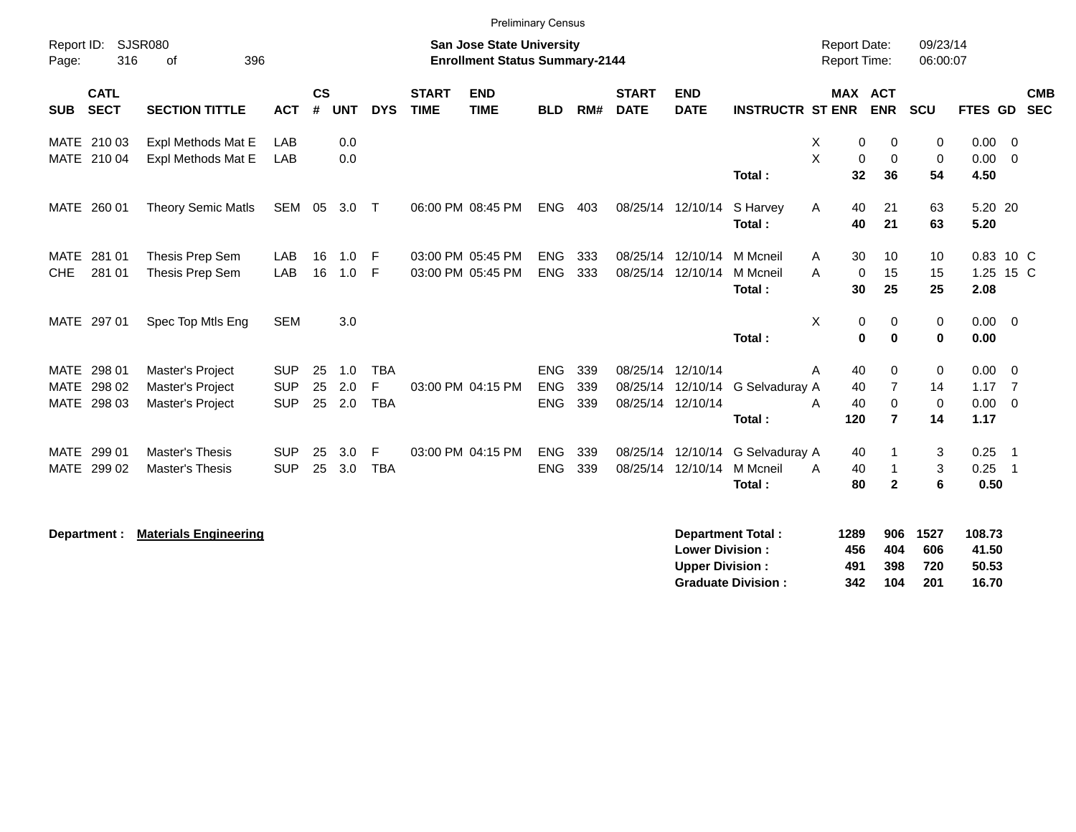|                            |                            |                                                  |                          |                |            |                 |                             | <b>Preliminary Census</b>                                                 |                          |            |                               |                               |                            |                                     |                               |                      |                     |                                  |                          |
|----------------------------|----------------------------|--------------------------------------------------|--------------------------|----------------|------------|-----------------|-----------------------------|---------------------------------------------------------------------------|--------------------------|------------|-------------------------------|-------------------------------|----------------------------|-------------------------------------|-------------------------------|----------------------|---------------------|----------------------------------|--------------------------|
| Report ID:<br>Page:        | 316                        | <b>SJSR080</b><br>396<br>οf                      |                          |                |            |                 |                             | <b>San Jose State University</b><br><b>Enrollment Status Summary-2144</b> |                          |            |                               |                               |                            | <b>Report Date:</b><br>Report Time: |                               | 09/23/14<br>06:00:07 |                     |                                  |                          |
| <b>SUB</b>                 | <b>CATL</b><br><b>SECT</b> | <b>SECTION TITTLE</b>                            | <b>ACT</b>               | <b>CS</b><br># | <b>UNT</b> | <b>DYS</b>      | <b>START</b><br><b>TIME</b> | <b>END</b><br><b>TIME</b>                                                 | <b>BLD</b>               | RM#        | <b>START</b><br><b>DATE</b>   | <b>END</b><br><b>DATE</b>     | <b>INSTRUCTR ST ENR</b>    | <b>MAX ACT</b>                      | <b>ENR</b>                    | <b>SCU</b>           | <b>FTES GD</b>      |                                  | <b>CMB</b><br><b>SEC</b> |
| <b>MATE</b>                | 210 03<br>MATE 210 04      | Expl Methods Mat E<br>Expl Methods Mat E         | LAB<br>LAB               |                | 0.0<br>0.0 |                 |                             |                                                                           |                          |            |                               |                               |                            | X<br>0<br>X<br>0                    | 0<br>$\mathbf 0$              | 0<br>$\mathbf 0$     | 0.00<br>0.00        | $\overline{0}$<br>$\overline{0}$ |                          |
|                            |                            |                                                  |                          |                |            |                 |                             |                                                                           |                          |            |                               |                               | Total:                     | 32                                  | 36                            | 54                   | 4.50                |                                  |                          |
|                            | MATE 260 01                | <b>Theory Semic Matls</b>                        | SEM                      | 05             | 3.0        | $\top$          |                             | 06:00 PM 08:45 PM                                                         | <b>ENG</b>               | 403        |                               | 08/25/14 12/10/14             | S Harvey<br>Total:         | Α<br>40<br>40                       | 21<br>21                      | 63<br>63             | 5.20 20<br>5.20     |                                  |                          |
| MATE                       | 281 01                     | Thesis Prep Sem                                  | LAB                      | 16             | 1.0        | -F              |                             | 03:00 PM 05:45 PM                                                         | <b>ENG</b>               | 333        | 08/25/14                      | 12/10/14                      | M Mcneil                   | A<br>30                             | 10                            | 10                   | 0.83 10 C           |                                  |                          |
| <b>CHE</b>                 | 281 01                     | Thesis Prep Sem                                  | LAB                      | 16             | 1.0        | -F              |                             | 03:00 PM 05:45 PM                                                         | <b>ENG</b>               | 333        | 08/25/14                      | 12/10/14                      | M Mcneil<br>Total:         | A<br>0<br>30                        | 15<br>25                      | 15<br>25             | 1.25 15 C<br>2.08   |                                  |                          |
|                            | MATE 297 01                | Spec Top Mtls Eng                                | <b>SEM</b>               |                | 3.0        |                 |                             |                                                                           |                          |            |                               |                               | Total:                     | X<br>0<br>$\pmb{0}$                 | 0<br>$\mathbf 0$              | 0<br>$\mathbf 0$     | $0.00 \t 0$<br>0.00 |                                  |                          |
|                            | MATE 298 01                | Master's Project                                 | <b>SUP</b>               | 25             | 1.0        | <b>TBA</b>      |                             |                                                                           | <b>ENG</b>               | 339        | 08/25/14                      | 12/10/14                      |                            | 40<br>Α                             | 0                             | 0                    | $0.00 \t 0$         |                                  |                          |
| <b>MATE</b>                | 298 02<br>MATE 298 03      | Master's Project<br>Master's Project             | <b>SUP</b><br><b>SUP</b> | 25<br>25       | 2.0<br>2.0 | E<br><b>TBA</b> |                             | 03:00 PM 04:15 PM                                                         | <b>ENG</b><br><b>ENG</b> | 339<br>339 | 08/25/14<br>08/25/14 12/10/14 | 12/10/14                      | G Selvadurav A             | 40<br>40<br>A                       | $\overline{7}$<br>$\mathbf 0$ | 14<br>$\mathbf 0$    | 1.17<br>0.00        | $\overline{7}$<br>$\overline{0}$ |                          |
|                            |                            |                                                  |                          |                |            |                 |                             |                                                                           |                          |            |                               |                               | Total:                     | 120                                 | $\overline{7}$                | 14                   | 1.17                |                                  |                          |
| <b>MATE</b><br><b>MATE</b> | 299 01<br>299 02           | <b>Master's Thesis</b><br><b>Master's Thesis</b> | <b>SUP</b><br><b>SUP</b> | 25<br>25       | 3.0<br>3.0 | E<br><b>TBA</b> |                             | 03:00 PM 04:15 PM                                                         | <b>ENG</b><br><b>ENG</b> | 339<br>339 | 08/25/14                      | 12/10/14<br>08/25/14 12/10/14 | G Selvaduray A<br>M Mcneil | 40<br>40<br>Α                       |                               | 3<br>3               | 0.25<br>0.25        | $\overline{\phantom{0}}$<br>-1   |                          |
|                            |                            |                                                  |                          |                |            |                 |                             |                                                                           |                          |            |                               |                               | Total:                     | 80                                  | $\overline{2}$                | 6                    | 0.50                |                                  |                          |
|                            | Department :               | <b>Materials Engineering</b>                     |                          |                |            |                 |                             |                                                                           |                          |            |                               |                               | <b>Department Total:</b>   | 1289                                | 906                           | 1527                 | 108.73              |                                  |                          |

|                           | .   | --- | .    | .     |
|---------------------------|-----|-----|------|-------|
| <b>Lower Division :</b>   | 456 | 404 | 606  | 41.50 |
| Upper Division :          | 491 | 398 | 720  | 50.53 |
| <b>Graduate Division:</b> | 342 | 104 | -201 | 16.70 |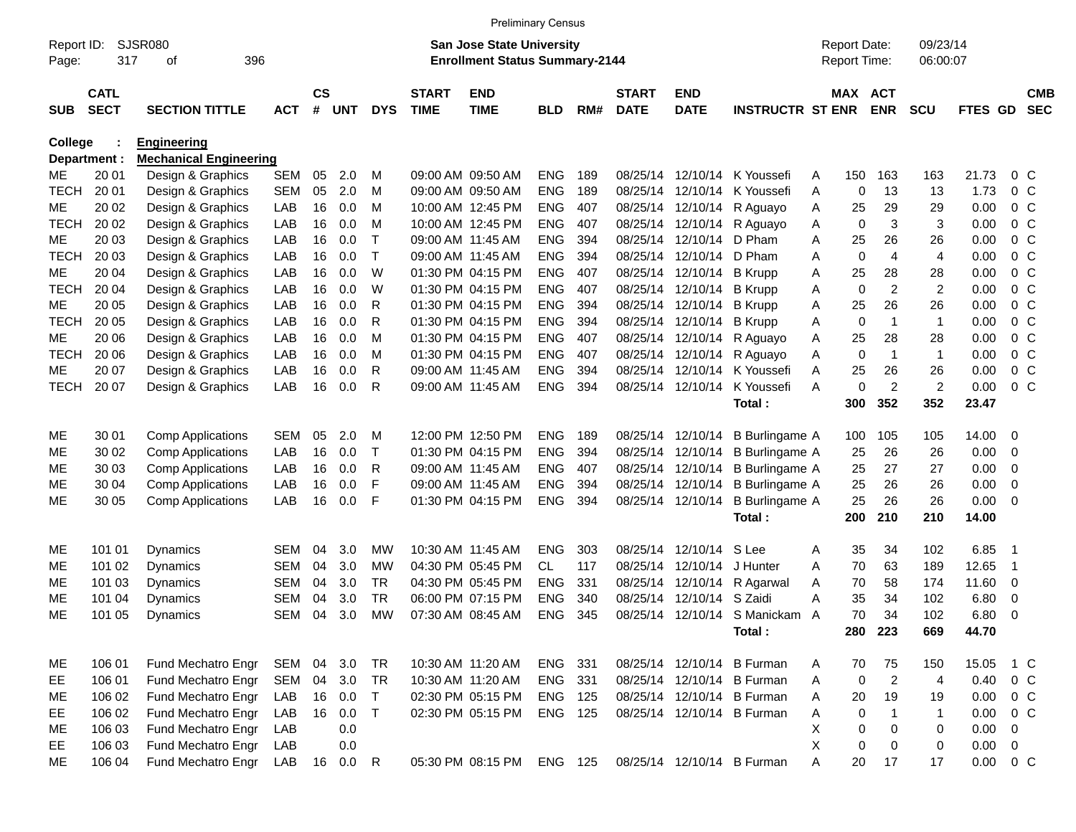|                     |              |                               |            |               |            |            |              |                                                                           | <b>Preliminary Census</b> |     |              |                   |                              |   |                                     |                |                      |               |                |                |
|---------------------|--------------|-------------------------------|------------|---------------|------------|------------|--------------|---------------------------------------------------------------------------|---------------------------|-----|--------------|-------------------|------------------------------|---|-------------------------------------|----------------|----------------------|---------------|----------------|----------------|
| Report ID:<br>Page: | 317          | SJSR080<br>396<br>οf          |            |               |            |            |              | <b>San Jose State University</b><br><b>Enrollment Status Summary-2144</b> |                           |     |              |                   |                              |   | <b>Report Date:</b><br>Report Time: |                | 09/23/14<br>06:00:07 |               |                |                |
|                     | <b>CATL</b>  |                               |            | $\mathsf{cs}$ |            |            | <b>START</b> | <b>END</b>                                                                |                           |     | <b>START</b> | <b>END</b>        |                              |   | MAX ACT                             |                |                      |               |                | <b>CMB</b>     |
| <b>SUB</b>          | <b>SECT</b>  | <b>SECTION TITTLE</b>         | <b>ACT</b> | #             | <b>UNT</b> | <b>DYS</b> | <b>TIME</b>  | <b>TIME</b>                                                               | <b>BLD</b>                | RM# | <b>DATE</b>  | <b>DATE</b>       | <b>INSTRUCTR ST ENR</b>      |   |                                     | <b>ENR</b>     | <b>SCU</b>           | FTES GD       |                | <b>SEC</b>     |
| College             |              | <b>Engineering</b>            |            |               |            |            |              |                                                                           |                           |     |              |                   |                              |   |                                     |                |                      |               |                |                |
|                     | Department : | <b>Mechanical Engineering</b> |            |               |            |            |              |                                                                           |                           |     |              |                   |                              |   |                                     |                |                      |               |                |                |
| ME                  | 20 01        | Design & Graphics             | <b>SEM</b> | 05            | 2.0        | M          |              | 09:00 AM 09:50 AM                                                         | <b>ENG</b>                | 189 | 08/25/14     | 12/10/14          | K Youssefi                   | Α | 150                                 | 163            | 163                  | 21.73         | $0\,$ C        |                |
| <b>TECH</b>         | 20 01        | Design & Graphics             | <b>SEM</b> | 05            | 2.0        | M          |              | 09:00 AM 09:50 AM                                                         | <b>ENG</b>                | 189 | 08/25/14     | 12/10/14          | K Youssefi                   | Α | 0                                   | 13             | 13                   | 1.73          |                | 0 <sup>o</sup> |
| ME                  | 20 02        | Design & Graphics             | LAB        | 16            | 0.0        | M          |              | 10:00 AM 12:45 PM                                                         | <b>ENG</b>                | 407 | 08/25/14     | 12/10/14          | R Aguayo                     | Α | 25                                  | 29             | 29                   | 0.00          | 0 <sup>o</sup> |                |
| <b>TECH</b>         | 20 02        | Design & Graphics             | LAB        | 16            | 0.0        | M          |              | 10:00 AM 12:45 PM                                                         | <b>ENG</b>                | 407 |              | 08/25/14 12/10/14 | R Aguayo                     | Α | 0                                   | 3              | 3                    | 0.00          | 0 <sup>o</sup> |                |
| ME                  | 20 03        | Design & Graphics             | LAB        | 16            | 0.0        | Τ          |              | 09:00 AM 11:45 AM                                                         | <b>ENG</b>                | 394 | 08/25/14     | 12/10/14          | D Pham                       | Α | 25                                  | 26             | 26                   | 0.00          | 0 <sup>o</sup> |                |
| <b>TECH</b>         | 20 03        | Design & Graphics             | LAB        | 16            | 0.0        | т          |              | 09:00 AM 11:45 AM                                                         | <b>ENG</b>                | 394 | 08/25/14     | 12/10/14          | D Pham                       | Α | 0                                   | 4              | 4                    | 0.00          | 0 <sup>o</sup> |                |
| ME                  | 20 04        | Design & Graphics             | LAB        | 16            | 0.0        | W          |              | 01:30 PM 04:15 PM                                                         | <b>ENG</b>                | 407 | 08/25/14     | 12/10/14          | <b>B</b> Krupp               | Α | 25                                  | 28             | 28                   | 0.00          | 0 <sup>o</sup> |                |
| <b>TECH</b>         | 20 04        | Design & Graphics             | LAB        | 16            | 0.0        | W          |              | 01:30 PM 04:15 PM                                                         | <b>ENG</b>                | 407 |              | 08/25/14 12/10/14 | <b>B</b> Krupp               | Α | 0                                   | 2              | $\overline{2}$       | 0.00          | 0 <sup>o</sup> |                |
| ME                  | 20 05        | Design & Graphics             | LAB        | 16            | 0.0        | R          |              | 01:30 PM 04:15 PM                                                         | <b>ENG</b>                | 394 |              | 08/25/14 12/10/14 | <b>B</b> Krupp               | Α | 25                                  | 26             | 26                   | 0.00          | 0 <sup>o</sup> |                |
| <b>TECH</b>         | 20 05        | Design & Graphics             | LAB        | 16            | 0.0        | R          |              | 01:30 PM 04:15 PM                                                         | <b>ENG</b>                | 394 |              | 08/25/14 12/10/14 | <b>B</b> Krupp               | Α | 0                                   | 1              | $\mathbf{1}$         | 0.00          | 0 <sup>o</sup> |                |
| ME                  | 20 06        | Design & Graphics             | LAB        | 16            | 0.0        | M          |              | 01:30 PM 04:15 PM                                                         | <b>ENG</b>                | 407 |              | 08/25/14 12/10/14 | R Aguayo                     | Α | 25                                  | 28             | 28                   | 0.00          | 0 <sup>o</sup> |                |
| <b>TECH</b>         | 20 06        | Design & Graphics             | LAB        | 16            | 0.0        | M          |              | 01:30 PM 04:15 PM                                                         | <b>ENG</b>                | 407 |              | 08/25/14 12/10/14 | R Aguayo                     | Α | 0                                   | $\mathbf{1}$   | $\mathbf{1}$         | 0.00          | 0 <sup>o</sup> |                |
| ME                  | 20 07        | Design & Graphics             | LAB        | 16            | 0.0        | R          |              | 09:00 AM 11:45 AM                                                         | <b>ENG</b>                | 394 | 08/25/14     | 12/10/14          | K Youssefi                   | Α | 25                                  | 26             | 26                   | 0.00          | 0 <sup>o</sup> |                |
| <b>TECH</b>         | 20 07        | Design & Graphics             | LAB        | 16            | 0.0        | R          |              | 09:00 AM 11:45 AM                                                         | <b>ENG</b>                | 394 |              | 08/25/14 12/10/14 | K Youssefi                   | Α | 0                                   | 2              | $\overline{c}$       | 0.00          | 0 <sup>o</sup> |                |
|                     |              |                               |            |               |            |            |              |                                                                           |                           |     |              |                   | Total:                       |   | 300                                 | 352            | 352                  | 23.47         |                |                |
| ME                  | 30 01        | <b>Comp Applications</b>      | <b>SEM</b> | 05            | 2.0        | M          |              | 12:00 PM 12:50 PM                                                         | <b>ENG</b>                | 189 |              | 08/25/14 12/10/14 | <b>B</b> Burlingame A        |   | 100                                 | 105            | 105                  | 14.00         | - 0            |                |
| ME                  | 30 02        | <b>Comp Applications</b>      | LAB        | 16            | 0.0        | т          |              | 01:30 PM 04:15 PM                                                         | <b>ENG</b>                | 394 |              | 08/25/14 12/10/14 | B Burlingame A               |   | 25                                  | 26             | 26                   | 0.00          | 0              |                |
| MЕ                  | 30 03        | <b>Comp Applications</b>      | LAB        | 16            | 0.0        | R          |              | 09:00 AM 11:45 AM                                                         | <b>ENG</b>                | 407 |              | 08/25/14 12/10/14 | B Burlingame A               |   | 25                                  | 27             | 27                   | 0.00          | 0              |                |
| ME                  | 30 04        | <b>Comp Applications</b>      | LAB        | 16            | 0.0        | F          |              | 09:00 AM 11:45 AM                                                         | <b>ENG</b>                | 394 |              | 08/25/14 12/10/14 | <b>B</b> Burlingame A        |   | 25                                  | 26             | 26                   | 0.00          | 0              |                |
| ME                  | 30 05        | <b>Comp Applications</b>      | LAB        | 16            | 0.0        | F          |              | 01:30 PM 04:15 PM                                                         | <b>ENG</b>                | 394 |              | 08/25/14 12/10/14 | <b>B</b> Burlingame A        |   | 25                                  | 26             | 26                   | 0.00          | 0              |                |
|                     |              |                               |            |               |            |            |              |                                                                           |                           |     |              |                   | Total:                       |   | 200                                 | 210            | 210                  | 14.00         |                |                |
| ME                  | 101 01       | Dynamics                      | <b>SEM</b> | 04            | 3.0        | МW         |              | 10:30 AM 11:45 AM                                                         | <b>ENG</b>                | 303 | 08/25/14     | 12/10/14          | S Lee                        | Α | 35                                  | 34             | 102                  | 6.85          | -1             |                |
| MЕ                  | 101 02       | Dynamics                      | <b>SEM</b> | 04            | 3.0        | <b>MW</b>  |              | 04:30 PM 05:45 PM                                                         | <b>CL</b>                 | 117 | 08/25/14     | 12/10/14          | J Hunter                     | Α | 70                                  | 63             | 189                  | 12.65         | -1             |                |
| MЕ                  | 101 03       | Dynamics                      | <b>SEM</b> | 04            | 3.0        | <b>TR</b>  |              | 04:30 PM 05:45 PM                                                         | ENG                       | 331 | 08/25/14     | 12/10/14          | R Agarwal                    | Α | 70                                  | 58             | 174                  | 11.60         | 0              |                |
| MЕ                  | 101 04       | Dynamics                      | <b>SEM</b> | 04            | 3.0        | <b>TR</b>  |              | 06:00 PM 07:15 PM                                                         | <b>ENG</b>                | 340 | 08/25/14     | 12/10/14          | S Zaidi                      | Α | 35                                  | 34             | 102                  | 6.80          | 0              |                |
| ME                  | 101 05       | Dynamics                      | <b>SEM</b> | 04            | 3.0        | МW         |              | 07:30 AM 08:45 AM                                                         | <b>ENG</b>                | 345 |              |                   | 08/25/14 12/10/14 S Manickam | A | 70                                  | 34             | 102                  | 6.80          | 0              |                |
|                     |              |                               |            |               |            |            |              |                                                                           |                           |     |              |                   | Total:                       |   |                                     | 280 223        | 669                  | 44.70         |                |                |
| ME                  | 106 01       | Fund Mechatro Engr            | SEM        |               | 04 3.0     | <b>TR</b>  |              | 10:30 AM 11:20 AM                                                         | ENG 331                   |     |              |                   | 08/25/14 12/10/14 B Furman   | A | 70                                  | 75             | 150                  | 15.05         | 1 C            |                |
| EE                  | 106 01       | Fund Mechatro Engr            | SEM        | 04            | 3.0        | <b>TR</b>  |              | 10:30 AM 11:20 AM                                                         | ENG 331                   |     |              |                   | 08/25/14 12/10/14 B Furman   | A | 0                                   | $\overline{2}$ | 4                    | 0.40          | $0\,C$         |                |
| ME                  | 106 02       | Fund Mechatro Engr            | LAB        |               | 16 0.0     | T          |              | 02:30 PM 05:15 PM                                                         | <b>ENG 125</b>            |     |              |                   | 08/25/14 12/10/14 B Furman   | A | 20                                  | 19             | 19                   | 0.00          | $0\,C$         |                |
| EE                  | 106 02       | Fund Mechatro Engr            | LAB        | 16            | 0.0        | $\top$     |              | 02:30 PM 05:15 PM                                                         | ENG 125                   |     |              |                   | 08/25/14 12/10/14 B Furman   | Α | $\pmb{0}$                           | 1              | $\mathbf{1}$         | 0.00          | $0\,C$         |                |
| ME                  | 106 03       | Fund Mechatro Engr            | LAB        |               | 0.0        |            |              |                                                                           |                           |     |              |                   |                              | X | 0                                   | 0              | 0                    | 0.00          | 0              |                |
| EE                  | 106 03       | Fund Mechatro Engr            | LAB        |               | 0.0        |            |              |                                                                           |                           |     |              |                   |                              | X | 0                                   | $\mathbf 0$    | 0                    | 0.00          | $\overline{0}$ |                |
| ME                  | 106 04       | Fund Mechatro Engr            | LAB        |               | 16  0.0  R |            |              | 05:30 PM 08:15 PM                                                         | ENG 125                   |     |              |                   | 08/25/14 12/10/14 B Furman   | A | 20                                  | 17             | 17                   | $0.00 \t 0 C$ |                |                |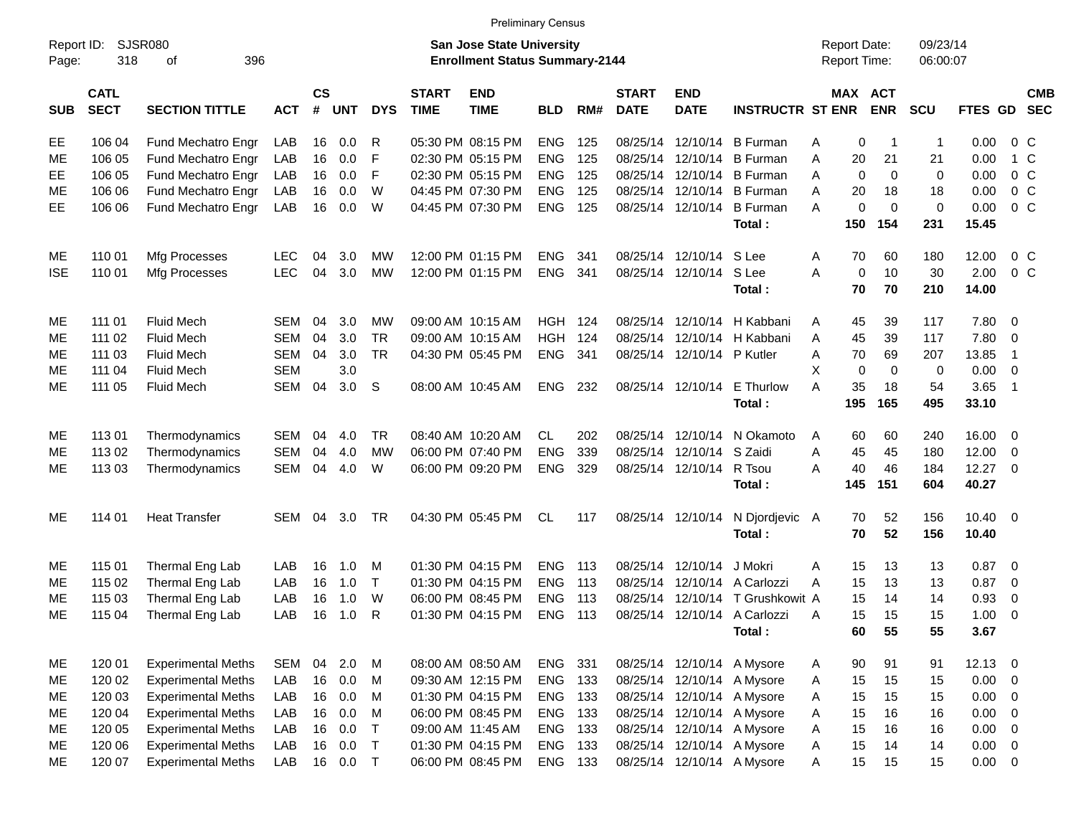|                     |                            |                             |            |                    |            |            |                             |                                                                           | <b>Preliminary Census</b> |     |                             |                            |                              |                                            |             |                      |              |                            |                          |
|---------------------|----------------------------|-----------------------------|------------|--------------------|------------|------------|-----------------------------|---------------------------------------------------------------------------|---------------------------|-----|-----------------------------|----------------------------|------------------------------|--------------------------------------------|-------------|----------------------|--------------|----------------------------|--------------------------|
| Report ID:<br>Page: | 318                        | <b>SJSR080</b><br>396<br>оf |            |                    |            |            |                             | <b>San Jose State University</b><br><b>Enrollment Status Summary-2144</b> |                           |     |                             |                            |                              | <b>Report Date:</b><br><b>Report Time:</b> |             | 09/23/14<br>06:00:07 |              |                            |                          |
| <b>SUB</b>          | <b>CATL</b><br><b>SECT</b> | <b>SECTION TITTLE</b>       | <b>ACT</b> | $\mathsf{cs}$<br># | <b>UNT</b> | <b>DYS</b> | <b>START</b><br><b>TIME</b> | <b>END</b><br><b>TIME</b>                                                 | <b>BLD</b>                | RM# | <b>START</b><br><b>DATE</b> | <b>END</b><br><b>DATE</b>  | <b>INSTRUCTR ST ENR</b>      | MAX ACT                                    | <b>ENR</b>  | <b>SCU</b>           | FTES GD      |                            | <b>CMB</b><br><b>SEC</b> |
| EE                  | 106 04                     | Fund Mechatro Engr          | LAB        | 16                 | 0.0        | R          |                             | 05:30 PM 08:15 PM                                                         | <b>ENG</b>                | 125 | 08/25/14                    | 12/10/14                   | <b>B</b> Furman              | 0<br>Α                                     |             | 1                    | 0.00         | $0\,$ C                    |                          |
| ME                  | 106 05                     | Fund Mechatro Engr          | LAB        | 16                 | 0.0        | F          |                             | 02:30 PM 05:15 PM                                                         | <b>ENG</b>                | 125 | 08/25/14                    | 12/10/14                   | <b>B</b> Furman              | 20<br>Α                                    | 21          | 21                   | 0.00         | 1 C                        |                          |
| EE                  | 106 05                     | Fund Mechatro Engr          | LAB        | 16                 | 0.0        | F          |                             | 02:30 PM 05:15 PM                                                         | <b>ENG</b>                | 125 | 08/25/14                    | 12/10/14                   | <b>B</b> Furman              | $\Omega$<br>A                              | $\mathbf 0$ | $\mathbf 0$          | 0.00         | $0\,$ C                    |                          |
| ME                  | 106 06                     | Fund Mechatro Engr          | LAB        | 16                 | 0.0        | W          |                             | 04:45 PM 07:30 PM                                                         | <b>ENG</b>                | 125 |                             | 08/25/14 12/10/14          | <b>B</b> Furman              | A<br>20                                    | 18          | 18                   | 0.00         | $0\,$ C                    |                          |
| EE                  | 106 06                     | Fund Mechatro Engr          | LAB        | 16                 | 0.0        | W          |                             | 04:45 PM 07:30 PM                                                         | <b>ENG</b>                | 125 |                             | 08/25/14 12/10/14          | <b>B</b> Furman              | 0<br>A                                     | $\Omega$    | 0                    | 0.00         | 0 <sup>o</sup>             |                          |
|                     |                            |                             |            |                    |            |            |                             |                                                                           |                           |     |                             |                            | Total:                       | 150                                        | 154         | 231                  | 15.45        |                            |                          |
| ME                  | 110 01                     | Mfg Processes               | <b>LEC</b> | 04                 | 3.0        | МW         |                             | 12:00 PM 01:15 PM                                                         | <b>ENG</b>                | 341 |                             | 08/25/14 12/10/14 S Lee    |                              | 70<br>Α                                    | 60          | 180                  | 12.00        | $0\,$ C                    |                          |
| <b>ISE</b>          | 110 01                     | Mfg Processes               | LEC        | 04                 | 3.0        | <b>MW</b>  |                             | 12:00 PM 01:15 PM                                                         | <b>ENG</b>                | 341 |                             | 08/25/14 12/10/14          | S Lee                        | $\mathbf 0$<br>A                           | 10          | 30                   | 2.00         | $0\,C$                     |                          |
|                     |                            |                             |            |                    |            |            |                             |                                                                           |                           |     |                             |                            | Total:                       | 70                                         | 70          | 210                  | 14.00        |                            |                          |
| ME                  | 111 01                     | <b>Fluid Mech</b>           | SEM        | 04                 | 3.0        | МW         |                             | 09:00 AM 10:15 AM                                                         | HGH                       | 124 | 08/25/14                    | 12/10/14                   | H Kabbani                    | 45<br>Α                                    | 39          | 117                  | 7.80 0       |                            |                          |
| ME                  | 111 02                     | <b>Fluid Mech</b>           | <b>SEM</b> | 04                 | 3.0        | <b>TR</b>  |                             | 09:00 AM 10:15 AM                                                         | <b>HGH</b>                | 124 | 08/25/14                    | 12/10/14                   | H Kabbani                    | 45<br>Α                                    | 39          | 117                  | 7.80         | $\overline{\mathbf{0}}$    |                          |
| ME                  | 111 03                     | <b>Fluid Mech</b>           | <b>SEM</b> | 04                 | 3.0        | <b>TR</b>  |                             | 04:30 PM 05:45 PM                                                         | <b>ENG</b>                | 341 |                             | 08/25/14 12/10/14 P Kutler |                              | 70<br>A                                    | 69          | 207                  | 13.85        | $\overline{1}$             |                          |
| ME                  | 111 04                     | <b>Fluid Mech</b>           | <b>SEM</b> |                    | 3.0        |            |                             |                                                                           |                           |     |                             |                            |                              | X<br>0                                     | $\mathbf 0$ | 0                    | 0.00         | $\overline{\mathbf{0}}$    |                          |
| ME                  | 111 05                     | <b>Fluid Mech</b>           | SEM        | 04                 | 3.0        | -S         |                             | 08:00 AM 10:45 AM                                                         | <b>ENG</b>                | 232 |                             | 08/25/14 12/10/14          | E Thurlow                    | A<br>35                                    | 18          | 54                   | 3.65         | $\overline{\phantom{0}}$ 1 |                          |
|                     |                            |                             |            |                    |            |            |                             |                                                                           |                           |     |                             |                            | Total:                       | 195                                        | 165         | 495                  | 33.10        |                            |                          |
| МE                  | 11301                      | Thermodynamics              | <b>SEM</b> | 04                 | 4.0        | TR         |                             | 08:40 AM 10:20 AM                                                         | <b>CL</b>                 | 202 | 08/25/14                    | 12/10/14                   | N Okamoto                    | 60<br>A                                    | 60          | 240                  | 16.00 0      |                            |                          |
| ME                  | 113 02                     | Thermodynamics              | <b>SEM</b> | 04                 | 4.0        | MW         |                             | 06:00 PM 07:40 PM                                                         | <b>ENG</b>                | 339 | 08/25/14                    | 12/10/14                   | S Zaidi                      | 45<br>A                                    | 45          | 180                  | 12.00        | - 0                        |                          |
| ME                  | 11303                      | Thermodynamics              | <b>SEM</b> | 04                 | 4.0        | W          |                             | 06:00 PM 09:20 PM                                                         | <b>ENG</b>                | 329 |                             | 08/25/14 12/10/14          | R Tsou                       | A<br>40                                    | 46          | 184                  | $12.27$ 0    |                            |                          |
|                     |                            |                             |            |                    |            |            |                             |                                                                           |                           |     |                             |                            | Total:                       | 145                                        | 151         | 604                  | 40.27        |                            |                          |
| ME                  | 114 01                     | <b>Heat Transfer</b>        | SEM        | 04                 | 3.0        | TR         |                             | 04:30 PM 05:45 PM                                                         | CL.                       | 117 |                             | 08/25/14 12/10/14          | N Djordjevic A               | 70                                         | 52          | 156                  | $10.40 \t 0$ |                            |                          |
|                     |                            |                             |            |                    |            |            |                             |                                                                           |                           |     |                             |                            | Total:                       | 70                                         | 52          | 156                  | 10.40        |                            |                          |
| МE                  | 115 01                     | Thermal Eng Lab             | LAB        | 16                 | 1.0        | м          |                             | 01:30 PM 04:15 PM                                                         | <b>ENG</b>                | 113 | 08/25/14                    | 12/10/14                   | J Mokri                      | 15<br>Α                                    | 13          | 13                   | $0.87$ 0     |                            |                          |
| МE                  | 115 02                     | Thermal Eng Lab             | LAB        | 16                 | 1.0        | $\top$     |                             | 01:30 PM 04:15 PM                                                         | <b>ENG</b>                | 113 | 08/25/14                    |                            | 12/10/14 A Carlozzi          | 15<br>A                                    | 13          | 13                   | 0.87         | $\overline{\mathbf{0}}$    |                          |
| ME                  | 115 03                     | Thermal Eng Lab             | LAB        | 16                 | 1.0        | W          |                             | 06:00 PM 08:45 PM                                                         | ENG                       | 113 | 08/25/14                    | 12/10/14                   | T Grushkowit A               | 15                                         | 14          | 14                   | 0.93         | 0                          |                          |
| ME                  | 115 04                     | Thermal Eng Lab             | LAB        | 16                 | 1.0        | R          |                             | 01:30 PM 04:15 PM                                                         | <b>ENG</b>                | 113 |                             |                            | 08/25/14 12/10/14 A Carlozzi | 15<br>Α                                    | 15          | 15                   | 1.00         | $\overline{\phantom{0}}$   |                          |
|                     |                            |                             |            |                    |            |            |                             |                                                                           |                           |     |                             |                            | Total:                       | 60                                         | 55          | 55                   | 3.67         |                            |                          |
| ME                  | 120 01                     | <b>Experimental Meths</b>   | SEM        | 04                 | 2.0        | M          |                             | 08:00 AM 08:50 AM                                                         | ENG                       | 331 |                             |                            | 08/25/14 12/10/14 A Mysore   | 90<br>A                                    | 91          | 91                   | $12.13 \t 0$ |                            |                          |
| ME                  | 120 02                     | <b>Experimental Meths</b>   | LAB        | 16                 | 0.0        | M          |                             | 09:30 AM 12:15 PM                                                         | ENG 133                   |     |                             |                            | 08/25/14 12/10/14 A Mysore   | 15<br>Α                                    | 15          | 15                   | $0.00 \t 0$  |                            |                          |
| ME                  | 120 03                     | <b>Experimental Meths</b>   | LAB        |                    | 16 0.0     | M          |                             | 01:30 PM 04:15 PM                                                         | ENG 133                   |     |                             |                            | 08/25/14 12/10/14 A Mysore   | 15<br>Α                                    | 15          | 15                   | $0.00 \t 0$  |                            |                          |
| ME                  | 120 04                     | <b>Experimental Meths</b>   | LAB        | 16                 | 0.0        | M          |                             | 06:00 PM 08:45 PM                                                         | ENG 133                   |     |                             |                            | 08/25/14 12/10/14 A Mysore   | 15<br>Α                                    | 16          | 16                   | $0.00 \t 0$  |                            |                          |
| ME                  | 120 05                     | <b>Experimental Meths</b>   | LAB        |                    | 16 0.0     | $\top$     |                             | 09:00 AM 11:45 AM                                                         | ENG 133                   |     |                             |                            | 08/25/14 12/10/14 A Mysore   | 15<br>Α                                    | 16          | 16                   | $0.00 \t 0$  |                            |                          |
| ME                  | 120 06                     | <b>Experimental Meths</b>   | LAB        |                    | 16  0.0  T |            |                             | 01:30 PM 04:15 PM                                                         | ENG 133                   |     |                             |                            | 08/25/14 12/10/14 A Mysore   | 15<br>Α                                    | 14          | 14                   | $0.00 \t 0$  |                            |                          |
| ME                  | 120 07                     | <b>Experimental Meths</b>   | LAB        |                    | 16  0.0  T |            |                             | 06:00 PM 08:45 PM                                                         | ENG 133                   |     |                             |                            | 08/25/14 12/10/14 A Mysore   | 15<br>A                                    | 15          | 15                   | $0.00 \t 0$  |                            |                          |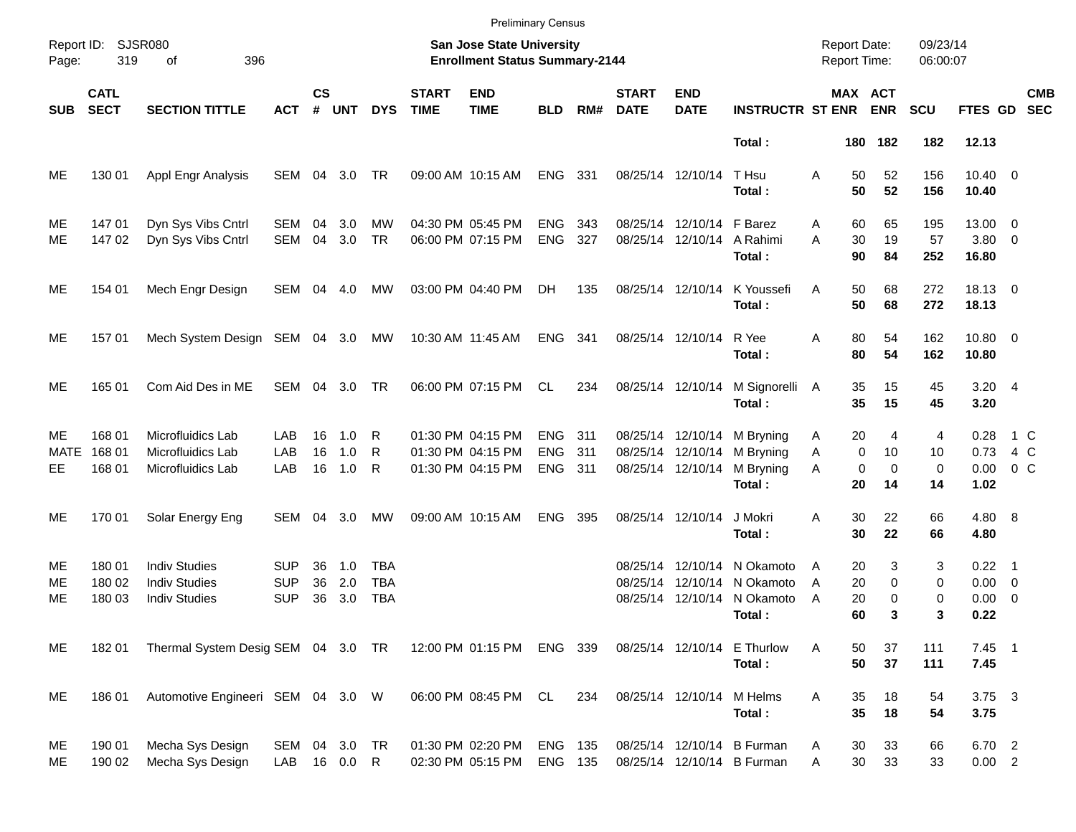|                         |                            |                                                                      |                                        |                    |                   |                                 |                             |                                                                    | <b>Preliminary Census</b>              |                   |                                                             |                                           |                                                          |                                            |                                                        |                      |                                         |                              |
|-------------------------|----------------------------|----------------------------------------------------------------------|----------------------------------------|--------------------|-------------------|---------------------------------|-----------------------------|--------------------------------------------------------------------|----------------------------------------|-------------------|-------------------------------------------------------------|-------------------------------------------|----------------------------------------------------------|--------------------------------------------|--------------------------------------------------------|----------------------|-----------------------------------------|------------------------------|
| Page:                   | Report ID: SJSR080<br>319  | 396<br>оf                                                            |                                        |                    |                   |                                 |                             | San Jose State University<br><b>Enrollment Status Summary-2144</b> |                                        |                   |                                                             |                                           |                                                          | <b>Report Date:</b><br><b>Report Time:</b> |                                                        | 09/23/14<br>06:00:07 |                                         |                              |
| <b>SUB</b>              | <b>CATL</b><br><b>SECT</b> | <b>SECTION TITTLE</b>                                                | <b>ACT</b>                             | $\mathsf{cs}$<br># | <b>UNT</b>        | <b>DYS</b>                      | <b>START</b><br><b>TIME</b> | <b>END</b><br><b>TIME</b>                                          | <b>BLD</b>                             | RM#               | <b>START</b><br><b>DATE</b>                                 | <b>END</b><br><b>DATE</b>                 | <b>INSTRUCTR ST ENR</b>                                  |                                            | MAX ACT<br><b>ENR</b>                                  | <b>SCU</b>           | FTES GD                                 | <b>CMB</b><br><b>SEC</b>     |
|                         |                            |                                                                      |                                        |                    |                   |                                 |                             |                                                                    |                                        |                   |                                                             |                                           | Total:                                                   |                                            | 180 182                                                | 182                  | 12.13                                   |                              |
| ME                      | 130 01                     | Appl Engr Analysis                                                   | SEM                                    | 04                 | 3.0               | TR                              |                             | 09:00 AM 10:15 AM                                                  | <b>ENG</b>                             | 331               | 08/25/14 12/10/14                                           |                                           | T Hsu<br>Total:                                          | A                                          | 52<br>50<br>50<br>52                                   | 156<br>156           | $10.40 \t 0$<br>10.40                   |                              |
| ME<br>МE                | 14701<br>147 02            | Dyn Sys Vibs Cntrl<br>Dyn Sys Vibs Cntrl                             | SEM<br><b>SEM</b>                      | 04<br>04           | 3.0<br>3.0        | MW<br><b>TR</b>                 |                             | 04:30 PM 05:45 PM<br>06:00 PM 07:15 PM                             | <b>ENG</b><br><b>ENG</b>               | 343<br>327        |                                                             | 08/25/14 12/10/14<br>08/25/14 12/10/14    | F Barez<br>A Rahimi<br>Total:                            | A<br>30<br>A<br>90                         | 65<br>60<br>19<br>84                                   | 195<br>57<br>252     | 13.00 0<br>$3.80\ 0$<br>16.80           |                              |
| MЕ                      | 154 01                     | Mech Engr Design                                                     | SEM 04 4.0                             |                    |                   | МW                              |                             | 03:00 PM 04:40 PM                                                  | DH                                     | 135               | 08/25/14 12/10/14                                           |                                           | K Youssefi<br>Total:                                     | A                                          | 50<br>68<br>50<br>68                                   | 272<br>272           | 18.13 0<br>18.13                        |                              |
| ME                      | 157 01                     | Mech System Design SEM 04 3.0                                        |                                        |                    |                   | МW                              |                             | 10:30 AM 11:45 AM                                                  | ENG                                    | - 341             | 08/25/14 12/10/14                                           |                                           | R Yee<br>Total:                                          | Α                                          | 80<br>54<br>80<br>54                                   | 162<br>162           | 10.80 0<br>10.80                        |                              |
| МE                      | 165 01                     | Com Aid Des in ME                                                    | SEM                                    |                    | 04 3.0            | TR                              |                             | 06:00 PM 07:15 PM                                                  | CL                                     | 234               | 08/25/14 12/10/14                                           |                                           | M Signorelli<br>Total:                                   | 35<br>A<br>35                              | 15<br>15                                               | 45<br>45             | $3.20$ 4<br>3.20                        |                              |
| МE<br><b>MATE</b><br>EE | 168 01<br>168 01<br>168 01 | Microfluidics Lab<br>Microfluidics Lab<br>Microfluidics Lab          | LAB<br>LAB<br>LAB                      | 16<br>16<br>16     | 1.0<br>1.0<br>1.0 | R<br>R<br>R                     |                             | 01:30 PM 04:15 PM<br>01:30 PM 04:15 PM<br>01:30 PM 04:15 PM        | <b>ENG</b><br><b>ENG</b><br><b>ENG</b> | 311<br>311<br>311 | 08/25/14 12/10/14<br>08/25/14 12/10/14<br>08/25/14 12/10/14 |                                           | M Bryning<br>M Bryning<br>M Bryning<br>Total:            | A<br>Α<br>A<br>20                          | 20<br>4<br>0<br>10<br>$\mathbf 0$<br>$\mathbf 0$<br>14 | 4<br>10<br>0<br>14   | 0.28<br>0.73<br>0.00<br>1.02            | 1 C<br>4 C<br>0 <sup>o</sup> |
| ME                      | 170 01                     | Solar Energy Eng                                                     | SEM                                    | 04                 | 3.0               | MW                              |                             | 09:00 AM 10:15 AM                                                  | <b>ENG</b>                             | 395               | 08/25/14 12/10/14                                           |                                           | J Mokri<br>Total:                                        | A<br>30                                    | 30<br>22<br>22                                         | 66<br>66             | 4.80 8<br>4.80                          |                              |
| MЕ<br>MЕ<br>MЕ          | 180 01<br>180 02<br>180 03 | <b>Indiv Studies</b><br><b>Indiv Studies</b><br><b>Indiv Studies</b> | <b>SUP</b><br><b>SUP</b><br><b>SUP</b> | 36<br>36<br>36     | 1.0<br>2.0<br>3.0 | TBA<br><b>TBA</b><br><b>TBA</b> |                             |                                                                    |                                        |                   | 08/25/14<br>08/25/14                                        | 12/10/14<br>12/10/14<br>08/25/14 12/10/14 | N Okamoto<br>N Okamoto<br>N Okamoto<br>Total:            | A<br>20<br>A<br>A<br>20<br>60              | 20<br>3<br>0<br>0<br>3                                 | 3<br>0<br>0<br>3     | $0.22$ 1<br>$0.00 \t 0$<br>0.00<br>0.22 | $\overline{\phantom{0}}$     |
| ME                      | 18201                      | Thermal System Desig SEM 04 3.0 TR                                   |                                        |                    |                   |                                 |                             | 12:00 PM 01:15 PM ENG 339                                          |                                        |                   |                                                             |                                           | 08/25/14 12/10/14 E Thurlow<br>Total:                    | Α                                          | 37<br>50<br>50<br>37                                   | 111<br>111           | $7.45$ 1<br>7.45                        |                              |
| ME                      | 18601                      | Automotive Engineeri SEM 04 3.0 W                                    |                                        |                    |                   |                                 |                             | 06:00 PM 08:45 PM CL                                               |                                        | 234               | 08/25/14 12/10/14                                           |                                           | M Helms<br>Total:                                        | Α                                          | 35<br>18<br>35<br>18                                   | 54<br>54             | $3.75 \quad 3$<br>3.75                  |                              |
| ME<br>ME                | 190 01<br>190 02           | Mecha Sys Design<br>Mecha Sys Design                                 | SEM 04 3.0 TR<br>LAB 16 0.0 R          |                    |                   |                                 |                             | 01:30 PM 02:20 PM<br>02:30 PM 05:15 PM                             | ENG 135<br>ENG 135                     |                   |                                                             |                                           | 08/25/14 12/10/14 B Furman<br>08/25/14 12/10/14 B Furman | A<br>Α                                     | 33<br>30<br>$30\,$<br>33                               | 66<br>33             | 6.70 2<br>0.00 2                        |                              |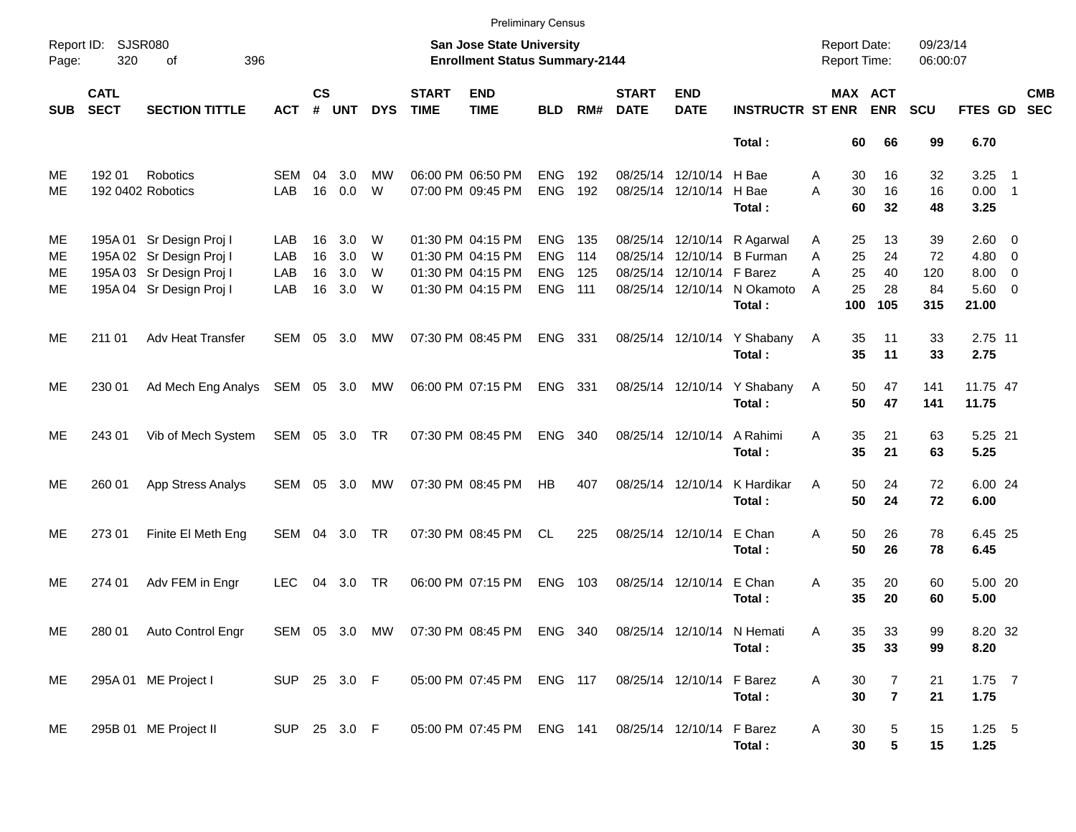|                      | <b>Preliminary Census</b>  |                                                                                                              |                          |                      |                          |                  |                             |                                                                                  |                                                      |                          |                                        |                                                             |                                                                |                     |                             |                                  |                              |                                                             |                          |                          |
|----------------------|----------------------------|--------------------------------------------------------------------------------------------------------------|--------------------------|----------------------|--------------------------|------------------|-----------------------------|----------------------------------------------------------------------------------|------------------------------------------------------|--------------------------|----------------------------------------|-------------------------------------------------------------|----------------------------------------------------------------|---------------------|-----------------------------|----------------------------------|------------------------------|-------------------------------------------------------------|--------------------------|--------------------------|
| Page:                | Report ID: SJSR080<br>320  | 396<br>of                                                                                                    |                          |                      |                          |                  |                             | San Jose State University<br><b>Enrollment Status Summary-2144</b>               |                                                      |                          |                                        |                                                             |                                                                | <b>Report Date:</b> |                             | <b>Report Time:</b>              | 09/23/14<br>06:00:07         |                                                             |                          |                          |
| <b>SUB</b>           | <b>CATL</b><br><b>SECT</b> | <b>SECTION TITTLE</b>                                                                                        | <b>ACT</b>               | $\mathsf{cs}$<br>#   | <b>UNT</b>               | <b>DYS</b>       | <b>START</b><br><b>TIME</b> | <b>END</b><br><b>TIME</b>                                                        | <b>BLD</b>                                           | RM#                      | <b>START</b><br><b>DATE</b>            | <b>END</b><br><b>DATE</b>                                   | <b>INSTRUCTR ST ENR</b>                                        |                     |                             | MAX ACT<br><b>ENR</b>            | <b>SCU</b>                   | <b>FTES GD</b>                                              |                          | <b>CMB</b><br><b>SEC</b> |
|                      |                            |                                                                                                              |                          |                      |                          |                  |                             |                                                                                  |                                                      |                          |                                        |                                                             | Total:                                                         |                     | 60                          | 66                               | 99                           | 6.70                                                        |                          |                          |
| ME<br>МE             | 192 01                     | Robotics<br>192 0402 Robotics                                                                                | SEM<br>LAB               | 04<br>16             | 3.0<br>0.0               | MW<br>W          |                             | 06:00 PM 06:50 PM<br>07:00 PM 09:45 PM                                           | <b>ENG</b><br><b>ENG</b>                             | 192<br>192               | 08/25/14 12/10/14<br>08/25/14 12/10/14 |                                                             | H Bae<br>H Bae<br>Total:                                       | A<br>A              | 30<br>30<br>60              | 16<br>16<br>32                   | 32<br>16<br>48               | 3.25<br>$0.00$ 1<br>3.25                                    | $\overline{\phantom{1}}$ |                          |
| ME<br>МE<br>МE<br>ME |                            | 195A 01 Sr Design Proj I<br>195A 02 Sr Design Proj I<br>195A 03 Sr Design Proj I<br>195A 04 Sr Design Proj I | LAB<br>LAB<br>LAB<br>LAB | 16<br>16<br>16<br>16 | 3.0<br>3.0<br>3.0<br>3.0 | W<br>W<br>W<br>W |                             | 01:30 PM 04:15 PM<br>01:30 PM 04:15 PM<br>01:30 PM 04:15 PM<br>01:30 PM 04:15 PM | <b>ENG</b><br><b>ENG</b><br><b>ENG</b><br><b>ENG</b> | 135<br>114<br>125<br>111 | 08/25/14 12/10/14                      | 08/25/14 12/10/14<br>08/25/14 12/10/14<br>08/25/14 12/10/14 | R Agarwal<br><b>B</b> Furman<br>F Barez<br>N Okamoto<br>Total: | A<br>A<br>A<br>A    | 25<br>25<br>25<br>25<br>100 | 13<br>24<br>40<br>28<br>105      | 39<br>72<br>120<br>84<br>315 | $2.60 \t 0$<br>$4.80$ 0<br>$8.00 \t 0$<br>$5.60$ 0<br>21.00 |                          |                          |
| ME                   | 211 01                     | <b>Adv Heat Transfer</b>                                                                                     | SEM                      |                      | 05 3.0                   | МW               |                             | 07:30 PM 08:45 PM                                                                | ENG 331                                              |                          |                                        | 08/25/14 12/10/14                                           | Y Shabany<br>Total:                                            | A                   | 35<br>35                    | 11<br>11                         | 33<br>33                     | 2.75 11<br>2.75                                             |                          |                          |
| ME                   | 230 01                     | Ad Mech Eng Analys SEM 05 3.0 MW                                                                             |                          |                      |                          |                  |                             | 06:00 PM 07:15 PM                                                                | ENG 331                                              |                          |                                        | 08/25/14 12/10/14                                           | Y Shabany<br>Total:                                            | A                   | 50<br>50                    | 47<br>47                         | 141<br>141                   | 11.75 47<br>11.75                                           |                          |                          |
| ME                   | 243 01                     | Vib of Mech System                                                                                           | SEM 05 3.0 TR            |                      |                          |                  |                             | 07:30 PM 08:45 PM                                                                | <b>ENG</b>                                           | 340                      | 08/25/14 12/10/14                      |                                                             | A Rahimi<br>Total:                                             | A                   | 35<br>35                    | 21<br>21                         | 63<br>63                     | 5.25 21<br>5.25                                             |                          |                          |
| ME                   | 260 01                     | App Stress Analys                                                                                            | SEM 05 3.0               |                      |                          | МW               |                             | 07:30 PM 08:45 PM                                                                | HB                                                   | 407                      | 08/25/14 12/10/14                      |                                                             | K Hardikar<br>Total:                                           | A                   | 50<br>50                    | 24<br>24                         | 72<br>72                     | 6.00 24<br>6.00                                             |                          |                          |
| ME                   | 273 01                     | Finite El Meth Eng                                                                                           | SEM 04 3.0               |                      |                          | <b>TR</b>        |                             | 07:30 PM 08:45 PM                                                                | CL                                                   | 225                      |                                        | 08/25/14 12/10/14                                           | E Chan<br>Total:                                               | A                   | 50<br>50                    | 26<br>26                         | 78<br>78                     | 6.45 25<br>6.45                                             |                          |                          |
| ME                   | 274 01                     | Adv FEM in Engr                                                                                              | <b>LEC</b>               | 04                   | 3.0                      | <b>TR</b>        |                             | 06:00 PM 07:15 PM                                                                | <b>ENG</b>                                           | 103                      | 08/25/14 12/10/14                      |                                                             | E Chan<br>Total:                                               | A                   | 35<br>35                    | 20<br>20                         | 60<br>60                     | 5.00 20<br>5.00                                             |                          |                          |
| ME                   |                            | 280 01 Auto Control Engr                                                                                     |                          |                      |                          |                  |                             | SEM 05 3.0 MW 07:30 PM 08:45 PM ENG 340 08/25/14 12/10/14 N Hemati               |                                                      |                          |                                        |                                                             | Total:                                                         | Α                   | 35<br>35                    | 33<br>33                         | 99<br>99                     | 8.20 32<br>8.20                                             |                          |                          |
| ME                   |                            | 295A 01 ME Project I                                                                                         | SUP 25 3.0 F             |                      |                          |                  |                             | 05:00 PM 07:45 PM ENG 117                                                        |                                                      |                          |                                        | 08/25/14 12/10/14                                           | F Barez<br>Total:                                              | Α                   | 30<br>30                    | $\overline{7}$<br>$\overline{7}$ | 21<br>21                     | $1.75$ 7<br>1.75                                            |                          |                          |
| ME                   |                            | 295B 01 ME Project II                                                                                        | SUP 25 3.0 F             |                      |                          |                  |                             | 05:00 PM 07:45 PM ENG 141                                                        |                                                      |                          |                                        | 08/25/14 12/10/14                                           | F Barez<br>Total:                                              | A                   | 30<br>30                    | 5<br>${\bf 5}$                   | 15<br>15                     | $1.25$ 5<br>1.25                                            |                          |                          |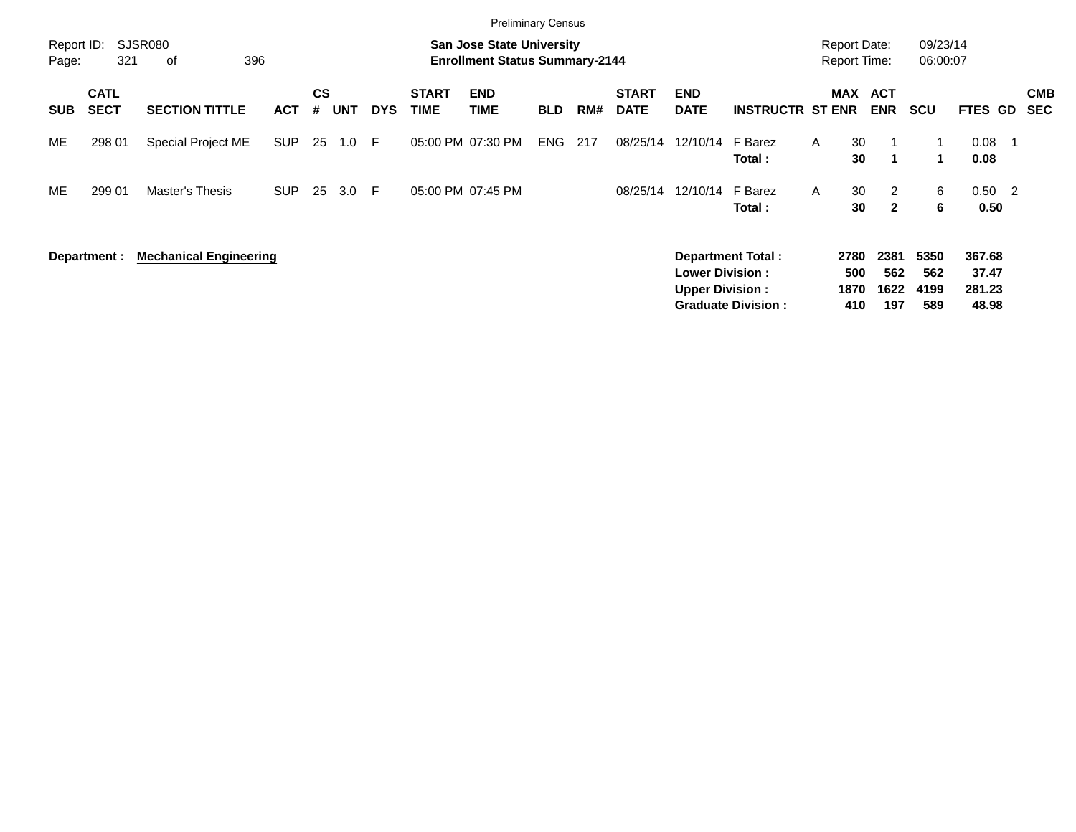| <b>Preliminary Census</b> |                            |                               |            |                |            |            |                             |                                                                           |            |     |                             |                                                  |                                                |              |                                            |                            |                            |                                    |                            |                          |
|---------------------------|----------------------------|-------------------------------|------------|----------------|------------|------------|-----------------------------|---------------------------------------------------------------------------|------------|-----|-----------------------------|--------------------------------------------------|------------------------------------------------|--------------|--------------------------------------------|----------------------------|----------------------------|------------------------------------|----------------------------|--------------------------|
| Report ID:<br>Page:       | 321                        | SJSR080<br>396<br>οf          |            |                |            |            |                             | <b>San Jose State University</b><br><b>Enrollment Status Summary-2144</b> |            |     |                             |                                                  |                                                |              | <b>Report Date:</b><br><b>Report Time:</b> |                            | 09/23/14<br>06:00:07       |                                    |                            |                          |
| <b>SUB</b>                | <b>CATL</b><br><b>SECT</b> | <b>SECTION TITTLE</b>         | <b>ACT</b> | <b>CS</b><br># | <b>UNT</b> | <b>DYS</b> | <b>START</b><br><b>TIME</b> | <b>END</b><br><b>TIME</b>                                                 | <b>BLD</b> | RM# | <b>START</b><br><b>DATE</b> | <b>END</b><br><b>DATE</b>                        | <b>INSTRUCTR ST ENR</b>                        |              | MAX ACT                                    | <b>ENR</b>                 | <b>SCU</b>                 | <b>FTES GD</b>                     |                            | <b>CMB</b><br><b>SEC</b> |
| ME                        | 298 01                     | Special Project ME            | <b>SUP</b> | 25             | 1.0        | -F         | 05:00 PM 07:30 PM           |                                                                           | <b>ENG</b> | 217 | 08/25/14                    | 12/10/14 F Barez                                 | Total :                                        | $\mathsf{A}$ | 30<br>30                                   | 1                          | 1                          | 0.08<br>0.08                       |                            |                          |
| ME                        | 299 01                     | Master's Thesis               | <b>SUP</b> | 25             | 3.0        | -F         | 05:00 PM 07:45 PM           |                                                                           |            |     | 08/25/14                    | 12/10/14 F Barez                                 | Total:                                         | A            | 30<br>30                                   | 2<br>$\mathbf{2}$          | 6<br>6                     | 0.50<br>0.50                       | $\overline{\phantom{0}}^2$ |                          |
|                           | Department :               | <b>Mechanical Engineering</b> |            |                |            |            |                             |                                                                           |            |     |                             | <b>Lower Division:</b><br><b>Upper Division:</b> | Department Total:<br><b>Graduate Division:</b> |              | 2780<br>500<br>1870<br>410                 | 2381<br>562<br>1622<br>197 | 5350<br>562<br>4199<br>589 | 367.68<br>37.47<br>281.23<br>48.98 |                            |                          |